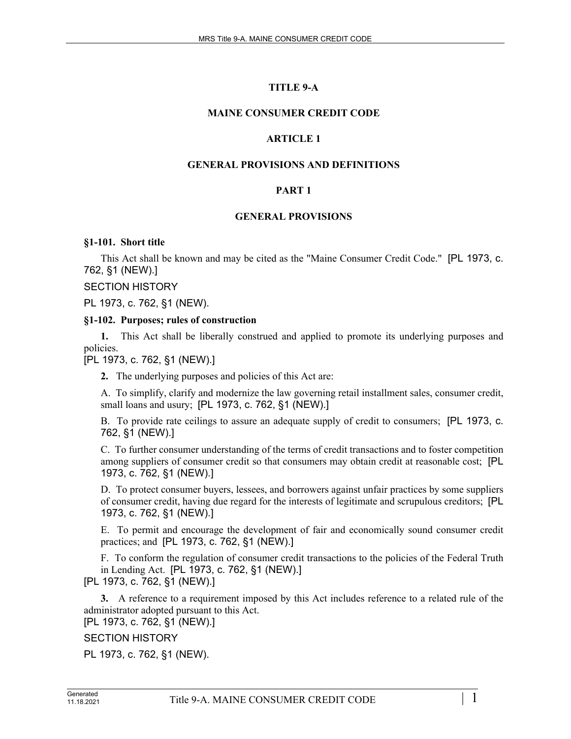# **TITLE 9-A**

### **MAINE CONSUMER CREDIT CODE**

### **ARTICLE 1**

### **GENERAL PROVISIONS AND DEFINITIONS**

# **PART 1**

#### **GENERAL PROVISIONS**

#### **§1-101. Short title**

This Act shall be known and may be cited as the "Maine Consumer Credit Code." [PL 1973, c. 762, §1 (NEW).]

SECTION HISTORY

PL 1973, c. 762, §1 (NEW).

#### **§1-102. Purposes; rules of construction**

**1.** This Act shall be liberally construed and applied to promote its underlying purposes and policies.

[PL 1973, c. 762, §1 (NEW).]

**2.** The underlying purposes and policies of this Act are:

A. To simplify, clarify and modernize the law governing retail installment sales, consumer credit, small loans and usury; [PL 1973, c. 762, §1 (NEW).]

B. To provide rate ceilings to assure an adequate supply of credit to consumers; [PL 1973, c. 762, §1 (NEW).]

C. To further consumer understanding of the terms of credit transactions and to foster competition among suppliers of consumer credit so that consumers may obtain credit at reasonable cost; [PL 1973, c. 762, §1 (NEW).]

D. To protect consumer buyers, lessees, and borrowers against unfair practices by some suppliers of consumer credit, having due regard for the interests of legitimate and scrupulous creditors; [PL 1973, c. 762, §1 (NEW).]

E. To permit and encourage the development of fair and economically sound consumer credit practices; and [PL 1973, c. 762, §1 (NEW).]

F. To conform the regulation of consumer credit transactions to the policies of the Federal Truth in Lending Act. [PL 1973, c. 762, §1 (NEW).]

[PL 1973, c. 762, §1 (NEW).]

**3.** A reference to a requirement imposed by this Act includes reference to a related rule of the administrator adopted pursuant to this Act.

[PL 1973, c. 762, §1 (NEW).]

SECTION HISTORY

PL 1973, c. 762, §1 (NEW).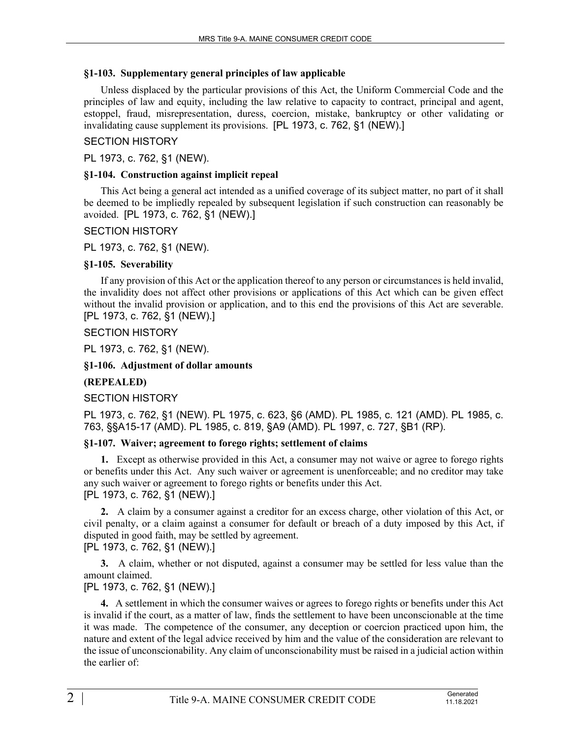### **§1-103. Supplementary general principles of law applicable**

Unless displaced by the particular provisions of this Act, the Uniform Commercial Code and the principles of law and equity, including the law relative to capacity to contract, principal and agent, estoppel, fraud, misrepresentation, duress, coercion, mistake, bankruptcy or other validating or invalidating cause supplement its provisions. [PL 1973, c. 762, §1 (NEW).]

# SECTION HISTORY

PL 1973, c. 762, §1 (NEW).

### **§1-104. Construction against implicit repeal**

This Act being a general act intended as a unified coverage of its subject matter, no part of it shall be deemed to be impliedly repealed by subsequent legislation if such construction can reasonably be avoided. [PL 1973, c. 762, §1 (NEW).]

# SECTION HISTORY

PL 1973, c. 762, §1 (NEW).

### **§1-105. Severability**

If any provision of this Act or the application thereof to any person or circumstances is held invalid, the invalidity does not affect other provisions or applications of this Act which can be given effect without the invalid provision or application, and to this end the provisions of this Act are severable. [PL 1973, c. 762, §1 (NEW).]

SECTION HISTORY

PL 1973, c. 762, §1 (NEW).

### **§1-106. Adjustment of dollar amounts**

# **(REPEALED)**

# SECTION HISTORY

PL 1973, c. 762, §1 (NEW). PL 1975, c. 623, §6 (AMD). PL 1985, c. 121 (AMD). PL 1985, c. 763, §§A15-17 (AMD). PL 1985, c. 819, §A9 (AMD). PL 1997, c. 727, §B1 (RP).

# **§1-107. Waiver; agreement to forego rights; settlement of claims**

**1.** Except as otherwise provided in this Act, a consumer may not waive or agree to forego rights or benefits under this Act. Any such waiver or agreement is unenforceable; and no creditor may take any such waiver or agreement to forego rights or benefits under this Act. [PL 1973, c. 762, §1 (NEW).]

**2.** A claim by a consumer against a creditor for an excess charge, other violation of this Act, or civil penalty, or a claim against a consumer for default or breach of a duty imposed by this Act, if disputed in good faith, may be settled by agreement. [PL 1973, c. 762, §1 (NEW).]

**3.** A claim, whether or not disputed, against a consumer may be settled for less value than the amount claimed.

# [PL 1973, c. 762, §1 (NEW).]

**4.** A settlement in which the consumer waives or agrees to forego rights or benefits under this Act is invalid if the court, as a matter of law, finds the settlement to have been unconscionable at the time it was made. The competence of the consumer, any deception or coercion practiced upon him, the nature and extent of the legal advice received by him and the value of the consideration are relevant to the issue of unconscionability. Any claim of unconscionability must be raised in a judicial action within the earlier of: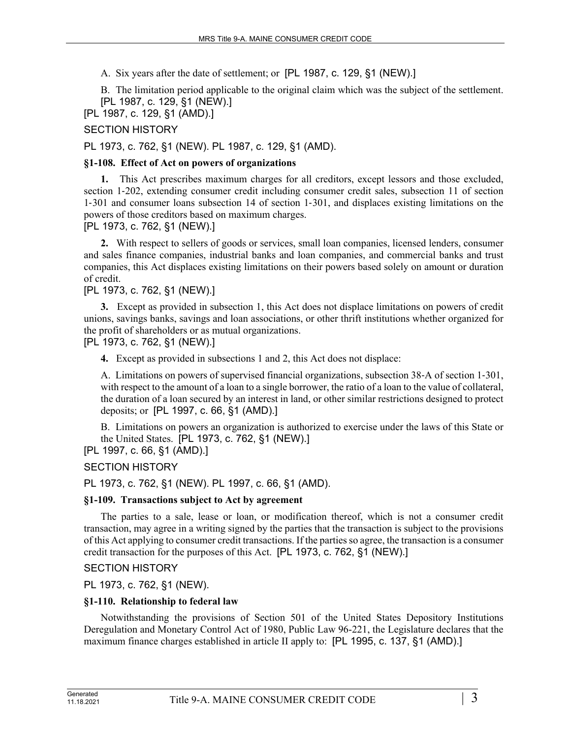A. Six years after the date of settlement; or [PL 1987, c. 129, §1 (NEW).]

B. The limitation period applicable to the original claim which was the subject of the settlement. [PL 1987, c. 129, §1 (NEW).]

[PL 1987, c. 129, §1 (AMD).]

### SECTION HISTORY

PL 1973, c. 762, §1 (NEW). PL 1987, c. 129, §1 (AMD).

### **§1-108. Effect of Act on powers of organizations**

**1.** This Act prescribes maximum charges for all creditors, except lessors and those excluded, section 1-202, extending consumer credit including consumer credit sales, subsection 11 of section 1‑301 and consumer loans subsection 14 of section 1‑301, and displaces existing limitations on the powers of those creditors based on maximum charges.

[PL 1973, c. 762, §1 (NEW).]

**2.** With respect to sellers of goods or services, small loan companies, licensed lenders, consumer and sales finance companies, industrial banks and loan companies, and commercial banks and trust companies, this Act displaces existing limitations on their powers based solely on amount or duration of credit.

### [PL 1973, c. 762, §1 (NEW).]

**3.** Except as provided in subsection 1, this Act does not displace limitations on powers of credit unions, savings banks, savings and loan associations, or other thrift institutions whether organized for the profit of shareholders or as mutual organizations.

[PL 1973, c. 762, §1 (NEW).]

**4.** Except as provided in subsections 1 and 2, this Act does not displace:

A. Limitations on powers of supervised financial organizations, subsection 38‑A of section 1‑301, with respect to the amount of a loan to a single borrower, the ratio of a loan to the value of collateral, the duration of a loan secured by an interest in land, or other similar restrictions designed to protect deposits; or [PL 1997, c. 66, §1 (AMD).]

B. Limitations on powers an organization is authorized to exercise under the laws of this State or the United States. [PL 1973, c. 762, §1 (NEW).]

[PL 1997, c. 66, §1 (AMD).]

# SECTION HISTORY

PL 1973, c. 762, §1 (NEW). PL 1997, c. 66, §1 (AMD).

#### **§1-109. Transactions subject to Act by agreement**

The parties to a sale, lease or loan, or modification thereof, which is not a consumer credit transaction, may agree in a writing signed by the parties that the transaction is subject to the provisions of this Act applying to consumer credit transactions. If the parties so agree, the transaction is a consumer credit transaction for the purposes of this Act. [PL 1973, c. 762, §1 (NEW).]

SECTION HISTORY

PL 1973, c. 762, §1 (NEW).

#### **§1-110. Relationship to federal law**

Notwithstanding the provisions of Section 501 of the United States Depository Institutions Deregulation and Monetary Control Act of 1980, Public Law 96-221, the Legislature declares that the maximum finance charges established in article II apply to: [PL 1995, c. 137, §1 (AMD).]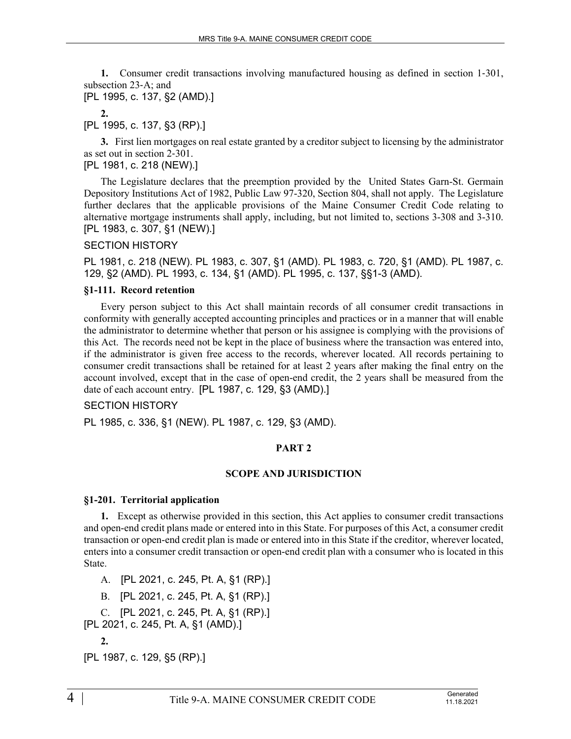**1.** Consumer credit transactions involving manufactured housing as defined in section 1–301, subsection 23‑A; and

[PL 1995, c. 137, §2 (AMD).]

**2.** 

[PL 1995, c. 137, §3 (RP).]

**3.** First lien mortgages on real estate granted by a creditor subject to licensing by the administrator as set out in section 2‑301.

[PL 1981, c. 218 (NEW).]

The Legislature declares that the preemption provided by the United States Garn-St. Germain Depository Institutions Act of 1982, Public Law 97-320, Section 804, shall not apply. The Legislature further declares that the applicable provisions of the Maine Consumer Credit Code relating to alternative mortgage instruments shall apply, including, but not limited to, sections 3-308 and 3-310. [PL 1983, c. 307, §1 (NEW).]

### SECTION HISTORY

PL 1981, c. 218 (NEW). PL 1983, c. 307, §1 (AMD). PL 1983, c. 720, §1 (AMD). PL 1987, c. 129, §2 (AMD). PL 1993, c. 134, §1 (AMD). PL 1995, c. 137, §§1-3 (AMD).

#### **§1-111. Record retention**

Every person subject to this Act shall maintain records of all consumer credit transactions in conformity with generally accepted accounting principles and practices or in a manner that will enable the administrator to determine whether that person or his assignee is complying with the provisions of this Act. The records need not be kept in the place of business where the transaction was entered into, if the administrator is given free access to the records, wherever located. All records pertaining to consumer credit transactions shall be retained for at least 2 years after making the final entry on the account involved, except that in the case of open-end credit, the 2 years shall be measured from the date of each account entry. [PL 1987, c. 129, §3 (AMD).]

#### SECTION HISTORY

PL 1985, c. 336, §1 (NEW). PL 1987, c. 129, §3 (AMD).

#### **PART 2**

#### **SCOPE AND JURISDICTION**

#### **§1-201. Territorial application**

**1.** Except as otherwise provided in this section, this Act applies to consumer credit transactions and open-end credit plans made or entered into in this State. For purposes of this Act, a consumer credit transaction or open-end credit plan is made or entered into in this State if the creditor, wherever located, enters into a consumer credit transaction or open-end credit plan with a consumer who is located in this State.

A. [PL 2021, c. 245, Pt. A, §1 (RP).] B. [PL 2021, c. 245, Pt. A, §1 (RP).] C. [PL 2021, c. 245, Pt. A, §1 (RP).] [PL 2021, c. 245, Pt. A, §1 (AMD).] **2.**  [PL 1987, c. 129, §5 (RP).]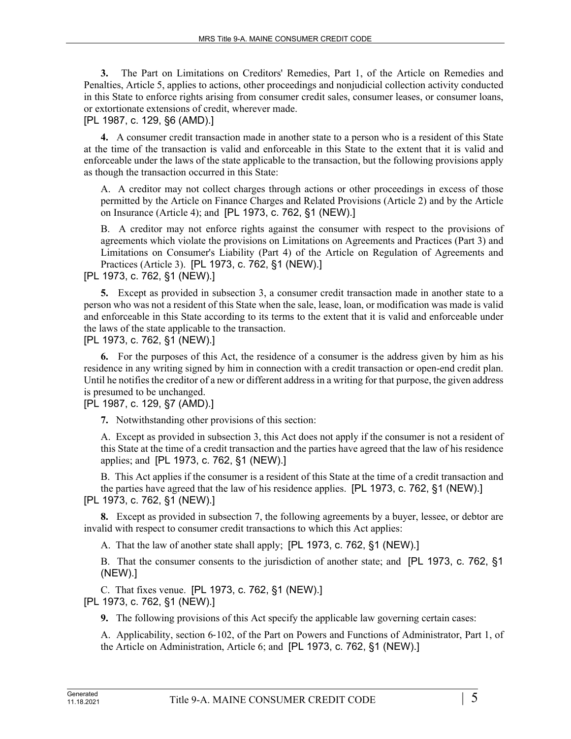**3.** The Part on Limitations on Creditors' Remedies, Part 1, of the Article on Remedies and Penalties, Article 5, applies to actions, other proceedings and nonjudicial collection activity conducted in this State to enforce rights arising from consumer credit sales, consumer leases, or consumer loans, or extortionate extensions of credit, wherever made.

#### [PL 1987, c. 129, §6 (AMD).]

**4.** A consumer credit transaction made in another state to a person who is a resident of this State at the time of the transaction is valid and enforceable in this State to the extent that it is valid and enforceable under the laws of the state applicable to the transaction, but the following provisions apply as though the transaction occurred in this State:

A. A creditor may not collect charges through actions or other proceedings in excess of those permitted by the Article on Finance Charges and Related Provisions (Article 2) and by the Article on Insurance (Article 4); and [PL 1973, c. 762, §1 (NEW).]

B. A creditor may not enforce rights against the consumer with respect to the provisions of agreements which violate the provisions on Limitations on Agreements and Practices (Part 3) and Limitations on Consumer's Liability (Part 4) of the Article on Regulation of Agreements and Practices (Article 3). [PL 1973, c. 762, §1 (NEW).]

[PL 1973, c. 762, §1 (NEW).]

**5.** Except as provided in subsection 3, a consumer credit transaction made in another state to a person who was not a resident of this State when the sale, lease, loan, or modification was made is valid and enforceable in this State according to its terms to the extent that it is valid and enforceable under the laws of the state applicable to the transaction.

[PL 1973, c. 762, §1 (NEW).]

**6.** For the purposes of this Act, the residence of a consumer is the address given by him as his residence in any writing signed by him in connection with a credit transaction or open-end credit plan. Until he notifies the creditor of a new or different address in a writing for that purpose, the given address is presumed to be unchanged.

[PL 1987, c. 129, §7 (AMD).]

**7.** Notwithstanding other provisions of this section:

A. Except as provided in subsection 3, this Act does not apply if the consumer is not a resident of this State at the time of a credit transaction and the parties have agreed that the law of his residence applies; and [PL 1973, c. 762, §1 (NEW).]

B. This Act applies if the consumer is a resident of this State at the time of a credit transaction and the parties have agreed that the law of his residence applies. [PL 1973, c. 762, §1 (NEW).] [PL 1973, c. 762, §1 (NEW).]

**8.** Except as provided in subsection 7, the following agreements by a buyer, lessee, or debtor are invalid with respect to consumer credit transactions to which this Act applies:

A. That the law of another state shall apply; [PL 1973, c. 762, §1 (NEW).]

B. That the consumer consents to the jurisdiction of another state; and [PL 1973, c. 762, §1 (NEW).]

C. That fixes venue. [PL 1973, c. 762, §1 (NEW).] [PL 1973, c. 762, §1 (NEW).]

**9.** The following provisions of this Act specify the applicable law governing certain cases:

A. Applicability, section 6‑102, of the Part on Powers and Functions of Administrator, Part 1, of the Article on Administration, Article 6; and [PL 1973, c. 762, §1 (NEW).]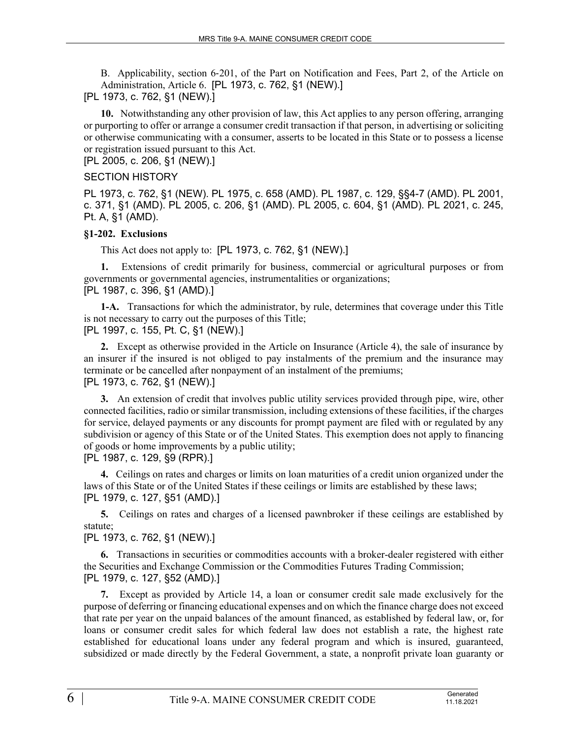B. Applicability, section 6‑201, of the Part on Notification and Fees, Part 2, of the Article on Administration, Article 6. [PL 1973, c. 762, §1 (NEW).]

[PL 1973, c. 762, §1 (NEW).]

**10.** Notwithstanding any other provision of law, this Act applies to any person offering, arranging or purporting to offer or arrange a consumer credit transaction if that person, in advertising or soliciting or otherwise communicating with a consumer, asserts to be located in this State or to possess a license or registration issued pursuant to this Act.

[PL 2005, c. 206, §1 (NEW).]

#### SECTION HISTORY

PL 1973, c. 762, §1 (NEW). PL 1975, c. 658 (AMD). PL 1987, c. 129, §§4-7 (AMD). PL 2001, c. 371, §1 (AMD). PL 2005, c. 206, §1 (AMD). PL 2005, c. 604, §1 (AMD). PL 2021, c. 245, Pt. A, §1 (AMD).

#### **§1-202. Exclusions**

This Act does not apply to: [PL 1973, c. 762, §1 (NEW).]

**1.** Extensions of credit primarily for business, commercial or agricultural purposes or from governments or governmental agencies, instrumentalities or organizations; [PL 1987, c. 396, §1 (AMD).]

**1-A.** Transactions for which the administrator, by rule, determines that coverage under this Title is not necessary to carry out the purposes of this Title; [PL 1997, c. 155, Pt. C, §1 (NEW).]

**2.** Except as otherwise provided in the Article on Insurance (Article 4), the sale of insurance by an insurer if the insured is not obliged to pay instalments of the premium and the insurance may terminate or be cancelled after nonpayment of an instalment of the premiums;

# [PL 1973, c. 762, §1 (NEW).]

**3.** An extension of credit that involves public utility services provided through pipe, wire, other connected facilities, radio or similar transmission, including extensions of these facilities, if the charges for service, delayed payments or any discounts for prompt payment are filed with or regulated by any subdivision or agency of this State or of the United States. This exemption does not apply to financing of goods or home improvements by a public utility;

[PL 1987, c. 129, §9 (RPR).]

**4.** Ceilings on rates and charges or limits on loan maturities of a credit union organized under the laws of this State or of the United States if these ceilings or limits are established by these laws; [PL 1979, c. 127, §51 (AMD).]

**5.** Ceilings on rates and charges of a licensed pawnbroker if these ceilings are established by statute;

#### [PL 1973, c. 762, §1 (NEW).]

**6.** Transactions in securities or commodities accounts with a broker-dealer registered with either the Securities and Exchange Commission or the Commodities Futures Trading Commission; [PL 1979, c. 127, §52 (AMD).]

**7.** Except as provided by Article 14, a loan or consumer credit sale made exclusively for the purpose of deferring or financing educational expenses and on which the finance charge does not exceed that rate per year on the unpaid balances of the amount financed, as established by federal law, or, for loans or consumer credit sales for which federal law does not establish a rate, the highest rate established for educational loans under any federal program and which is insured, guaranteed, subsidized or made directly by the Federal Government, a state, a nonprofit private loan guaranty or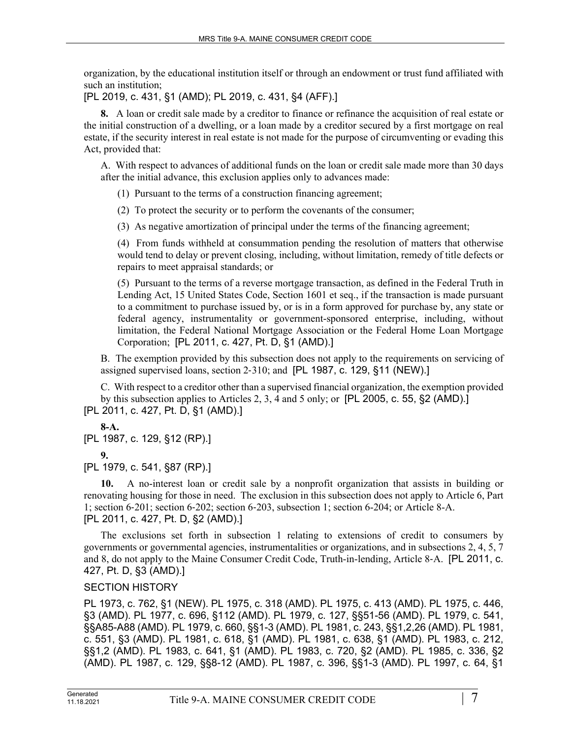organization, by the educational institution itself or through an endowment or trust fund affiliated with such an institution;

[PL 2019, c. 431, §1 (AMD); PL 2019, c. 431, §4 (AFF).]

**8.** A loan or credit sale made by a creditor to finance or refinance the acquisition of real estate or the initial construction of a dwelling, or a loan made by a creditor secured by a first mortgage on real estate, if the security interest in real estate is not made for the purpose of circumventing or evading this Act, provided that:

A. With respect to advances of additional funds on the loan or credit sale made more than 30 days after the initial advance, this exclusion applies only to advances made:

(1) Pursuant to the terms of a construction financing agreement;

(2) To protect the security or to perform the covenants of the consumer;

(3) As negative amortization of principal under the terms of the financing agreement;

(4) From funds withheld at consummation pending the resolution of matters that otherwise would tend to delay or prevent closing, including, without limitation, remedy of title defects or repairs to meet appraisal standards; or

(5) Pursuant to the terms of a reverse mortgage transaction, as defined in the Federal Truth in Lending Act, 15 United States Code, Section 1601 et seq., if the transaction is made pursuant to a commitment to purchase issued by, or is in a form approved for purchase by, any state or federal agency, instrumentality or government-sponsored enterprise, including, without limitation, the Federal National Mortgage Association or the Federal Home Loan Mortgage Corporation; [PL 2011, c. 427, Pt. D, §1 (AMD).]

B. The exemption provided by this subsection does not apply to the requirements on servicing of assigned supervised loans, section 2‑310; and [PL 1987, c. 129, §11 (NEW).]

C. With respect to a creditor other than a supervised financial organization, the exemption provided by this subsection applies to Articles 2, 3, 4 and 5 only; or [PL 2005, c. 55, §2 (AMD).] [PL 2011, c. 427, Pt. D, §1 (AMD).]

**8-A.** 

[PL 1987, c. 129, §12 (RP).]

**9.** 

[PL 1979, c. 541, §87 (RP).]

**10.** A no-interest loan or credit sale by a nonprofit organization that assists in building or renovating housing for those in need. The exclusion in this subsection does not apply to Article 6, Part 1; section 6‑201; section 6‑202; section 6‑203, subsection 1; section 6-204; or Article 8-A. [PL 2011, c. 427, Pt. D, §2 (AMD).]

The exclusions set forth in subsection 1 relating to extensions of credit to consumers by governments or governmental agencies, instrumentalities or organizations, and in subsections 2, 4, 5, 7 and 8, do not apply to the Maine Consumer Credit Code, Truth-in-lending, Article 8-A. [PL 2011, c. 427, Pt. D, §3 (AMD).]

# SECTION HISTORY

PL 1973, c. 762, §1 (NEW). PL 1975, c. 318 (AMD). PL 1975, c. 413 (AMD). PL 1975, c. 446, §3 (AMD). PL 1977, c. 696, §112 (AMD). PL 1979, c. 127, §§51-56 (AMD). PL 1979, c. 541, §§A85-A88 (AMD). PL 1979, c. 660, §§1-3 (AMD). PL 1981, c. 243, §§1,2,26 (AMD). PL 1981, c. 551, §3 (AMD). PL 1981, c. 618, §1 (AMD). PL 1981, c. 638, §1 (AMD). PL 1983, c. 212, §§1,2 (AMD). PL 1983, c. 641, §1 (AMD). PL 1983, c. 720, §2 (AMD). PL 1985, c. 336, §2 (AMD). PL 1987, c. 129, §§8-12 (AMD). PL 1987, c. 396, §§1-3 (AMD). PL 1997, c. 64, §1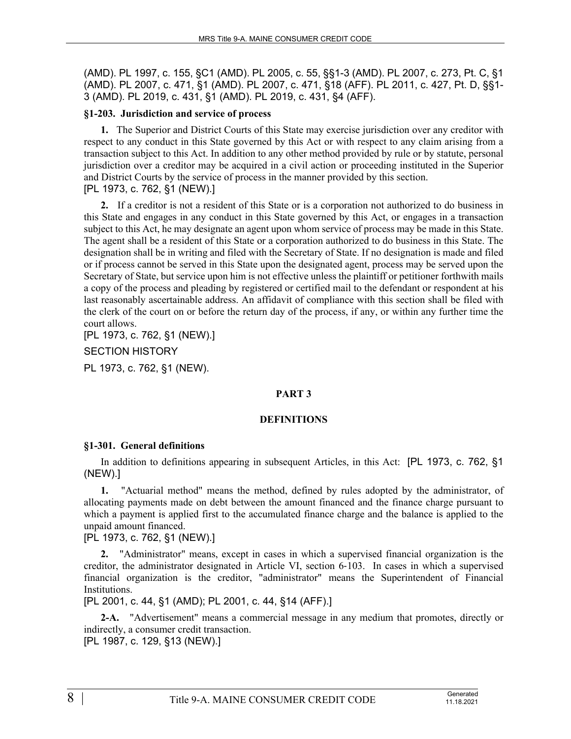(AMD). PL 1997, c. 155, §C1 (AMD). PL 2005, c. 55, §§1-3 (AMD). PL 2007, c. 273, Pt. C, §1 (AMD). PL 2007, c. 471, §1 (AMD). PL 2007, c. 471, §18 (AFF). PL 2011, c. 427, Pt. D, §§1- 3 (AMD). PL 2019, c. 431, §1 (AMD). PL 2019, c. 431, §4 (AFF).

### **§1-203. Jurisdiction and service of process**

**1.** The Superior and District Courts of this State may exercise jurisdiction over any creditor with respect to any conduct in this State governed by this Act or with respect to any claim arising from a transaction subject to this Act. In addition to any other method provided by rule or by statute, personal jurisdiction over a creditor may be acquired in a civil action or proceeding instituted in the Superior and District Courts by the service of process in the manner provided by this section. [PL 1973, c. 762, §1 (NEW).]

**2.** If a creditor is not a resident of this State or is a corporation not authorized to do business in this State and engages in any conduct in this State governed by this Act, or engages in a transaction subject to this Act, he may designate an agent upon whom service of process may be made in this State. The agent shall be a resident of this State or a corporation authorized to do business in this State. The designation shall be in writing and filed with the Secretary of State. If no designation is made and filed or if process cannot be served in this State upon the designated agent, process may be served upon the Secretary of State, but service upon him is not effective unless the plaintiff or petitioner forthwith mails a copy of the process and pleading by registered or certified mail to the defendant or respondent at his last reasonably ascertainable address. An affidavit of compliance with this section shall be filed with the clerk of the court on or before the return day of the process, if any, or within any further time the court allows.

[PL 1973, c. 762, §1 (NEW).]

SECTION HISTORY

PL 1973, c. 762, §1 (NEW).

# **PART 3**

#### **DEFINITIONS**

#### **§1-301. General definitions**

In addition to definitions appearing in subsequent Articles, in this Act: [PL 1973, c. 762, §1 (NEW).]

**1.** "Actuarial method" means the method, defined by rules adopted by the administrator, of allocating payments made on debt between the amount financed and the finance charge pursuant to which a payment is applied first to the accumulated finance charge and the balance is applied to the unpaid amount financed.

[PL 1973, c. 762, §1 (NEW).]

**2.** "Administrator" means, except in cases in which a supervised financial organization is the creditor, the administrator designated in Article VI, section 6‑103. In cases in which a supervised financial organization is the creditor, "administrator" means the Superintendent of Financial Institutions.

[PL 2001, c. 44, §1 (AMD); PL 2001, c. 44, §14 (AFF).]

**2-A.** "Advertisement" means a commercial message in any medium that promotes, directly or indirectly, a consumer credit transaction.

[PL 1987, c. 129, §13 (NEW).]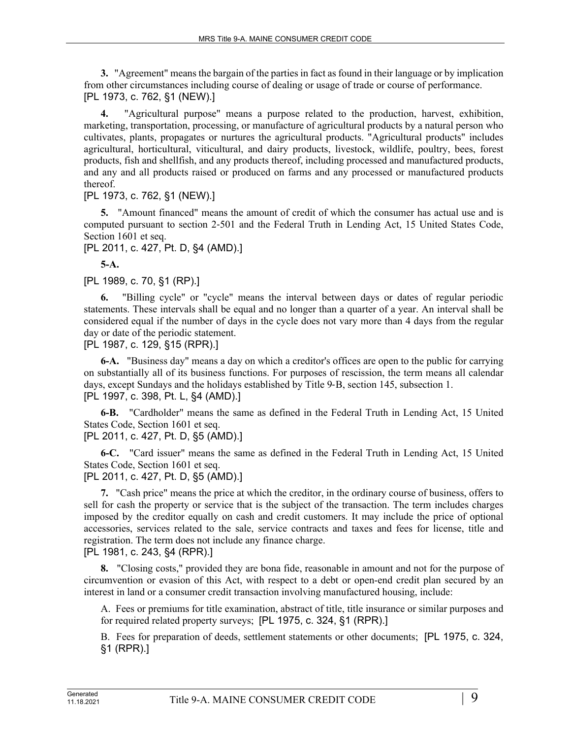**3.** "Agreement" means the bargain of the parties in fact as found in their language or by implication from other circumstances including course of dealing or usage of trade or course of performance. [PL 1973, c. 762, §1 (NEW).]

**4.** "Agricultural purpose" means a purpose related to the production, harvest, exhibition, marketing, transportation, processing, or manufacture of agricultural products by a natural person who cultivates, plants, propagates or nurtures the agricultural products. "Agricultural products" includes agricultural, horticultural, viticultural, and dairy products, livestock, wildlife, poultry, bees, forest products, fish and shellfish, and any products thereof, including processed and manufactured products, and any and all products raised or produced on farms and any processed or manufactured products thereof.

[PL 1973, c. 762, §1 (NEW).]

**5.** "Amount financed" means the amount of credit of which the consumer has actual use and is computed pursuant to section 2‑501 and the Federal Truth in Lending Act, 15 United States Code, Section 1601 et seq.

[PL 2011, c. 427, Pt. D, §4 (AMD).]

**5-A.** 

[PL 1989, c. 70, §1 (RP).]

**6.** "Billing cycle" or "cycle" means the interval between days or dates of regular periodic statements. These intervals shall be equal and no longer than a quarter of a year. An interval shall be considered equal if the number of days in the cycle does not vary more than 4 days from the regular day or date of the periodic statement.

[PL 1987, c. 129, §15 (RPR).]

**6-A.** "Business day" means a day on which a creditor's offices are open to the public for carrying on substantially all of its business functions. For purposes of rescission, the term means all calendar days, except Sundays and the holidays established by Title 9-B, section 145, subsection 1. [PL 1997, c. 398, Pt. L, §4 (AMD).]

**6-B.** "Cardholder" means the same as defined in the Federal Truth in Lending Act, 15 United States Code, Section 1601 et seq.

[PL 2011, c. 427, Pt. D, §5 (AMD).]

**6-C.** "Card issuer" means the same as defined in the Federal Truth in Lending Act, 15 United States Code, Section 1601 et seq.

[PL 2011, c. 427, Pt. D, §5 (AMD).]

**7.** "Cash price" means the price at which the creditor, in the ordinary course of business, offers to sell for cash the property or service that is the subject of the transaction. The term includes charges imposed by the creditor equally on cash and credit customers. It may include the price of optional accessories, services related to the sale, service contracts and taxes and fees for license, title and registration. The term does not include any finance charge.

[PL 1981, c. 243, §4 (RPR).]

**8.** "Closing costs," provided they are bona fide, reasonable in amount and not for the purpose of circumvention or evasion of this Act, with respect to a debt or open-end credit plan secured by an interest in land or a consumer credit transaction involving manufactured housing, include:

A. Fees or premiums for title examination, abstract of title, title insurance or similar purposes and for required related property surveys; [PL 1975, c. 324, §1 (RPR).]

B. Fees for preparation of deeds, settlement statements or other documents; [PL 1975, c. 324, §1 (RPR).]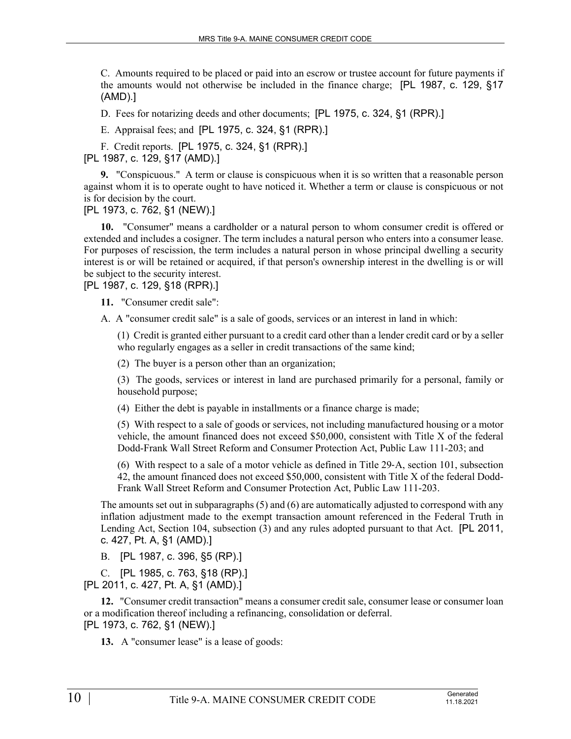C. Amounts required to be placed or paid into an escrow or trustee account for future payments if the amounts would not otherwise be included in the finance charge; [PL 1987, c. 129, §17 (AMD).]

D. Fees for notarizing deeds and other documents; [PL 1975, c. 324, §1 (RPR).]

E. Appraisal fees; and [PL 1975, c. 324, §1 (RPR).]

F. Credit reports. [PL 1975, c. 324, §1 (RPR).]

[PL 1987, c. 129, §17 (AMD).]

**9.** "Conspicuous." A term or clause is conspicuous when it is so written that a reasonable person against whom it is to operate ought to have noticed it. Whether a term or clause is conspicuous or not is for decision by the court.

[PL 1973, c. 762, §1 (NEW).]

**10.** "Consumer" means a cardholder or a natural person to whom consumer credit is offered or extended and includes a cosigner. The term includes a natural person who enters into a consumer lease. For purposes of rescission, the term includes a natural person in whose principal dwelling a security interest is or will be retained or acquired, if that person's ownership interest in the dwelling is or will be subject to the security interest.

[PL 1987, c. 129, §18 (RPR).]

**11.** "Consumer credit sale":

A. A "consumer credit sale" is a sale of goods, services or an interest in land in which:

(1) Credit is granted either pursuant to a credit card other than a lender credit card or by a seller who regularly engages as a seller in credit transactions of the same kind;

(2) The buyer is a person other than an organization;

(3) The goods, services or interest in land are purchased primarily for a personal, family or household purpose;

(4) Either the debt is payable in installments or a finance charge is made;

(5) With respect to a sale of goods or services, not including manufactured housing or a motor vehicle, the amount financed does not exceed \$50,000, consistent with Title X of the federal Dodd-Frank Wall Street Reform and Consumer Protection Act, Public Law 111-203; and

(6) With respect to a sale of a motor vehicle as defined in Title 29‑A, section 101, subsection 42, the amount financed does not exceed \$50,000, consistent with Title X of the federal Dodd-Frank Wall Street Reform and Consumer Protection Act, Public Law 111-203.

The amounts set out in subparagraphs (5) and (6) are automatically adjusted to correspond with any inflation adjustment made to the exempt transaction amount referenced in the Federal Truth in Lending Act, Section 104, subsection (3) and any rules adopted pursuant to that Act. [PL 2011, c. 427, Pt. A, §1 (AMD).]

B. [PL 1987, c. 396, §5 (RP).]

C. [PL 1985, c. 763, §18 (RP).] [PL 2011, c. 427, Pt. A, §1 (AMD).]

**12.** "Consumer credit transaction" means a consumer credit sale, consumer lease or consumer loan or a modification thereof including a refinancing, consolidation or deferral. [PL 1973, c. 762, §1 (NEW).]

**13.** A "consumer lease" is a lease of goods: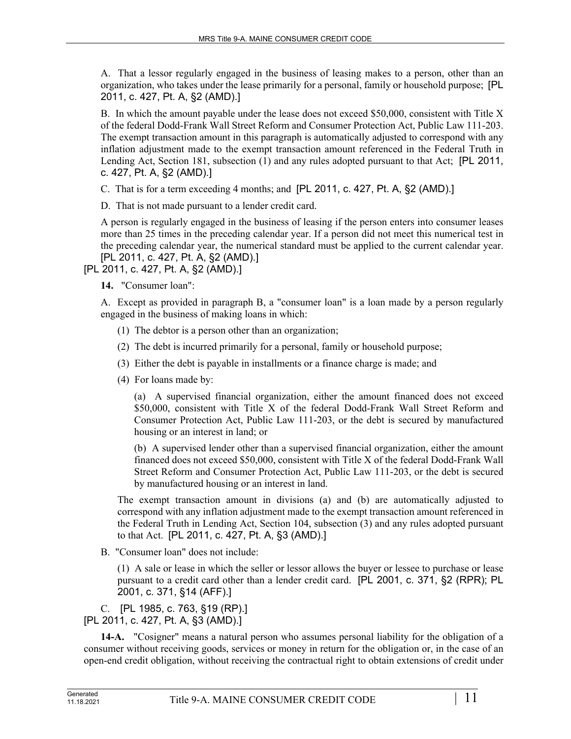A. That a lessor regularly engaged in the business of leasing makes to a person, other than an organization, who takes under the lease primarily for a personal, family or household purpose; [PL 2011, c. 427, Pt. A, §2 (AMD).]

B. In which the amount payable under the lease does not exceed \$50,000, consistent with Title X of the federal Dodd-Frank Wall Street Reform and Consumer Protection Act, Public Law 111-203. The exempt transaction amount in this paragraph is automatically adjusted to correspond with any inflation adjustment made to the exempt transaction amount referenced in the Federal Truth in Lending Act, Section 181, subsection (1) and any rules adopted pursuant to that Act; [PL 2011, c. 427, Pt. A, §2 (AMD).]

C. That is for a term exceeding 4 months; and [PL 2011, c. 427, Pt. A, §2 (AMD).]

D. That is not made pursuant to a lender credit card.

A person is regularly engaged in the business of leasing if the person enters into consumer leases more than 25 times in the preceding calendar year. If a person did not meet this numerical test in the preceding calendar year, the numerical standard must be applied to the current calendar year. [PL 2011, c. 427, Pt. A, §2 (AMD).]

[PL 2011, c. 427, Pt. A, §2 (AMD).]

**14.** "Consumer loan":

A. Except as provided in paragraph B, a "consumer loan" is a loan made by a person regularly engaged in the business of making loans in which:

- (1) The debtor is a person other than an organization;
- (2) The debt is incurred primarily for a personal, family or household purpose;
- (3) Either the debt is payable in installments or a finance charge is made; and
- (4) For loans made by:

(a) A supervised financial organization, either the amount financed does not exceed \$50,000, consistent with Title X of the federal Dodd-Frank Wall Street Reform and Consumer Protection Act, Public Law 111-203, or the debt is secured by manufactured housing or an interest in land; or

(b) A supervised lender other than a supervised financial organization, either the amount financed does not exceed \$50,000, consistent with Title X of the federal Dodd-Frank Wall Street Reform and Consumer Protection Act, Public Law 111-203, or the debt is secured by manufactured housing or an interest in land.

The exempt transaction amount in divisions (a) and (b) are automatically adjusted to correspond with any inflation adjustment made to the exempt transaction amount referenced in the Federal Truth in Lending Act, Section 104, subsection (3) and any rules adopted pursuant to that Act. [PL 2011, c. 427, Pt. A, §3 (AMD).]

B. "Consumer loan" does not include:

(1) A sale or lease in which the seller or lessor allows the buyer or lessee to purchase or lease pursuant to a credit card other than a lender credit card. [PL 2001, c. 371, §2 (RPR); PL 2001, c. 371, §14 (AFF).]

C. [PL 1985, c. 763, §19 (RP).] [PL 2011, c. 427, Pt. A, §3 (AMD).]

**14-A.** "Cosigner" means a natural person who assumes personal liability for the obligation of a consumer without receiving goods, services or money in return for the obligation or, in the case of an open-end credit obligation, without receiving the contractual right to obtain extensions of credit under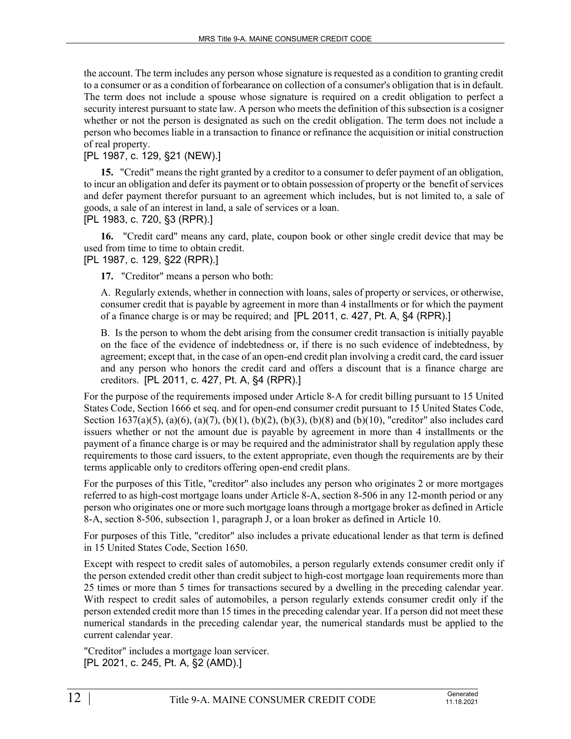the account. The term includes any person whose signature is requested as a condition to granting credit to a consumer or as a condition of forbearance on collection of a consumer's obligation that is in default. The term does not include a spouse whose signature is required on a credit obligation to perfect a security interest pursuant to state law. A person who meets the definition of this subsection is a cosigner whether or not the person is designated as such on the credit obligation. The term does not include a person who becomes liable in a transaction to finance or refinance the acquisition or initial construction of real property.

# [PL 1987, c. 129, §21 (NEW).]

**15.** "Credit" means the right granted by a creditor to a consumer to defer payment of an obligation, to incur an obligation and defer its payment or to obtain possession of property or the benefit of services and defer payment therefor pursuant to an agreement which includes, but is not limited to, a sale of goods, a sale of an interest in land, a sale of services or a loan.

[PL 1983, c. 720, §3 (RPR).]

**16.** "Credit card" means any card, plate, coupon book or other single credit device that may be used from time to time to obtain credit.

[PL 1987, c. 129, §22 (RPR).]

**17.** "Creditor" means a person who both:

A. Regularly extends, whether in connection with loans, sales of property or services, or otherwise, consumer credit that is payable by agreement in more than 4 installments or for which the payment of a finance charge is or may be required; and [PL 2011, c. 427, Pt. A, §4 (RPR).]

B. Is the person to whom the debt arising from the consumer credit transaction is initially payable on the face of the evidence of indebtedness or, if there is no such evidence of indebtedness, by agreement; except that, in the case of an open-end credit plan involving a credit card, the card issuer and any person who honors the credit card and offers a discount that is a finance charge are creditors. [PL 2011, c. 427, Pt. A, §4 (RPR).]

For the purpose of the requirements imposed under Article 8‑A for credit billing pursuant to 15 United States Code, Section 1666 et seq. and for open-end consumer credit pursuant to 15 United States Code, Section 1637(a)(5), (a)(6), (a)(7), (b)(1), (b)(2), (b)(3), (b)(8) and (b)(10), "creditor" also includes card issuers whether or not the amount due is payable by agreement in more than 4 installments or the payment of a finance charge is or may be required and the administrator shall by regulation apply these requirements to those card issuers, to the extent appropriate, even though the requirements are by their terms applicable only to creditors offering open-end credit plans.

For the purposes of this Title, "creditor" also includes any person who originates 2 or more mortgages referred to as high-cost mortgage loans under Article 8-A, section 8-506 in any 12-month period or any person who originates one or more such mortgage loans through a mortgage broker as defined in Article 8-A, section 8-506, subsection 1, paragraph J, or a loan broker as defined in Article 10.

For purposes of this Title, "creditor" also includes a private educational lender as that term is defined in 15 United States Code, Section 1650.

Except with respect to credit sales of automobiles, a person regularly extends consumer credit only if the person extended credit other than credit subject to high-cost mortgage loan requirements more than 25 times or more than 5 times for transactions secured by a dwelling in the preceding calendar year. With respect to credit sales of automobiles, a person regularly extends consumer credit only if the person extended credit more than 15 times in the preceding calendar year. If a person did not meet these numerical standards in the preceding calendar year, the numerical standards must be applied to the current calendar year.

"Creditor" includes a mortgage loan servicer. [PL 2021, c. 245, Pt. A, §2 (AMD).]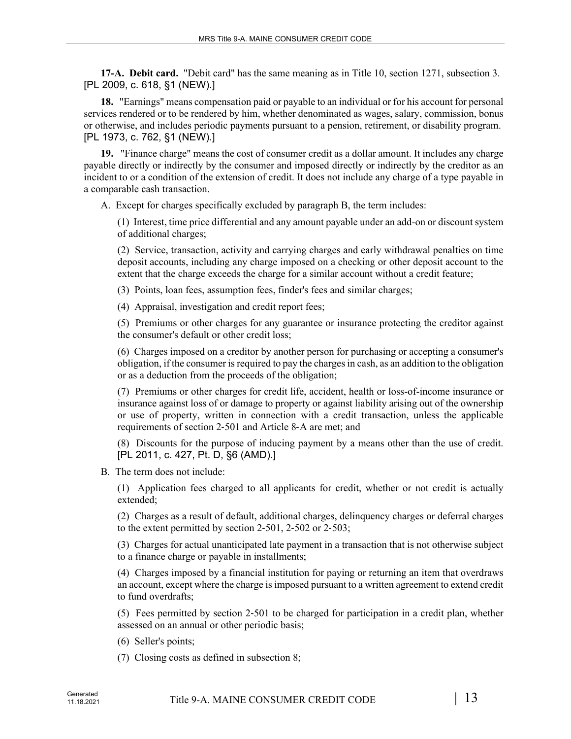**17-A. Debit card.** "Debit card" has the same meaning as in Title 10, section 1271, subsection 3. [PL 2009, c. 618, §1 (NEW).]

**18.** "Earnings" means compensation paid or payable to an individual or for his account for personal services rendered or to be rendered by him, whether denominated as wages, salary, commission, bonus or otherwise, and includes periodic payments pursuant to a pension, retirement, or disability program. [PL 1973, c. 762, §1 (NEW).]

**19.** "Finance charge" means the cost of consumer credit as a dollar amount. It includes any charge payable directly or indirectly by the consumer and imposed directly or indirectly by the creditor as an incident to or a condition of the extension of credit. It does not include any charge of a type payable in a comparable cash transaction.

A. Except for charges specifically excluded by paragraph B, the term includes:

(1) Interest, time price differential and any amount payable under an add-on or discount system of additional charges;

(2) Service, transaction, activity and carrying charges and early withdrawal penalties on time deposit accounts, including any charge imposed on a checking or other deposit account to the extent that the charge exceeds the charge for a similar account without a credit feature;

(3) Points, loan fees, assumption fees, finder's fees and similar charges;

(4) Appraisal, investigation and credit report fees;

(5) Premiums or other charges for any guarantee or insurance protecting the creditor against the consumer's default or other credit loss;

(6) Charges imposed on a creditor by another person for purchasing or accepting a consumer's obligation, if the consumer is required to pay the charges in cash, as an addition to the obligation or as a deduction from the proceeds of the obligation;

(7) Premiums or other charges for credit life, accident, health or loss-of-income insurance or insurance against loss of or damage to property or against liability arising out of the ownership or use of property, written in connection with a credit transaction, unless the applicable requirements of section 2‑501 and Article 8‑A are met; and

(8) Discounts for the purpose of inducing payment by a means other than the use of credit. [PL 2011, c. 427, Pt. D, §6 (AMD).]

B. The term does not include:

(1) Application fees charged to all applicants for credit, whether or not credit is actually extended;

(2) Charges as a result of default, additional charges, delinquency charges or deferral charges to the extent permitted by section 2‑501, 2‑502 or 2‑503;

(3) Charges for actual unanticipated late payment in a transaction that is not otherwise subject to a finance charge or payable in installments;

(4) Charges imposed by a financial institution for paying or returning an item that overdraws an account, except where the charge is imposed pursuant to a written agreement to extend credit to fund overdrafts;

(5) Fees permitted by section 2‑501 to be charged for participation in a credit plan, whether assessed on an annual or other periodic basis;

(6) Seller's points;

(7) Closing costs as defined in subsection 8;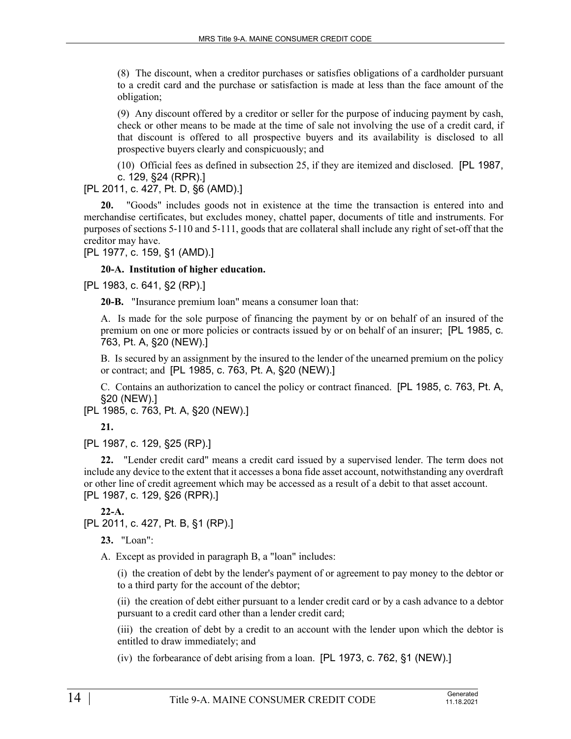(8) The discount, when a creditor purchases or satisfies obligations of a cardholder pursuant to a credit card and the purchase or satisfaction is made at less than the face amount of the obligation;

(9) Any discount offered by a creditor or seller for the purpose of inducing payment by cash, check or other means to be made at the time of sale not involving the use of a credit card, if that discount is offered to all prospective buyers and its availability is disclosed to all prospective buyers clearly and conspicuously; and

(10) Official fees as defined in subsection 25, if they are itemized and disclosed. [PL 1987, c. 129, §24 (RPR).]

[PL 2011, c. 427, Pt. D, §6 (AMD).]

**20.** "Goods" includes goods not in existence at the time the transaction is entered into and merchandise certificates, but excludes money, chattel paper, documents of title and instruments. For purposes of sections 5‑110 and 5‑111, goods that are collateral shall include any right of set-off that the creditor may have.

[PL 1977, c. 159, §1 (AMD).]

#### **20-A. Institution of higher education.**

[PL 1983, c. 641, §2 (RP).]

**20-B.** "Insurance premium loan" means a consumer loan that:

A. Is made for the sole purpose of financing the payment by or on behalf of an insured of the premium on one or more policies or contracts issued by or on behalf of an insurer; [PL 1985, c. 763, Pt. A, §20 (NEW).]

B. Is secured by an assignment by the insured to the lender of the unearned premium on the policy or contract; and [PL 1985, c. 763, Pt. A, §20 (NEW).]

C. Contains an authorization to cancel the policy or contract financed. [PL 1985, c. 763, Pt. A, §20 (NEW).]

[PL 1985, c. 763, Pt. A, §20 (NEW).]

**21.** 

[PL 1987, c. 129, §25 (RP).]

**22.** "Lender credit card" means a credit card issued by a supervised lender. The term does not include any device to the extent that it accesses a bona fide asset account, notwithstanding any overdraft or other line of credit agreement which may be accessed as a result of a debit to that asset account. [PL 1987, c. 129, §26 (RPR).]

**22-A.** 

[PL 2011, c. 427, Pt. B, §1 (RP).]

**23.** "Loan":

A. Except as provided in paragraph B, a "loan" includes:

(i) the creation of debt by the lender's payment of or agreement to pay money to the debtor or to a third party for the account of the debtor;

(ii) the creation of debt either pursuant to a lender credit card or by a cash advance to a debtor pursuant to a credit card other than a lender credit card;

(iii) the creation of debt by a credit to an account with the lender upon which the debtor is entitled to draw immediately; and

(iv) the forbearance of debt arising from a loan. [PL 1973, c. 762, §1 (NEW).]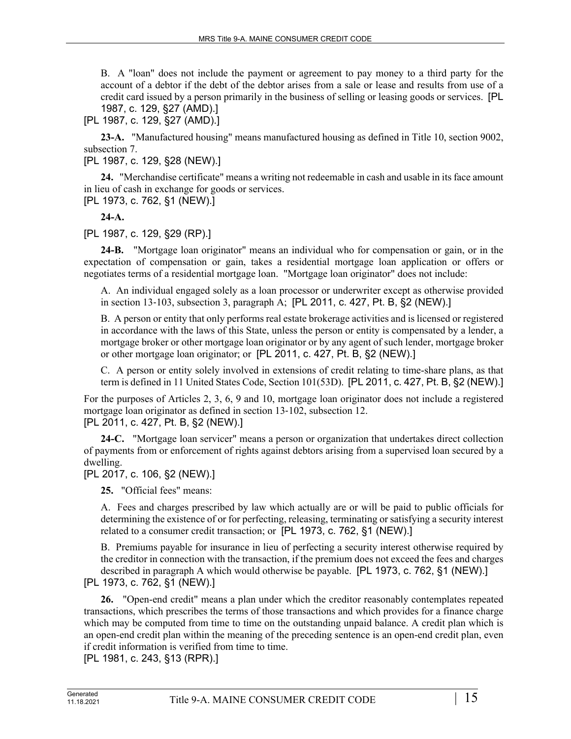B. A "loan" does not include the payment or agreement to pay money to a third party for the account of a debtor if the debt of the debtor arises from a sale or lease and results from use of a credit card issued by a person primarily in the business of selling or leasing goods or services. [PL 1987, c. 129, §27 (AMD).]

[PL 1987, c. 129, §27 (AMD).]

**23-A.** "Manufactured housing" means manufactured housing as defined in Title 10, section 9002, subsection 7.

[PL 1987, c. 129, §28 (NEW).]

**24.** "Merchandise certificate" means a writing not redeemable in cash and usable in its face amount in lieu of cash in exchange for goods or services.

[PL 1973, c. 762, §1 (NEW).]

**24-A.** 

[PL 1987, c. 129, §29 (RP).]

**24-B.** "Mortgage loan originator" means an individual who for compensation or gain, or in the expectation of compensation or gain, takes a residential mortgage loan application or offers or negotiates terms of a residential mortgage loan. "Mortgage loan originator" does not include:

A. An individual engaged solely as a loan processor or underwriter except as otherwise provided in section 13‑103, subsection 3, paragraph A; [PL 2011, c. 427, Pt. B, §2 (NEW).]

B. A person or entity that only performs real estate brokerage activities and is licensed or registered in accordance with the laws of this State, unless the person or entity is compensated by a lender, a mortgage broker or other mortgage loan originator or by any agent of such lender, mortgage broker or other mortgage loan originator; or [PL 2011, c. 427, Pt. B, §2 (NEW).]

C. A person or entity solely involved in extensions of credit relating to time-share plans, as that term is defined in 11 United States Code, Section 101(53D). [PL 2011, c. 427, Pt. B, §2 (NEW).]

For the purposes of Articles 2, 3, 6, 9 and 10, mortgage loan originator does not include a registered mortgage loan originator as defined in section 13‑102, subsection 12.

[PL 2011, c. 427, Pt. B, §2 (NEW).]

**24-C.** "Mortgage loan servicer" means a person or organization that undertakes direct collection of payments from or enforcement of rights against debtors arising from a supervised loan secured by a dwelling.

[PL 2017, c. 106, §2 (NEW).]

**25.** "Official fees" means:

A. Fees and charges prescribed by law which actually are or will be paid to public officials for determining the existence of or for perfecting, releasing, terminating or satisfying a security interest related to a consumer credit transaction; or [PL 1973, c. 762, §1 (NEW).]

B. Premiums payable for insurance in lieu of perfecting a security interest otherwise required by the creditor in connection with the transaction, if the premium does not exceed the fees and charges described in paragraph A which would otherwise be payable. [PL 1973, c. 762, §1 (NEW).]

[PL 1973, c. 762, §1 (NEW).]

**26.** "Open-end credit" means a plan under which the creditor reasonably contemplates repeated transactions, which prescribes the terms of those transactions and which provides for a finance charge which may be computed from time to time on the outstanding unpaid balance. A credit plan which is an open-end credit plan within the meaning of the preceding sentence is an open-end credit plan, even if credit information is verified from time to time.

[PL 1981, c. 243, §13 (RPR).]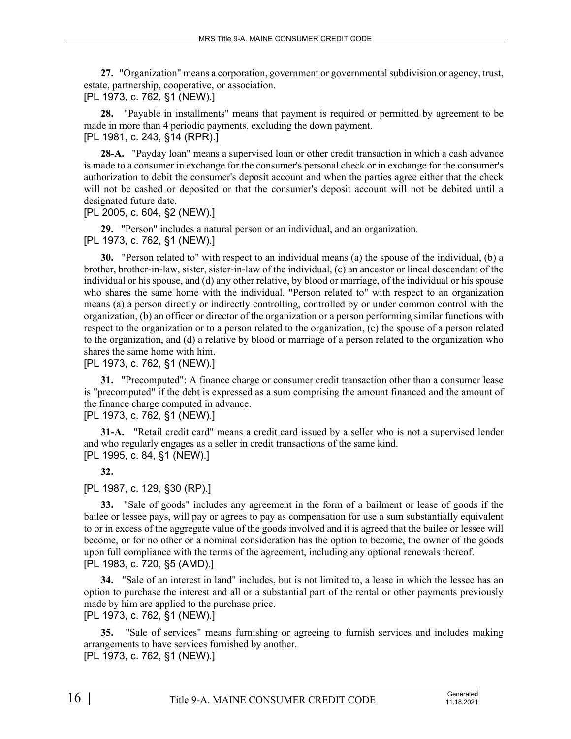**27.** "Organization" means a corporation, government or governmental subdivision or agency, trust, estate, partnership, cooperative, or association.

[PL 1973, c. 762, §1 (NEW).]

**28.** "Payable in installments" means that payment is required or permitted by agreement to be made in more than 4 periodic payments, excluding the down payment.

[PL 1981, c. 243, §14 (RPR).]

**28-A.** "Payday loan" means a supervised loan or other credit transaction in which a cash advance is made to a consumer in exchange for the consumer's personal check or in exchange for the consumer's authorization to debit the consumer's deposit account and when the parties agree either that the check will not be cashed or deposited or that the consumer's deposit account will not be debited until a designated future date.

[PL 2005, c. 604, §2 (NEW).]

**29.** "Person" includes a natural person or an individual, and an organization.

[PL 1973, c. 762, §1 (NEW).]

**30.** "Person related to" with respect to an individual means (a) the spouse of the individual, (b) a brother, brother-in-law, sister, sister-in-law of the individual, (c) an ancestor or lineal descendant of the individual or his spouse, and (d) any other relative, by blood or marriage, of the individual or his spouse who shares the same home with the individual. "Person related to" with respect to an organization means (a) a person directly or indirectly controlling, controlled by or under common control with the organization, (b) an officer or director of the organization or a person performing similar functions with respect to the organization or to a person related to the organization, (c) the spouse of a person related to the organization, and (d) a relative by blood or marriage of a person related to the organization who shares the same home with him.

[PL 1973, c. 762, §1 (NEW).]

**31.** "Precomputed": A finance charge or consumer credit transaction other than a consumer lease is "precomputed" if the debt is expressed as a sum comprising the amount financed and the amount of the finance charge computed in advance.

[PL 1973, c. 762, §1 (NEW).]

**31-A.** "Retail credit card" means a credit card issued by a seller who is not a supervised lender and who regularly engages as a seller in credit transactions of the same kind. [PL 1995, c. 84, §1 (NEW).]

**32.** 

[PL 1987, c. 129, §30 (RP).]

**33.** "Sale of goods" includes any agreement in the form of a bailment or lease of goods if the bailee or lessee pays, will pay or agrees to pay as compensation for use a sum substantially equivalent to or in excess of the aggregate value of the goods involved and it is agreed that the bailee or lessee will become, or for no other or a nominal consideration has the option to become, the owner of the goods upon full compliance with the terms of the agreement, including any optional renewals thereof. [PL 1983, c. 720, §5 (AMD).]

**34.** "Sale of an interest in land" includes, but is not limited to, a lease in which the lessee has an option to purchase the interest and all or a substantial part of the rental or other payments previously made by him are applied to the purchase price.

[PL 1973, c. 762, §1 (NEW).]

**35.** "Sale of services" means furnishing or agreeing to furnish services and includes making arrangements to have services furnished by another. [PL 1973, c. 762, §1 (NEW).]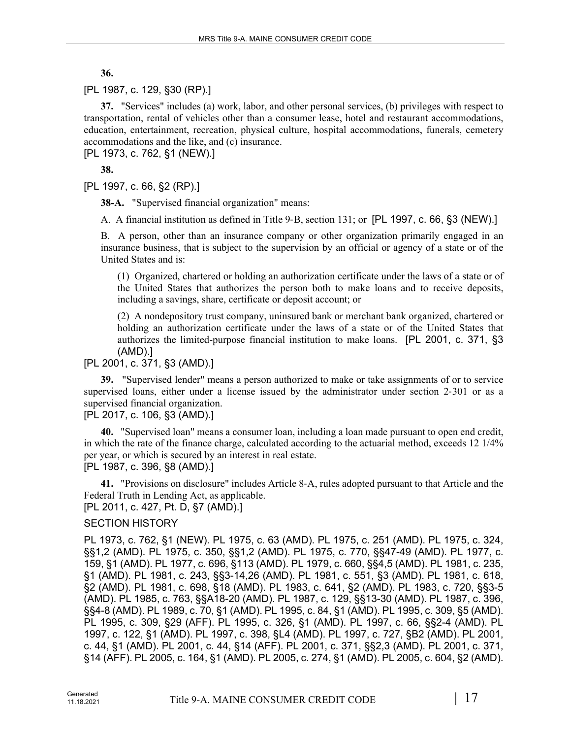**36.** 

# [PL 1987, c. 129, §30 (RP).]

**37.** "Services" includes (a) work, labor, and other personal services, (b) privileges with respect to transportation, rental of vehicles other than a consumer lease, hotel and restaurant accommodations, education, entertainment, recreation, physical culture, hospital accommodations, funerals, cemetery accommodations and the like, and (c) insurance.

[PL 1973, c. 762, §1 (NEW).]

**38.** 

[PL 1997, c. 66, §2 (RP).]

**38-A.** "Supervised financial organization" means:

A. A financial institution as defined in Title 9-B, section 131; or [PL 1997, c. 66, §3 (NEW).]

B. A person, other than an insurance company or other organization primarily engaged in an insurance business, that is subject to the supervision by an official or agency of a state or of the United States and is:

(1) Organized, chartered or holding an authorization certificate under the laws of a state or of the United States that authorizes the person both to make loans and to receive deposits, including a savings, share, certificate or deposit account; or

(2) A nondepository trust company, uninsured bank or merchant bank organized, chartered or holding an authorization certificate under the laws of a state or of the United States that authorizes the limited-purpose financial institution to make loans. [PL 2001, c. 371, §3 (AMD).]

[PL 2001, c. 371, §3 (AMD).]

**39.** "Supervised lender" means a person authorized to make or take assignments of or to service supervised loans, either under a license issued by the administrator under section 2–301 or as a supervised financial organization.

# [PL 2017, c. 106, §3 (AMD).]

**40.** "Supervised loan" means a consumer loan, including a loan made pursuant to open end credit, in which the rate of the finance charge, calculated according to the actuarial method, exceeds 12 1/4% per year, or which is secured by an interest in real estate.

[PL 1987, c. 396, §8 (AMD).]

**41.** "Provisions on disclosure" includes Article 8‑A, rules adopted pursuant to that Article and the Federal Truth in Lending Act, as applicable.

[PL 2011, c. 427, Pt. D, §7 (AMD).]

# SECTION HISTORY

PL 1973, c. 762, §1 (NEW). PL 1975, c. 63 (AMD). PL 1975, c. 251 (AMD). PL 1975, c. 324, §§1,2 (AMD). PL 1975, c. 350, §§1,2 (AMD). PL 1975, c. 770, §§47-49 (AMD). PL 1977, c. 159, §1 (AMD). PL 1977, c. 696, §113 (AMD). PL 1979, c. 660, §§4,5 (AMD). PL 1981, c. 235, §1 (AMD). PL 1981, c. 243, §§3-14,26 (AMD). PL 1981, c. 551, §3 (AMD). PL 1981, c. 618, §2 (AMD). PL 1981, c. 698, §18 (AMD). PL 1983, c. 641, §2 (AMD). PL 1983, c. 720, §§3-5 (AMD). PL 1985, c. 763, §§A18-20 (AMD). PL 1987, c. 129, §§13-30 (AMD). PL 1987, c. 396, §§4-8 (AMD). PL 1989, c. 70, §1 (AMD). PL 1995, c. 84, §1 (AMD). PL 1995, c. 309, §5 (AMD). PL 1995, c. 309, §29 (AFF). PL 1995, c. 326, §1 (AMD). PL 1997, c. 66, §§2-4 (AMD). PL 1997, c. 122, §1 (AMD). PL 1997, c. 398, §L4 (AMD). PL 1997, c. 727, §B2 (AMD). PL 2001, c. 44, §1 (AMD). PL 2001, c. 44, §14 (AFF). PL 2001, c. 371, §§2,3 (AMD). PL 2001, c. 371, §14 (AFF). PL 2005, c. 164, §1 (AMD). PL 2005, c. 274, §1 (AMD). PL 2005, c. 604, §2 (AMD).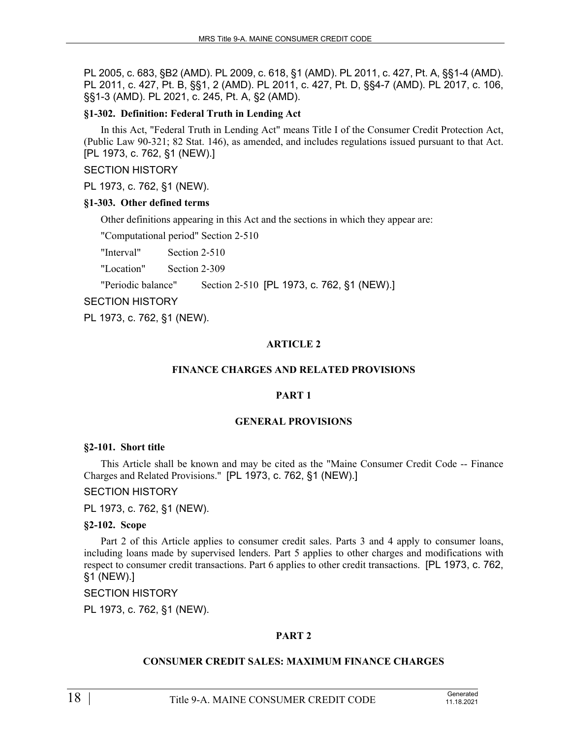PL 2005, c. 683, §B2 (AMD). PL 2009, c. 618, §1 (AMD). PL 2011, c. 427, Pt. A, §§1-4 (AMD). PL 2011, c. 427, Pt. B, §§1, 2 (AMD). PL 2011, c. 427, Pt. D, §§4-7 (AMD). PL 2017, c. 106, §§1-3 (AMD). PL 2021, c. 245, Pt. A, §2 (AMD).

### **§1-302. Definition: Federal Truth in Lending Act**

In this Act, "Federal Truth in Lending Act" means Title I of the Consumer Credit Protection Act, (Public Law 90-321; 82 Stat. 146), as amended, and includes regulations issued pursuant to that Act. [PL 1973, c. 762, §1 (NEW).]

### SECTION HISTORY

PL 1973, c. 762, §1 (NEW).

### **§1-303. Other defined terms**

Other definitions appearing in this Act and the sections in which they appear are:

"Computational period" Section 2‑510

"Interval" Section 2‑510

"Location" Section 2‑309

"Periodic balance" Section 2‑510 [PL 1973, c. 762, §1 (NEW).]

SECTION HISTORY

PL 1973, c. 762, §1 (NEW).

# **ARTICLE 2**

# **FINANCE CHARGES AND RELATED PROVISIONS**

# **PART 1**

# **GENERAL PROVISIONS**

#### **§2-101. Short title**

This Article shall be known and may be cited as the "Maine Consumer Credit Code -- Finance Charges and Related Provisions." [PL 1973, c. 762, §1 (NEW).]

SECTION HISTORY

PL 1973, c. 762, §1 (NEW).

#### **§2-102. Scope**

Part 2 of this Article applies to consumer credit sales. Parts 3 and 4 apply to consumer loans, including loans made by supervised lenders. Part 5 applies to other charges and modifications with respect to consumer credit transactions. Part 6 applies to other credit transactions. [PL 1973, c. 762, §1 (NEW).]

#### SECTION HISTORY

PL 1973, c. 762, §1 (NEW).

# **PART 2**

# **CONSUMER CREDIT SALES: MAXIMUM FINANCE CHARGES**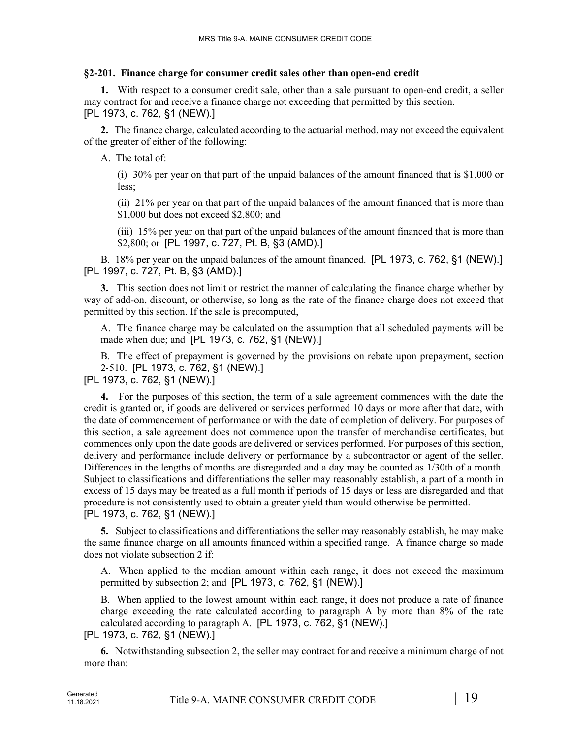# **§2-201. Finance charge for consumer credit sales other than open-end credit**

**1.** With respect to a consumer credit sale, other than a sale pursuant to open-end credit, a seller may contract for and receive a finance charge not exceeding that permitted by this section. [PL 1973, c. 762, §1 (NEW).]

**2.** The finance charge, calculated according to the actuarial method, may not exceed the equivalent of the greater of either of the following:

A. The total of:

(i) 30% per year on that part of the unpaid balances of the amount financed that is \$1,000 or less;

(ii) 21% per year on that part of the unpaid balances of the amount financed that is more than \$1,000 but does not exceed \$2,800; and

(iii) 15% per year on that part of the unpaid balances of the amount financed that is more than \$2,800; or [PL 1997, c. 727, Pt. B, §3 (AMD).]

B. 18% per year on the unpaid balances of the amount financed. [PL 1973, c. 762, §1 (NEW).] [PL 1997, c. 727, Pt. B, §3 (AMD).]

**3.** This section does not limit or restrict the manner of calculating the finance charge whether by way of add-on, discount, or otherwise, so long as the rate of the finance charge does not exceed that permitted by this section. If the sale is precomputed,

A. The finance charge may be calculated on the assumption that all scheduled payments will be made when due; and [PL 1973, c. 762, §1 (NEW).]

B. The effect of prepayment is governed by the provisions on rebate upon prepayment, section 2‑510. [PL 1973, c. 762, §1 (NEW).]

[PL 1973, c. 762, §1 (NEW).]

**4.** For the purposes of this section, the term of a sale agreement commences with the date the credit is granted or, if goods are delivered or services performed 10 days or more after that date, with the date of commencement of performance or with the date of completion of delivery. For purposes of this section, a sale agreement does not commence upon the transfer of merchandise certificates, but commences only upon the date goods are delivered or services performed. For purposes of this section, delivery and performance include delivery or performance by a subcontractor or agent of the seller. Differences in the lengths of months are disregarded and a day may be counted as 1/30th of a month. Subject to classifications and differentiations the seller may reasonably establish, a part of a month in excess of 15 days may be treated as a full month if periods of 15 days or less are disregarded and that procedure is not consistently used to obtain a greater yield than would otherwise be permitted. [PL 1973, c. 762, §1 (NEW).]

**5.** Subject to classifications and differentiations the seller may reasonably establish, he may make the same finance charge on all amounts financed within a specified range. A finance charge so made does not violate subsection 2 if:

A. When applied to the median amount within each range, it does not exceed the maximum permitted by subsection 2; and [PL 1973, c. 762, §1 (NEW).]

B. When applied to the lowest amount within each range, it does not produce a rate of finance charge exceeding the rate calculated according to paragraph A by more than 8% of the rate calculated according to paragraph A. [PL 1973, c. 762, §1 (NEW).]

[PL 1973, c. 762, §1 (NEW).]

**6.** Notwithstanding subsection 2, the seller may contract for and receive a minimum charge of not more than: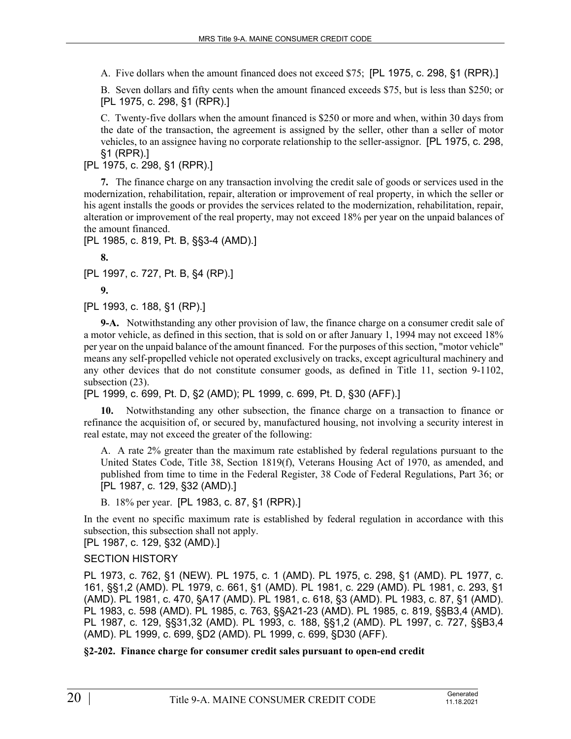A. Five dollars when the amount financed does not exceed \$75; [PL 1975, c. 298, §1 (RPR).]

B. Seven dollars and fifty cents when the amount financed exceeds \$75, but is less than \$250; or [PL 1975, c. 298, §1 (RPR).]

C. Twenty-five dollars when the amount financed is \$250 or more and when, within 30 days from the date of the transaction, the agreement is assigned by the seller, other than a seller of motor vehicles, to an assignee having no corporate relationship to the seller-assignor. [PL 1975, c. 298, §1 (RPR).]

[PL 1975, c. 298, §1 (RPR).]

**7.** The finance charge on any transaction involving the credit sale of goods or services used in the modernization, rehabilitation, repair, alteration or improvement of real property, in which the seller or his agent installs the goods or provides the services related to the modernization, rehabilitation, repair, alteration or improvement of the real property, may not exceed 18% per year on the unpaid balances of the amount financed.

[PL 1985, c. 819, Pt. B, §§3-4 (AMD).]

**8.** 

[PL 1997, c. 727, Pt. B, §4 (RP).]

**9.** 

[PL 1993, c. 188, §1 (RP).]

**9-A.** Notwithstanding any other provision of law, the finance charge on a consumer credit sale of a motor vehicle, as defined in this section, that is sold on or after January 1, 1994 may not exceed 18% per year on the unpaid balance of the amount financed. For the purposes of this section, "motor vehicle" means any self-propelled vehicle not operated exclusively on tracks, except agricultural machinery and any other devices that do not constitute consumer goods, as defined in Title 11, section 9-1102, subsection  $(23)$ .

[PL 1999, c. 699, Pt. D, §2 (AMD); PL 1999, c. 699, Pt. D, §30 (AFF).]

**10.** Notwithstanding any other subsection, the finance charge on a transaction to finance or refinance the acquisition of, or secured by, manufactured housing, not involving a security interest in real estate, may not exceed the greater of the following:

A. A rate 2% greater than the maximum rate established by federal regulations pursuant to the United States Code, Title 38, Section 1819(f), Veterans Housing Act of 1970, as amended, and published from time to time in the Federal Register, 38 Code of Federal Regulations, Part 36; or [PL 1987, c. 129, §32 (AMD).]

B. 18% per year. [PL 1983, c. 87, §1 (RPR).]

In the event no specific maximum rate is established by federal regulation in accordance with this subsection, this subsection shall not apply.

[PL 1987, c. 129, §32 (AMD).]

# SECTION HISTORY

PL 1973, c. 762, §1 (NEW). PL 1975, c. 1 (AMD). PL 1975, c. 298, §1 (AMD). PL 1977, c. 161, §§1,2 (AMD). PL 1979, c. 661, §1 (AMD). PL 1981, c. 229 (AMD). PL 1981, c. 293, §1 (AMD). PL 1981, c. 470, §A17 (AMD). PL 1981, c. 618, §3 (AMD). PL 1983, c. 87, §1 (AMD). PL 1983, c. 598 (AMD). PL 1985, c. 763, §§A21-23 (AMD). PL 1985, c. 819, §§B3,4 (AMD). PL 1987, c. 129, §§31,32 (AMD). PL 1993, c. 188, §§1,2 (AMD). PL 1997, c. 727, §§B3,4 (AMD). PL 1999, c. 699, §D2 (AMD). PL 1999, c. 699, §D30 (AFF).

**§2-202. Finance charge for consumer credit sales pursuant to open-end credit**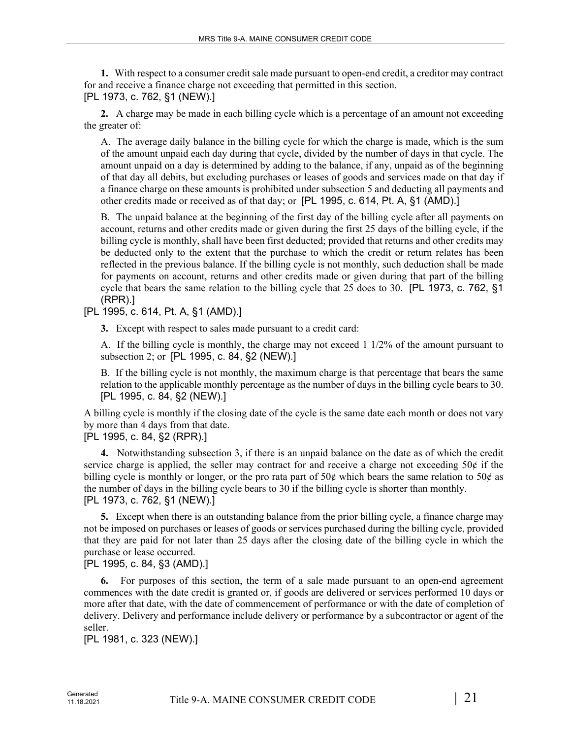**1.** With respect to a consumer credit sale made pursuant to open-end credit, a creditor may contract for and receive a finance charge not exceeding that permitted in this section. [PL 1973, c. 762, §1 (NEW).]

**2.** A charge may be made in each billing cycle which is a percentage of an amount not exceeding the greater of:

A. The average daily balance in the billing cycle for which the charge is made, which is the sum of the amount unpaid each day during that cycle, divided by the number of days in that cycle. The amount unpaid on a day is determined by adding to the balance, if any, unpaid as of the beginning of that day all debits, but excluding purchases or leases of goods and services made on that day if a finance charge on these amounts is prohibited under subsection 5 and deducting all payments and other credits made or received as of that day; or [PL 1995, c. 614, Pt. A, §1 (AMD).]

B. The unpaid balance at the beginning of the first day of the billing cycle after all payments on account, returns and other credits made or given during the first 25 days of the billing cycle, if the billing cycle is monthly, shall have been first deducted; provided that returns and other credits may be deducted only to the extent that the purchase to which the credit or return relates has been reflected in the previous balance. If the billing cycle is not monthly, such deduction shall be made for payments on account, returns and other credits made or given during that part of the billing cycle that bears the same relation to the billing cycle that 25 does to 30. [PL 1973, c. 762, §1 (RPR).]

[PL 1995, c. 614, Pt. A, §1 (AMD).]

**3.** Except with respect to sales made pursuant to a credit card:

A. If the billing cycle is monthly, the charge may not exceed 1 1/2% of the amount pursuant to subsection 2; or [PL 1995, c. 84, §2 (NEW).]

B. If the billing cycle is not monthly, the maximum charge is that percentage that bears the same relation to the applicable monthly percentage as the number of days in the billing cycle bears to 30. [PL 1995, c. 84, §2 (NEW).]

A billing cycle is monthly if the closing date of the cycle is the same date each month or does not vary by more than 4 days from that date.

# [PL 1995, c. 84, §2 (RPR).]

**4.** Notwithstanding subsection 3, if there is an unpaid balance on the date as of which the credit service charge is applied, the seller may contract for and receive a charge not exceeding 50¢ if the billing cycle is monthly or longer, or the pro rata part of 50 $\phi$  which bears the same relation to 50 $\phi$  as the number of days in the billing cycle bears to 30 if the billing cycle is shorter than monthly. [PL 1973, c. 762, §1 (NEW).]

**5.** Except when there is an outstanding balance from the prior billing cycle, a finance charge may not be imposed on purchases or leases of goods or services purchased during the billing cycle, provided that they are paid for not later than 25 days after the closing date of the billing cycle in which the purchase or lease occurred.

# [PL 1995, c. 84, §3 (AMD).]

**6.** For purposes of this section, the term of a sale made pursuant to an open-end agreement commences with the date credit is granted or, if goods are delivered or services performed 10 days or more after that date, with the date of commencement of performance or with the date of completion of delivery. Delivery and performance include delivery or performance by a subcontractor or agent of the seller.

[PL 1981, c. 323 (NEW).]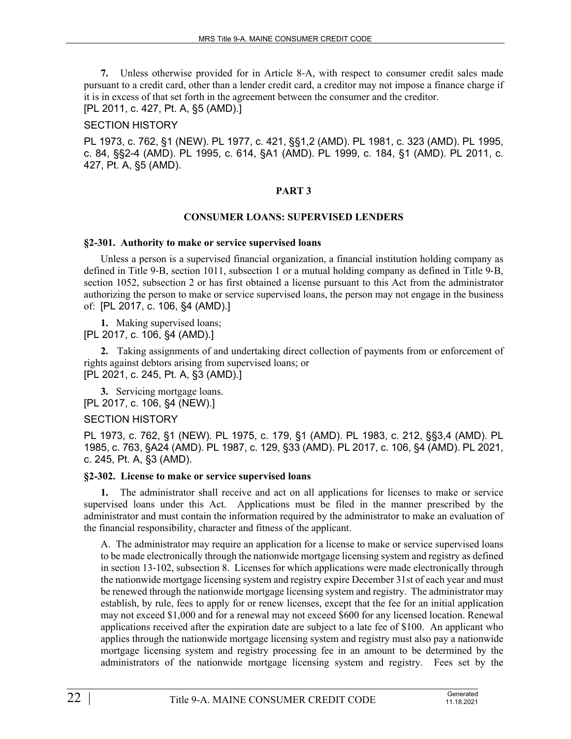**7.** Unless otherwise provided for in Article 8‑A, with respect to consumer credit sales made pursuant to a credit card, other than a lender credit card, a creditor may not impose a finance charge if it is in excess of that set forth in the agreement between the consumer and the creditor. [PL 2011, c. 427, Pt. A, §5 (AMD).]

SECTION HISTORY

PL 1973, c. 762, §1 (NEW). PL 1977, c. 421, §§1,2 (AMD). PL 1981, c. 323 (AMD). PL 1995, c. 84, §§2-4 (AMD). PL 1995, c. 614, §A1 (AMD). PL 1999, c. 184, §1 (AMD). PL 2011, c. 427, Pt. A, §5 (AMD).

### **PART 3**

#### **CONSUMER LOANS: SUPERVISED LENDERS**

#### **§2-301. Authority to make or service supervised loans**

Unless a person is a supervised financial organization, a financial institution holding company as defined in Title 9–B, section 1011, subsection 1 or a mutual holding company as defined in Title 9–B, section 1052, subsection 2 or has first obtained a license pursuant to this Act from the administrator authorizing the person to make or service supervised loans, the person may not engage in the business of: [PL 2017, c. 106, §4 (AMD).]

**1.** Making supervised loans; [PL 2017, c. 106, §4 (AMD).]

**2.** Taking assignments of and undertaking direct collection of payments from or enforcement of rights against debtors arising from supervised loans; or [PL 2021, c. 245, Pt. A, §3 (AMD).]

**3.** Servicing mortgage loans. [PL 2017, c. 106, §4 (NEW).]

# SECTION HISTORY

PL 1973, c. 762, §1 (NEW). PL 1975, c. 179, §1 (AMD). PL 1983, c. 212, §§3,4 (AMD). PL 1985, c. 763, §A24 (AMD). PL 1987, c. 129, §33 (AMD). PL 2017, c. 106, §4 (AMD). PL 2021, c. 245, Pt. A, §3 (AMD).

#### **§2-302. License to make or service supervised loans**

**1.** The administrator shall receive and act on all applications for licenses to make or service supervised loans under this Act. Applications must be filed in the manner prescribed by the administrator and must contain the information required by the administrator to make an evaluation of the financial responsibility, character and fitness of the applicant.

A. The administrator may require an application for a license to make or service supervised loans to be made electronically through the nationwide mortgage licensing system and registry as defined in section 13‑102, subsection 8. Licenses for which applications were made electronically through the nationwide mortgage licensing system and registry expire December 31st of each year and must be renewed through the nationwide mortgage licensing system and registry. The administrator may establish, by rule, fees to apply for or renew licenses, except that the fee for an initial application may not exceed \$1,000 and for a renewal may not exceed \$600 for any licensed location. Renewal applications received after the expiration date are subject to a late fee of \$100. An applicant who applies through the nationwide mortgage licensing system and registry must also pay a nationwide mortgage licensing system and registry processing fee in an amount to be determined by the administrators of the nationwide mortgage licensing system and registry. Fees set by the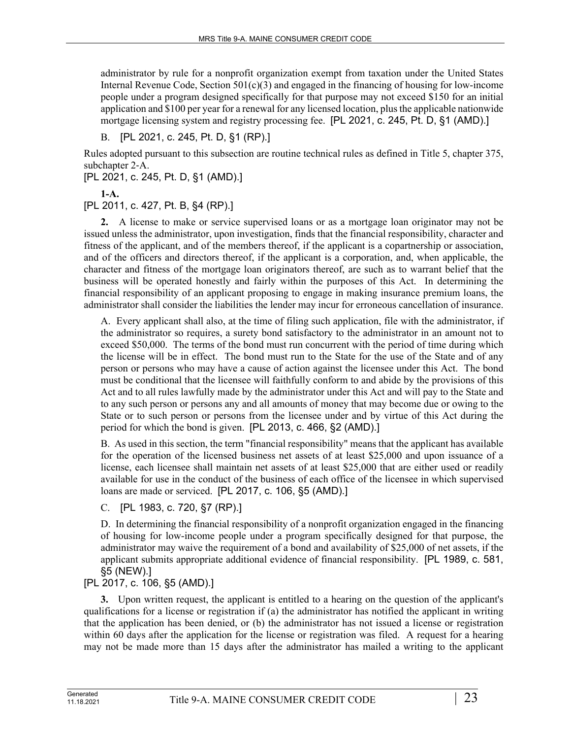administrator by rule for a nonprofit organization exempt from taxation under the United States Internal Revenue Code, Section  $501(c)(3)$  and engaged in the financing of housing for low-income people under a program designed specifically for that purpose may not exceed \$150 for an initial application and \$100 per year for a renewal for any licensed location, plus the applicable nationwide mortgage licensing system and registry processing fee. [PL 2021, c. 245, Pt. D, §1 (AMD).]

B. [PL 2021, c. 245, Pt. D, §1 (RP).]

Rules adopted pursuant to this subsection are routine technical rules as defined in Title 5, chapter 375, subchapter 2‑A.

[PL 2021, c. 245, Pt. D, §1 (AMD).]

**1-A.** 

[PL 2011, c. 427, Pt. B, §4 (RP).]

**2.** A license to make or service supervised loans or as a mortgage loan originator may not be issued unless the administrator, upon investigation, finds that the financial responsibility, character and fitness of the applicant, and of the members thereof, if the applicant is a copartnership or association, and of the officers and directors thereof, if the applicant is a corporation, and, when applicable, the character and fitness of the mortgage loan originators thereof, are such as to warrant belief that the business will be operated honestly and fairly within the purposes of this Act. In determining the financial responsibility of an applicant proposing to engage in making insurance premium loans, the administrator shall consider the liabilities the lender may incur for erroneous cancellation of insurance.

A. Every applicant shall also, at the time of filing such application, file with the administrator, if the administrator so requires, a surety bond satisfactory to the administrator in an amount not to exceed \$50,000. The terms of the bond must run concurrent with the period of time during which the license will be in effect. The bond must run to the State for the use of the State and of any person or persons who may have a cause of action against the licensee under this Act. The bond must be conditional that the licensee will faithfully conform to and abide by the provisions of this Act and to all rules lawfully made by the administrator under this Act and will pay to the State and to any such person or persons any and all amounts of money that may become due or owing to the State or to such person or persons from the licensee under and by virtue of this Act during the period for which the bond is given. [PL 2013, c. 466, §2 (AMD).]

B. As used in this section, the term "financial responsibility" means that the applicant has available for the operation of the licensed business net assets of at least \$25,000 and upon issuance of a license, each licensee shall maintain net assets of at least \$25,000 that are either used or readily available for use in the conduct of the business of each office of the licensee in which supervised loans are made or serviced. [PL 2017, c. 106, §5 (AMD).]

# C. [PL 1983, c. 720, §7 (RP).]

D. In determining the financial responsibility of a nonprofit organization engaged in the financing of housing for low-income people under a program specifically designed for that purpose, the administrator may waive the requirement of a bond and availability of \$25,000 of net assets, if the applicant submits appropriate additional evidence of financial responsibility. [PL 1989, c. 581, §5 (NEW).]

# [PL 2017, c. 106, §5 (AMD).]

**3.** Upon written request, the applicant is entitled to a hearing on the question of the applicant's qualifications for a license or registration if (a) the administrator has notified the applicant in writing that the application has been denied, or (b) the administrator has not issued a license or registration within 60 days after the application for the license or registration was filed. A request for a hearing may not be made more than 15 days after the administrator has mailed a writing to the applicant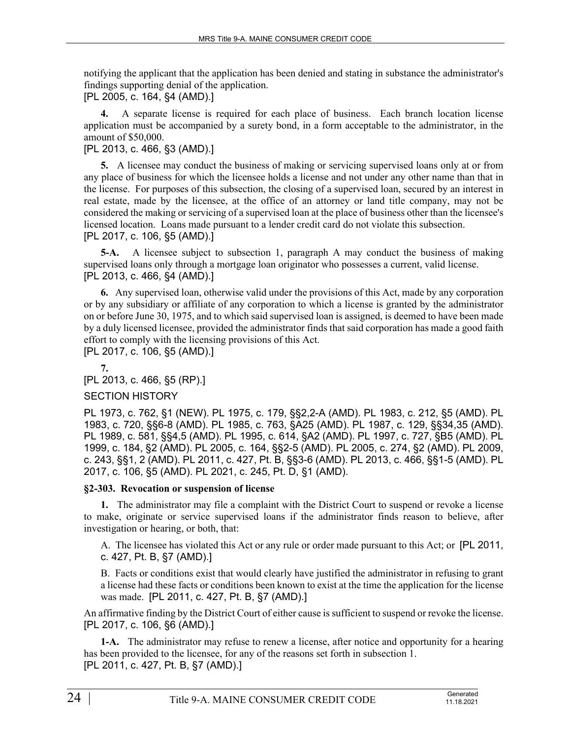notifying the applicant that the application has been denied and stating in substance the administrator's findings supporting denial of the application.

[PL 2005, c. 164, §4 (AMD).]

**4.** A separate license is required for each place of business. Each branch location license application must be accompanied by a surety bond, in a form acceptable to the administrator, in the amount of \$50,000.

# [PL 2013, c. 466, §3 (AMD).]

**5.** A licensee may conduct the business of making or servicing supervised loans only at or from any place of business for which the licensee holds a license and not under any other name than that in the license. For purposes of this subsection, the closing of a supervised loan, secured by an interest in real estate, made by the licensee, at the office of an attorney or land title company, may not be considered the making or servicing of a supervised loan at the place of business other than the licensee's licensed location. Loans made pursuant to a lender credit card do not violate this subsection. [PL 2017, c. 106, §5 (AMD).]

**5-A.** A licensee subject to subsection 1, paragraph A may conduct the business of making supervised loans only through a mortgage loan originator who possesses a current, valid license. [PL 2013, c. 466, §4 (AMD).]

**6.** Any supervised loan, otherwise valid under the provisions of this Act, made by any corporation or by any subsidiary or affiliate of any corporation to which a license is granted by the administrator on or before June 30, 1975, and to which said supervised loan is assigned, is deemed to have been made by a duly licensed licensee, provided the administrator finds that said corporation has made a good faith effort to comply with the licensing provisions of this Act.

[PL 2017, c. 106, §5 (AMD).]

**7.**  [PL 2013, c. 466, §5 (RP).]

#### SECTION HISTORY

PL 1973, c. 762, §1 (NEW). PL 1975, c. 179, §§2,2-A (AMD). PL 1983, c. 212, §5 (AMD). PL 1983, c. 720, §§6-8 (AMD). PL 1985, c. 763, §A25 (AMD). PL 1987, c. 129, §§34,35 (AMD). PL 1989, c. 581, §§4,5 (AMD). PL 1995, c. 614, §A2 (AMD). PL 1997, c. 727, §B5 (AMD). PL 1999, c. 184, §2 (AMD). PL 2005, c. 164, §§2-5 (AMD). PL 2005, c. 274, §2 (AMD). PL 2009, c. 243, §§1, 2 (AMD). PL 2011, c. 427, Pt. B, §§3-6 (AMD). PL 2013, c. 466, §§1-5 (AMD). PL 2017, c. 106, §5 (AMD). PL 2021, c. 245, Pt. D, §1 (AMD).

# **§2-303. Revocation or suspension of license**

**1.** The administrator may file a complaint with the District Court to suspend or revoke a license to make, originate or service supervised loans if the administrator finds reason to believe, after investigation or hearing, or both, that:

A. The licensee has violated this Act or any rule or order made pursuant to this Act; or [PL 2011, c. 427, Pt. B, §7 (AMD).]

B. Facts or conditions exist that would clearly have justified the administrator in refusing to grant a license had these facts or conditions been known to exist at the time the application for the license was made. [PL 2011, c. 427, Pt. B, §7 (AMD).]

An affirmative finding by the District Court of either cause is sufficient to suspend or revoke the license. [PL 2017, c. 106, §6 (AMD).]

**1-A.** The administrator may refuse to renew a license, after notice and opportunity for a hearing has been provided to the licensee, for any of the reasons set forth in subsection 1. [PL 2011, c. 427, Pt. B, §7 (AMD).]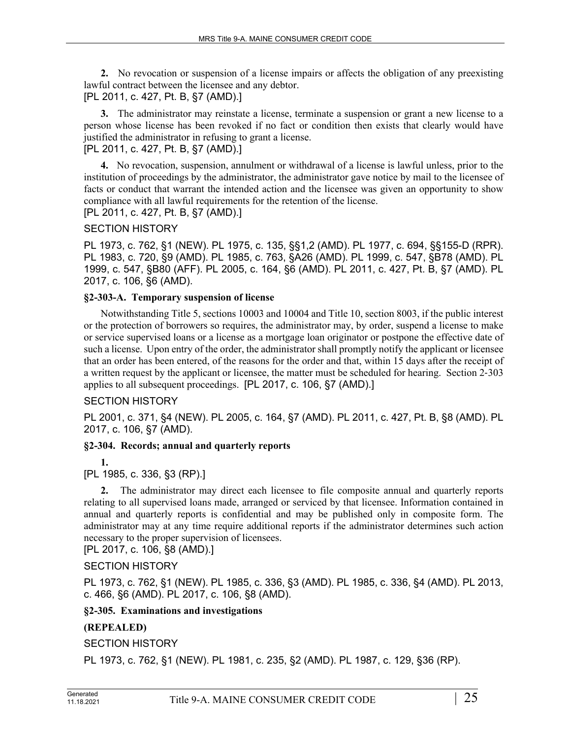**2.** No revocation or suspension of a license impairs or affects the obligation of any preexisting lawful contract between the licensee and any debtor. [PL 2011, c. 427, Pt. B, §7 (AMD).]

**3.** The administrator may reinstate a license, terminate a suspension or grant a new license to a person whose license has been revoked if no fact or condition then exists that clearly would have justified the administrator in refusing to grant a license.

[PL 2011, c. 427, Pt. B, §7 (AMD).]

**4.** No revocation, suspension, annulment or withdrawal of a license is lawful unless, prior to the institution of proceedings by the administrator, the administrator gave notice by mail to the licensee of facts or conduct that warrant the intended action and the licensee was given an opportunity to show compliance with all lawful requirements for the retention of the license.

[PL 2011, c. 427, Pt. B, §7 (AMD).]

SECTION HISTORY

PL 1973, c. 762, §1 (NEW). PL 1975, c. 135, §§1,2 (AMD). PL 1977, c. 694, §§155-D (RPR). PL 1983, c. 720, §9 (AMD). PL 1985, c. 763, §A26 (AMD). PL 1999, c. 547, §B78 (AMD). PL 1999, c. 547, §B80 (AFF). PL 2005, c. 164, §6 (AMD). PL 2011, c. 427, Pt. B, §7 (AMD). PL 2017, c. 106, §6 (AMD).

### **§2-303-A. Temporary suspension of license**

Notwithstanding Title 5, sections 10003 and 10004 and Title 10, section 8003, if the public interest or the protection of borrowers so requires, the administrator may, by order, suspend a license to make or service supervised loans or a license as a mortgage loan originator or postpone the effective date of such a license. Upon entry of the order, the administrator shall promptly notify the applicant or licensee that an order has been entered, of the reasons for the order and that, within 15 days after the receipt of a written request by the applicant or licensee, the matter must be scheduled for hearing. Section 2‑303 applies to all subsequent proceedings. [PL 2017, c. 106, §7 (AMD).]

#### SECTION HISTORY

PL 2001, c. 371, §4 (NEW). PL 2005, c. 164, §7 (AMD). PL 2011, c. 427, Pt. B, §8 (AMD). PL 2017, c. 106, §7 (AMD).

#### **§2-304. Records; annual and quarterly reports**

**1.**  [PL 1985, c. 336, §3 (RP).]

**2.** The administrator may direct each licensee to file composite annual and quarterly reports relating to all supervised loans made, arranged or serviced by that licensee. Information contained in annual and quarterly reports is confidential and may be published only in composite form. The administrator may at any time require additional reports if the administrator determines such action necessary to the proper supervision of licensees.

[PL 2017, c. 106, §8 (AMD).]

SECTION HISTORY

PL 1973, c. 762, §1 (NEW). PL 1985, c. 336, §3 (AMD). PL 1985, c. 336, §4 (AMD). PL 2013, c. 466, §6 (AMD). PL 2017, c. 106, §8 (AMD).

# **§2-305. Examinations and investigations**

# **(REPEALED)**

SECTION HISTORY

PL 1973, c. 762, §1 (NEW). PL 1981, c. 235, §2 (AMD). PL 1987, c. 129, §36 (RP).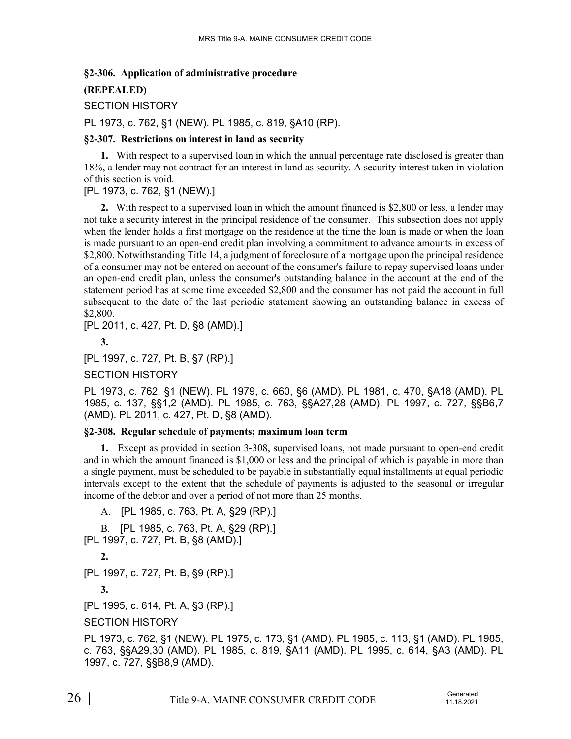#### **§2-306. Application of administrative procedure**

### **(REPEALED)**

SECTION HISTORY

PL 1973, c. 762, §1 (NEW). PL 1985, c. 819, §A10 (RP).

#### **§2-307. Restrictions on interest in land as security**

**1.** With respect to a supervised loan in which the annual percentage rate disclosed is greater than 18%, a lender may not contract for an interest in land as security. A security interest taken in violation of this section is void.

### [PL 1973, c. 762, §1 (NEW).]

**2.** With respect to a supervised loan in which the amount financed is \$2,800 or less, a lender may not take a security interest in the principal residence of the consumer. This subsection does not apply when the lender holds a first mortgage on the residence at the time the loan is made or when the loan is made pursuant to an open-end credit plan involving a commitment to advance amounts in excess of \$2,800. Notwithstanding Title 14, a judgment of foreclosure of a mortgage upon the principal residence of a consumer may not be entered on account of the consumer's failure to repay supervised loans under an open-end credit plan, unless the consumer's outstanding balance in the account at the end of the statement period has at some time exceeded \$2,800 and the consumer has not paid the account in full subsequent to the date of the last periodic statement showing an outstanding balance in excess of \$2,800.

[PL 2011, c. 427, Pt. D, §8 (AMD).]

**3.** 

[PL 1997, c. 727, Pt. B, §7 (RP).]

SECTION HISTORY

PL 1973, c. 762, §1 (NEW). PL 1979, c. 660, §6 (AMD). PL 1981, c. 470, §A18 (AMD). PL 1985, c. 137, §§1,2 (AMD). PL 1985, c. 763, §§A27,28 (AMD). PL 1997, c. 727, §§B6,7 (AMD). PL 2011, c. 427, Pt. D, §8 (AMD).

#### **§2-308. Regular schedule of payments; maximum loan term**

**1.** Except as provided in section 3‑308, supervised loans, not made pursuant to open-end credit and in which the amount financed is \$1,000 or less and the principal of which is payable in more than a single payment, must be scheduled to be payable in substantially equal installments at equal periodic intervals except to the extent that the schedule of payments is adjusted to the seasonal or irregular income of the debtor and over a period of not more than 25 months.

A. [PL 1985, c. 763, Pt. A, §29 (RP).] B. [PL 1985, c. 763, Pt. A, §29 (RP).] [PL 1997, c. 727, Pt. B, §8 (AMD).] **2.**  [PL 1997, c. 727, Pt. B, §9 (RP).] **3.**  [PL 1995, c. 614, Pt. A, §3 (RP).] SECTION HISTORY

PL 1973, c. 762, §1 (NEW). PL 1975, c. 173, §1 (AMD). PL 1985, c. 113, §1 (AMD). PL 1985, c. 763, §§A29,30 (AMD). PL 1985, c. 819, §A11 (AMD). PL 1995, c. 614, §A3 (AMD). PL 1997, c. 727, §§B8,9 (AMD).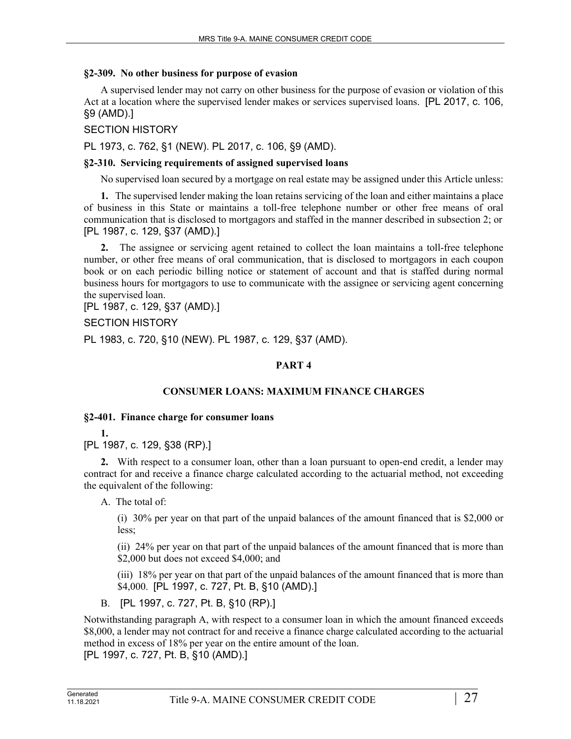#### **§2-309. No other business for purpose of evasion**

A supervised lender may not carry on other business for the purpose of evasion or violation of this Act at a location where the supervised lender makes or services supervised loans. [PL 2017, c. 106, §9 (AMD).]

#### SECTION HISTORY

PL 1973, c. 762, §1 (NEW). PL 2017, c. 106, §9 (AMD).

#### **§2-310. Servicing requirements of assigned supervised loans**

No supervised loan secured by a mortgage on real estate may be assigned under this Article unless:

**1.** The supervised lender making the loan retains servicing of the loan and either maintains a place of business in this State or maintains a toll-free telephone number or other free means of oral communication that is disclosed to mortgagors and staffed in the manner described in subsection 2; or [PL 1987, c. 129, §37 (AMD).]

**2.** The assignee or servicing agent retained to collect the loan maintains a toll-free telephone number, or other free means of oral communication, that is disclosed to mortgagors in each coupon book or on each periodic billing notice or statement of account and that is staffed during normal business hours for mortgagors to use to communicate with the assignee or servicing agent concerning the supervised loan.

[PL 1987, c. 129, §37 (AMD).]

#### SECTION HISTORY

PL 1983, c. 720, §10 (NEW). PL 1987, c. 129, §37 (AMD).

### **PART 4**

#### **CONSUMER LOANS: MAXIMUM FINANCE CHARGES**

#### **§2-401. Finance charge for consumer loans**

**1.** 

[PL 1987, c. 129, §38 (RP).]

**2.** With respect to a consumer loan, other than a loan pursuant to open-end credit, a lender may contract for and receive a finance charge calculated according to the actuarial method, not exceeding the equivalent of the following:

A. The total of:

(i) 30% per year on that part of the unpaid balances of the amount financed that is \$2,000 or less;

(ii) 24% per year on that part of the unpaid balances of the amount financed that is more than \$2,000 but does not exceed \$4,000; and

(iii) 18% per year on that part of the unpaid balances of the amount financed that is more than \$4,000. [PL 1997, c. 727, Pt. B, §10 (AMD).]

B. [PL 1997, c. 727, Pt. B, §10 (RP).]

Notwithstanding paragraph A, with respect to a consumer loan in which the amount financed exceeds \$8,000, a lender may not contract for and receive a finance charge calculated according to the actuarial method in excess of 18% per year on the entire amount of the loan. [PL 1997, c. 727, Pt. B, §10 (AMD).]

Generated<br>11 18 2021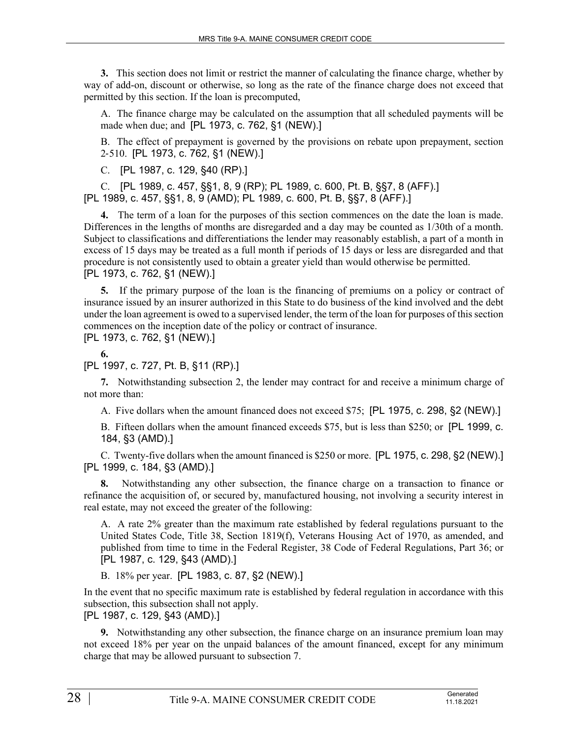**3.** This section does not limit or restrict the manner of calculating the finance charge, whether by way of add-on, discount or otherwise, so long as the rate of the finance charge does not exceed that permitted by this section. If the loan is precomputed,

A. The finance charge may be calculated on the assumption that all scheduled payments will be made when due; and [PL 1973, c. 762, §1 (NEW).]

B. The effect of prepayment is governed by the provisions on rebate upon prepayment, section 2‑510. [PL 1973, c. 762, §1 (NEW).]

C. [PL 1987, c. 129, §40 (RP).]

C. [PL 1989, c. 457, §§1, 8, 9 (RP); PL 1989, c. 600, Pt. B, §§7, 8 (AFF).] [PL 1989, c. 457, §§1, 8, 9 (AMD); PL 1989, c. 600, Pt. B, §§7, 8 (AFF).]

**4.** The term of a loan for the purposes of this section commences on the date the loan is made. Differences in the lengths of months are disregarded and a day may be counted as 1/30th of a month. Subject to classifications and differentiations the lender may reasonably establish, a part of a month in excess of 15 days may be treated as a full month if periods of 15 days or less are disregarded and that procedure is not consistently used to obtain a greater yield than would otherwise be permitted. [PL 1973, c. 762, §1 (NEW).]

**5.** If the primary purpose of the loan is the financing of premiums on a policy or contract of insurance issued by an insurer authorized in this State to do business of the kind involved and the debt under the loan agreement is owed to a supervised lender, the term of the loan for purposes of this section commences on the inception date of the policy or contract of insurance.

[PL 1973, c. 762, §1 (NEW).]

**6.** 

[PL 1997, c. 727, Pt. B, §11 (RP).]

**7.** Notwithstanding subsection 2, the lender may contract for and receive a minimum charge of not more than:

A. Five dollars when the amount financed does not exceed \$75; [PL 1975, c. 298, §2 (NEW).]

B. Fifteen dollars when the amount financed exceeds \$75, but is less than \$250; or [PL 1999, c. 184, §3 (AMD).]

C. Twenty-five dollars when the amount financed is \$250 or more. [PL 1975, c. 298, §2 (NEW).] [PL 1999, c. 184, §3 (AMD).]

**8.** Notwithstanding any other subsection, the finance charge on a transaction to finance or refinance the acquisition of, or secured by, manufactured housing, not involving a security interest in real estate, may not exceed the greater of the following:

A. A rate 2% greater than the maximum rate established by federal regulations pursuant to the United States Code, Title 38, Section 1819(f), Veterans Housing Act of 1970, as amended, and published from time to time in the Federal Register, 38 Code of Federal Regulations, Part 36; or [PL 1987, c. 129, §43 (AMD).]

B. 18% per year. [PL 1983, c. 87, §2 (NEW).]

In the event that no specific maximum rate is established by federal regulation in accordance with this subsection, this subsection shall not apply.

[PL 1987, c. 129, §43 (AMD).]

**9.** Notwithstanding any other subsection, the finance charge on an insurance premium loan may not exceed 18% per year on the unpaid balances of the amount financed, except for any minimum charge that may be allowed pursuant to subsection 7.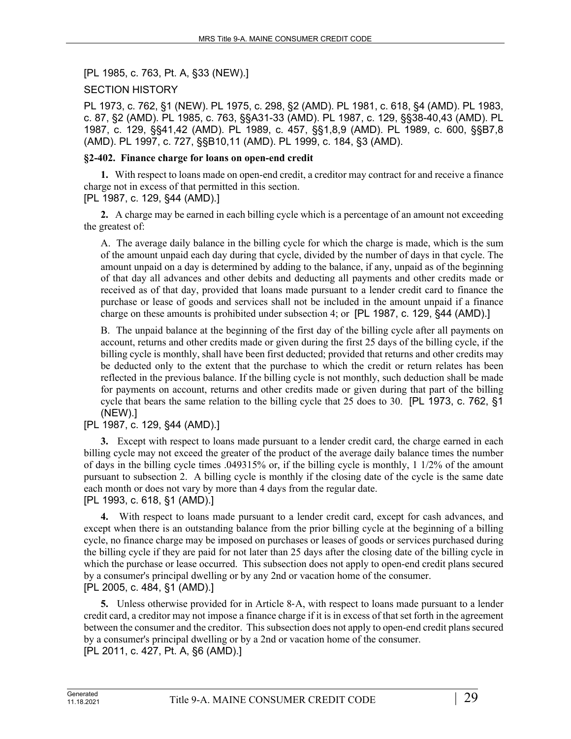[PL 1985, c. 763, Pt. A, §33 (NEW).]

# SECTION HISTORY

PL 1973, c. 762, §1 (NEW). PL 1975, c. 298, §2 (AMD). PL 1981, c. 618, §4 (AMD). PL 1983, c. 87, §2 (AMD). PL 1985, c. 763, §§A31-33 (AMD). PL 1987, c. 129, §§38-40,43 (AMD). PL 1987, c. 129, §§41,42 (AMD). PL 1989, c. 457, §§1,8,9 (AMD). PL 1989, c. 600, §§B7,8 (AMD). PL 1997, c. 727, §§B10,11 (AMD). PL 1999, c. 184, §3 (AMD).

### **§2-402. Finance charge for loans on open-end credit**

**1.** With respect to loans made on open-end credit, a creditor may contract for and receive a finance charge not in excess of that permitted in this section.

[PL 1987, c. 129, §44 (AMD).]

**2.** A charge may be earned in each billing cycle which is a percentage of an amount not exceeding the greatest of:

A. The average daily balance in the billing cycle for which the charge is made, which is the sum of the amount unpaid each day during that cycle, divided by the number of days in that cycle. The amount unpaid on a day is determined by adding to the balance, if any, unpaid as of the beginning of that day all advances and other debits and deducting all payments and other credits made or received as of that day, provided that loans made pursuant to a lender credit card to finance the purchase or lease of goods and services shall not be included in the amount unpaid if a finance charge on these amounts is prohibited under subsection 4; or [PL 1987, c. 129, §44 (AMD).]

B. The unpaid balance at the beginning of the first day of the billing cycle after all payments on account, returns and other credits made or given during the first 25 days of the billing cycle, if the billing cycle is monthly, shall have been first deducted; provided that returns and other credits may be deducted only to the extent that the purchase to which the credit or return relates has been reflected in the previous balance. If the billing cycle is not monthly, such deduction shall be made for payments on account, returns and other credits made or given during that part of the billing cycle that bears the same relation to the billing cycle that 25 does to 30. [PL 1973, c. 762, §1 (NEW).]

# [PL 1987, c. 129, §44 (AMD).]

**3.** Except with respect to loans made pursuant to a lender credit card, the charge earned in each billing cycle may not exceed the greater of the product of the average daily balance times the number of days in the billing cycle times .049315% or, if the billing cycle is monthly, 1 1/2% of the amount pursuant to subsection 2. A billing cycle is monthly if the closing date of the cycle is the same date each month or does not vary by more than 4 days from the regular date. [PL 1993, c. 618, §1 (AMD).]

**4.** With respect to loans made pursuant to a lender credit card, except for cash advances, and except when there is an outstanding balance from the prior billing cycle at the beginning of a billing cycle, no finance charge may be imposed on purchases or leases of goods or services purchased during the billing cycle if they are paid for not later than 25 days after the closing date of the billing cycle in which the purchase or lease occurred. This subsection does not apply to open-end credit plans secured by a consumer's principal dwelling or by any 2nd or vacation home of the consumer. [PL 2005, c. 484, §1 (AMD).]

**5.** Unless otherwise provided for in Article 8‑A, with respect to loans made pursuant to a lender credit card, a creditor may not impose a finance charge if it is in excess of that set forth in the agreement between the consumer and the creditor. This subsection does not apply to open-end credit plans secured by a consumer's principal dwelling or by a 2nd or vacation home of the consumer. [PL 2011, c. 427, Pt. A, §6 (AMD).]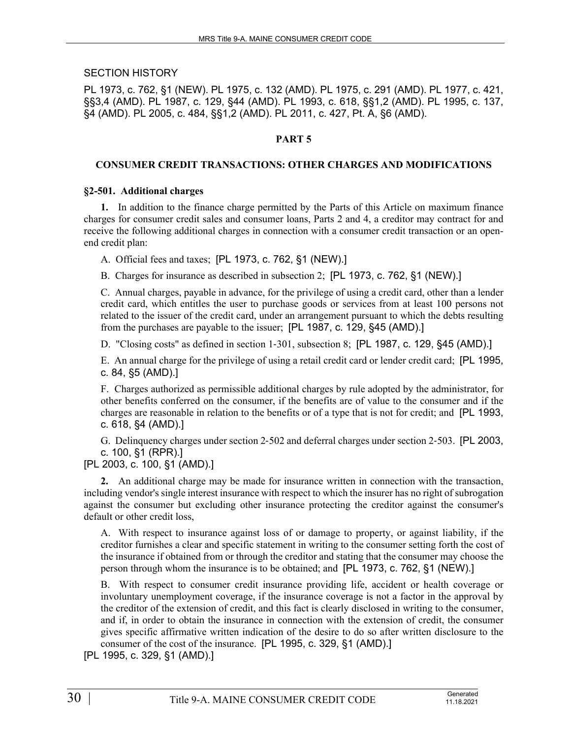### SECTION HISTORY

PL 1973, c. 762, §1 (NEW). PL 1975, c. 132 (AMD). PL 1975, c. 291 (AMD). PL 1977, c. 421, §§3,4 (AMD). PL 1987, c. 129, §44 (AMD). PL 1993, c. 618, §§1,2 (AMD). PL 1995, c. 137, §4 (AMD). PL 2005, c. 484, §§1,2 (AMD). PL 2011, c. 427, Pt. A, §6 (AMD).

### **PART 5**

#### **CONSUMER CREDIT TRANSACTIONS: OTHER CHARGES AND MODIFICATIONS**

#### **§2-501. Additional charges**

**1.** In addition to the finance charge permitted by the Parts of this Article on maximum finance charges for consumer credit sales and consumer loans, Parts 2 and 4, a creditor may contract for and receive the following additional charges in connection with a consumer credit transaction or an openend credit plan:

A. Official fees and taxes; [PL 1973, c. 762, §1 (NEW).]

B. Charges for insurance as described in subsection 2; [PL 1973, c. 762, §1 (NEW).]

C. Annual charges, payable in advance, for the privilege of using a credit card, other than a lender credit card, which entitles the user to purchase goods or services from at least 100 persons not related to the issuer of the credit card, under an arrangement pursuant to which the debts resulting from the purchases are payable to the issuer; [PL 1987, c. 129, §45 (AMD).]

D. "Closing costs" as defined in section 1-301, subsection 8; [PL 1987, c. 129, §45 (AMD).]

E. An annual charge for the privilege of using a retail credit card or lender credit card; [PL 1995, c. 84, §5 (AMD).]

F. Charges authorized as permissible additional charges by rule adopted by the administrator, for other benefits conferred on the consumer, if the benefits are of value to the consumer and if the charges are reasonable in relation to the benefits or of a type that is not for credit; and [PL 1993, c. 618, §4 (AMD).]

G. Delinquency charges under section 2‑502 and deferral charges under section 2‑503. [PL 2003, c. 100, §1 (RPR).]

[PL 2003, c. 100, §1 (AMD).]

**2.** An additional charge may be made for insurance written in connection with the transaction, including vendor's single interest insurance with respect to which the insurer has no right of subrogation against the consumer but excluding other insurance protecting the creditor against the consumer's default or other credit loss,

A. With respect to insurance against loss of or damage to property, or against liability, if the creditor furnishes a clear and specific statement in writing to the consumer setting forth the cost of the insurance if obtained from or through the creditor and stating that the consumer may choose the person through whom the insurance is to be obtained; and [PL 1973, c. 762, §1 (NEW).]

B. With respect to consumer credit insurance providing life, accident or health coverage or involuntary unemployment coverage, if the insurance coverage is not a factor in the approval by the creditor of the extension of credit, and this fact is clearly disclosed in writing to the consumer, and if, in order to obtain the insurance in connection with the extension of credit, the consumer gives specific affirmative written indication of the desire to do so after written disclosure to the consumer of the cost of the insurance. [PL 1995, c. 329, §1 (AMD).]

[PL 1995, c. 329, §1 (AMD).]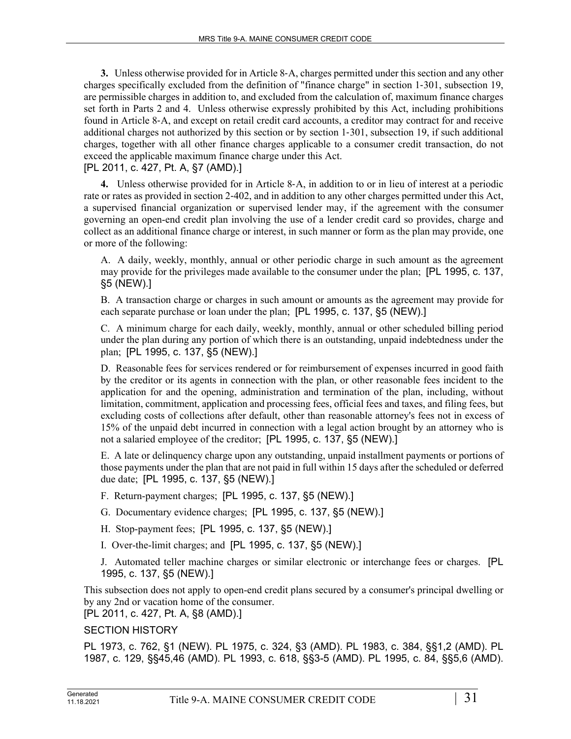**3.** Unless otherwise provided for in Article 8‑A, charges permitted under this section and any other charges specifically excluded from the definition of "finance charge" in section 1–301, subsection 19, are permissible charges in addition to, and excluded from the calculation of, maximum finance charges set forth in Parts 2 and 4. Unless otherwise expressly prohibited by this Act, including prohibitions found in Article 8‑A, and except on retail credit card accounts, a creditor may contract for and receive additional charges not authorized by this section or by section 1‑301, subsection 19, if such additional charges, together with all other finance charges applicable to a consumer credit transaction, do not exceed the applicable maximum finance charge under this Act.

[PL 2011, c. 427, Pt. A, §7 (AMD).]

**4.** Unless otherwise provided for in Article 8‑A, in addition to or in lieu of interest at a periodic rate or rates as provided in section 2‑402, and in addition to any other charges permitted under this Act, a supervised financial organization or supervised lender may, if the agreement with the consumer governing an open-end credit plan involving the use of a lender credit card so provides, charge and collect as an additional finance charge or interest, in such manner or form as the plan may provide, one or more of the following:

A. A daily, weekly, monthly, annual or other periodic charge in such amount as the agreement may provide for the privileges made available to the consumer under the plan; [PL 1995, c. 137, §5 (NEW).]

B. A transaction charge or charges in such amount or amounts as the agreement may provide for each separate purchase or loan under the plan; [PL 1995, c. 137, §5 (NEW).]

C. A minimum charge for each daily, weekly, monthly, annual or other scheduled billing period under the plan during any portion of which there is an outstanding, unpaid indebtedness under the plan; [PL 1995, c. 137, §5 (NEW).]

D. Reasonable fees for services rendered or for reimbursement of expenses incurred in good faith by the creditor or its agents in connection with the plan, or other reasonable fees incident to the application for and the opening, administration and termination of the plan, including, without limitation, commitment, application and processing fees, official fees and taxes, and filing fees, but excluding costs of collections after default, other than reasonable attorney's fees not in excess of 15% of the unpaid debt incurred in connection with a legal action brought by an attorney who is not a salaried employee of the creditor; [PL 1995, c. 137, §5 (NEW).]

E. A late or delinquency charge upon any outstanding, unpaid installment payments or portions of those payments under the plan that are not paid in full within 15 days after the scheduled or deferred due date; [PL 1995, c. 137, §5 (NEW).]

- F. Return-payment charges; [PL 1995, c. 137, §5 (NEW).]
- G. Documentary evidence charges; [PL 1995, c. 137, §5 (NEW).]
- H. Stop-payment fees; [PL 1995, c. 137, §5 (NEW).]
- I. Over-the-limit charges; and [PL 1995, c. 137, §5 (NEW).]

J. Automated teller machine charges or similar electronic or interchange fees or charges. [PL 1995, c. 137, §5 (NEW).]

This subsection does not apply to open-end credit plans secured by a consumer's principal dwelling or by any 2nd or vacation home of the consumer.

[PL 2011, c. 427, Pt. A, §8 (AMD).]

# SECTION HISTORY

PL 1973, c. 762, §1 (NEW). PL 1975, c. 324, §3 (AMD). PL 1983, c. 384, §§1,2 (AMD). PL 1987, c. 129, §§45,46 (AMD). PL 1993, c. 618, §§3-5 (AMD). PL 1995, c. 84, §§5,6 (AMD).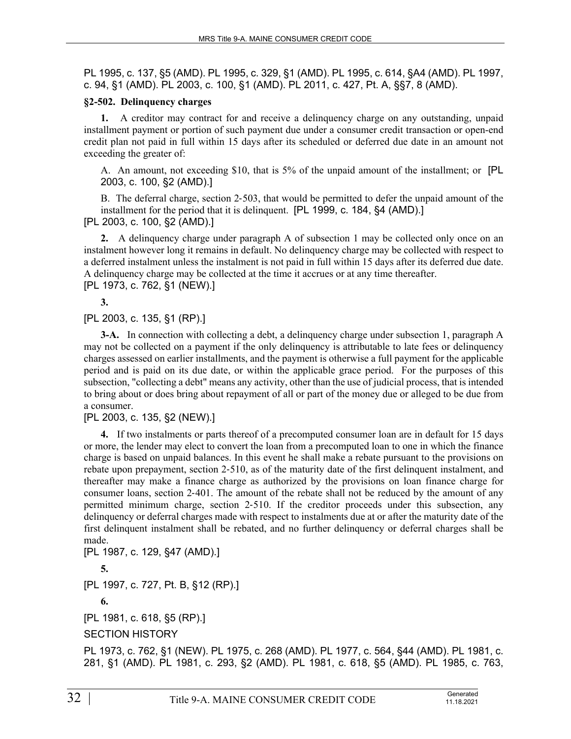PL 1995, c. 137, §5 (AMD). PL 1995, c. 329, §1 (AMD). PL 1995, c. 614, §A4 (AMD). PL 1997, c. 94, §1 (AMD). PL 2003, c. 100, §1 (AMD). PL 2011, c. 427, Pt. A, §§7, 8 (AMD).

#### **§2-502. Delinquency charges**

**1.** A creditor may contract for and receive a delinquency charge on any outstanding, unpaid installment payment or portion of such payment due under a consumer credit transaction or open-end credit plan not paid in full within 15 days after its scheduled or deferred due date in an amount not exceeding the greater of:

A. An amount, not exceeding \$10, that is 5% of the unpaid amount of the installment; or [PL 2003, c. 100, §2 (AMD).]

B. The deferral charge, section 2‑503, that would be permitted to defer the unpaid amount of the installment for the period that it is delinquent. [PL 1999, c. 184, §4 (AMD).] [PL 2003, c. 100, §2 (AMD).]

**2.** A delinquency charge under paragraph A of subsection 1 may be collected only once on an instalment however long it remains in default. No delinquency charge may be collected with respect to a deferred instalment unless the instalment is not paid in full within 15 days after its deferred due date. A delinquency charge may be collected at the time it accrues or at any time thereafter. [PL 1973, c. 762, §1 (NEW).]

**3.** 

[PL 2003, c. 135, §1 (RP).]

**3-A.** In connection with collecting a debt, a delinquency charge under subsection 1, paragraph A may not be collected on a payment if the only delinquency is attributable to late fees or delinquency charges assessed on earlier installments, and the payment is otherwise a full payment for the applicable period and is paid on its due date, or within the applicable grace period. For the purposes of this subsection, "collecting a debt" means any activity, other than the use of judicial process, that is intended to bring about or does bring about repayment of all or part of the money due or alleged to be due from a consumer.

[PL 2003, c. 135, §2 (NEW).]

**4.** If two instalments or parts thereof of a precomputed consumer loan are in default for 15 days or more, the lender may elect to convert the loan from a precomputed loan to one in which the finance charge is based on unpaid balances. In this event he shall make a rebate pursuant to the provisions on rebate upon prepayment, section 2‑510, as of the maturity date of the first delinquent instalment, and thereafter may make a finance charge as authorized by the provisions on loan finance charge for consumer loans, section 2‑401. The amount of the rebate shall not be reduced by the amount of any permitted minimum charge, section 2‑510. If the creditor proceeds under this subsection, any delinquency or deferral charges made with respect to instalments due at or after the maturity date of the first delinquent instalment shall be rebated, and no further delinquency or deferral charges shall be made.

[PL 1987, c. 129, §47 (AMD).] **5.**  [PL 1997, c. 727, Pt. B, §12 (RP).] **6.**  [PL 1981, c. 618, §5 (RP).] SECTION HISTORY

PL 1973, c. 762, §1 (NEW). PL 1975, c. 268 (AMD). PL 1977, c. 564, §44 (AMD). PL 1981, c. 281, §1 (AMD). PL 1981, c. 293, §2 (AMD). PL 1981, c. 618, §5 (AMD). PL 1985, c. 763,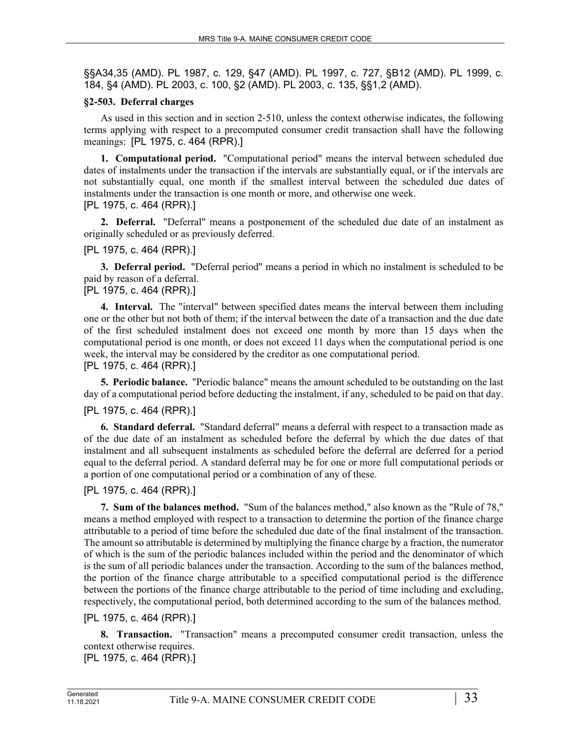§§A34,35 (AMD). PL 1987, c. 129, §47 (AMD). PL 1997, c. 727, §B12 (AMD). PL 1999, c. 184, §4 (AMD). PL 2003, c. 100, §2 (AMD). PL 2003, c. 135, §§1,2 (AMD).

# **§2-503. Deferral charges**

As used in this section and in section 2‑510, unless the context otherwise indicates, the following terms applying with respect to a precomputed consumer credit transaction shall have the following meanings: [PL 1975, c. 464 (RPR).]

**1. Computational period.** "Computational period" means the interval between scheduled due dates of instalments under the transaction if the intervals are substantially equal, or if the intervals are not substantially equal, one month if the smallest interval between the scheduled due dates of instalments under the transaction is one month or more, and otherwise one week. [PL 1975, c. 464 (RPR).]

**2. Deferral.** "Deferral" means a postponement of the scheduled due date of an instalment as originally scheduled or as previously deferred.

# [PL 1975, c. 464 (RPR).]

**3. Deferral period.** "Deferral period" means a period in which no instalment is scheduled to be paid by reason of a deferral.

# [PL 1975, c. 464 (RPR).]

**4. Interval.** The "interval" between specified dates means the interval between them including one or the other but not both of them; if the interval between the date of a transaction and the due date of the first scheduled instalment does not exceed one month by more than 15 days when the computational period is one month, or does not exceed 11 days when the computational period is one week, the interval may be considered by the creditor as one computational period. [PL 1975, c. 464 (RPR).]

**5. Periodic balance.** "Periodic balance" means the amount scheduled to be outstanding on the last day of a computational period before deducting the instalment, if any, scheduled to be paid on that day.

# [PL 1975, c. 464 (RPR).]

**6. Standard deferral.** "Standard deferral" means a deferral with respect to a transaction made as of the due date of an instalment as scheduled before the deferral by which the due dates of that instalment and all subsequent instalments as scheduled before the deferral are deferred for a period equal to the deferral period. A standard deferral may be for one or more full computational periods or a portion of one computational period or a combination of any of these.

# [PL 1975, c. 464 (RPR).]

**7. Sum of the balances method.** "Sum of the balances method," also known as the "Rule of 78," means a method employed with respect to a transaction to determine the portion of the finance charge attributable to a period of time before the scheduled due date of the final instalment of the transaction. The amount so attributable is determined by multiplying the finance charge by a fraction, the numerator of which is the sum of the periodic balances included within the period and the denominator of which is the sum of all periodic balances under the transaction. According to the sum of the balances method, the portion of the finance charge attributable to a specified computational period is the difference between the portions of the finance charge attributable to the period of time including and excluding, respectively, the computational period, both determined according to the sum of the balances method.

# [PL 1975, c. 464 (RPR).]

**8. Transaction.** "Transaction" means a precomputed consumer credit transaction, unless the context otherwise requires. [PL 1975, c. 464 (RPR).]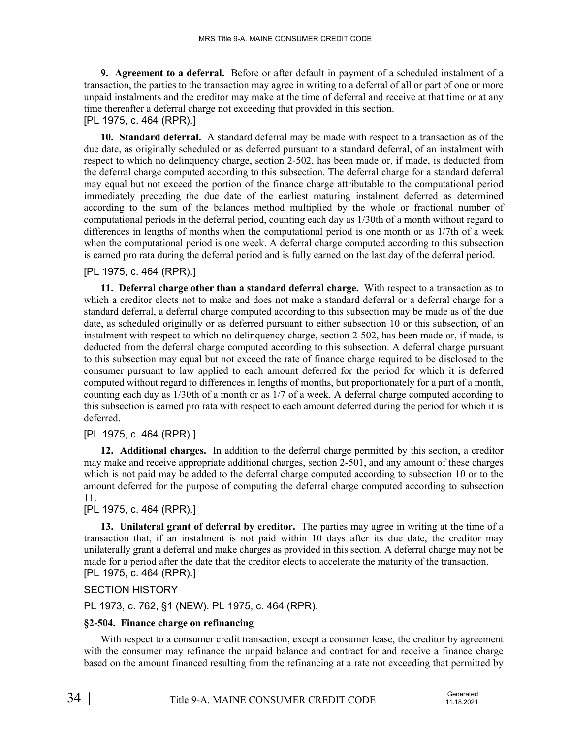**9. Agreement to a deferral.** Before or after default in payment of a scheduled instalment of a transaction, the parties to the transaction may agree in writing to a deferral of all or part of one or more unpaid instalments and the creditor may make at the time of deferral and receive at that time or at any time thereafter a deferral charge not exceeding that provided in this section. [PL 1975, c. 464 (RPR).]

**10. Standard deferral.** A standard deferral may be made with respect to a transaction as of the due date, as originally scheduled or as deferred pursuant to a standard deferral, of an instalment with respect to which no delinquency charge, section 2‑502, has been made or, if made, is deducted from the deferral charge computed according to this subsection. The deferral charge for a standard deferral may equal but not exceed the portion of the finance charge attributable to the computational period immediately preceding the due date of the earliest maturing instalment deferred as determined according to the sum of the balances method multiplied by the whole or fractional number of computational periods in the deferral period, counting each day as 1/30th of a month without regard to differences in lengths of months when the computational period is one month or as 1/7th of a week when the computational period is one week. A deferral charge computed according to this subsection is earned pro rata during the deferral period and is fully earned on the last day of the deferral period.

# [PL 1975, c. 464 (RPR).]

**11. Deferral charge other than a standard deferral charge.** With respect to a transaction as to which a creditor elects not to make and does not make a standard deferral or a deferral charge for a standard deferral, a deferral charge computed according to this subsection may be made as of the due date, as scheduled originally or as deferred pursuant to either subsection 10 or this subsection, of an instalment with respect to which no delinquency charge, section 2-502, has been made or, if made, is deducted from the deferral charge computed according to this subsection. A deferral charge pursuant to this subsection may equal but not exceed the rate of finance charge required to be disclosed to the consumer pursuant to law applied to each amount deferred for the period for which it is deferred computed without regard to differences in lengths of months, but proportionately for a part of a month, counting each day as 1/30th of a month or as 1/7 of a week. A deferral charge computed according to this subsection is earned pro rata with respect to each amount deferred during the period for which it is deferred.

# [PL 1975, c. 464 (RPR).]

**12. Additional charges.** In addition to the deferral charge permitted by this section, a creditor may make and receive appropriate additional charges, section 2-501, and any amount of these charges which is not paid may be added to the deferral charge computed according to subsection 10 or to the amount deferred for the purpose of computing the deferral charge computed according to subsection 11.

# [PL 1975, c. 464 (RPR).]

**13. Unilateral grant of deferral by creditor.** The parties may agree in writing at the time of a transaction that, if an instalment is not paid within 10 days after its due date, the creditor may unilaterally grant a deferral and make charges as provided in this section. A deferral charge may not be made for a period after the date that the creditor elects to accelerate the maturity of the transaction. [PL 1975, c. 464 (RPR).]

# SECTION HISTORY

PL 1973, c. 762, §1 (NEW). PL 1975, c. 464 (RPR).

# **§2-504. Finance charge on refinancing**

With respect to a consumer credit transaction, except a consumer lease, the creditor by agreement with the consumer may refinance the unpaid balance and contract for and receive a finance charge based on the amount financed resulting from the refinancing at a rate not exceeding that permitted by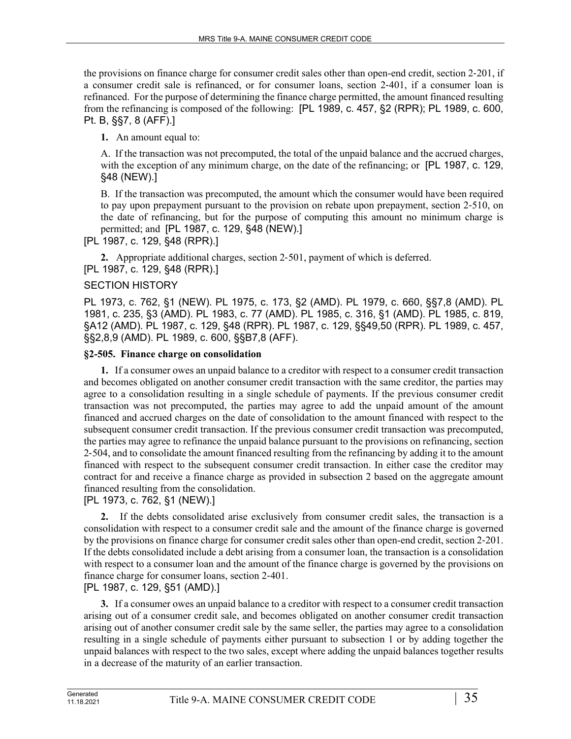the provisions on finance charge for consumer credit sales other than open-end credit, section 2‑201, if a consumer credit sale is refinanced, or for consumer loans, section 2‑401, if a consumer loan is refinanced. For the purpose of determining the finance charge permitted, the amount financed resulting from the refinancing is composed of the following: [PL 1989, c. 457, §2 (RPR); PL 1989, c. 600, Pt. B, §§7, 8 (AFF).]

**1.** An amount equal to:

A. If the transaction was not precomputed, the total of the unpaid balance and the accrued charges, with the exception of any minimum charge, on the date of the refinancing; or [PL 1987, c. 129, §48 (NEW).]

B. If the transaction was precomputed, the amount which the consumer would have been required to pay upon prepayment pursuant to the provision on rebate upon prepayment, section 2-510, on the date of refinancing, but for the purpose of computing this amount no minimum charge is permitted; and [PL 1987, c. 129, §48 (NEW).]

[PL 1987, c. 129, §48 (RPR).]

**2.** Appropriate additional charges, section 2‑501, payment of which is deferred. [PL 1987, c. 129, §48 (RPR).]

# SECTION HISTORY

PL 1973, c. 762, §1 (NEW). PL 1975, c. 173, §2 (AMD). PL 1979, c. 660, §§7,8 (AMD). PL 1981, c. 235, §3 (AMD). PL 1983, c. 77 (AMD). PL 1985, c. 316, §1 (AMD). PL 1985, c. 819, §A12 (AMD). PL 1987, c. 129, §48 (RPR). PL 1987, c. 129, §§49,50 (RPR). PL 1989, c. 457, §§2,8,9 (AMD). PL 1989, c. 600, §§B7,8 (AFF).

# **§2-505. Finance charge on consolidation**

**1.** If a consumer owes an unpaid balance to a creditor with respect to a consumer credit transaction and becomes obligated on another consumer credit transaction with the same creditor, the parties may agree to a consolidation resulting in a single schedule of payments. If the previous consumer credit transaction was not precomputed, the parties may agree to add the unpaid amount of the amount financed and accrued charges on the date of consolidation to the amount financed with respect to the subsequent consumer credit transaction. If the previous consumer credit transaction was precomputed, the parties may agree to refinance the unpaid balance pursuant to the provisions on refinancing, section 2‑504, and to consolidate the amount financed resulting from the refinancing by adding it to the amount financed with respect to the subsequent consumer credit transaction. In either case the creditor may contract for and receive a finance charge as provided in subsection 2 based on the aggregate amount financed resulting from the consolidation.

[PL 1973, c. 762, §1 (NEW).]

**2.** If the debts consolidated arise exclusively from consumer credit sales, the transaction is a consolidation with respect to a consumer credit sale and the amount of the finance charge is governed by the provisions on finance charge for consumer credit sales other than open-end credit, section 2‑201. If the debts consolidated include a debt arising from a consumer loan, the transaction is a consolidation with respect to a consumer loan and the amount of the finance charge is governed by the provisions on finance charge for consumer loans, section 2‑401.

[PL 1987, c. 129, §51 (AMD).]

**3.** If a consumer owes an unpaid balance to a creditor with respect to a consumer credit transaction arising out of a consumer credit sale, and becomes obligated on another consumer credit transaction arising out of another consumer credit sale by the same seller, the parties may agree to a consolidation resulting in a single schedule of payments either pursuant to subsection 1 or by adding together the unpaid balances with respect to the two sales, except where adding the unpaid balances together results in a decrease of the maturity of an earlier transaction.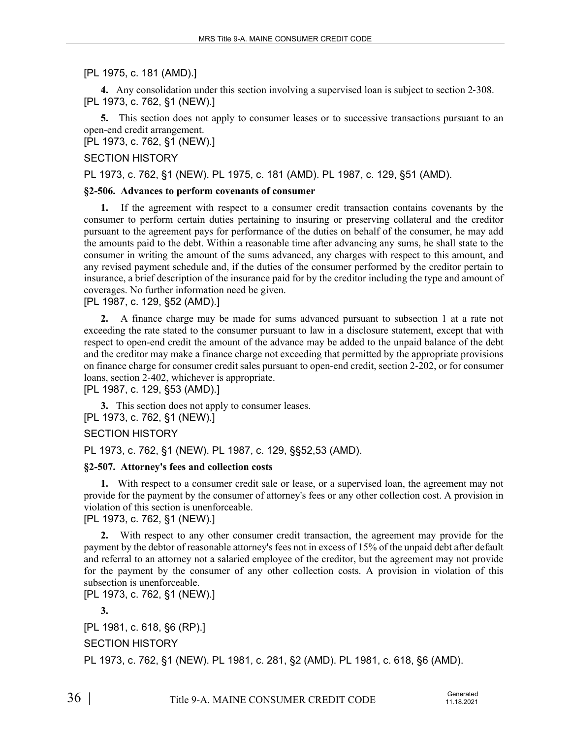### [PL 1975, c. 181 (AMD).]

**4.** Any consolidation under this section involving a supervised loan is subject to section 2–308. [PL 1973, c. 762, §1 (NEW).]

**5.** This section does not apply to consumer leases or to successive transactions pursuant to an open-end credit arrangement.

[PL 1973, c. 762, §1 (NEW).]

#### SECTION HISTORY

PL 1973, c. 762, §1 (NEW). PL 1975, c. 181 (AMD). PL 1987, c. 129, §51 (AMD).

#### **§2-506. Advances to perform covenants of consumer**

**1.** If the agreement with respect to a consumer credit transaction contains covenants by the consumer to perform certain duties pertaining to insuring or preserving collateral and the creditor pursuant to the agreement pays for performance of the duties on behalf of the consumer, he may add the amounts paid to the debt. Within a reasonable time after advancing any sums, he shall state to the consumer in writing the amount of the sums advanced, any charges with respect to this amount, and any revised payment schedule and, if the duties of the consumer performed by the creditor pertain to insurance, a brief description of the insurance paid for by the creditor including the type and amount of coverages. No further information need be given.

[PL 1987, c. 129, §52 (AMD).]

**2.** A finance charge may be made for sums advanced pursuant to subsection 1 at a rate not exceeding the rate stated to the consumer pursuant to law in a disclosure statement, except that with respect to open-end credit the amount of the advance may be added to the unpaid balance of the debt and the creditor may make a finance charge not exceeding that permitted by the appropriate provisions on finance charge for consumer credit sales pursuant to open-end credit, section 2‑202, or for consumer loans, section 2-402, whichever is appropriate.

[PL 1987, c. 129, §53 (AMD).]

**3.** This section does not apply to consumer leases. [PL 1973, c. 762, §1 (NEW).]

SECTION HISTORY

PL 1973, c. 762, §1 (NEW). PL 1987, c. 129, §§52,53 (AMD).

#### **§2-507. Attorney's fees and collection costs**

**1.** With respect to a consumer credit sale or lease, or a supervised loan, the agreement may not provide for the payment by the consumer of attorney's fees or any other collection cost. A provision in violation of this section is unenforceable.

[PL 1973, c. 762, §1 (NEW).]

**2.** With respect to any other consumer credit transaction, the agreement may provide for the payment by the debtor of reasonable attorney's fees not in excess of 15% of the unpaid debt after default and referral to an attorney not a salaried employee of the creditor, but the agreement may not provide for the payment by the consumer of any other collection costs. A provision in violation of this subsection is unenforceable.

[PL 1973, c. 762, §1 (NEW).]

**3.** 

[PL 1981, c. 618, §6 (RP).]

SECTION HISTORY

PL 1973, c. 762, §1 (NEW). PL 1981, c. 281, §2 (AMD). PL 1981, c. 618, §6 (AMD).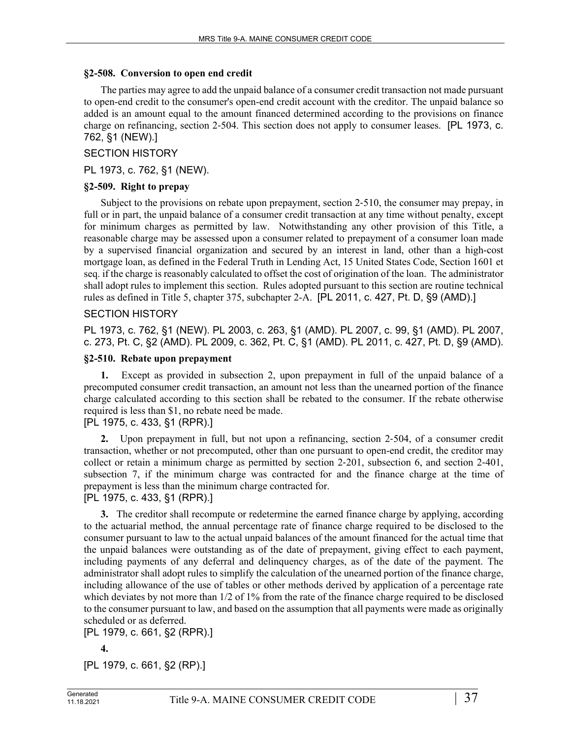## **§2-508. Conversion to open end credit**

The parties may agree to add the unpaid balance of a consumer credit transaction not made pursuant to open-end credit to the consumer's open-end credit account with the creditor. The unpaid balance so added is an amount equal to the amount financed determined according to the provisions on finance charge on refinancing, section 2–504. This section does not apply to consumer leases. [PL 1973, c. 762, §1 (NEW).]

## SECTION HISTORY

PL 1973, c. 762, §1 (NEW).

## **§2-509. Right to prepay**

Subject to the provisions on rebate upon prepayment, section 2‑510, the consumer may prepay, in full or in part, the unpaid balance of a consumer credit transaction at any time without penalty, except for minimum charges as permitted by law. Notwithstanding any other provision of this Title, a reasonable charge may be assessed upon a consumer related to prepayment of a consumer loan made by a supervised financial organization and secured by an interest in land, other than a high-cost mortgage loan, as defined in the Federal Truth in Lending Act, 15 United States Code, Section 1601 et seq. if the charge is reasonably calculated to offset the cost of origination of the loan. The administrator shall adopt rules to implement this section. Rules adopted pursuant to this section are routine technical rules as defined in Title 5, chapter 375, subchapter 2-A. [PL 2011, c. 427, Pt. D, §9 (AMD).]

## SECTION HISTORY

PL 1973, c. 762, §1 (NEW). PL 2003, c. 263, §1 (AMD). PL 2007, c. 99, §1 (AMD). PL 2007, c. 273, Pt. C, §2 (AMD). PL 2009, c. 362, Pt. C, §1 (AMD). PL 2011, c. 427, Pt. D, §9 (AMD).

## **§2-510. Rebate upon prepayment**

**1.** Except as provided in subsection 2, upon prepayment in full of the unpaid balance of a precomputed consumer credit transaction, an amount not less than the unearned portion of the finance charge calculated according to this section shall be rebated to the consumer. If the rebate otherwise required is less than \$1, no rebate need be made.

## [PL 1975, c. 433, §1 (RPR).]

**2.** Upon prepayment in full, but not upon a refinancing, section 2‑504, of a consumer credit transaction, whether or not precomputed, other than one pursuant to open-end credit, the creditor may collect or retain a minimum charge as permitted by section 2‑201, subsection 6, and section 2‑401, subsection 7, if the minimum charge was contracted for and the finance charge at the time of prepayment is less than the minimum charge contracted for.

# [PL 1975, c. 433, §1 (RPR).]

**3.** The creditor shall recompute or redetermine the earned finance charge by applying, according to the actuarial method, the annual percentage rate of finance charge required to be disclosed to the consumer pursuant to law to the actual unpaid balances of the amount financed for the actual time that the unpaid balances were outstanding as of the date of prepayment, giving effect to each payment, including payments of any deferral and delinquency charges, as of the date of the payment. The administrator shall adopt rules to simplify the calculation of the unearned portion of the finance charge, including allowance of the use of tables or other methods derived by application of a percentage rate which deviates by not more than  $1/2$  of  $1\%$  from the rate of the finance charge required to be disclosed to the consumer pursuant to law, and based on the assumption that all payments were made as originally scheduled or as deferred.

[PL 1979, c. 661, §2 (RPR).]

**4.** 

[PL 1979, c. 661, §2 (RP).]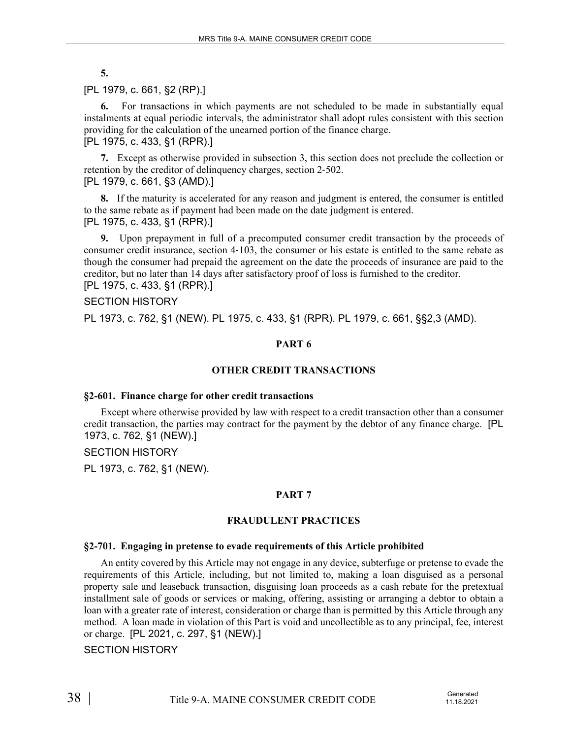**5.** 

# [PL 1979, c. 661, §2 (RP).]

**6.** For transactions in which payments are not scheduled to be made in substantially equal instalments at equal periodic intervals, the administrator shall adopt rules consistent with this section providing for the calculation of the unearned portion of the finance charge. [PL 1975, c. 433, §1 (RPR).]

**7.** Except as otherwise provided in subsection 3, this section does not preclude the collection or retention by the creditor of delinguency charges, section 2–502. [PL 1979, c. 661, §3 (AMD).]

**8.** If the maturity is accelerated for any reason and judgment is entered, the consumer is entitled to the same rebate as if payment had been made on the date judgment is entered. [PL 1975, c. 433, §1 (RPR).]

**9.** Upon prepayment in full of a precomputed consumer credit transaction by the proceeds of consumer credit insurance, section 4‑103, the consumer or his estate is entitled to the same rebate as though the consumer had prepaid the agreement on the date the proceeds of insurance are paid to the creditor, but no later than 14 days after satisfactory proof of loss is furnished to the creditor. [PL 1975, c. 433, §1 (RPR).]

## SECTION HISTORY

PL 1973, c. 762, §1 (NEW). PL 1975, c. 433, §1 (RPR). PL 1979, c. 661, §§2,3 (AMD).

# **PART 6**

# **OTHER CREDIT TRANSACTIONS**

## **§2-601. Finance charge for other credit transactions**

Except where otherwise provided by law with respect to a credit transaction other than a consumer credit transaction, the parties may contract for the payment by the debtor of any finance charge. [PL 1973, c. 762, §1 (NEW).]

## SECTION HISTORY

PL 1973, c. 762, §1 (NEW).

# **PART 7**

## **FRAUDULENT PRACTICES**

## **§2-701. Engaging in pretense to evade requirements of this Article prohibited**

An entity covered by this Article may not engage in any device, subterfuge or pretense to evade the requirements of this Article, including, but not limited to, making a loan disguised as a personal property sale and leaseback transaction, disguising loan proceeds as a cash rebate for the pretextual installment sale of goods or services or making, offering, assisting or arranging a debtor to obtain a loan with a greater rate of interest, consideration or charge than is permitted by this Article through any method. A loan made in violation of this Part is void and uncollectible as to any principal, fee, interest or charge. [PL 2021, c. 297, §1 (NEW).]

# SECTION HISTORY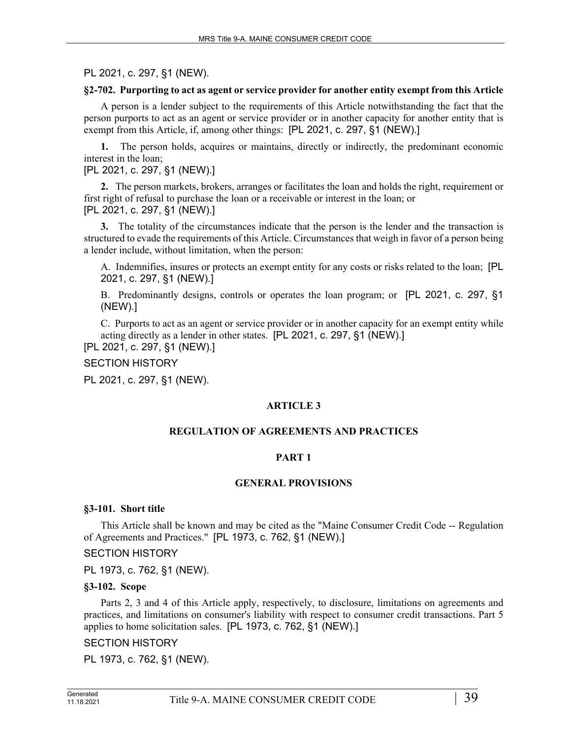PL 2021, c. 297, §1 (NEW).

## **§2-702. Purporting to act as agent or service provider for another entity exempt from this Article**

A person is a lender subject to the requirements of this Article notwithstanding the fact that the person purports to act as an agent or service provider or in another capacity for another entity that is exempt from this Article, if, among other things: [PL 2021, c. 297, §1 (NEW).]

**1.** The person holds, acquires or maintains, directly or indirectly, the predominant economic interest in the loan;

## [PL 2021, c. 297, §1 (NEW).]

**2.** The person markets, brokers, arranges or facilitates the loan and holds the right, requirement or first right of refusal to purchase the loan or a receivable or interest in the loan; or [PL 2021, c. 297, §1 (NEW).]

**3.** The totality of the circumstances indicate that the person is the lender and the transaction is structured to evade the requirements of this Article. Circumstances that weigh in favor of a person being a lender include, without limitation, when the person:

A. Indemnifies, insures or protects an exempt entity for any costs or risks related to the loan; [PL 2021, c. 297, §1 (NEW).]

B. Predominantly designs, controls or operates the loan program; or [PL 2021, c. 297, §1 (NEW).]

C. Purports to act as an agent or service provider or in another capacity for an exempt entity while acting directly as a lender in other states. [PL 2021, c. 297, §1 (NEW).]

[PL 2021, c. 297, §1 (NEW).]

SECTION HISTORY

PL 2021, c. 297, §1 (NEW).

# **ARTICLE 3**

# **REGULATION OF AGREEMENTS AND PRACTICES**

# **PART 1**

## **GENERAL PROVISIONS**

## **§3-101. Short title**

This Article shall be known and may be cited as the "Maine Consumer Credit Code -- Regulation of Agreements and Practices." [PL 1973, c. 762, §1 (NEW).]

## SECTION HISTORY

PL 1973, c. 762, §1 (NEW).

## **§3-102. Scope**

Parts 2, 3 and 4 of this Article apply, respectively, to disclosure, limitations on agreements and practices, and limitations on consumer's liability with respect to consumer credit transactions. Part 5 applies to home solicitation sales. [PL 1973, c. 762, §1 (NEW).]

## SECTION HISTORY

PL 1973, c. 762, §1 (NEW).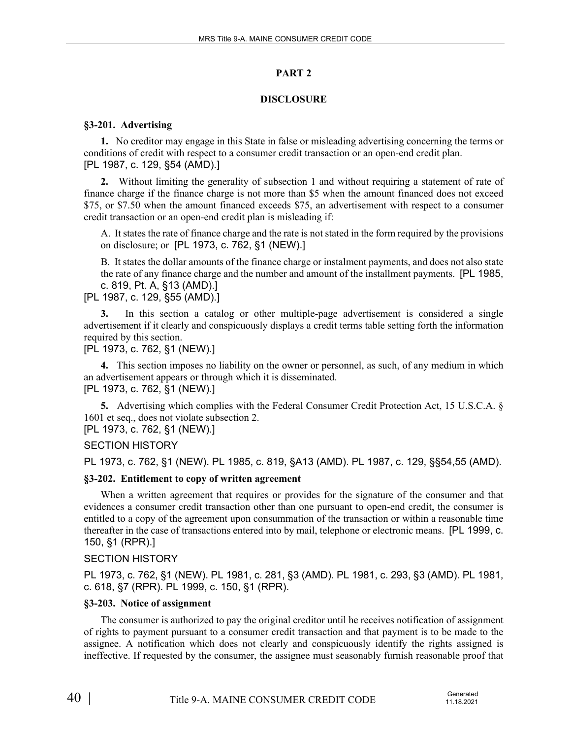## **PART 2**

## **DISCLOSURE**

## **§3-201. Advertising**

**1.** No creditor may engage in this State in false or misleading advertising concerning the terms or conditions of credit with respect to a consumer credit transaction or an open-end credit plan. [PL 1987, c. 129, §54 (AMD).]

**2.** Without limiting the generality of subsection 1 and without requiring a statement of rate of finance charge if the finance charge is not more than \$5 when the amount financed does not exceed \$75, or \$7.50 when the amount financed exceeds \$75, an advertisement with respect to a consumer credit transaction or an open-end credit plan is misleading if:

A. It states the rate of finance charge and the rate is not stated in the form required by the provisions on disclosure; or [PL 1973, c. 762, §1 (NEW).]

B. It states the dollar amounts of the finance charge or instalment payments, and does not also state the rate of any finance charge and the number and amount of the installment payments. [PL 1985, c. 819, Pt. A, §13 (AMD).]

# [PL 1987, c. 129, §55 (AMD).]

**3.** In this section a catalog or other multiple-page advertisement is considered a single advertisement if it clearly and conspicuously displays a credit terms table setting forth the information required by this section.

## [PL 1973, c. 762, §1 (NEW).]

**4.** This section imposes no liability on the owner or personnel, as such, of any medium in which an advertisement appears or through which it is disseminated. [PL 1973, c. 762, §1 (NEW).]

**5.** Advertising which complies with the Federal Consumer Credit Protection Act, 15 U.S.C.A. § 1601 et seq., does not violate subsection 2.

[PL 1973, c. 762, §1 (NEW).]

# SECTION HISTORY

PL 1973, c. 762, §1 (NEW). PL 1985, c. 819, §A13 (AMD). PL 1987, c. 129, §§54,55 (AMD).

# **§3-202. Entitlement to copy of written agreement**

When a written agreement that requires or provides for the signature of the consumer and that evidences a consumer credit transaction other than one pursuant to open-end credit, the consumer is entitled to a copy of the agreement upon consummation of the transaction or within a reasonable time thereafter in the case of transactions entered into by mail, telephone or electronic means. [PL 1999, c. 150, §1 (RPR).]

# SECTION HISTORY

PL 1973, c. 762, §1 (NEW). PL 1981, c. 281, §3 (AMD). PL 1981, c. 293, §3 (AMD). PL 1981, c. 618, §7 (RPR). PL 1999, c. 150, §1 (RPR).

# **§3-203. Notice of assignment**

The consumer is authorized to pay the original creditor until he receives notification of assignment of rights to payment pursuant to a consumer credit transaction and that payment is to be made to the assignee. A notification which does not clearly and conspicuously identify the rights assigned is ineffective. If requested by the consumer, the assignee must seasonably furnish reasonable proof that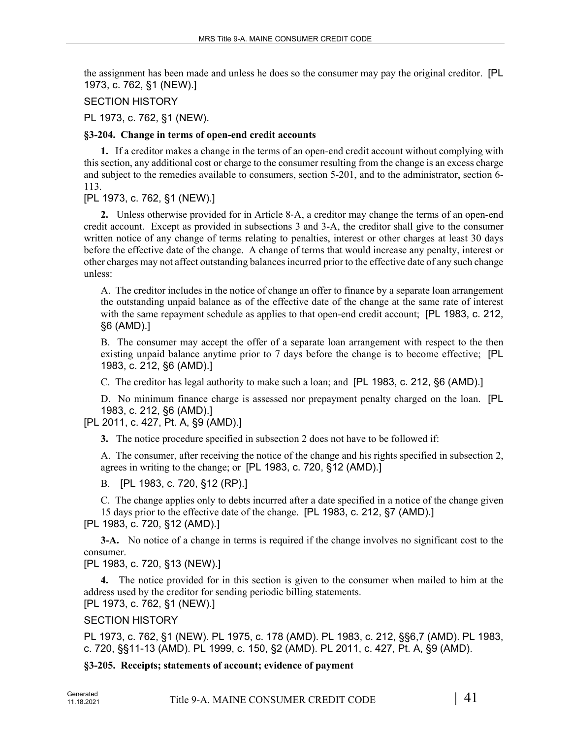the assignment has been made and unless he does so the consumer may pay the original creditor. [PL 1973, c. 762, §1 (NEW).]

## SECTION HISTORY

PL 1973, c. 762, §1 (NEW).

## **§3-204. Change in terms of open-end credit accounts**

**1.** If a creditor makes a change in the terms of an open-end credit account without complying with this section, any additional cost or charge to the consumer resulting from the change is an excess charge and subject to the remedies available to consumers, section 5-201, and to the administrator, section 6- 113.

[PL 1973, c. 762, §1 (NEW).]

**2.** Unless otherwise provided for in Article 8‑A, a creditor may change the terms of an open-end credit account. Except as provided in subsections 3 and 3-A, the creditor shall give to the consumer written notice of any change of terms relating to penalties, interest or other charges at least 30 days before the effective date of the change. A change of terms that would increase any penalty, interest or other charges may not affect outstanding balances incurred prior to the effective date of any such change unless:

A. The creditor includes in the notice of change an offer to finance by a separate loan arrangement the outstanding unpaid balance as of the effective date of the change at the same rate of interest with the same repayment schedule as applies to that open-end credit account; [PL 1983, c. 212, §6 (AMD).]

B. The consumer may accept the offer of a separate loan arrangement with respect to the then existing unpaid balance anytime prior to 7 days before the change is to become effective; [PL 1983, c. 212, §6 (AMD).]

C. The creditor has legal authority to make such a loan; and [PL 1983, c. 212, §6 (AMD).]

D. No minimum finance charge is assessed nor prepayment penalty charged on the loan. [PL 1983, c. 212, §6 (AMD).]

# [PL 2011, c. 427, Pt. A, §9 (AMD).]

**3.** The notice procedure specified in subsection 2 does not have to be followed if:

A. The consumer, after receiving the notice of the change and his rights specified in subsection 2, agrees in writing to the change; or [PL 1983, c. 720, §12 (AMD).]

B. [PL 1983, c. 720, §12 (RP).]

C. The change applies only to debts incurred after a date specified in a notice of the change given 15 days prior to the effective date of the change. [PL 1983, c. 212, §7 (AMD).] [PL 1983, c. 720, §12 (AMD).]

**3-A.** No notice of a change in terms is required if the change involves no significant cost to the consumer.

[PL 1983, c. 720, §13 (NEW).]

**4.** The notice provided for in this section is given to the consumer when mailed to him at the address used by the creditor for sending periodic billing statements. [PL 1973, c. 762, §1 (NEW).]

# SECTION HISTORY

PL 1973, c. 762, §1 (NEW). PL 1975, c. 178 (AMD). PL 1983, c. 212, §§6,7 (AMD). PL 1983, c. 720, §§11-13 (AMD). PL 1999, c. 150, §2 (AMD). PL 2011, c. 427, Pt. A, §9 (AMD).

**§3-205. Receipts; statements of account; evidence of payment**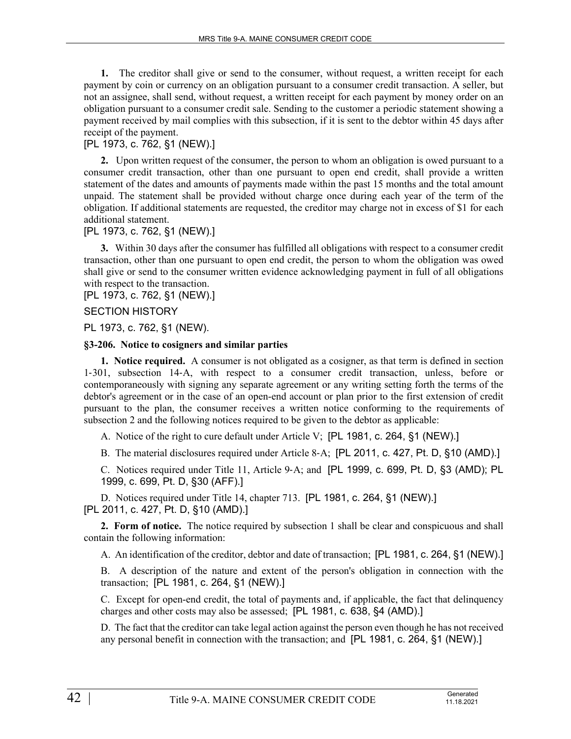**1.** The creditor shall give or send to the consumer, without request, a written receipt for each payment by coin or currency on an obligation pursuant to a consumer credit transaction. A seller, but not an assignee, shall send, without request, a written receipt for each payment by money order on an obligation pursuant to a consumer credit sale. Sending to the customer a periodic statement showing a payment received by mail complies with this subsection, if it is sent to the debtor within 45 days after receipt of the payment.

# [PL 1973, c. 762, §1 (NEW).]

**2.** Upon written request of the consumer, the person to whom an obligation is owed pursuant to a consumer credit transaction, other than one pursuant to open end credit, shall provide a written statement of the dates and amounts of payments made within the past 15 months and the total amount unpaid. The statement shall be provided without charge once during each year of the term of the obligation. If additional statements are requested, the creditor may charge not in excess of \$1 for each additional statement.

# [PL 1973, c. 762, §1 (NEW).]

**3.** Within 30 days after the consumer has fulfilled all obligations with respect to a consumer credit transaction, other than one pursuant to open end credit, the person to whom the obligation was owed shall give or send to the consumer written evidence acknowledging payment in full of all obligations with respect to the transaction.

[PL 1973, c. 762, §1 (NEW).]

## SECTION HISTORY

PL 1973, c. 762, §1 (NEW).

## **§3-206. Notice to cosigners and similar parties**

**1. Notice required.** A consumer is not obligated as a cosigner, as that term is defined in section 1‑301, subsection 14‑A, with respect to a consumer credit transaction, unless, before or contemporaneously with signing any separate agreement or any writing setting forth the terms of the debtor's agreement or in the case of an open-end account or plan prior to the first extension of credit pursuant to the plan, the consumer receives a written notice conforming to the requirements of subsection 2 and the following notices required to be given to the debtor as applicable:

A. Notice of the right to cure default under Article V; [PL 1981, c. 264, §1 (NEW).]

B. The material disclosures required under Article 8‑A; [PL 2011, c. 427, Pt. D, §10 (AMD).]

C. Notices required under Title 11, Article 9‑A; and [PL 1999, c. 699, Pt. D, §3 (AMD); PL 1999, c. 699, Pt. D, §30 (AFF).]

D. Notices required under Title 14, chapter 713. [PL 1981, c. 264, §1 (NEW).] [PL 2011, c. 427, Pt. D, §10 (AMD).]

**2. Form of notice.** The notice required by subsection 1 shall be clear and conspicuous and shall contain the following information:

A. An identification of the creditor, debtor and date of transaction; [PL 1981, c. 264, §1 (NEW).]

B. A description of the nature and extent of the person's obligation in connection with the transaction; [PL 1981, c. 264, §1 (NEW).]

C. Except for open-end credit, the total of payments and, if applicable, the fact that delinquency charges and other costs may also be assessed; [PL 1981, c. 638, §4 (AMD).]

D. The fact that the creditor can take legal action against the person even though he has not received any personal benefit in connection with the transaction; and [PL 1981, c. 264, §1 (NEW).]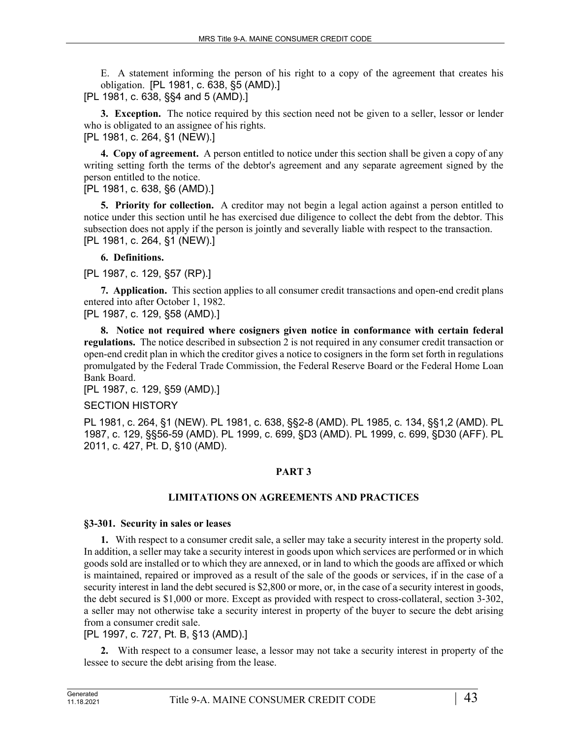E. A statement informing the person of his right to a copy of the agreement that creates his obligation. [PL 1981, c. 638, §5 (AMD).]

[PL 1981, c. 638, §§4 and 5 (AMD).]

**3. Exception.** The notice required by this section need not be given to a seller, lessor or lender who is obligated to an assignee of his rights.

[PL 1981, c. 264, §1 (NEW).]

**4. Copy of agreement.** A person entitled to notice under this section shall be given a copy of any writing setting forth the terms of the debtor's agreement and any separate agreement signed by the person entitled to the notice.

[PL 1981, c. 638, §6 (AMD).]

**5. Priority for collection.** A creditor may not begin a legal action against a person entitled to notice under this section until he has exercised due diligence to collect the debt from the debtor. This subsection does not apply if the person is jointly and severally liable with respect to the transaction. [PL 1981, c. 264, §1 (NEW).]

# **6. Definitions.**

[PL 1987, c. 129, §57 (RP).]

**7. Application.** This section applies to all consumer credit transactions and open-end credit plans entered into after October 1, 1982.

[PL 1987, c. 129, §58 (AMD).]

**8. Notice not required where cosigners given notice in conformance with certain federal regulations.** The notice described in subsection 2 is not required in any consumer credit transaction or open-end credit plan in which the creditor gives a notice to cosigners in the form set forth in regulations promulgated by the Federal Trade Commission, the Federal Reserve Board or the Federal Home Loan Bank Board.

[PL 1987, c. 129, §59 (AMD).]

# SECTION HISTORY

PL 1981, c. 264, §1 (NEW). PL 1981, c. 638, §§2-8 (AMD). PL 1985, c. 134, §§1,2 (AMD). PL 1987, c. 129, §§56-59 (AMD). PL 1999, c. 699, §D3 (AMD). PL 1999, c. 699, §D30 (AFF). PL 2011, c. 427, Pt. D, §10 (AMD).

# **PART 3**

# **LIMITATIONS ON AGREEMENTS AND PRACTICES**

# **§3-301. Security in sales or leases**

**1.** With respect to a consumer credit sale, a seller may take a security interest in the property sold. In addition, a seller may take a security interest in goods upon which services are performed or in which goods sold are installed or to which they are annexed, or in land to which the goods are affixed or which is maintained, repaired or improved as a result of the sale of the goods or services, if in the case of a security interest in land the debt secured is \$2,800 or more, or, in the case of a security interest in goods, the debt secured is \$1,000 or more. Except as provided with respect to cross-collateral, section 3-302, a seller may not otherwise take a security interest in property of the buyer to secure the debt arising from a consumer credit sale.

[PL 1997, c. 727, Pt. B, §13 (AMD).]

**2.** With respect to a consumer lease, a lessor may not take a security interest in property of the lessee to secure the debt arising from the lease.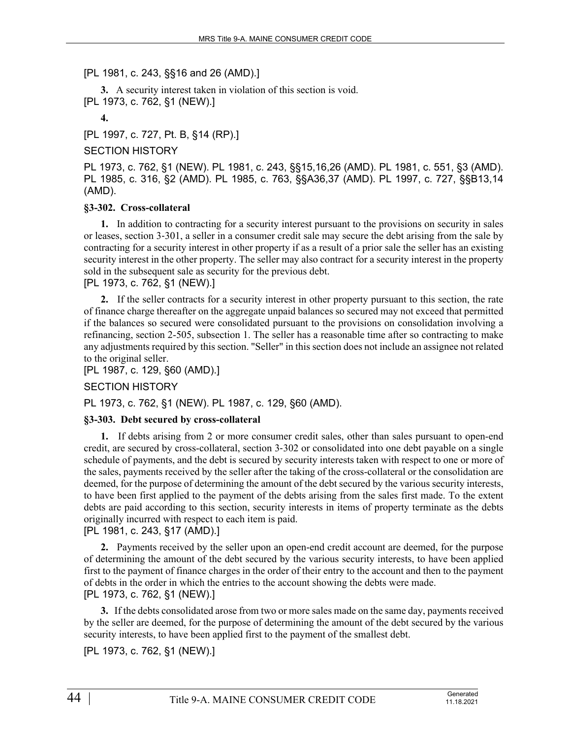# [PL 1981, c. 243, §§16 and 26 (AMD).]

**3.** A security interest taken in violation of this section is void. [PL 1973, c. 762, §1 (NEW).]

**4.** 

[PL 1997, c. 727, Pt. B, §14 (RP).]

# SECTION HISTORY

PL 1973, c. 762, §1 (NEW). PL 1981, c. 243, §§15,16,26 (AMD). PL 1981, c. 551, §3 (AMD). PL 1985, c. 316, §2 (AMD). PL 1985, c. 763, §§A36,37 (AMD). PL 1997, c. 727, §§B13,14 (AMD).

## **§3-302. Cross-collateral**

**1.** In addition to contracting for a security interest pursuant to the provisions on security in sales or leases, section 3‑301, a seller in a consumer credit sale may secure the debt arising from the sale by contracting for a security interest in other property if as a result of a prior sale the seller has an existing security interest in the other property. The seller may also contract for a security interest in the property sold in the subsequent sale as security for the previous debt.

## [PL 1973, c. 762, §1 (NEW).]

**2.** If the seller contracts for a security interest in other property pursuant to this section, the rate of finance charge thereafter on the aggregate unpaid balances so secured may not exceed that permitted if the balances so secured were consolidated pursuant to the provisions on consolidation involving a refinancing, section 2-505, subsection 1. The seller has a reasonable time after so contracting to make any adjustments required by this section. "Seller" in this section does not include an assignee not related to the original seller.

[PL 1987, c. 129, §60 (AMD).]

# SECTION HISTORY

PL 1973, c. 762, §1 (NEW). PL 1987, c. 129, §60 (AMD).

# **§3-303. Debt secured by cross-collateral**

**1.** If debts arising from 2 or more consumer credit sales, other than sales pursuant to open-end credit, are secured by cross-collateral, section 3‑302 or consolidated into one debt payable on a single schedule of payments, and the debt is secured by security interests taken with respect to one or more of the sales, payments received by the seller after the taking of the cross-collateral or the consolidation are deemed, for the purpose of determining the amount of the debt secured by the various security interests, to have been first applied to the payment of the debts arising from the sales first made. To the extent debts are paid according to this section, security interests in items of property terminate as the debts originally incurred with respect to each item is paid.

# [PL 1981, c. 243, §17 (AMD).]

**2.** Payments received by the seller upon an open-end credit account are deemed, for the purpose of determining the amount of the debt secured by the various security interests, to have been applied first to the payment of finance charges in the order of their entry to the account and then to the payment of debts in the order in which the entries to the account showing the debts were made. [PL 1973, c. 762, §1 (NEW).]

**3.** If the debts consolidated arose from two or more sales made on the same day, payments received by the seller are deemed, for the purpose of determining the amount of the debt secured by the various security interests, to have been applied first to the payment of the smallest debt.

[PL 1973, c. 762, §1 (NEW).]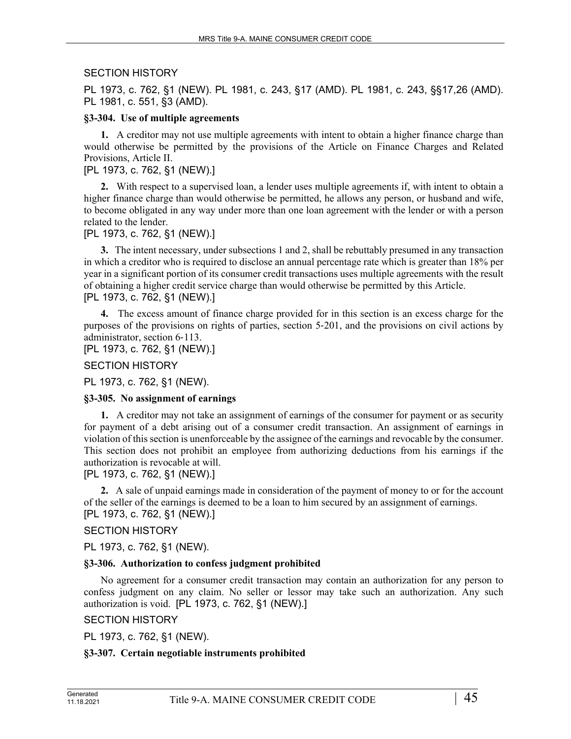# SECTION HISTORY

PL 1973, c. 762, §1 (NEW). PL 1981, c. 243, §17 (AMD). PL 1981, c. 243, §§17,26 (AMD). PL 1981, c. 551, §3 (AMD).

## **§3-304. Use of multiple agreements**

**1.** A creditor may not use multiple agreements with intent to obtain a higher finance charge than would otherwise be permitted by the provisions of the Article on Finance Charges and Related Provisions, Article II.

# [PL 1973, c. 762, §1 (NEW).]

**2.** With respect to a supervised loan, a lender uses multiple agreements if, with intent to obtain a higher finance charge than would otherwise be permitted, he allows any person, or husband and wife, to become obligated in any way under more than one loan agreement with the lender or with a person related to the lender.

[PL 1973, c. 762, §1 (NEW).]

**3.** The intent necessary, under subsections 1 and 2, shall be rebuttably presumed in any transaction in which a creditor who is required to disclose an annual percentage rate which is greater than 18% per year in a significant portion of its consumer credit transactions uses multiple agreements with the result of obtaining a higher credit service charge than would otherwise be permitted by this Article. [PL 1973, c. 762, §1 (NEW).]

**4.** The excess amount of finance charge provided for in this section is an excess charge for the purposes of the provisions on rights of parties, section 5‑201, and the provisions on civil actions by administrator, section 6‑113.

[PL 1973, c. 762, §1 (NEW).]

SECTION HISTORY

PL 1973, c. 762, §1 (NEW).

## **§3-305. No assignment of earnings**

**1.** A creditor may not take an assignment of earnings of the consumer for payment or as security for payment of a debt arising out of a consumer credit transaction. An assignment of earnings in violation of this section is unenforceable by the assignee of the earnings and revocable by the consumer. This section does not prohibit an employee from authorizing deductions from his earnings if the authorization is revocable at will.

[PL 1973, c. 762, §1 (NEW).]

**2.** A sale of unpaid earnings made in consideration of the payment of money to or for the account of the seller of the earnings is deemed to be a loan to him secured by an assignment of earnings. [PL 1973, c. 762, §1 (NEW).]

## SECTION HISTORY

PL 1973, c. 762, §1 (NEW).

## **§3-306. Authorization to confess judgment prohibited**

No agreement for a consumer credit transaction may contain an authorization for any person to confess judgment on any claim. No seller or lessor may take such an authorization. Any such authorization is void. [PL 1973, c. 762, §1 (NEW).]

# SECTION HISTORY

PL 1973, c. 762, §1 (NEW).

# **§3-307. Certain negotiable instruments prohibited**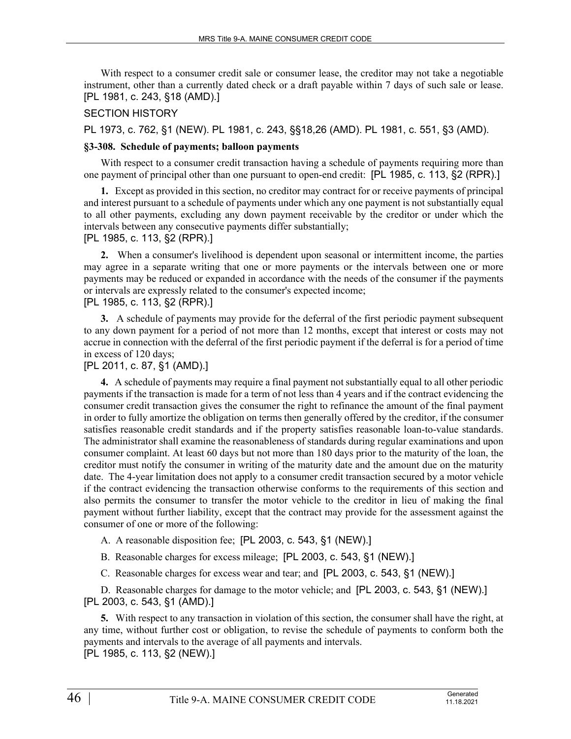With respect to a consumer credit sale or consumer lease, the creditor may not take a negotiable instrument, other than a currently dated check or a draft payable within 7 days of such sale or lease. [PL 1981, c. 243, §18 (AMD).]

## SECTION HISTORY

PL 1973, c. 762, §1 (NEW). PL 1981, c. 243, §§18,26 (AMD). PL 1981, c. 551, §3 (AMD).

## **§3-308. Schedule of payments; balloon payments**

With respect to a consumer credit transaction having a schedule of payments requiring more than one payment of principal other than one pursuant to open-end credit: [PL 1985, c. 113, §2 (RPR).]

**1.** Except as provided in this section, no creditor may contract for or receive payments of principal and interest pursuant to a schedule of payments under which any one payment is not substantially equal to all other payments, excluding any down payment receivable by the creditor or under which the intervals between any consecutive payments differ substantially;

## [PL 1985, c. 113, §2 (RPR).]

**2.** When a consumer's livelihood is dependent upon seasonal or intermittent income, the parties may agree in a separate writing that one or more payments or the intervals between one or more payments may be reduced or expanded in accordance with the needs of the consumer if the payments or intervals are expressly related to the consumer's expected income; [PL 1985, c. 113, §2 (RPR).]

**3.** A schedule of payments may provide for the deferral of the first periodic payment subsequent to any down payment for a period of not more than 12 months, except that interest or costs may not accrue in connection with the deferral of the first periodic payment if the deferral is for a period of time in excess of 120 days;

## [PL 2011, c. 87, §1 (AMD).]

**4.** A schedule of payments may require a final payment not substantially equal to all other periodic payments if the transaction is made for a term of not less than 4 years and if the contract evidencing the consumer credit transaction gives the consumer the right to refinance the amount of the final payment in order to fully amortize the obligation on terms then generally offered by the creditor, if the consumer satisfies reasonable credit standards and if the property satisfies reasonable loan-to-value standards. The administrator shall examine the reasonableness of standards during regular examinations and upon consumer complaint. At least 60 days but not more than 180 days prior to the maturity of the loan, the creditor must notify the consumer in writing of the maturity date and the amount due on the maturity date. The 4-year limitation does not apply to a consumer credit transaction secured by a motor vehicle if the contract evidencing the transaction otherwise conforms to the requirements of this section and also permits the consumer to transfer the motor vehicle to the creditor in lieu of making the final payment without further liability, except that the contract may provide for the assessment against the consumer of one or more of the following:

- A. A reasonable disposition fee; [PL 2003, c. 543, §1 (NEW).]
- B. Reasonable charges for excess mileage; [PL 2003, c. 543, §1 (NEW).]
- C. Reasonable charges for excess wear and tear; and [PL 2003, c. 543, §1 (NEW).]

D. Reasonable charges for damage to the motor vehicle; and [PL 2003, c. 543, §1 (NEW).] [PL 2003, c. 543, §1 (AMD).]

**5.** With respect to any transaction in violation of this section, the consumer shall have the right, at any time, without further cost or obligation, to revise the schedule of payments to conform both the payments and intervals to the average of all payments and intervals. [PL 1985, c. 113, §2 (NEW).]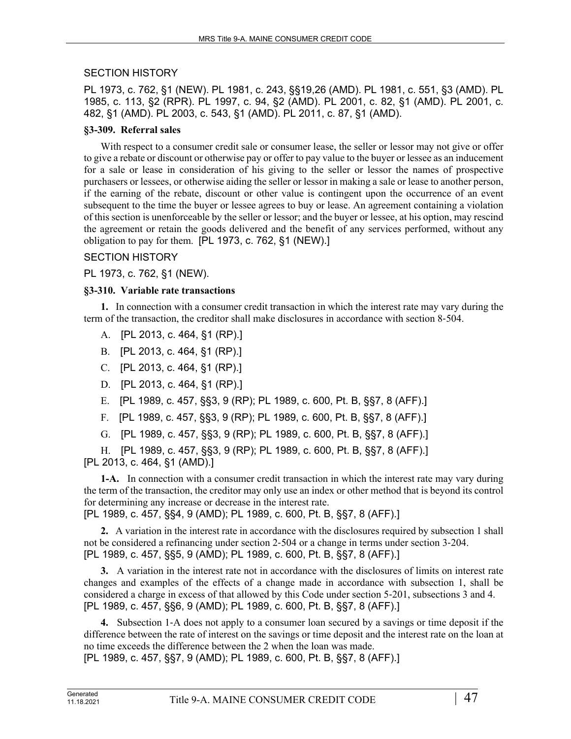# SECTION HISTORY

PL 1973, c. 762, §1 (NEW). PL 1981, c. 243, §§19,26 (AMD). PL 1981, c. 551, §3 (AMD). PL 1985, c. 113, §2 (RPR). PL 1997, c. 94, §2 (AMD). PL 2001, c. 82, §1 (AMD). PL 2001, c. 482, §1 (AMD). PL 2003, c. 543, §1 (AMD). PL 2011, c. 87, §1 (AMD).

# **§3-309. Referral sales**

With respect to a consumer credit sale or consumer lease, the seller or lessor may not give or offer to give a rebate or discount or otherwise pay or offer to pay value to the buyer or lessee as an inducement for a sale or lease in consideration of his giving to the seller or lessor the names of prospective purchasers or lessees, or otherwise aiding the seller or lessor in making a sale or lease to another person, if the earning of the rebate, discount or other value is contingent upon the occurrence of an event subsequent to the time the buyer or lessee agrees to buy or lease. An agreement containing a violation of this section is unenforceable by the seller or lessor; and the buyer or lessee, at his option, may rescind the agreement or retain the goods delivered and the benefit of any services performed, without any obligation to pay for them. [PL 1973, c. 762, §1 (NEW).]

# SECTION HISTORY

PL 1973, c. 762, §1 (NEW).

# **§3-310. Variable rate transactions**

**1.** In connection with a consumer credit transaction in which the interest rate may vary during the term of the transaction, the creditor shall make disclosures in accordance with section 8‑504.

- A. [PL 2013, c. 464, §1 (RP).]
- B. [PL 2013, c. 464, §1 (RP).]
- C. [PL 2013, c. 464, §1 (RP).]
- D. [PL 2013, c. 464, §1 (RP).]
- E. [PL 1989, c. 457, §§3, 9 (RP); PL 1989, c. 600, Pt. B, §§7, 8 (AFF).]
- F. [PL 1989, c. 457, §§3, 9 (RP); PL 1989, c. 600, Pt. B, §§7, 8 (AFF).]
- G. [PL 1989, c. 457, §§3, 9 (RP); PL 1989, c. 600, Pt. B, §§7, 8 (AFF).]

H. [PL 1989, c. 457, §§3, 9 (RP); PL 1989, c. 600, Pt. B, §§7, 8 (AFF).] [PL 2013, c. 464, §1 (AMD).]

**1-A.** In connection with a consumer credit transaction in which the interest rate may vary during the term of the transaction, the creditor may only use an index or other method that is beyond its control for determining any increase or decrease in the interest rate. [PL 1989, c. 457, §§4, 9 (AMD); PL 1989, c. 600, Pt. B, §§7, 8 (AFF).]

**2.** A variation in the interest rate in accordance with the disclosures required by subsection 1 shall

not be considered a refinancing under section 2-504 or a change in terms under section 3-204. [PL 1989, c. 457, §§5, 9 (AMD); PL 1989, c. 600, Pt. B, §§7, 8 (AFF).]

**3.** A variation in the interest rate not in accordance with the disclosures of limits on interest rate changes and examples of the effects of a change made in accordance with subsection 1, shall be considered a charge in excess of that allowed by this Code under section 5‑201, subsections 3 and 4. [PL 1989, c. 457, §§6, 9 (AMD); PL 1989, c. 600, Pt. B, §§7, 8 (AFF).]

**4.** Subsection 1‑A does not apply to a consumer loan secured by a savings or time deposit if the difference between the rate of interest on the savings or time deposit and the interest rate on the loan at no time exceeds the difference between the 2 when the loan was made.

[PL 1989, c. 457, §§7, 9 (AMD); PL 1989, c. 600, Pt. B, §§7, 8 (AFF).]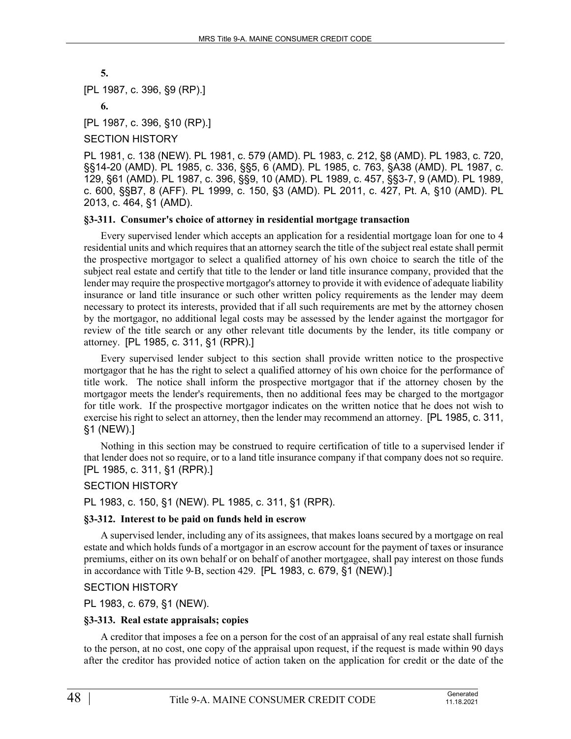```
5.
```
[PL 1987, c. 396, §9 (RP).]

**6.** 

[PL 1987, c. 396, §10 (RP).]

## SECTION HISTORY

PL 1981, c. 138 (NEW). PL 1981, c. 579 (AMD). PL 1983, c. 212, §8 (AMD). PL 1983, c. 720, §§14-20 (AMD). PL 1985, c. 336, §§5, 6 (AMD). PL 1985, c. 763, §A38 (AMD). PL 1987, c. 129, §61 (AMD). PL 1987, c. 396, §§9, 10 (AMD). PL 1989, c. 457, §§3-7, 9 (AMD). PL 1989, c. 600, §§B7, 8 (AFF). PL 1999, c. 150, §3 (AMD). PL 2011, c. 427, Pt. A, §10 (AMD). PL 2013, c. 464, §1 (AMD).

## **§3-311. Consumer's choice of attorney in residential mortgage transaction**

Every supervised lender which accepts an application for a residential mortgage loan for one to 4 residential units and which requires that an attorney search the title of the subject real estate shall permit the prospective mortgagor to select a qualified attorney of his own choice to search the title of the subject real estate and certify that title to the lender or land title insurance company, provided that the lender may require the prospective mortgagor's attorney to provide it with evidence of adequate liability insurance or land title insurance or such other written policy requirements as the lender may deem necessary to protect its interests, provided that if all such requirements are met by the attorney chosen by the mortgagor, no additional legal costs may be assessed by the lender against the mortgagor for review of the title search or any other relevant title documents by the lender, its title company or attorney. [PL 1985, c. 311, §1 (RPR).]

Every supervised lender subject to this section shall provide written notice to the prospective mortgagor that he has the right to select a qualified attorney of his own choice for the performance of title work. The notice shall inform the prospective mortgagor that if the attorney chosen by the mortgagor meets the lender's requirements, then no additional fees may be charged to the mortgagor for title work. If the prospective mortgagor indicates on the written notice that he does not wish to exercise his right to select an attorney, then the lender may recommend an attorney. [PL 1985, c. 311, §1 (NEW).]

Nothing in this section may be construed to require certification of title to a supervised lender if that lender does not so require, or to a land title insurance company if that company does not so require. [PL 1985, c. 311, §1 (RPR).]

# SECTION HISTORY

PL 1983, c. 150, §1 (NEW). PL 1985, c. 311, §1 (RPR).

# **§3-312. Interest to be paid on funds held in escrow**

A supervised lender, including any of its assignees, that makes loans secured by a mortgage on real estate and which holds funds of a mortgagor in an escrow account for the payment of taxes or insurance premiums, either on its own behalf or on behalf of another mortgagee, shall pay interest on those funds in accordance with Title 9‑B, section 429. [PL 1983, c. 679, §1 (NEW).]

## SECTION HISTORY

PL 1983, c. 679, §1 (NEW).

# **§3-313. Real estate appraisals; copies**

A creditor that imposes a fee on a person for the cost of an appraisal of any real estate shall furnish to the person, at no cost, one copy of the appraisal upon request, if the request is made within 90 days after the creditor has provided notice of action taken on the application for credit or the date of the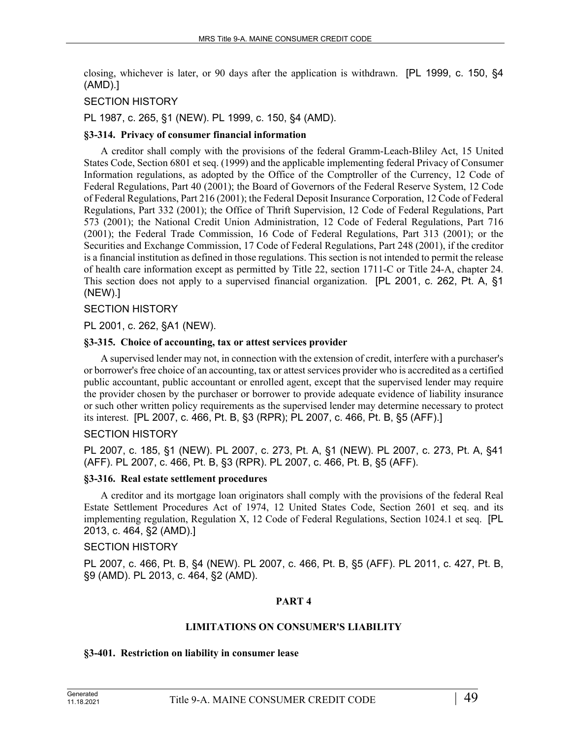closing, whichever is later, or 90 days after the application is withdrawn. [PL 1999, c. 150, §4 (AMD).]

# SECTION HISTORY

PL 1987, c. 265, §1 (NEW). PL 1999, c. 150, §4 (AMD).

## **§3-314. Privacy of consumer financial information**

A creditor shall comply with the provisions of the federal Gramm-Leach-Bliley Act, 15 United States Code, Section 6801 et seq. (1999) and the applicable implementing federal Privacy of Consumer Information regulations, as adopted by the Office of the Comptroller of the Currency, 12 Code of Federal Regulations, Part 40 (2001); the Board of Governors of the Federal Reserve System, 12 Code of Federal Regulations, Part 216 (2001); the Federal Deposit Insurance Corporation, 12 Code of Federal Regulations, Part 332 (2001); the Office of Thrift Supervision, 12 Code of Federal Regulations, Part 573 (2001); the National Credit Union Administration, 12 Code of Federal Regulations, Part 716 (2001); the Federal Trade Commission, 16 Code of Federal Regulations, Part 313 (2001); or the Securities and Exchange Commission, 17 Code of Federal Regulations, Part 248 (2001), if the creditor is a financial institution as defined in those regulations. This section is not intended to permit the release of health care information except as permitted by Title 22, section 1711-C or Title 24-A, chapter 24. This section does not apply to a supervised financial organization. [PL 2001, c. 262, Pt. A, §1 (NEW).]

# SECTION HISTORY

PL 2001, c. 262, §A1 (NEW).

## **§3-315. Choice of accounting, tax or attest services provider**

A supervised lender may not, in connection with the extension of credit, interfere with a purchaser's or borrower's free choice of an accounting, tax or attest services provider who is accredited as a certified public accountant, public accountant or enrolled agent, except that the supervised lender may require the provider chosen by the purchaser or borrower to provide adequate evidence of liability insurance or such other written policy requirements as the supervised lender may determine necessary to protect its interest. [PL 2007, c. 466, Pt. B, §3 (RPR); PL 2007, c. 466, Pt. B, §5 (AFF).]

# SECTION HISTORY

PL 2007, c. 185, §1 (NEW). PL 2007, c. 273, Pt. A, §1 (NEW). PL 2007, c. 273, Pt. A, §41 (AFF). PL 2007, c. 466, Pt. B, §3 (RPR). PL 2007, c. 466, Pt. B, §5 (AFF).

## **§3-316. Real estate settlement procedures**

A creditor and its mortgage loan originators shall comply with the provisions of the federal Real Estate Settlement Procedures Act of 1974, 12 United States Code, Section 2601 et seq. and its implementing regulation, Regulation X, 12 Code of Federal Regulations, Section 1024.1 et seq. [PL 2013, c. 464, §2 (AMD).]

## SECTION HISTORY

PL 2007, c. 466, Pt. B, §4 (NEW). PL 2007, c. 466, Pt. B, §5 (AFF). PL 2011, c. 427, Pt. B, §9 (AMD). PL 2013, c. 464, §2 (AMD).

# **PART 4**

## **LIMITATIONS ON CONSUMER'S LIABILITY**

## **§3-401. Restriction on liability in consumer lease**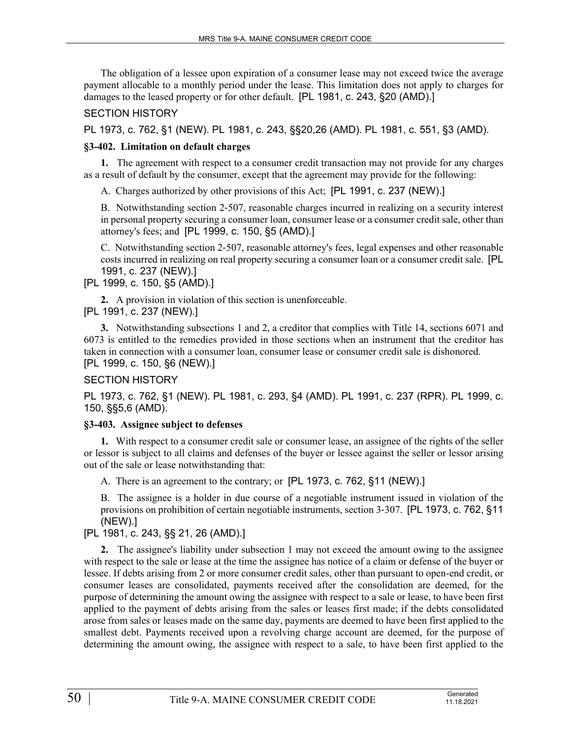The obligation of a lessee upon expiration of a consumer lease may not exceed twice the average payment allocable to a monthly period under the lease. This limitation does not apply to charges for damages to the leased property or for other default. [PL 1981, c. 243, §20 (AMD).]

# SECTION HISTORY

PL 1973, c. 762, §1 (NEW). PL 1981, c. 243, §§20,26 (AMD). PL 1981, c. 551, §3 (AMD).

## **§3-402. Limitation on default charges**

**1.** The agreement with respect to a consumer credit transaction may not provide for any charges as a result of default by the consumer, except that the agreement may provide for the following:

A. Charges authorized by other provisions of this Act; [PL 1991, c. 237 (NEW).]

B. Notwithstanding section 2‑507, reasonable charges incurred in realizing on a security interest in personal property securing a consumer loan, consumer lease or a consumer credit sale, other than attorney's fees; and [PL 1999, c. 150, §5 (AMD).]

C. Notwithstanding section 2‑507, reasonable attorney's fees, legal expenses and other reasonable costs incurred in realizing on real property securing a consumer loan or a consumer credit sale. [PL 1991, c. 237 (NEW).]

[PL 1999, c. 150, §5 (AMD).]

**2.** A provision in violation of this section is unenforceable. [PL 1991, c. 237 (NEW).]

**3.** Notwithstanding subsections 1 and 2, a creditor that complies with Title 14, sections 6071 and 6073 is entitled to the remedies provided in those sections when an instrument that the creditor has taken in connection with a consumer loan, consumer lease or consumer credit sale is dishonored. [PL 1999, c. 150, §6 (NEW).]

# SECTION HISTORY

PL 1973, c. 762, §1 (NEW). PL 1981, c. 293, §4 (AMD). PL 1991, c. 237 (RPR). PL 1999, c. 150, §§5,6 (AMD).

## **§3-403. Assignee subject to defenses**

**1.** With respect to a consumer credit sale or consumer lease, an assignee of the rights of the seller or lessor is subject to all claims and defenses of the buyer or lessee against the seller or lessor arising out of the sale or lease notwithstanding that:

A. There is an agreement to the contrary; or [PL 1973, c. 762, §11 (NEW).]

B. The assignee is a holder in due course of a negotiable instrument issued in violation of the provisions on prohibition of certain negotiable instruments, section 3‑307. [PL 1973, c. 762, §11 (NEW).]

[PL 1981, c. 243, §§ 21, 26 (AMD).]

**2.** The assignee's liability under subsection 1 may not exceed the amount owing to the assignee with respect to the sale or lease at the time the assignee has notice of a claim or defense of the buyer or lessee. If debts arising from 2 or more consumer credit sales, other than pursuant to open-end credit, or consumer leases are consolidated, payments received after the consolidation are deemed, for the purpose of determining the amount owing the assignee with respect to a sale or lease, to have been first applied to the payment of debts arising from the sales or leases first made; if the debts consolidated arose from sales or leases made on the same day, payments are deemed to have been first applied to the smallest debt. Payments received upon a revolving charge account are deemed, for the purpose of determining the amount owing, the assignee with respect to a sale, to have been first applied to the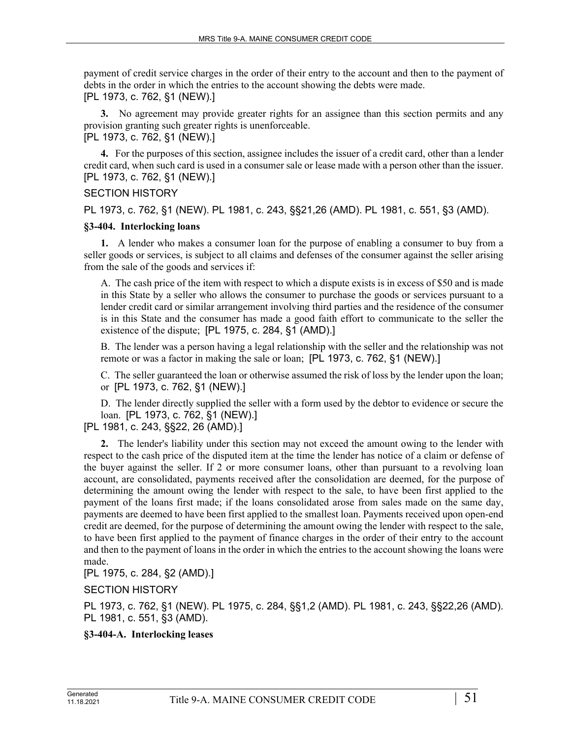payment of credit service charges in the order of their entry to the account and then to the payment of debts in the order in which the entries to the account showing the debts were made. [PL 1973, c. 762, §1 (NEW).]

**3.** No agreement may provide greater rights for an assignee than this section permits and any provision granting such greater rights is unenforceable.

[PL 1973, c. 762, §1 (NEW).]

**4.** For the purposes of this section, assignee includes the issuer of a credit card, other than a lender credit card, when such card is used in a consumer sale or lease made with a person other than the issuer. [PL 1973, c. 762, §1 (NEW).]

## SECTION HISTORY

PL 1973, c. 762, §1 (NEW). PL 1981, c. 243, §§21,26 (AMD). PL 1981, c. 551, §3 (AMD).

## **§3-404. Interlocking loans**

**1.** A lender who makes a consumer loan for the purpose of enabling a consumer to buy from a seller goods or services, is subject to all claims and defenses of the consumer against the seller arising from the sale of the goods and services if:

A. The cash price of the item with respect to which a dispute exists is in excess of \$50 and is made in this State by a seller who allows the consumer to purchase the goods or services pursuant to a lender credit card or similar arrangement involving third parties and the residence of the consumer is in this State and the consumer has made a good faith effort to communicate to the seller the existence of the dispute; [PL 1975, c. 284, §1 (AMD).]

B. The lender was a person having a legal relationship with the seller and the relationship was not remote or was a factor in making the sale or loan; [PL 1973, c. 762, §1 (NEW).]

C. The seller guaranteed the loan or otherwise assumed the risk of loss by the lender upon the loan; or [PL 1973, c. 762, §1 (NEW).]

D. The lender directly supplied the seller with a form used by the debtor to evidence or secure the loan. [PL 1973, c. 762, §1 (NEW).]

# [PL 1981, c. 243, §§22, 26 (AMD).]

**2.** The lender's liability under this section may not exceed the amount owing to the lender with respect to the cash price of the disputed item at the time the lender has notice of a claim or defense of the buyer against the seller. If 2 or more consumer loans, other than pursuant to a revolving loan account, are consolidated, payments received after the consolidation are deemed, for the purpose of determining the amount owing the lender with respect to the sale, to have been first applied to the payment of the loans first made; if the loans consolidated arose from sales made on the same day, payments are deemed to have been first applied to the smallest loan. Payments received upon open-end credit are deemed, for the purpose of determining the amount owing the lender with respect to the sale, to have been first applied to the payment of finance charges in the order of their entry to the account and then to the payment of loans in the order in which the entries to the account showing the loans were made.

[PL 1975, c. 284, §2 (AMD).]

SECTION HISTORY

PL 1973, c. 762, §1 (NEW). PL 1975, c. 284, §§1,2 (AMD). PL 1981, c. 243, §§22,26 (AMD). PL 1981, c. 551, §3 (AMD).

# **§3-404-A. Interlocking leases**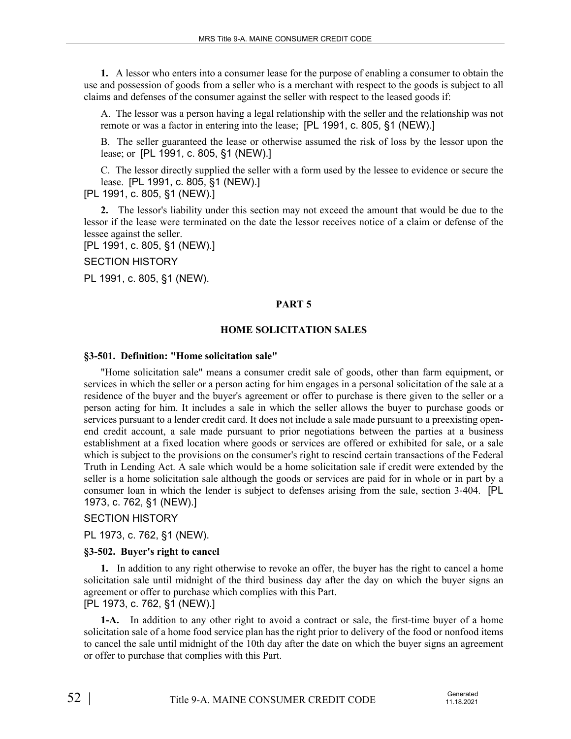**1.** A lessor who enters into a consumer lease for the purpose of enabling a consumer to obtain the use and possession of goods from a seller who is a merchant with respect to the goods is subject to all claims and defenses of the consumer against the seller with respect to the leased goods if:

A. The lessor was a person having a legal relationship with the seller and the relationship was not remote or was a factor in entering into the lease; [PL 1991, c. 805, §1 (NEW).]

B. The seller guaranteed the lease or otherwise assumed the risk of loss by the lessor upon the lease; or [PL 1991, c. 805, §1 (NEW).]

C. The lessor directly supplied the seller with a form used by the lessee to evidence or secure the lease. [PL 1991, c. 805, §1 (NEW).]

[PL 1991, c. 805, §1 (NEW).]

**2.** The lessor's liability under this section may not exceed the amount that would be due to the lessor if the lease were terminated on the date the lessor receives notice of a claim or defense of the lessee against the seller.

[PL 1991, c. 805, §1 (NEW).]

SECTION HISTORY

PL 1991, c. 805, §1 (NEW).

#### **PART 5**

#### **HOME SOLICITATION SALES**

#### **§3-501. Definition: "Home solicitation sale"**

"Home solicitation sale" means a consumer credit sale of goods, other than farm equipment, or services in which the seller or a person acting for him engages in a personal solicitation of the sale at a residence of the buyer and the buyer's agreement or offer to purchase is there given to the seller or a person acting for him. It includes a sale in which the seller allows the buyer to purchase goods or services pursuant to a lender credit card. It does not include a sale made pursuant to a preexisting openend credit account, a sale made pursuant to prior negotiations between the parties at a business establishment at a fixed location where goods or services are offered or exhibited for sale, or a sale which is subject to the provisions on the consumer's right to rescind certain transactions of the Federal Truth in Lending Act. A sale which would be a home solicitation sale if credit were extended by the seller is a home solicitation sale although the goods or services are paid for in whole or in part by a consumer loan in which the lender is subject to defenses arising from the sale, section 3–404. [PL 1973, c. 762, §1 (NEW).]

## SECTION HISTORY

PL 1973, c. 762, §1 (NEW).

## **§3-502. Buyer's right to cancel**

**1.** In addition to any right otherwise to revoke an offer, the buyer has the right to cancel a home solicitation sale until midnight of the third business day after the day on which the buyer signs an agreement or offer to purchase which complies with this Part. [PL 1973, c. 762, §1 (NEW).]

**1-A.** In addition to any other right to avoid a contract or sale, the first-time buyer of a home solicitation sale of a home food service plan has the right prior to delivery of the food or nonfood items to cancel the sale until midnight of the 10th day after the date on which the buyer signs an agreement or offer to purchase that complies with this Part.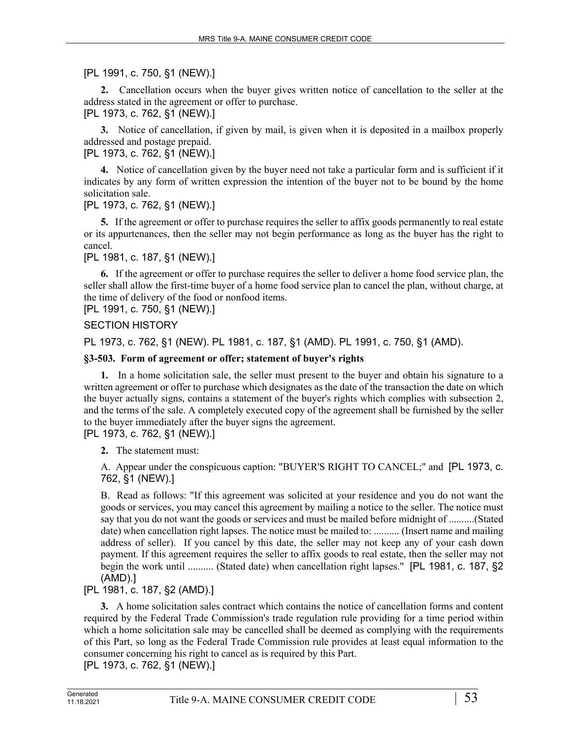# [PL 1991, c. 750, §1 (NEW).]

**2.** Cancellation occurs when the buyer gives written notice of cancellation to the seller at the address stated in the agreement or offer to purchase.

[PL 1973, c. 762, §1 (NEW).]

**3.** Notice of cancellation, if given by mail, is given when it is deposited in a mailbox properly addressed and postage prepaid.

# [PL 1973, c. 762, §1 (NEW).]

**4.** Notice of cancellation given by the buyer need not take a particular form and is sufficient if it indicates by any form of written expression the intention of the buyer not to be bound by the home solicitation sale.

[PL 1973, c. 762, §1 (NEW).]

**5.** If the agreement or offer to purchase requires the seller to affix goods permanently to real estate or its appurtenances, then the seller may not begin performance as long as the buyer has the right to cancel.

[PL 1981, c. 187, §1 (NEW).]

**6.** If the agreement or offer to purchase requires the seller to deliver a home food service plan, the seller shall allow the first-time buyer of a home food service plan to cancel the plan, without charge, at the time of delivery of the food or nonfood items.

[PL 1991, c. 750, §1 (NEW).]

# SECTION HISTORY

PL 1973, c. 762, §1 (NEW). PL 1981, c. 187, §1 (AMD). PL 1991, c. 750, §1 (AMD).

# **§3-503. Form of agreement or offer; statement of buyer's rights**

**1.** In a home solicitation sale, the seller must present to the buyer and obtain his signature to a written agreement or offer to purchase which designates as the date of the transaction the date on which the buyer actually signs, contains a statement of the buyer's rights which complies with subsection 2, and the terms of the sale. A completely executed copy of the agreement shall be furnished by the seller to the buyer immediately after the buyer signs the agreement.

[PL 1973, c. 762, §1 (NEW).]

**2.** The statement must:

A. Appear under the conspicuous caption: "BUYER'S RIGHT TO CANCEL;" and [PL 1973, c. 762, §1 (NEW).]

B. Read as follows: "If this agreement was solicited at your residence and you do not want the goods or services, you may cancel this agreement by mailing a notice to the seller. The notice must say that you do not want the goods or services and must be mailed before midnight of ..........(Stated date) when cancellation right lapses. The notice must be mailed to: .......... (Insert name and mailing address of seller). If you cancel by this date, the seller may not keep any of your cash down payment. If this agreement requires the seller to affix goods to real estate, then the seller may not begin the work until .......... (Stated date) when cancellation right lapses." [PL 1981, c. 187, §2 (AMD).]

# [PL 1981, c. 187, §2 (AMD).]

**3.** A home solicitation sales contract which contains the notice of cancellation forms and content required by the Federal Trade Commission's trade regulation rule providing for a time period within which a home solicitation sale may be cancelled shall be deemed as complying with the requirements of this Part, so long as the Federal Trade Commission rule provides at least equal information to the consumer concerning his right to cancel as is required by this Part.

[PL 1973, c. 762, §1 (NEW).]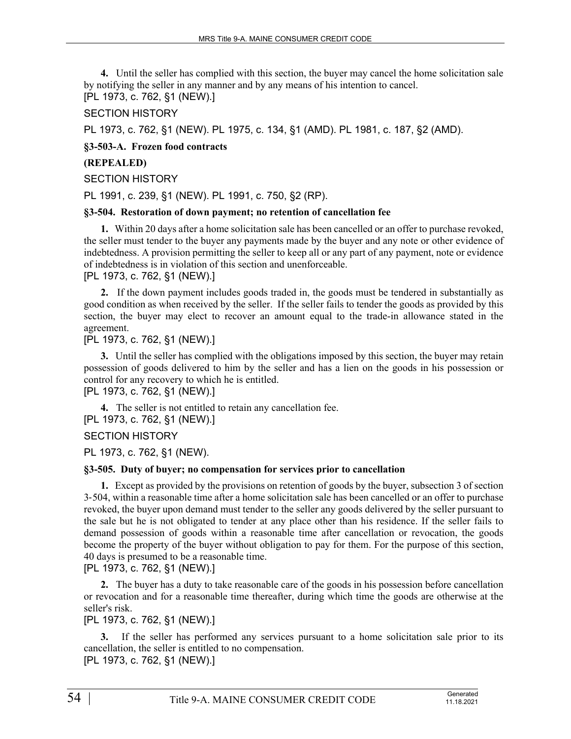**4.** Until the seller has complied with this section, the buyer may cancel the home solicitation sale by notifying the seller in any manner and by any means of his intention to cancel. [PL 1973, c. 762, §1 (NEW).]

## SECTION HISTORY

PL 1973, c. 762, §1 (NEW). PL 1975, c. 134, §1 (AMD). PL 1981, c. 187, §2 (AMD).

## **§3-503-A. Frozen food contracts**

## **(REPEALED)**

## SECTION HISTORY

PL 1991, c. 239, §1 (NEW). PL 1991, c. 750, §2 (RP).

## **§3-504. Restoration of down payment; no retention of cancellation fee**

**1.** Within 20 days after a home solicitation sale has been cancelled or an offer to purchase revoked, the seller must tender to the buyer any payments made by the buyer and any note or other evidence of indebtedness. A provision permitting the seller to keep all or any part of any payment, note or evidence of indebtedness is in violation of this section and unenforceable.

## [PL 1973, c. 762, §1 (NEW).]

**2.** If the down payment includes goods traded in, the goods must be tendered in substantially as good condition as when received by the seller. If the seller fails to tender the goods as provided by this section, the buyer may elect to recover an amount equal to the trade-in allowance stated in the agreement.

[PL 1973, c. 762, §1 (NEW).]

**3.** Until the seller has complied with the obligations imposed by this section, the buyer may retain possession of goods delivered to him by the seller and has a lien on the goods in his possession or control for any recovery to which he is entitled.

[PL 1973, c. 762, §1 (NEW).]

**4.** The seller is not entitled to retain any cancellation fee. [PL 1973, c. 762, §1 (NEW).]

SECTION HISTORY

PL 1973, c. 762, §1 (NEW).

## **§3-505. Duty of buyer; no compensation for services prior to cancellation**

**1.** Except as provided by the provisions on retention of goods by the buyer, subsection 3 of section 3‑504, within a reasonable time after a home solicitation sale has been cancelled or an offer to purchase revoked, the buyer upon demand must tender to the seller any goods delivered by the seller pursuant to the sale but he is not obligated to tender at any place other than his residence. If the seller fails to demand possession of goods within a reasonable time after cancellation or revocation, the goods become the property of the buyer without obligation to pay for them. For the purpose of this section, 40 days is presumed to be a reasonable time.

[PL 1973, c. 762, §1 (NEW).]

**2.** The buyer has a duty to take reasonable care of the goods in his possession before cancellation or revocation and for a reasonable time thereafter, during which time the goods are otherwise at the seller's risk.

[PL 1973, c. 762, §1 (NEW).]

**3.** If the seller has performed any services pursuant to a home solicitation sale prior to its cancellation, the seller is entitled to no compensation.

[PL 1973, c. 762, §1 (NEW).]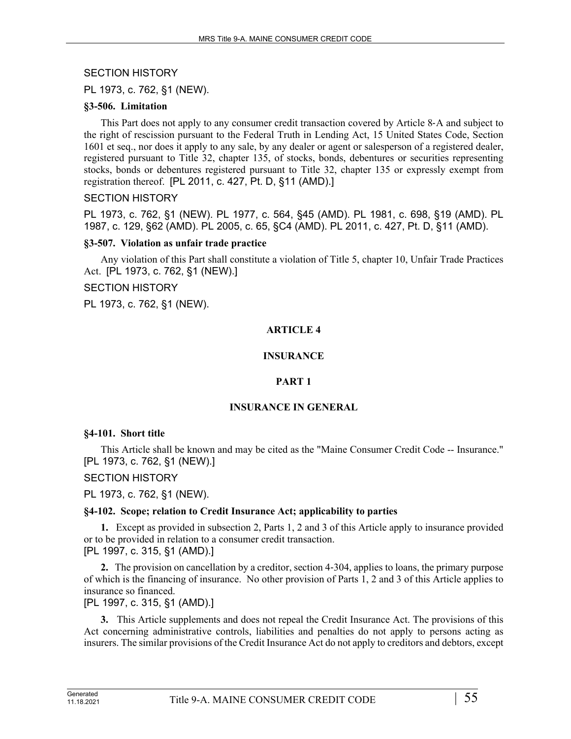SECTION HISTORY

PL 1973, c. 762, §1 (NEW).

## **§3-506. Limitation**

This Part does not apply to any consumer credit transaction covered by Article 8‑A and subject to the right of rescission pursuant to the Federal Truth in Lending Act, 15 United States Code, Section 1601 et seq., nor does it apply to any sale, by any dealer or agent or salesperson of a registered dealer, registered pursuant to Title 32, chapter 135, of stocks, bonds, debentures or securities representing stocks, bonds or debentures registered pursuant to Title 32, chapter 135 or expressly exempt from registration thereof. [PL 2011, c. 427, Pt. D, §11 (AMD).]

## SECTION HISTORY

PL 1973, c. 762, §1 (NEW). PL 1977, c. 564, §45 (AMD). PL 1981, c. 698, §19 (AMD). PL 1987, c. 129, §62 (AMD). PL 2005, c. 65, §C4 (AMD). PL 2011, c. 427, Pt. D, §11 (AMD).

## **§3-507. Violation as unfair trade practice**

Any violation of this Part shall constitute a violation of Title 5, chapter 10, Unfair Trade Practices Act. [PL 1973, c. 762, §1 (NEW).]

## SECTION HISTORY

PL 1973, c. 762, §1 (NEW).

## **ARTICLE 4**

# **INSURANCE**

# **PART 1**

# **INSURANCE IN GENERAL**

## **§4-101. Short title**

This Article shall be known and may be cited as the "Maine Consumer Credit Code -- Insurance." [PL 1973, c. 762, §1 (NEW).]

# SECTION HISTORY

PL 1973, c. 762, §1 (NEW).

# **§4-102. Scope; relation to Credit Insurance Act; applicability to parties**

**1.** Except as provided in subsection 2, Parts 1, 2 and 3 of this Article apply to insurance provided or to be provided in relation to a consumer credit transaction. [PL 1997, c. 315, §1 (AMD).]

**2.** The provision on cancellation by a creditor, section 4‑304, applies to loans, the primary purpose of which is the financing of insurance. No other provision of Parts 1, 2 and 3 of this Article applies to insurance so financed.

[PL 1997, c. 315, §1 (AMD).]

**3.** This Article supplements and does not repeal the Credit Insurance Act. The provisions of this Act concerning administrative controls, liabilities and penalties do not apply to persons acting as insurers. The similar provisions of the Credit Insurance Act do not apply to creditors and debtors, except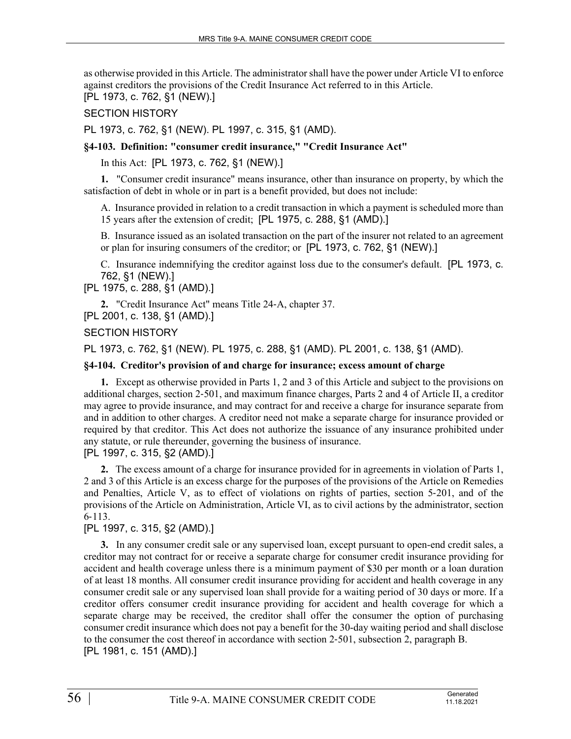as otherwise provided in this Article. The administrator shall have the power under Article VI to enforce against creditors the provisions of the Credit Insurance Act referred to in this Article. [PL 1973, c. 762, §1 (NEW).]

SECTION HISTORY

PL 1973, c. 762, §1 (NEW). PL 1997, c. 315, §1 (AMD).

**§4-103. Definition: "consumer credit insurance," "Credit Insurance Act"**

In this Act: [PL 1973, c. 762, §1 (NEW).]

**1.** "Consumer credit insurance" means insurance, other than insurance on property, by which the satisfaction of debt in whole or in part is a benefit provided, but does not include:

A. Insurance provided in relation to a credit transaction in which a payment is scheduled more than 15 years after the extension of credit; [PL 1975, c. 288, §1 (AMD).]

B. Insurance issued as an isolated transaction on the part of the insurer not related to an agreement or plan for insuring consumers of the creditor; or [PL 1973, c. 762, §1 (NEW).]

C. Insurance indemnifying the creditor against loss due to the consumer's default. [PL 1973, c. 762, §1 (NEW).]

[PL 1975, c. 288, §1 (AMD).]

**2.** "Credit Insurance Act" means Title 24‑A, chapter 37.

[PL 2001, c. 138, §1 (AMD).]

## SECTION HISTORY

PL 1973, c. 762, §1 (NEW). PL 1975, c. 288, §1 (AMD). PL 2001, c. 138, §1 (AMD).

## **§4-104. Creditor's provision of and charge for insurance; excess amount of charge**

**1.** Except as otherwise provided in Parts 1, 2 and 3 of this Article and subject to the provisions on additional charges, section 2‑501, and maximum finance charges, Parts 2 and 4 of Article II, a creditor may agree to provide insurance, and may contract for and receive a charge for insurance separate from and in addition to other charges. A creditor need not make a separate charge for insurance provided or required by that creditor. This Act does not authorize the issuance of any insurance prohibited under any statute, or rule thereunder, governing the business of insurance.

[PL 1997, c. 315, §2 (AMD).]

**2.** The excess amount of a charge for insurance provided for in agreements in violation of Parts 1, 2 and 3 of this Article is an excess charge for the purposes of the provisions of the Article on Remedies and Penalties, Article V, as to effect of violations on rights of parties, section 5‑201, and of the provisions of the Article on Administration, Article VI, as to civil actions by the administrator, section 6‑113.

# [PL 1997, c. 315, §2 (AMD).]

**3.** In any consumer credit sale or any supervised loan, except pursuant to open-end credit sales, a creditor may not contract for or receive a separate charge for consumer credit insurance providing for accident and health coverage unless there is a minimum payment of \$30 per month or a loan duration of at least 18 months. All consumer credit insurance providing for accident and health coverage in any consumer credit sale or any supervised loan shall provide for a waiting period of 30 days or more. If a creditor offers consumer credit insurance providing for accident and health coverage for which a separate charge may be received, the creditor shall offer the consumer the option of purchasing consumer credit insurance which does not pay a benefit for the 30-day waiting period and shall disclose to the consumer the cost thereof in accordance with section 2‑501, subsection 2, paragraph B. [PL 1981, c. 151 (AMD).]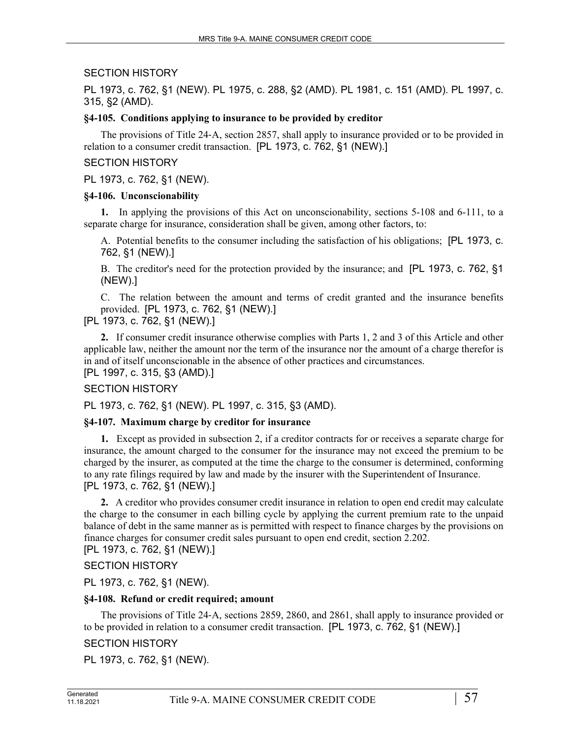## SECTION HISTORY

PL 1973, c. 762, §1 (NEW). PL 1975, c. 288, §2 (AMD). PL 1981, c. 151 (AMD). PL 1997, c. 315, §2 (AMD).

## **§4-105. Conditions applying to insurance to be provided by creditor**

The provisions of Title 24‑A, section 2857, shall apply to insurance provided or to be provided in relation to a consumer credit transaction. [PL 1973, c. 762, §1 (NEW).]

## SECTION HISTORY

PL 1973, c. 762, §1 (NEW).

## **§4-106. Unconscionability**

**1.** In applying the provisions of this Act on unconscionability, sections 5-108 and 6-111, to a separate charge for insurance, consideration shall be given, among other factors, to:

A. Potential benefits to the consumer including the satisfaction of his obligations; [PL 1973, c. 762, §1 (NEW).]

B. The creditor's need for the protection provided by the insurance; and [PL 1973, c. 762, §1 (NEW).]

C. The relation between the amount and terms of credit granted and the insurance benefits provided. [PL 1973, c. 762, §1 (NEW).]

[PL 1973, c. 762, §1 (NEW).]

**2.** If consumer credit insurance otherwise complies with Parts 1, 2 and 3 of this Article and other applicable law, neither the amount nor the term of the insurance nor the amount of a charge therefor is in and of itself unconscionable in the absence of other practices and circumstances. [PL 1997, c. 315, §3 (AMD).]

## SECTION HISTORY

PL 1973, c. 762, §1 (NEW). PL 1997, c. 315, §3 (AMD).

## **§4-107. Maximum charge by creditor for insurance**

**1.** Except as provided in subsection 2, if a creditor contracts for or receives a separate charge for insurance, the amount charged to the consumer for the insurance may not exceed the premium to be charged by the insurer, as computed at the time the charge to the consumer is determined, conforming to any rate filings required by law and made by the insurer with the Superintendent of Insurance. [PL 1973, c. 762, §1 (NEW).]

**2.** A creditor who provides consumer credit insurance in relation to open end credit may calculate the charge to the consumer in each billing cycle by applying the current premium rate to the unpaid balance of debt in the same manner as is permitted with respect to finance charges by the provisions on finance charges for consumer credit sales pursuant to open end credit, section 2.202.

[PL 1973, c. 762, §1 (NEW).]

## SECTION HISTORY

PL 1973, c. 762, §1 (NEW).

## **§4-108. Refund or credit required; amount**

The provisions of Title 24–A, sections 2859, 2860, and 2861, shall apply to insurance provided or to be provided in relation to a consumer credit transaction. [PL 1973, c. 762, §1 (NEW).]

# SECTION HISTORY

PL 1973, c. 762, §1 (NEW).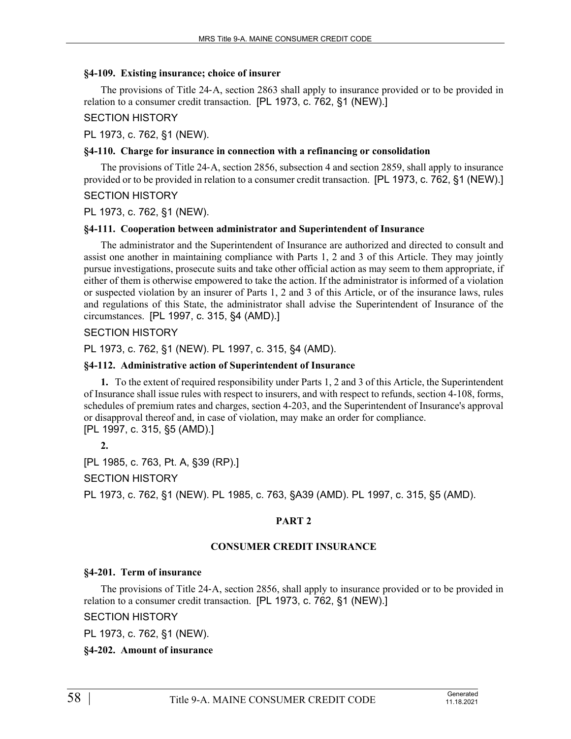## **§4-109. Existing insurance; choice of insurer**

The provisions of Title 24‑A, section 2863 shall apply to insurance provided or to be provided in relation to a consumer credit transaction. [PL 1973, c. 762, §1 (NEW).]

SECTION HISTORY

PL 1973, c. 762, §1 (NEW).

## **§4-110. Charge for insurance in connection with a refinancing or consolidation**

The provisions of Title 24-A, section 2856, subsection 4 and section 2859, shall apply to insurance provided or to be provided in relation to a consumer credit transaction. [PL 1973, c. 762, §1 (NEW).]

## SECTION HISTORY

PL 1973, c. 762, §1 (NEW).

## **§4-111. Cooperation between administrator and Superintendent of Insurance**

The administrator and the Superintendent of Insurance are authorized and directed to consult and assist one another in maintaining compliance with Parts 1, 2 and 3 of this Article. They may jointly pursue investigations, prosecute suits and take other official action as may seem to them appropriate, if either of them is otherwise empowered to take the action. If the administrator is informed of a violation or suspected violation by an insurer of Parts 1, 2 and 3 of this Article, or of the insurance laws, rules and regulations of this State, the administrator shall advise the Superintendent of Insurance of the circumstances. [PL 1997, c. 315, §4 (AMD).]

## SECTION HISTORY

PL 1973, c. 762, §1 (NEW). PL 1997, c. 315, §4 (AMD).

## **§4-112. Administrative action of Superintendent of Insurance**

**1.** To the extent of required responsibility under Parts 1, 2 and 3 of this Article, the Superintendent of Insurance shall issue rules with respect to insurers, and with respect to refunds, section 4-108, forms, schedules of premium rates and charges, section 4-203, and the Superintendent of Insurance's approval or disapproval thereof and, in case of violation, may make an order for compliance. [PL 1997, c. 315, §5 (AMD).]

**2.** 

[PL 1985, c. 763, Pt. A, §39 (RP).]

SECTION HISTORY

PL 1973, c. 762, §1 (NEW). PL 1985, c. 763, §A39 (AMD). PL 1997, c. 315, §5 (AMD).

# **PART 2**

# **CONSUMER CREDIT INSURANCE**

# **§4-201. Term of insurance**

The provisions of Title 24‑A, section 2856, shall apply to insurance provided or to be provided in relation to a consumer credit transaction. [PL 1973, c. 762, §1 (NEW).]

SECTION HISTORY

PL 1973, c. 762, §1 (NEW).

**§4-202. Amount of insurance**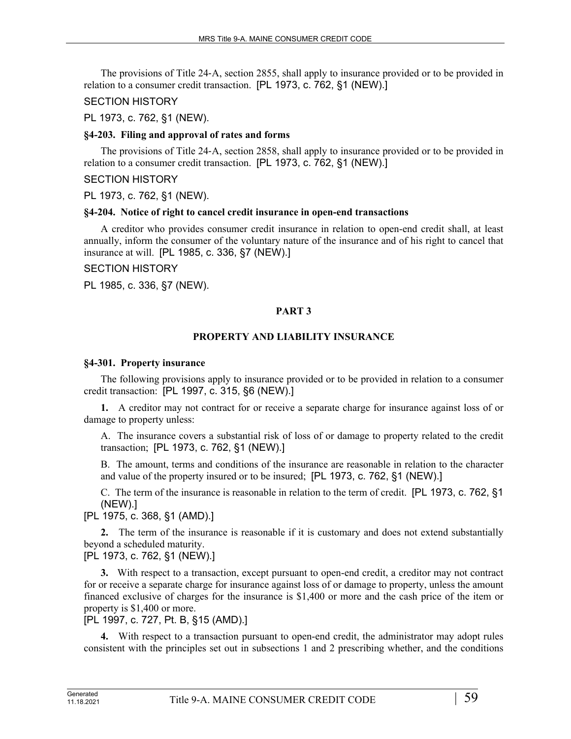The provisions of Title 24‑A, section 2855, shall apply to insurance provided or to be provided in relation to a consumer credit transaction. [PL 1973, c. 762, §1 (NEW).]

## SECTION HISTORY

PL 1973, c. 762, §1 (NEW).

## **§4-203. Filing and approval of rates and forms**

The provisions of Title 24‑A, section 2858, shall apply to insurance provided or to be provided in relation to a consumer credit transaction. [PL 1973, c. 762, §1 (NEW).]

## SECTION HISTORY

PL 1973, c. 762, §1 (NEW).

## **§4-204. Notice of right to cancel credit insurance in open-end transactions**

A creditor who provides consumer credit insurance in relation to open-end credit shall, at least annually, inform the consumer of the voluntary nature of the insurance and of his right to cancel that insurance at will. [PL 1985, c. 336, §7 (NEW).]

## SECTION HISTORY

PL 1985, c. 336, §7 (NEW).

# **PART 3**

# **PROPERTY AND LIABILITY INSURANCE**

## **§4-301. Property insurance**

The following provisions apply to insurance provided or to be provided in relation to a consumer credit transaction: [PL 1997, c. 315, §6 (NEW).]

**1.** A creditor may not contract for or receive a separate charge for insurance against loss of or damage to property unless:

A. The insurance covers a substantial risk of loss of or damage to property related to the credit transaction; [PL 1973, c. 762, §1 (NEW).]

B. The amount, terms and conditions of the insurance are reasonable in relation to the character and value of the property insured or to be insured; [PL 1973, c. 762, §1 (NEW).]

C. The term of the insurance is reasonable in relation to the term of credit. [PL 1973, c. 762, §1 (NEW).]

[PL 1975, c. 368, §1 (AMD).]

**2.** The term of the insurance is reasonable if it is customary and does not extend substantially beyond a scheduled maturity.

[PL 1973, c. 762, §1 (NEW).]

**3.** With respect to a transaction, except pursuant to open-end credit, a creditor may not contract for or receive a separate charge for insurance against loss of or damage to property, unless the amount financed exclusive of charges for the insurance is \$1,400 or more and the cash price of the item or property is \$1,400 or more.

[PL 1997, c. 727, Pt. B, §15 (AMD).]

**4.** With respect to a transaction pursuant to open-end credit, the administrator may adopt rules consistent with the principles set out in subsections 1 and 2 prescribing whether, and the conditions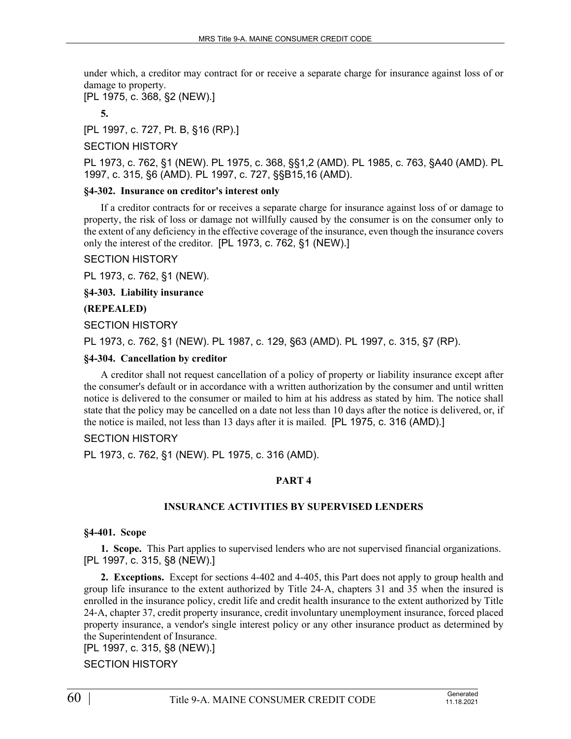under which, a creditor may contract for or receive a separate charge for insurance against loss of or damage to property.

[PL 1975, c. 368, §2 (NEW).]

**5.** 

[PL 1997, c. 727, Pt. B, §16 (RP).]

## SECTION HISTORY

PL 1973, c. 762, §1 (NEW). PL 1975, c. 368, §§1,2 (AMD). PL 1985, c. 763, §A40 (AMD). PL 1997, c. 315, §6 (AMD). PL 1997, c. 727, §§B15,16 (AMD).

#### **§4-302. Insurance on creditor's interest only**

If a creditor contracts for or receives a separate charge for insurance against loss of or damage to property, the risk of loss or damage not willfully caused by the consumer is on the consumer only to the extent of any deficiency in the effective coverage of the insurance, even though the insurance covers only the interest of the creditor. [PL 1973, c. 762, §1 (NEW).]

#### SECTION HISTORY

PL 1973, c. 762, §1 (NEW).

**§4-303. Liability insurance**

## **(REPEALED)**

SECTION HISTORY

PL 1973, c. 762, §1 (NEW). PL 1987, c. 129, §63 (AMD). PL 1997, c. 315, §7 (RP).

#### **§4-304. Cancellation by creditor**

A creditor shall not request cancellation of a policy of property or liability insurance except after the consumer's default or in accordance with a written authorization by the consumer and until written notice is delivered to the consumer or mailed to him at his address as stated by him. The notice shall state that the policy may be cancelled on a date not less than 10 days after the notice is delivered, or, if the notice is mailed, not less than 13 days after it is mailed. [PL 1975, c. 316 (AMD).]

## SECTION HISTORY

PL 1973, c. 762, §1 (NEW). PL 1975, c. 316 (AMD).

## **PART 4**

## **INSURANCE ACTIVITIES BY SUPERVISED LENDERS**

#### **§4-401. Scope**

**1. Scope.** This Part applies to supervised lenders who are not supervised financial organizations. [PL 1997, c. 315, §8 (NEW).]

**2. Exceptions.** Except for sections 4-402 and 4-405, this Part does not apply to group health and group life insurance to the extent authorized by Title 24‑A, chapters 31 and 35 when the insured is enrolled in the insurance policy, credit life and credit health insurance to the extent authorized by Title 24‑A, chapter 37, credit property insurance, credit involuntary unemployment insurance, forced placed property insurance, a vendor's single interest policy or any other insurance product as determined by the Superintendent of Insurance.

[PL 1997, c. 315, §8 (NEW).]

## SECTION HISTORY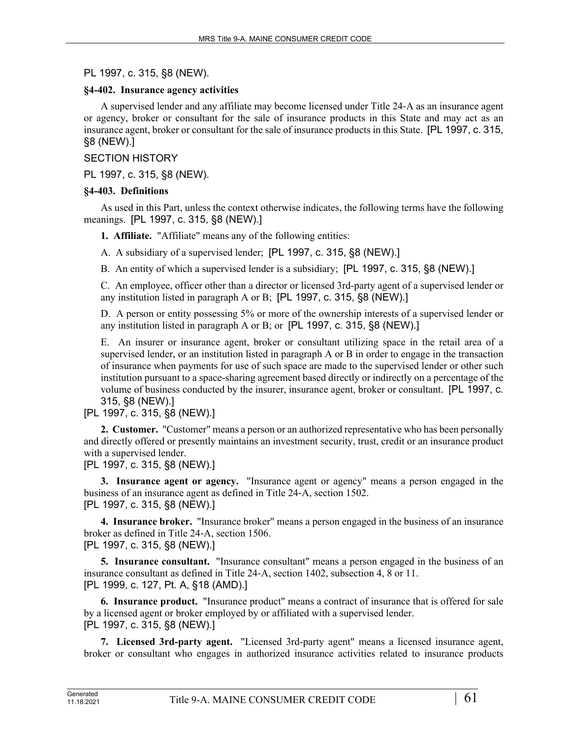PL 1997, c. 315, §8 (NEW).

## **§4-402. Insurance agency activities**

A supervised lender and any affiliate may become licensed under Title 24‑A as an insurance agent or agency, broker or consultant for the sale of insurance products in this State and may act as an insurance agent, broker or consultant for the sale of insurance products in this State. [PL 1997, c. 315, §8 (NEW).]

SECTION HISTORY

PL 1997, c. 315, §8 (NEW).

## **§4-403. Definitions**

As used in this Part, unless the context otherwise indicates, the following terms have the following meanings. [PL 1997, c. 315, §8 (NEW).]

**1. Affiliate.** "Affiliate" means any of the following entities:

A. A subsidiary of a supervised lender; [PL 1997, c. 315, §8 (NEW).]

B. An entity of which a supervised lender is a subsidiary; [PL 1997, c. 315, §8 (NEW).]

C. An employee, officer other than a director or licensed 3rd-party agent of a supervised lender or any institution listed in paragraph A or B; [PL 1997, c. 315, §8 (NEW).]

D. A person or entity possessing 5% or more of the ownership interests of a supervised lender or any institution listed in paragraph A or B; or [PL 1997, c. 315, §8 (NEW).]

E. An insurer or insurance agent, broker or consultant utilizing space in the retail area of a supervised lender, or an institution listed in paragraph A or B in order to engage in the transaction of insurance when payments for use of such space are made to the supervised lender or other such institution pursuant to a space-sharing agreement based directly or indirectly on a percentage of the volume of business conducted by the insurer, insurance agent, broker or consultant. [PL 1997, c. 315, §8 (NEW).]

# [PL 1997, c. 315, §8 (NEW).]

**2. Customer.** "Customer" means a person or an authorized representative who has been personally and directly offered or presently maintains an investment security, trust, credit or an insurance product with a supervised lender.

[PL 1997, c. 315, §8 (NEW).]

**3. Insurance agent or agency.** "Insurance agent or agency" means a person engaged in the business of an insurance agent as defined in Title 24‑A, section 1502. [PL 1997, c. 315, §8 (NEW).]

**4. Insurance broker.** "Insurance broker" means a person engaged in the business of an insurance broker as defined in Title 24‑A, section 1506. [PL 1997, c. 315, §8 (NEW).]

**5. Insurance consultant.** "Insurance consultant" means a person engaged in the business of an insurance consultant as defined in Title 24‑A, section 1402, subsection 4, 8 or 11. [PL 1999, c. 127, Pt. A, §18 (AMD).]

**6. Insurance product.** "Insurance product" means a contract of insurance that is offered for sale by a licensed agent or broker employed by or affiliated with a supervised lender. [PL 1997, c. 315, §8 (NEW).]

**7. Licensed 3rd-party agent.** "Licensed 3rd-party agent" means a licensed insurance agent, broker or consultant who engages in authorized insurance activities related to insurance products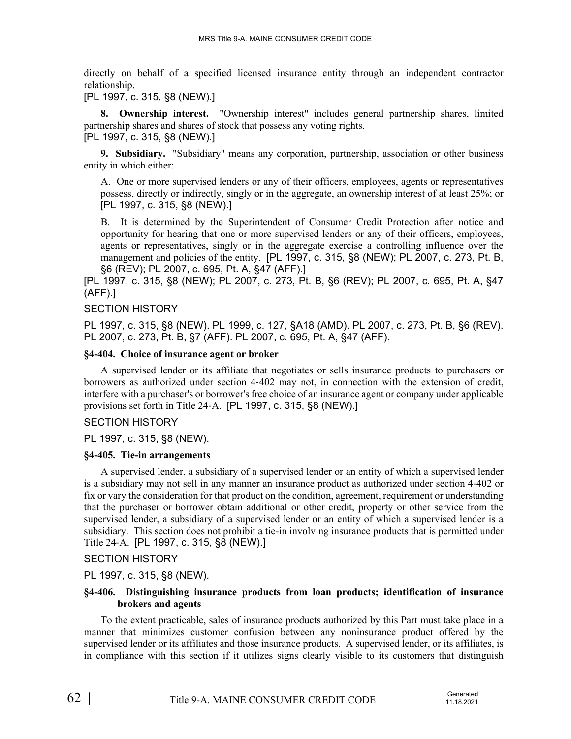directly on behalf of a specified licensed insurance entity through an independent contractor relationship.

[PL 1997, c. 315, §8 (NEW).]

**8. Ownership interest.** "Ownership interest" includes general partnership shares, limited partnership shares and shares of stock that possess any voting rights.

[PL 1997, c. 315, §8 (NEW).]

**9. Subsidiary.** "Subsidiary" means any corporation, partnership, association or other business entity in which either:

A. One or more supervised lenders or any of their officers, employees, agents or representatives possess, directly or indirectly, singly or in the aggregate, an ownership interest of at least 25%; or [PL 1997, c. 315, §8 (NEW).]

B. It is determined by the Superintendent of Consumer Credit Protection after notice and opportunity for hearing that one or more supervised lenders or any of their officers, employees, agents or representatives, singly or in the aggregate exercise a controlling influence over the management and policies of the entity. [PL 1997, c. 315, §8 (NEW); PL 2007, c. 273, Pt. B, §6 (REV); PL 2007, c. 695, Pt. A, §47 (AFF).]

[PL 1997, c. 315, §8 (NEW); PL 2007, c. 273, Pt. B, §6 (REV); PL 2007, c. 695, Pt. A, §47 (AFF).]

## SECTION HISTORY

PL 1997, c. 315, §8 (NEW). PL 1999, c. 127, §A18 (AMD). PL 2007, c. 273, Pt. B, §6 (REV). PL 2007, c. 273, Pt. B, §7 (AFF). PL 2007, c. 695, Pt. A, §47 (AFF).

#### **§4-404. Choice of insurance agent or broker**

A supervised lender or its affiliate that negotiates or sells insurance products to purchasers or borrowers as authorized under section 4‑402 may not, in connection with the extension of credit, interfere with a purchaser's or borrower's free choice of an insurance agent or company under applicable provisions set forth in Title 24‑A. [PL 1997, c. 315, §8 (NEW).]

## SECTION HISTORY

PL 1997, c. 315, §8 (NEW).

## **§4-405. Tie-in arrangements**

A supervised lender, a subsidiary of a supervised lender or an entity of which a supervised lender is a subsidiary may not sell in any manner an insurance product as authorized under section 4‑402 or fix or vary the consideration for that product on the condition, agreement, requirement or understanding that the purchaser or borrower obtain additional or other credit, property or other service from the supervised lender, a subsidiary of a supervised lender or an entity of which a supervised lender is a subsidiary. This section does not prohibit a tie-in involving insurance products that is permitted under Title 24‑A. [PL 1997, c. 315, §8 (NEW).]

SECTION HISTORY

PL 1997, c. 315, §8 (NEW).

## **§4-406. Distinguishing insurance products from loan products; identification of insurance brokers and agents**

To the extent practicable, sales of insurance products authorized by this Part must take place in a manner that minimizes customer confusion between any noninsurance product offered by the supervised lender or its affiliates and those insurance products. A supervised lender, or its affiliates, is in compliance with this section if it utilizes signs clearly visible to its customers that distinguish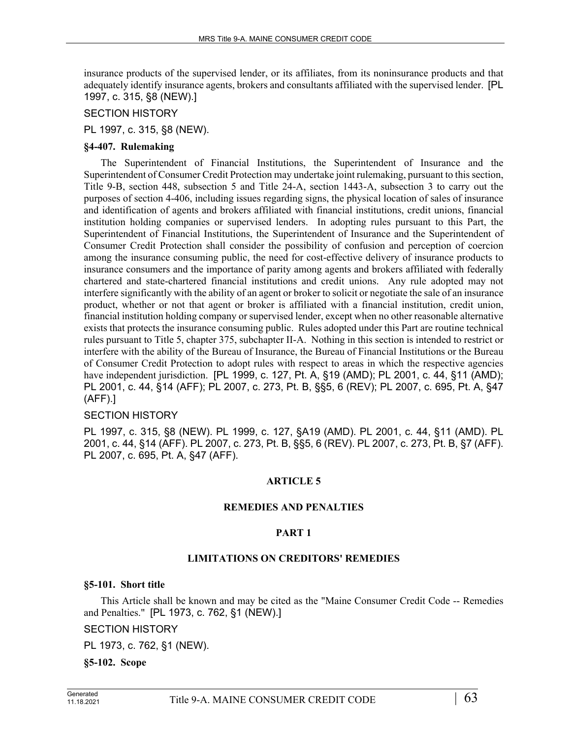insurance products of the supervised lender, or its affiliates, from its noninsurance products and that adequately identify insurance agents, brokers and consultants affiliated with the supervised lender. [PL 1997, c. 315, §8 (NEW).]

SECTION HISTORY

PL 1997, c. 315, §8 (NEW).

## **§4-407. Rulemaking**

The Superintendent of Financial Institutions, the Superintendent of Insurance and the Superintendent of Consumer Credit Protection may undertake joint rulemaking, pursuant to this section, Title 9-B, section 448, subsection 5 and Title 24-A, section 1443-A, subsection 3 to carry out the purposes of section 4-406, including issues regarding signs, the physical location of sales of insurance and identification of agents and brokers affiliated with financial institutions, credit unions, financial institution holding companies or supervised lenders. In adopting rules pursuant to this Part, the Superintendent of Financial Institutions, the Superintendent of Insurance and the Superintendent of Consumer Credit Protection shall consider the possibility of confusion and perception of coercion among the insurance consuming public, the need for cost-effective delivery of insurance products to insurance consumers and the importance of parity among agents and brokers affiliated with federally chartered and state-chartered financial institutions and credit unions. Any rule adopted may not interfere significantly with the ability of an agent or broker to solicit or negotiate the sale of an insurance product, whether or not that agent or broker is affiliated with a financial institution, credit union, financial institution holding company or supervised lender, except when no other reasonable alternative exists that protects the insurance consuming public. Rules adopted under this Part are routine technical rules pursuant to Title 5, chapter 375, subchapter II-A. Nothing in this section is intended to restrict or interfere with the ability of the Bureau of Insurance, the Bureau of Financial Institutions or the Bureau of Consumer Credit Protection to adopt rules with respect to areas in which the respective agencies have independent jurisdiction. [PL 1999, c. 127, Pt. A, §19 (AMD); PL 2001, c. 44, §11 (AMD); PL 2001, c. 44, §14 (AFF); PL 2007, c. 273, Pt. B, §§5, 6 (REV); PL 2007, c. 695, Pt. A, §47 (AFF).]

## SECTION HISTORY

PL 1997, c. 315, §8 (NEW). PL 1999, c. 127, §A19 (AMD). PL 2001, c. 44, §11 (AMD). PL 2001, c. 44, §14 (AFF). PL 2007, c. 273, Pt. B, §§5, 6 (REV). PL 2007, c. 273, Pt. B, §7 (AFF). PL 2007, c. 695, Pt. A, §47 (AFF).

## **ARTICLE 5**

## **REMEDIES AND PENALTIES**

## **PART 1**

## **LIMITATIONS ON CREDITORS' REMEDIES**

**§5-101. Short title**

This Article shall be known and may be cited as the "Maine Consumer Credit Code -- Remedies and Penalties." [PL 1973, c. 762, §1 (NEW).]

SECTION HISTORY

PL 1973, c. 762, §1 (NEW).

**§5-102. Scope**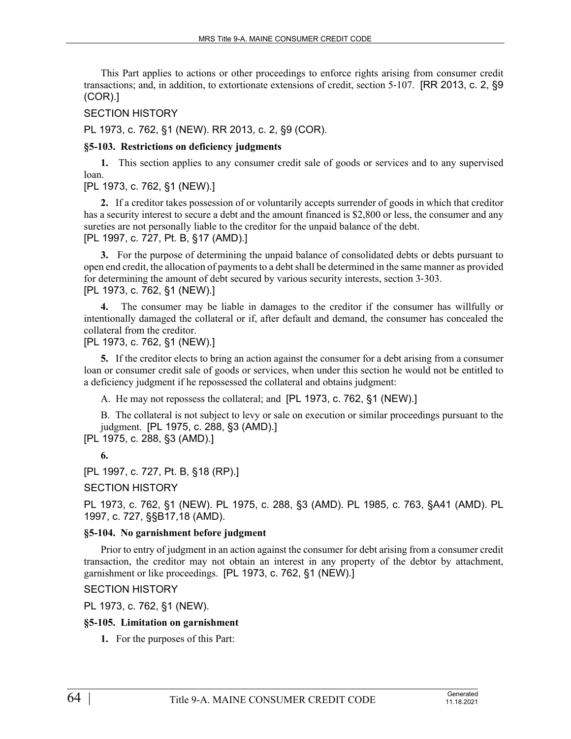This Part applies to actions or other proceedings to enforce rights arising from consumer credit transactions; and, in addition, to extortionate extensions of credit, section 5‑107. [RR 2013, c. 2, §9 (COR).]

SECTION HISTORY

PL 1973, c. 762, §1 (NEW). RR 2013, c. 2, §9 (COR).

# **§5-103. Restrictions on deficiency judgments**

**1.** This section applies to any consumer credit sale of goods or services and to any supervised loan.

# [PL 1973, c. 762, §1 (NEW).]

**2.** If a creditor takes possession of or voluntarily accepts surrender of goods in which that creditor has a security interest to secure a debt and the amount financed is \$2,800 or less, the consumer and any sureties are not personally liable to the creditor for the unpaid balance of the debt. [PL 1997, c. 727, Pt. B, §17 (AMD).]

**3.** For the purpose of determining the unpaid balance of consolidated debts or debts pursuant to open end credit, the allocation of payments to a debt shall be determined in the same manner as provided for determining the amount of debt secured by various security interests, section 3–303. [PL 1973, c. 762, §1 (NEW).]

**4.** The consumer may be liable in damages to the creditor if the consumer has willfully or intentionally damaged the collateral or if, after default and demand, the consumer has concealed the collateral from the creditor.

[PL 1973, c. 762, §1 (NEW).]

**5.** If the creditor elects to bring an action against the consumer for a debt arising from a consumer loan or consumer credit sale of goods or services, when under this section he would not be entitled to a deficiency judgment if he repossessed the collateral and obtains judgment:

A. He may not repossess the collateral; and [PL 1973, c. 762, §1 (NEW).]

B. The collateral is not subject to levy or sale on execution or similar proceedings pursuant to the judgment. [PL 1975, c. 288, §3 (AMD).]

[PL 1975, c. 288, §3 (AMD).]

**6.** 

[PL 1997, c. 727, Pt. B, §18 (RP).]

SECTION HISTORY

PL 1973, c. 762, §1 (NEW). PL 1975, c. 288, §3 (AMD). PL 1985, c. 763, §A41 (AMD). PL 1997, c. 727, §§B17,18 (AMD).

# **§5-104. No garnishment before judgment**

Prior to entry of judgment in an action against the consumer for debt arising from a consumer credit transaction, the creditor may not obtain an interest in any property of the debtor by attachment, garnishment or like proceedings. [PL 1973, c. 762, §1 (NEW).]

SECTION HISTORY

PL 1973, c. 762, §1 (NEW).

# **§5-105. Limitation on garnishment**

**1.** For the purposes of this Part: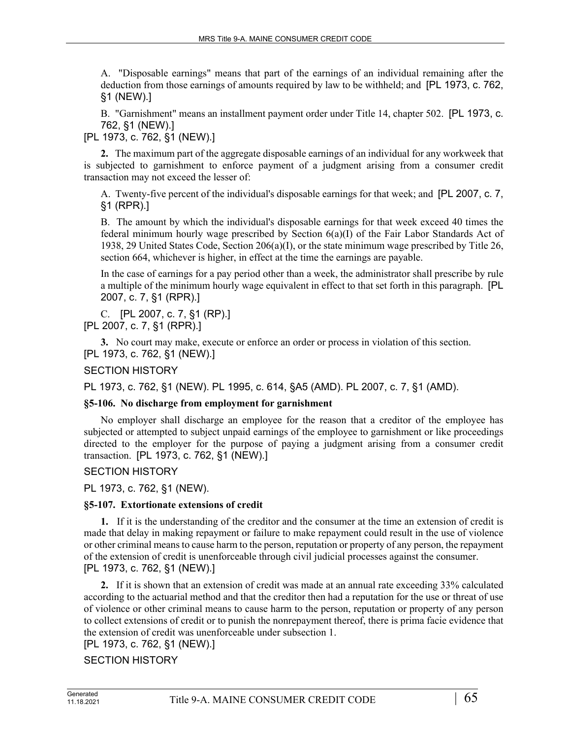A. "Disposable earnings" means that part of the earnings of an individual remaining after the deduction from those earnings of amounts required by law to be withheld; and [PL 1973, c. 762, §1 (NEW).]

B. "Garnishment" means an installment payment order under Title 14, chapter 502. [PL 1973, c. 762, §1 (NEW).]

[PL 1973, c. 762, §1 (NEW).]

**2.** The maximum part of the aggregate disposable earnings of an individual for any workweek that is subjected to garnishment to enforce payment of a judgment arising from a consumer credit transaction may not exceed the lesser of:

A. Twenty-five percent of the individual's disposable earnings for that week; and [PL 2007, c. 7, §1 (RPR).]

B. The amount by which the individual's disposable earnings for that week exceed 40 times the federal minimum hourly wage prescribed by Section 6(a)(I) of the Fair Labor Standards Act of 1938, 29 United States Code, Section 206(a)(I), or the state minimum wage prescribed by Title 26, section 664, whichever is higher, in effect at the time the earnings are payable.

In the case of earnings for a pay period other than a week, the administrator shall prescribe by rule a multiple of the minimum hourly wage equivalent in effect to that set forth in this paragraph. [PL 2007, c. 7, §1 (RPR).]

C. [PL 2007, c. 7, §1 (RP).] [PL 2007, c. 7, §1 (RPR).]

**3.** No court may make, execute or enforce an order or process in violation of this section. [PL 1973, c. 762, §1 (NEW).]

SECTION HISTORY

PL 1973, c. 762, §1 (NEW). PL 1995, c. 614, §A5 (AMD). PL 2007, c. 7, §1 (AMD).

# **§5-106. No discharge from employment for garnishment**

No employer shall discharge an employee for the reason that a creditor of the employee has subjected or attempted to subject unpaid earnings of the employee to garnishment or like proceedings directed to the employer for the purpose of paying a judgment arising from a consumer credit transaction. [PL 1973, c. 762, §1 (NEW).]

# SECTION HISTORY

PL 1973, c. 762, §1 (NEW).

# **§5-107. Extortionate extensions of credit**

**1.** If it is the understanding of the creditor and the consumer at the time an extension of credit is made that delay in making repayment or failure to make repayment could result in the use of violence or other criminal means to cause harm to the person, reputation or property of any person, the repayment of the extension of credit is unenforceable through civil judicial processes against the consumer. [PL 1973, c. 762, §1 (NEW).]

**2.** If it is shown that an extension of credit was made at an annual rate exceeding 33% calculated according to the actuarial method and that the creditor then had a reputation for the use or threat of use of violence or other criminal means to cause harm to the person, reputation or property of any person to collect extensions of credit or to punish the nonrepayment thereof, there is prima facie evidence that the extension of credit was unenforceable under subsection 1.

# [PL 1973, c. 762, §1 (NEW).]

SECTION HISTORY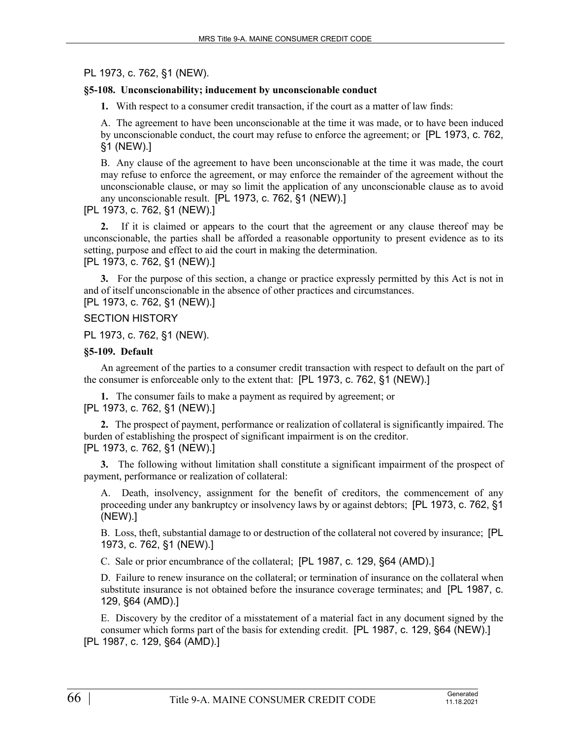# PL 1973, c. 762, §1 (NEW).

## **§5-108. Unconscionability; inducement by unconscionable conduct**

**1.** With respect to a consumer credit transaction, if the court as a matter of law finds:

A. The agreement to have been unconscionable at the time it was made, or to have been induced by unconscionable conduct, the court may refuse to enforce the agreement; or [PL 1973, c. 762, §1 (NEW).]

B. Any clause of the agreement to have been unconscionable at the time it was made, the court may refuse to enforce the agreement, or may enforce the remainder of the agreement without the unconscionable clause, or may so limit the application of any unconscionable clause as to avoid any unconscionable result. [PL 1973, c. 762, §1 (NEW).]

## [PL 1973, c. 762, §1 (NEW).]

**2.** If it is claimed or appears to the court that the agreement or any clause thereof may be unconscionable, the parties shall be afforded a reasonable opportunity to present evidence as to its setting, purpose and effect to aid the court in making the determination.

[PL 1973, c. 762, §1 (NEW).]

**3.** For the purpose of this section, a change or practice expressly permitted by this Act is not in and of itself unconscionable in the absence of other practices and circumstances.

[PL 1973, c. 762, §1 (NEW).]

# SECTION HISTORY

PL 1973, c. 762, §1 (NEW).

## **§5-109. Default**

An agreement of the parties to a consumer credit transaction with respect to default on the part of the consumer is enforceable only to the extent that: [PL 1973, c. 762, §1 (NEW).]

**1.** The consumer fails to make a payment as required by agreement; or [PL 1973, c. 762, §1 (NEW).]

**2.** The prospect of payment, performance or realization of collateral is significantly impaired. The burden of establishing the prospect of significant impairment is on the creditor. [PL 1973, c. 762, §1 (NEW).]

**3.** The following without limitation shall constitute a significant impairment of the prospect of payment, performance or realization of collateral:

A. Death, insolvency, assignment for the benefit of creditors, the commencement of any proceeding under any bankruptcy or insolvency laws by or against debtors; [PL 1973, c. 762, §1 (NEW).]

B. Loss, theft, substantial damage to or destruction of the collateral not covered by insurance; [PL 1973, c. 762, §1 (NEW).]

C. Sale or prior encumbrance of the collateral; [PL 1987, c. 129, §64 (AMD).]

D. Failure to renew insurance on the collateral; or termination of insurance on the collateral when substitute insurance is not obtained before the insurance coverage terminates; and [PL 1987, c. 129, §64 (AMD).]

E. Discovery by the creditor of a misstatement of a material fact in any document signed by the consumer which forms part of the basis for extending credit. [PL 1987, c. 129, §64 (NEW).] [PL 1987, c. 129, §64 (AMD).]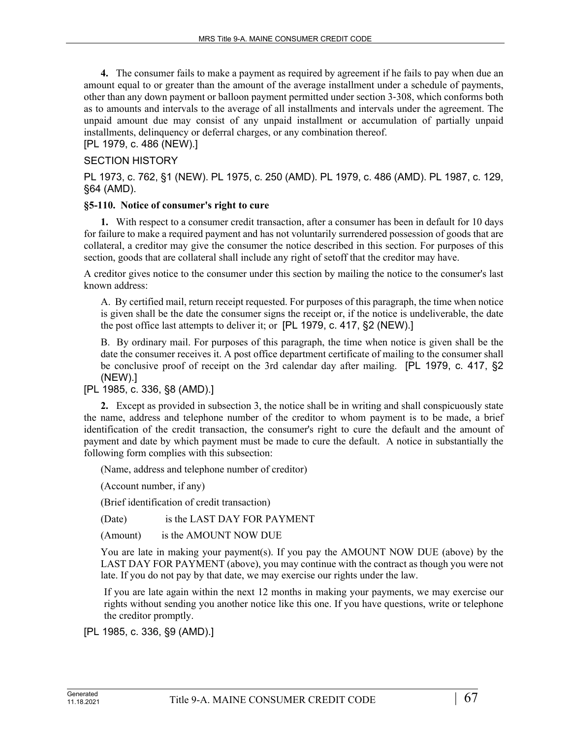**4.** The consumer fails to make a payment as required by agreement if he fails to pay when due an amount equal to or greater than the amount of the average installment under a schedule of payments, other than any down payment or balloon payment permitted under section 3‑308, which conforms both as to amounts and intervals to the average of all installments and intervals under the agreement. The unpaid amount due may consist of any unpaid installment or accumulation of partially unpaid installments, delinquency or deferral charges, or any combination thereof.

[PL 1979, c. 486 (NEW).]

## SECTION HISTORY

PL 1973, c. 762, §1 (NEW). PL 1975, c. 250 (AMD). PL 1979, c. 486 (AMD). PL 1987, c. 129, §64 (AMD).

## **§5-110. Notice of consumer's right to cure**

**1.** With respect to a consumer credit transaction, after a consumer has been in default for 10 days for failure to make a required payment and has not voluntarily surrendered possession of goods that are collateral, a creditor may give the consumer the notice described in this section. For purposes of this section, goods that are collateral shall include any right of setoff that the creditor may have.

A creditor gives notice to the consumer under this section by mailing the notice to the consumer's last known address:

A. By certified mail, return receipt requested. For purposes of this paragraph, the time when notice is given shall be the date the consumer signs the receipt or, if the notice is undeliverable, the date the post office last attempts to deliver it; or [PL 1979, c. 417, §2 (NEW).]

B. By ordinary mail. For purposes of this paragraph, the time when notice is given shall be the date the consumer receives it. A post office department certificate of mailing to the consumer shall be conclusive proof of receipt on the 3rd calendar day after mailing. [PL 1979, c. 417, §2 (NEW).]

[PL 1985, c. 336, §8 (AMD).]

**2.** Except as provided in subsection 3, the notice shall be in writing and shall conspicuously state the name, address and telephone number of the creditor to whom payment is to be made, a brief identification of the credit transaction, the consumer's right to cure the default and the amount of payment and date by which payment must be made to cure the default. A notice in substantially the following form complies with this subsection:

(Name, address and telephone number of creditor)

(Account number, if any)

(Brief identification of credit transaction)

(Date) is the LAST DAY FOR PAYMENT

(Amount) is the AMOUNT NOW DUE

You are late in making your payment(s). If you pay the AMOUNT NOW DUE (above) by the LAST DAY FOR PAYMENT (above), you may continue with the contract as though you were not late. If you do not pay by that date, we may exercise our rights under the law.

If you are late again within the next 12 months in making your payments, we may exercise our rights without sending you another notice like this one. If you have questions, write or telephone the creditor promptly.

[PL 1985, c. 336, §9 (AMD).]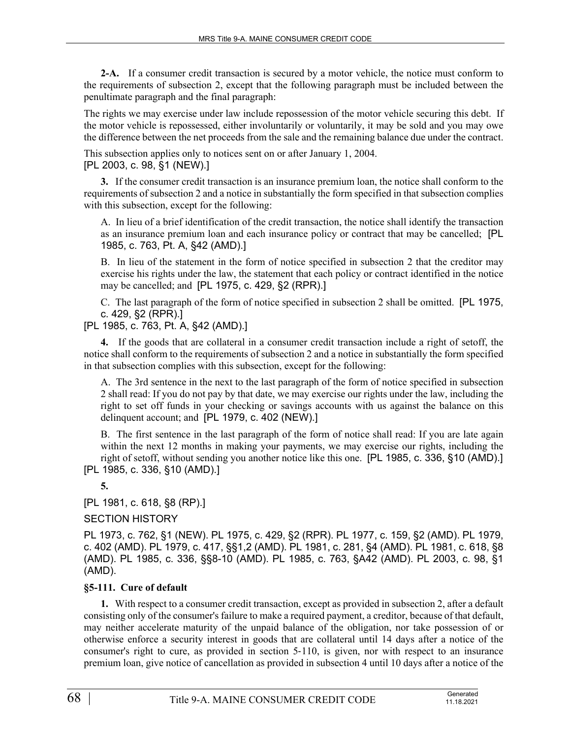**2-A.** If a consumer credit transaction is secured by a motor vehicle, the notice must conform to the requirements of subsection 2, except that the following paragraph must be included between the penultimate paragraph and the final paragraph:

The rights we may exercise under law include repossession of the motor vehicle securing this debt. If the motor vehicle is repossessed, either involuntarily or voluntarily, it may be sold and you may owe the difference between the net proceeds from the sale and the remaining balance due under the contract.

This subsection applies only to notices sent on or after January 1, 2004. [PL 2003, c. 98, §1 (NEW).]

**3.** If the consumer credit transaction is an insurance premium loan, the notice shall conform to the requirements of subsection 2 and a notice in substantially the form specified in that subsection complies with this subsection, except for the following:

A. In lieu of a brief identification of the credit transaction, the notice shall identify the transaction as an insurance premium loan and each insurance policy or contract that may be cancelled; [PL 1985, c. 763, Pt. A, §42 (AMD).]

B. In lieu of the statement in the form of notice specified in subsection 2 that the creditor may exercise his rights under the law, the statement that each policy or contract identified in the notice may be cancelled; and [PL 1975, c. 429, §2 (RPR).]

C. The last paragraph of the form of notice specified in subsection 2 shall be omitted. [PL 1975, c. 429, §2 (RPR).]

[PL 1985, c. 763, Pt. A, §42 (AMD).]

**4.** If the goods that are collateral in a consumer credit transaction include a right of setoff, the notice shall conform to the requirements of subsection 2 and a notice in substantially the form specified in that subsection complies with this subsection, except for the following:

A. The 3rd sentence in the next to the last paragraph of the form of notice specified in subsection 2 shall read: If you do not pay by that date, we may exercise our rights under the law, including the right to set off funds in your checking or savings accounts with us against the balance on this delinquent account; and [PL 1979, c. 402 (NEW).]

B. The first sentence in the last paragraph of the form of notice shall read: If you are late again within the next 12 months in making your payments, we may exercise our rights, including the right of setoff, without sending you another notice like this one. [PL 1985, c. 336, §10 (AMD).] [PL 1985, c. 336, §10 (AMD).]

**5.** 

[PL 1981, c. 618, §8 (RP).]

# SECTION HISTORY

PL 1973, c. 762, §1 (NEW). PL 1975, c. 429, §2 (RPR). PL 1977, c. 159, §2 (AMD). PL 1979, c. 402 (AMD). PL 1979, c. 417, §§1,2 (AMD). PL 1981, c. 281, §4 (AMD). PL 1981, c. 618, §8 (AMD). PL 1985, c. 336, §§8-10 (AMD). PL 1985, c. 763, §A42 (AMD). PL 2003, c. 98, §1 (AMD).

# **§5-111. Cure of default**

**1.** With respect to a consumer credit transaction, except as provided in subsection 2, after a default consisting only of the consumer's failure to make a required payment, a creditor, because of that default, may neither accelerate maturity of the unpaid balance of the obligation, nor take possession of or otherwise enforce a security interest in goods that are collateral until 14 days after a notice of the consumer's right to cure, as provided in section 5‑110, is given, nor with respect to an insurance premium loan, give notice of cancellation as provided in subsection 4 until 10 days after a notice of the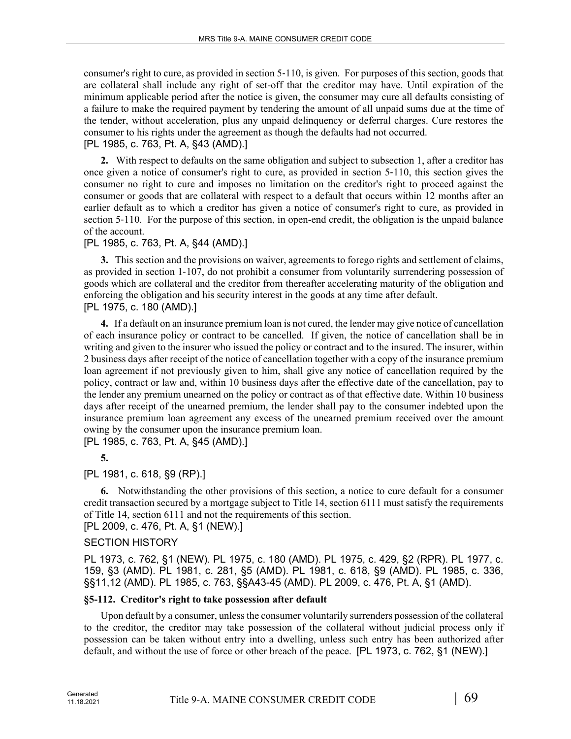consumer's right to cure, as provided in section 5‑110, is given. For purposes of this section, goods that are collateral shall include any right of set-off that the creditor may have. Until expiration of the minimum applicable period after the notice is given, the consumer may cure all defaults consisting of a failure to make the required payment by tendering the amount of all unpaid sums due at the time of the tender, without acceleration, plus any unpaid delinquency or deferral charges. Cure restores the consumer to his rights under the agreement as though the defaults had not occurred.

[PL 1985, c. 763, Pt. A, §43 (AMD).]

**2.** With respect to defaults on the same obligation and subject to subsection 1, after a creditor has once given a notice of consumer's right to cure, as provided in section 5‑110, this section gives the consumer no right to cure and imposes no limitation on the creditor's right to proceed against the consumer or goods that are collateral with respect to a default that occurs within 12 months after an earlier default as to which a creditor has given a notice of consumer's right to cure, as provided in section 5–110. For the purpose of this section, in open-end credit, the obligation is the unpaid balance of the account.

# [PL 1985, c. 763, Pt. A, §44 (AMD).]

**3.** This section and the provisions on waiver, agreements to forego rights and settlement of claims, as provided in section 1‑107, do not prohibit a consumer from voluntarily surrendering possession of goods which are collateral and the creditor from thereafter accelerating maturity of the obligation and enforcing the obligation and his security interest in the goods at any time after default. [PL 1975, c. 180 (AMD).]

**4.** If a default on an insurance premium loan is not cured, the lender may give notice of cancellation of each insurance policy or contract to be cancelled. If given, the notice of cancellation shall be in writing and given to the insurer who issued the policy or contract and to the insured. The insurer, within 2 business days after receipt of the notice of cancellation together with a copy of the insurance premium loan agreement if not previously given to him, shall give any notice of cancellation required by the policy, contract or law and, within 10 business days after the effective date of the cancellation, pay to the lender any premium unearned on the policy or contract as of that effective date. Within 10 business days after receipt of the unearned premium, the lender shall pay to the consumer indebted upon the insurance premium loan agreement any excess of the unearned premium received over the amount owing by the consumer upon the insurance premium loan. [PL 1985, c. 763, Pt. A, §45 (AMD).]

**5.** 

# [PL 1981, c. 618, §9 (RP).]

**6.** Notwithstanding the other provisions of this section, a notice to cure default for a consumer credit transaction secured by a mortgage subject to Title 14, section 6111 must satisfy the requirements of Title 14, section 6111 and not the requirements of this section.

[PL 2009, c. 476, Pt. A, §1 (NEW).]

# SECTION HISTORY

PL 1973, c. 762, §1 (NEW). PL 1975, c. 180 (AMD). PL 1975, c. 429, §2 (RPR). PL 1977, c. 159, §3 (AMD). PL 1981, c. 281, §5 (AMD). PL 1981, c. 618, §9 (AMD). PL 1985, c. 336, §§11,12 (AMD). PL 1985, c. 763, §§A43-45 (AMD). PL 2009, c. 476, Pt. A, §1 (AMD).

# **§5-112. Creditor's right to take possession after default**

Upon default by a consumer, unless the consumer voluntarily surrenders possession of the collateral to the creditor, the creditor may take possession of the collateral without judicial process only if possession can be taken without entry into a dwelling, unless such entry has been authorized after default, and without the use of force or other breach of the peace. [PL 1973, c. 762, §1 (NEW).]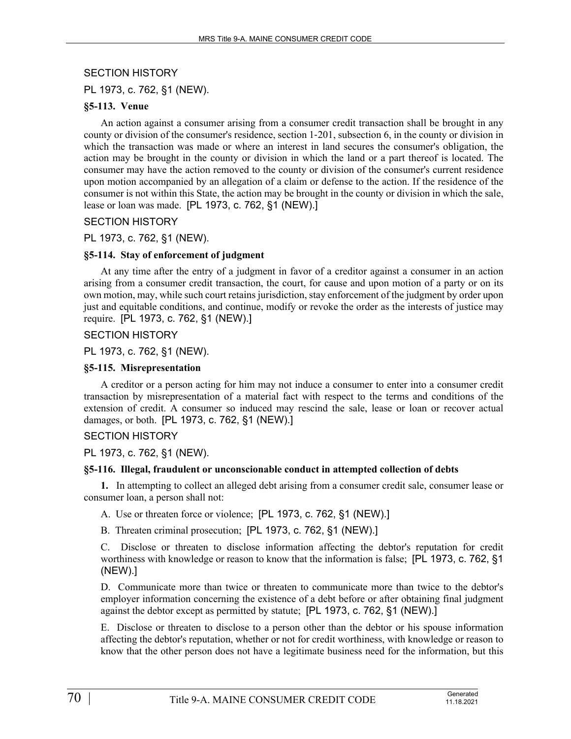# SECTION HISTORY

PL 1973, c. 762, §1 (NEW).

## **§5-113. Venue**

An action against a consumer arising from a consumer credit transaction shall be brought in any county or division of the consumer's residence, section 1‑201, subsection 6, in the county or division in which the transaction was made or where an interest in land secures the consumer's obligation, the action may be brought in the county or division in which the land or a part thereof is located. The consumer may have the action removed to the county or division of the consumer's current residence upon motion accompanied by an allegation of a claim or defense to the action. If the residence of the consumer is not within this State, the action may be brought in the county or division in which the sale, lease or loan was made. [PL 1973, c. 762, §1 (NEW).]

## SECTION HISTORY

## PL 1973, c. 762, §1 (NEW).

## **§5-114. Stay of enforcement of judgment**

At any time after the entry of a judgment in favor of a creditor against a consumer in an action arising from a consumer credit transaction, the court, for cause and upon motion of a party or on its own motion, may, while such court retains jurisdiction, stay enforcement of the judgment by order upon just and equitable conditions, and continue, modify or revoke the order as the interests of justice may require. [PL 1973, c. 762, §1 (NEW).]

## SECTION HISTORY

PL 1973, c. 762, §1 (NEW).

## **§5-115. Misrepresentation**

A creditor or a person acting for him may not induce a consumer to enter into a consumer credit transaction by misrepresentation of a material fact with respect to the terms and conditions of the extension of credit. A consumer so induced may rescind the sale, lease or loan or recover actual damages, or both. [PL 1973, c. 762, §1 (NEW).]

## SECTION HISTORY

PL 1973, c. 762, §1 (NEW).

## **§5-116. Illegal, fraudulent or unconscionable conduct in attempted collection of debts**

**1.** In attempting to collect an alleged debt arising from a consumer credit sale, consumer lease or consumer loan, a person shall not:

A. Use or threaten force or violence; [PL 1973, c. 762, §1 (NEW).]

B. Threaten criminal prosecution; [PL 1973, c. 762, §1 (NEW).]

C. Disclose or threaten to disclose information affecting the debtor's reputation for credit worthiness with knowledge or reason to know that the information is false; [PL 1973, c. 762, §1 (NEW).]

D. Communicate more than twice or threaten to communicate more than twice to the debtor's employer information concerning the existence of a debt before or after obtaining final judgment against the debtor except as permitted by statute; [PL 1973, c. 762, §1 (NEW).]

E. Disclose or threaten to disclose to a person other than the debtor or his spouse information affecting the debtor's reputation, whether or not for credit worthiness, with knowledge or reason to know that the other person does not have a legitimate business need for the information, but this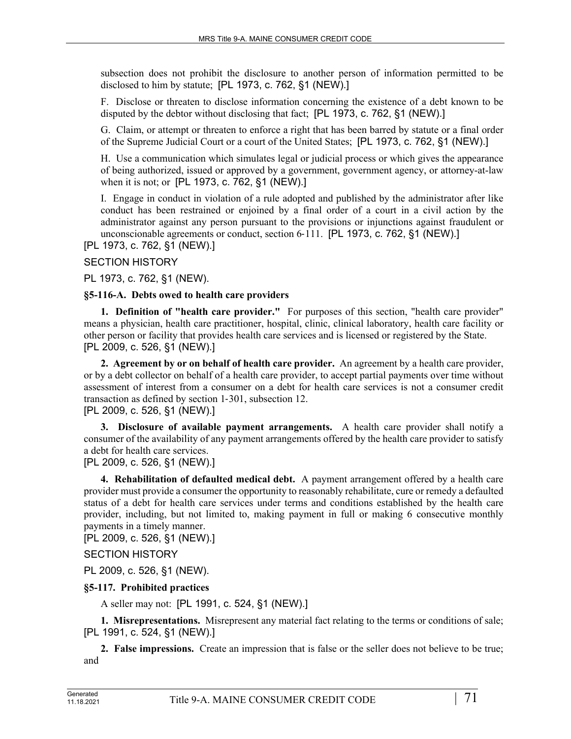subsection does not prohibit the disclosure to another person of information permitted to be disclosed to him by statute; [PL 1973, c. 762, §1 (NEW).]

F. Disclose or threaten to disclose information concerning the existence of a debt known to be disputed by the debtor without disclosing that fact; [PL 1973, c. 762, §1 (NEW).]

G. Claim, or attempt or threaten to enforce a right that has been barred by statute or a final order of the Supreme Judicial Court or a court of the United States; [PL 1973, c. 762, §1 (NEW).]

H. Use a communication which simulates legal or judicial process or which gives the appearance of being authorized, issued or approved by a government, government agency, or attorney-at-law when it is not; or [PL 1973, c. 762, §1 (NEW).]

I. Engage in conduct in violation of a rule adopted and published by the administrator after like conduct has been restrained or enjoined by a final order of a court in a civil action by the administrator against any person pursuant to the provisions or injunctions against fraudulent or unconscionable agreements or conduct, section 6‑111. [PL 1973, c. 762, §1 (NEW).]

[PL 1973, c. 762, §1 (NEW).]

# SECTION HISTORY

PL 1973, c. 762, §1 (NEW).

## **§5-116-A. Debts owed to health care providers**

**1. Definition of "health care provider."** For purposes of this section, "health care provider" means a physician, health care practitioner, hospital, clinic, clinical laboratory, health care facility or other person or facility that provides health care services and is licensed or registered by the State. [PL 2009, c. 526, §1 (NEW).]

**2. Agreement by or on behalf of health care provider.** An agreement by a health care provider, or by a debt collector on behalf of a health care provider, to accept partial payments over time without assessment of interest from a consumer on a debt for health care services is not a consumer credit transaction as defined by section 1‑301, subsection 12.

# [PL 2009, c. 526, §1 (NEW).]

**3. Disclosure of available payment arrangements.** A health care provider shall notify a consumer of the availability of any payment arrangements offered by the health care provider to satisfy a debt for health care services.

[PL 2009, c. 526, §1 (NEW).]

**4. Rehabilitation of defaulted medical debt.** A payment arrangement offered by a health care provider must provide a consumer the opportunity to reasonably rehabilitate, cure or remedy a defaulted status of a debt for health care services under terms and conditions established by the health care provider, including, but not limited to, making payment in full or making 6 consecutive monthly payments in a timely manner.

[PL 2009, c. 526, §1 (NEW).]

# SECTION HISTORY

PL 2009, c. 526, §1 (NEW).

# **§5-117. Prohibited practices**

A seller may not: [PL 1991, c. 524, §1 (NEW).]

**1. Misrepresentations.** Misrepresent any material fact relating to the terms or conditions of sale; [PL 1991, c. 524, §1 (NEW).]

**2. False impressions.** Create an impression that is false or the seller does not believe to be true; and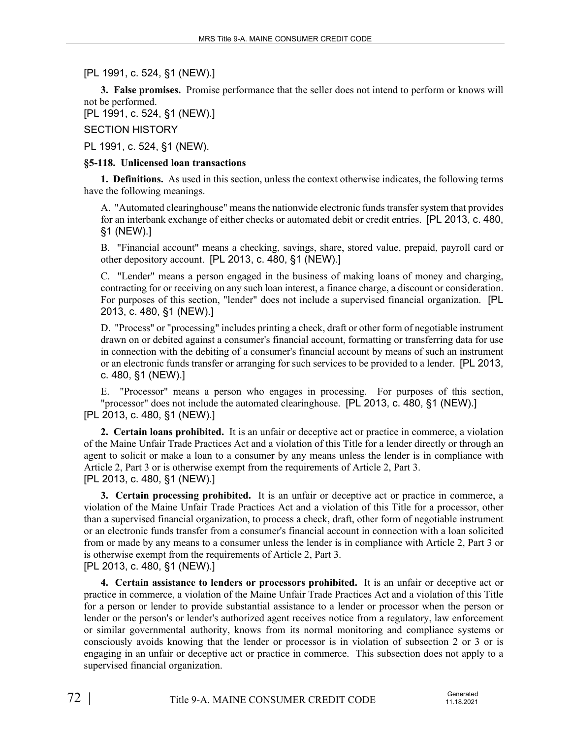[PL 1991, c. 524, §1 (NEW).]

**3. False promises.** Promise performance that the seller does not intend to perform or knows will not be performed.

[PL 1991, c. 524, §1 (NEW).]

SECTION HISTORY

PL 1991, c. 524, §1 (NEW).

## **§5-118. Unlicensed loan transactions**

**1. Definitions.** As used in this section, unless the context otherwise indicates, the following terms have the following meanings.

A. "Automated clearinghouse" means the nationwide electronic funds transfer system that provides for an interbank exchange of either checks or automated debit or credit entries. [PL 2013, c. 480, §1 (NEW).]

B. "Financial account" means a checking, savings, share, stored value, prepaid, payroll card or other depository account. [PL 2013, c. 480, §1 (NEW).]

C. "Lender" means a person engaged in the business of making loans of money and charging, contracting for or receiving on any such loan interest, a finance charge, a discount or consideration. For purposes of this section, "lender" does not include a supervised financial organization. [PL 2013, c. 480, §1 (NEW).]

D. "Process" or "processing" includes printing a check, draft or other form of negotiable instrument drawn on or debited against a consumer's financial account, formatting or transferring data for use in connection with the debiting of a consumer's financial account by means of such an instrument or an electronic funds transfer or arranging for such services to be provided to a lender. [PL 2013, c. 480, §1 (NEW).]

E. "Processor" means a person who engages in processing. For purposes of this section, "processor" does not include the automated clearinghouse. [PL 2013, c. 480, §1 (NEW).] [PL 2013, c. 480, §1 (NEW).]

**2. Certain loans prohibited.** It is an unfair or deceptive act or practice in commerce, a violation of the Maine Unfair Trade Practices Act and a violation of this Title for a lender directly or through an agent to solicit or make a loan to a consumer by any means unless the lender is in compliance with Article 2, Part 3 or is otherwise exempt from the requirements of Article 2, Part 3. [PL 2013, c. 480, §1 (NEW).]

**3. Certain processing prohibited.** It is an unfair or deceptive act or practice in commerce, a violation of the Maine Unfair Trade Practices Act and a violation of this Title for a processor, other than a supervised financial organization, to process a check, draft, other form of negotiable instrument or an electronic funds transfer from a consumer's financial account in connection with a loan solicited from or made by any means to a consumer unless the lender is in compliance with Article 2, Part 3 or is otherwise exempt from the requirements of Article 2, Part 3.

[PL 2013, c. 480, §1 (NEW).]

**4. Certain assistance to lenders or processors prohibited.** It is an unfair or deceptive act or practice in commerce, a violation of the Maine Unfair Trade Practices Act and a violation of this Title for a person or lender to provide substantial assistance to a lender or processor when the person or lender or the person's or lender's authorized agent receives notice from a regulatory, law enforcement or similar governmental authority, knows from its normal monitoring and compliance systems or consciously avoids knowing that the lender or processor is in violation of subsection 2 or 3 or is engaging in an unfair or deceptive act or practice in commerce. This subsection does not apply to a supervised financial organization.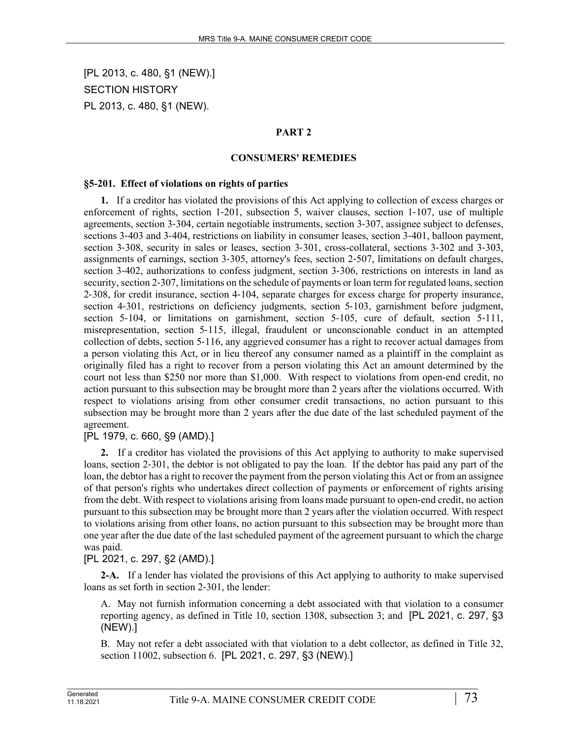[PL 2013, c. 480, §1 (NEW).] SECTION HISTORY PL 2013, c. 480, §1 (NEW).

#### **PART 2**

#### **CONSUMERS' REMEDIES**

#### **§5-201. Effect of violations on rights of parties**

**1.** If a creditor has violated the provisions of this Act applying to collection of excess charges or enforcement of rights, section 1–201, subsection 5, waiver clauses, section 1–107, use of multiple agreements, section 3‑304, certain negotiable instruments, section 3‑307, assignee subject to defenses, sections 3-403 and 3-404, restrictions on liability in consumer leases, section 3-401, balloon payment, section 3-308, security in sales or leases, section 3-301, cross-collateral, sections 3-302 and 3-303, assignments of earnings, section 3‑305, attorney's fees, section 2‑507, limitations on default charges, section 3-402, authorizations to confess judgment, section 3-306, restrictions on interests in land as security, section 2-307, limitations on the schedule of payments or loan term for regulated loans, section 2‑308, for credit insurance, section 4‑104, separate charges for excess charge for property insurance, section 4–301, restrictions on deficiency judgments, section 5–103, garnishment before judgment, section 5-104, or limitations on garnishment, section 5-105, cure of default, section 5-111, misrepresentation, section 5‑115, illegal, fraudulent or unconscionable conduct in an attempted collection of debts, section 5‑116, any aggrieved consumer has a right to recover actual damages from a person violating this Act, or in lieu thereof any consumer named as a plaintiff in the complaint as originally filed has a right to recover from a person violating this Act an amount determined by the court not less than \$250 nor more than \$1,000. With respect to violations from open-end credit, no action pursuant to this subsection may be brought more than 2 years after the violations occurred. With respect to violations arising from other consumer credit transactions, no action pursuant to this subsection may be brought more than 2 years after the due date of the last scheduled payment of the agreement.

#### [PL 1979, c. 660, §9 (AMD).]

**2.** If a creditor has violated the provisions of this Act applying to authority to make supervised loans, section 2‑301, the debtor is not obligated to pay the loan. If the debtor has paid any part of the loan, the debtor has a right to recover the payment from the person violating this Act or from an assignee of that person's rights who undertakes direct collection of payments or enforcement of rights arising from the debt. With respect to violations arising from loans made pursuant to open-end credit, no action pursuant to this subsection may be brought more than 2 years after the violation occurred. With respect to violations arising from other loans, no action pursuant to this subsection may be brought more than one year after the due date of the last scheduled payment of the agreement pursuant to which the charge was paid.

## [PL 2021, c. 297, §2 (AMD).]

**2-A.** If a lender has violated the provisions of this Act applying to authority to make supervised loans as set forth in section 2‑301, the lender:

A. May not furnish information concerning a debt associated with that violation to a consumer reporting agency, as defined in Title 10, section 1308, subsection 3; and [PL 2021, c. 297, §3 (NEW).]

B. May not refer a debt associated with that violation to a debt collector, as defined in Title 32, section 11002, subsection 6. [PL 2021, c. 297, §3 (NEW).]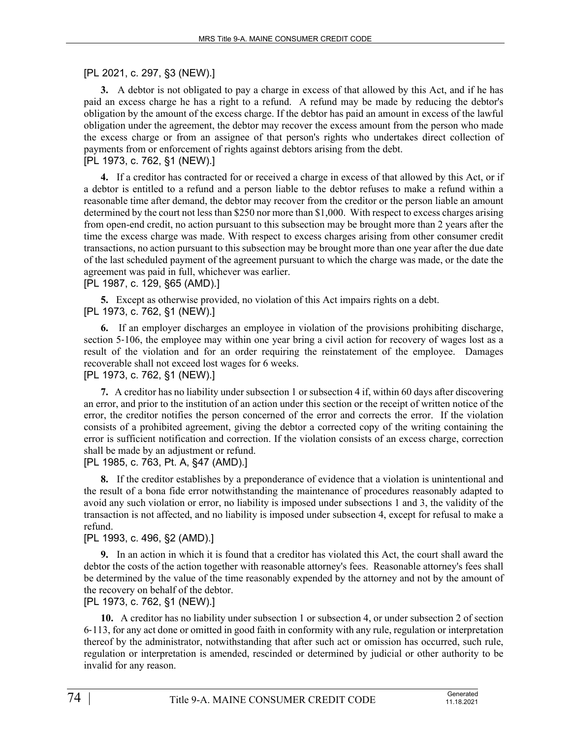## [PL 2021, c. 297, §3 (NEW).]

**3.** A debtor is not obligated to pay a charge in excess of that allowed by this Act, and if he has paid an excess charge he has a right to a refund. A refund may be made by reducing the debtor's obligation by the amount of the excess charge. If the debtor has paid an amount in excess of the lawful obligation under the agreement, the debtor may recover the excess amount from the person who made the excess charge or from an assignee of that person's rights who undertakes direct collection of payments from or enforcement of rights against debtors arising from the debt. [PL 1973, c. 762, §1 (NEW).]

**4.** If a creditor has contracted for or received a charge in excess of that allowed by this Act, or if a debtor is entitled to a refund and a person liable to the debtor refuses to make a refund within a reasonable time after demand, the debtor may recover from the creditor or the person liable an amount determined by the court not less than \$250 nor more than \$1,000. With respect to excess charges arising from open-end credit, no action pursuant to this subsection may be brought more than 2 years after the time the excess charge was made. With respect to excess charges arising from other consumer credit transactions, no action pursuant to this subsection may be brought more than one year after the due date of the last scheduled payment of the agreement pursuant to which the charge was made, or the date the agreement was paid in full, whichever was earlier.

#### [PL 1987, c. 129, §65 (AMD).]

**5.** Except as otherwise provided, no violation of this Act impairs rights on a debt. [PL 1973, c. 762, §1 (NEW).]

**6.** If an employer discharges an employee in violation of the provisions prohibiting discharge, section 5–106, the employee may within one year bring a civil action for recovery of wages lost as a result of the violation and for an order requiring the reinstatement of the employee. Damages recoverable shall not exceed lost wages for 6 weeks.

#### [PL 1973, c. 762, §1 (NEW).]

**7.** A creditor has no liability under subsection 1 or subsection 4 if, within 60 days after discovering an error, and prior to the institution of an action under this section or the receipt of written notice of the error, the creditor notifies the person concerned of the error and corrects the error. If the violation consists of a prohibited agreement, giving the debtor a corrected copy of the writing containing the error is sufficient notification and correction. If the violation consists of an excess charge, correction shall be made by an adjustment or refund.

[PL 1985, c. 763, Pt. A, §47 (AMD).]

**8.** If the creditor establishes by a preponderance of evidence that a violation is unintentional and the result of a bona fide error notwithstanding the maintenance of procedures reasonably adapted to avoid any such violation or error, no liability is imposed under subsections 1 and 3, the validity of the transaction is not affected, and no liability is imposed under subsection 4, except for refusal to make a refund.

## [PL 1993, c. 496, §2 (AMD).]

**9.** In an action in which it is found that a creditor has violated this Act, the court shall award the debtor the costs of the action together with reasonable attorney's fees. Reasonable attorney's fees shall be determined by the value of the time reasonably expended by the attorney and not by the amount of the recovery on behalf of the debtor.

[PL 1973, c. 762, §1 (NEW).]

**10.** A creditor has no liability under subsection 1 or subsection 4, or under subsection 2 of section 6‑113, for any act done or omitted in good faith in conformity with any rule, regulation or interpretation thereof by the administrator, notwithstanding that after such act or omission has occurred, such rule, regulation or interpretation is amended, rescinded or determined by judicial or other authority to be invalid for any reason.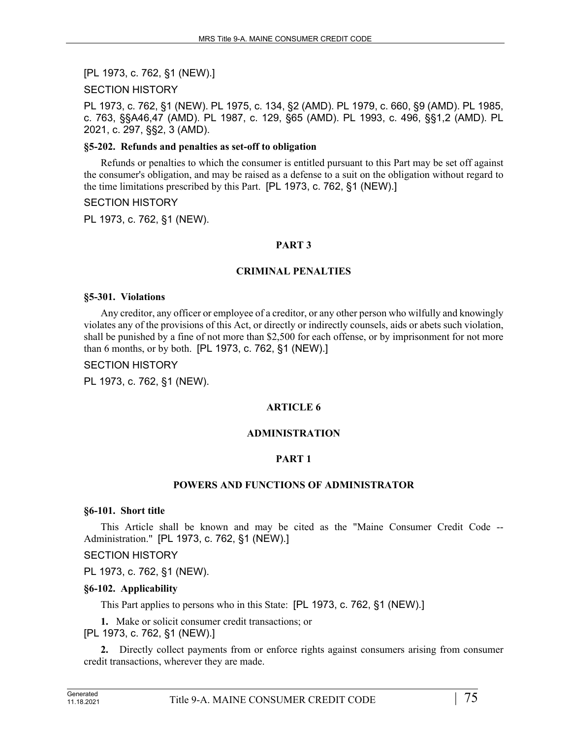[PL 1973, c. 762, §1 (NEW).]

#### SECTION HISTORY

PL 1973, c. 762, §1 (NEW). PL 1975, c. 134, §2 (AMD). PL 1979, c. 660, §9 (AMD). PL 1985, c. 763, §§A46,47 (AMD). PL 1987, c. 129, §65 (AMD). PL 1993, c. 496, §§1,2 (AMD). PL 2021, c. 297, §§2, 3 (AMD).

#### **§5-202. Refunds and penalties as set-off to obligation**

Refunds or penalties to which the consumer is entitled pursuant to this Part may be set off against the consumer's obligation, and may be raised as a defense to a suit on the obligation without regard to the time limitations prescribed by this Part. [PL 1973, c. 762, §1 (NEW).]

#### SECTION HISTORY

PL 1973, c. 762, §1 (NEW).

#### **PART 3**

#### **CRIMINAL PENALTIES**

#### **§5-301. Violations**

Any creditor, any officer or employee of a creditor, or any other person who wilfully and knowingly violates any of the provisions of this Act, or directly or indirectly counsels, aids or abets such violation, shall be punished by a fine of not more than \$2,500 for each offense, or by imprisonment for not more than 6 months, or by both. [PL 1973, c. 762, §1 (NEW).]

#### SECTION HISTORY

PL 1973, c. 762, §1 (NEW).

#### **ARTICLE 6**

#### **ADMINISTRATION**

#### **PART 1**

#### **POWERS AND FUNCTIONS OF ADMINISTRATOR**

#### **§6-101. Short title**

This Article shall be known and may be cited as the "Maine Consumer Credit Code -- Administration." [PL 1973, c. 762, §1 (NEW).]

#### SECTION HISTORY

PL 1973, c. 762, §1 (NEW).

#### **§6-102. Applicability**

This Part applies to persons who in this State: [PL 1973, c. 762, §1 (NEW).]

**1.** Make or solicit consumer credit transactions; or

[PL 1973, c. 762, §1 (NEW).]

**2.** Directly collect payments from or enforce rights against consumers arising from consumer credit transactions, wherever they are made.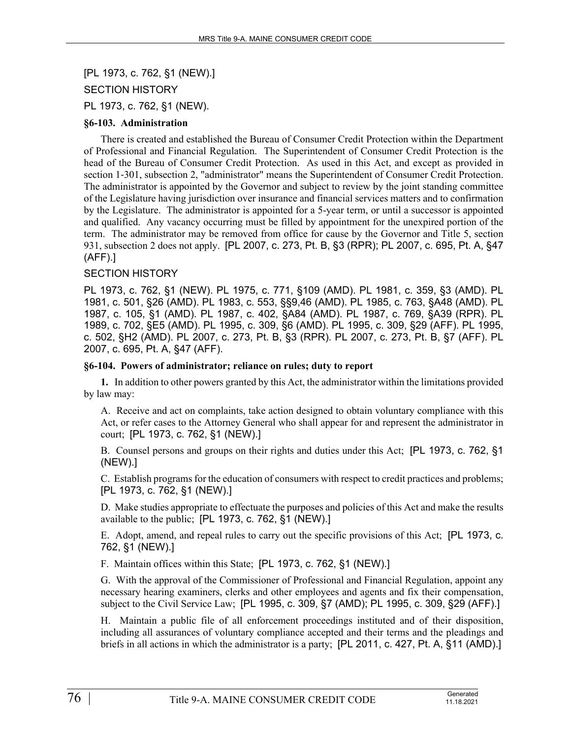[PL 1973, c. 762, §1 (NEW).] SECTION HISTORY PL 1973, c. 762, §1 (NEW).

#### **§6-103. Administration**

There is created and established the Bureau of Consumer Credit Protection within the Department of Professional and Financial Regulation. The Superintendent of Consumer Credit Protection is the head of the Bureau of Consumer Credit Protection. As used in this Act, and except as provided in section 1-301, subsection 2, "administrator" means the Superintendent of Consumer Credit Protection. The administrator is appointed by the Governor and subject to review by the joint standing committee of the Legislature having jurisdiction over insurance and financial services matters and to confirmation by the Legislature. The administrator is appointed for a 5-year term, or until a successor is appointed and qualified. Any vacancy occurring must be filled by appointment for the unexpired portion of the term. The administrator may be removed from office for cause by the Governor and Title 5, section 931, subsection 2 does not apply. [PL 2007, c. 273, Pt. B, §3 (RPR); PL 2007, c. 695, Pt. A, §47 (AFF).]

#### SECTION HISTORY

PL 1973, c. 762, §1 (NEW). PL 1975, c. 771, §109 (AMD). PL 1981, c. 359, §3 (AMD). PL 1981, c. 501, §26 (AMD). PL 1983, c. 553, §§9,46 (AMD). PL 1985, c. 763, §A48 (AMD). PL 1987, c. 105, §1 (AMD). PL 1987, c. 402, §A84 (AMD). PL 1987, c. 769, §A39 (RPR). PL 1989, c. 702, §E5 (AMD). PL 1995, c. 309, §6 (AMD). PL 1995, c. 309, §29 (AFF). PL 1995, c. 502, §H2 (AMD). PL 2007, c. 273, Pt. B, §3 (RPR). PL 2007, c. 273, Pt. B, §7 (AFF). PL 2007, c. 695, Pt. A, §47 (AFF).

#### **§6-104. Powers of administrator; reliance on rules; duty to report**

**1.** In addition to other powers granted by this Act, the administrator within the limitations provided by law may:

A. Receive and act on complaints, take action designed to obtain voluntary compliance with this Act, or refer cases to the Attorney General who shall appear for and represent the administrator in court; [PL 1973, c. 762, §1 (NEW).]

B. Counsel persons and groups on their rights and duties under this Act; [PL 1973, c. 762, §1 (NEW).]

C. Establish programs for the education of consumers with respect to credit practices and problems; [PL 1973, c. 762, §1 (NEW).]

D. Make studies appropriate to effectuate the purposes and policies of this Act and make the results available to the public; [PL 1973, c. 762, §1 (NEW).]

E. Adopt, amend, and repeal rules to carry out the specific provisions of this Act; [PL 1973, c. 762, §1 (NEW).]

F. Maintain offices within this State; [PL 1973, c. 762, §1 (NEW).]

G. With the approval of the Commissioner of Professional and Financial Regulation, appoint any necessary hearing examiners, clerks and other employees and agents and fix their compensation, subject to the Civil Service Law; [PL 1995, c. 309, §7 (AMD); PL 1995, c. 309, §29 (AFF).]

H. Maintain a public file of all enforcement proceedings instituted and of their disposition, including all assurances of voluntary compliance accepted and their terms and the pleadings and briefs in all actions in which the administrator is a party; [PL 2011, c. 427, Pt. A, §11 (AMD).]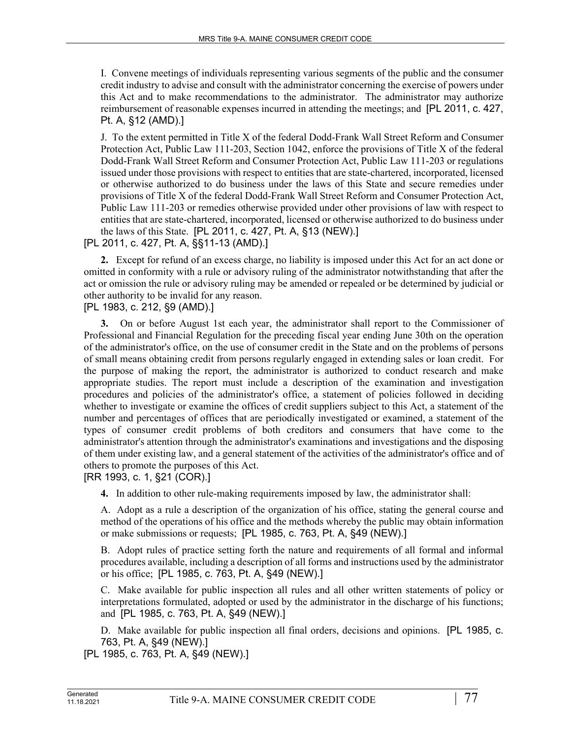I. Convene meetings of individuals representing various segments of the public and the consumer credit industry to advise and consult with the administrator concerning the exercise of powers under this Act and to make recommendations to the administrator. The administrator may authorize reimbursement of reasonable expenses incurred in attending the meetings; and [PL 2011, c. 427, Pt. A, §12 (AMD).]

J. To the extent permitted in Title X of the federal Dodd-Frank Wall Street Reform and Consumer Protection Act, Public Law 111-203, Section 1042, enforce the provisions of Title X of the federal Dodd-Frank Wall Street Reform and Consumer Protection Act, Public Law 111-203 or regulations issued under those provisions with respect to entities that are state-chartered, incorporated, licensed or otherwise authorized to do business under the laws of this State and secure remedies under provisions of Title X of the federal Dodd-Frank Wall Street Reform and Consumer Protection Act, Public Law 111-203 or remedies otherwise provided under other provisions of law with respect to entities that are state-chartered, incorporated, licensed or otherwise authorized to do business under the laws of this State. [PL 2011, c. 427, Pt. A, §13 (NEW).]

## [PL 2011, c. 427, Pt. A, §§11-13 (AMD).]

**2.** Except for refund of an excess charge, no liability is imposed under this Act for an act done or omitted in conformity with a rule or advisory ruling of the administrator notwithstanding that after the act or omission the rule or advisory ruling may be amended or repealed or be determined by judicial or other authority to be invalid for any reason.

[PL 1983, c. 212, §9 (AMD).]

**3.** On or before August 1st each year, the administrator shall report to the Commissioner of Professional and Financial Regulation for the preceding fiscal year ending June 30th on the operation of the administrator's office, on the use of consumer credit in the State and on the problems of persons of small means obtaining credit from persons regularly engaged in extending sales or loan credit. For the purpose of making the report, the administrator is authorized to conduct research and make appropriate studies. The report must include a description of the examination and investigation procedures and policies of the administrator's office, a statement of policies followed in deciding whether to investigate or examine the offices of credit suppliers subject to this Act, a statement of the number and percentages of offices that are periodically investigated or examined, a statement of the types of consumer credit problems of both creditors and consumers that have come to the administrator's attention through the administrator's examinations and investigations and the disposing of them under existing law, and a general statement of the activities of the administrator's office and of others to promote the purposes of this Act.

[RR 1993, c. 1, §21 (COR).]

**4.** In addition to other rule-making requirements imposed by law, the administrator shall:

A. Adopt as a rule a description of the organization of his office, stating the general course and method of the operations of his office and the methods whereby the public may obtain information or make submissions or requests; [PL 1985, c. 763, Pt. A, §49 (NEW).]

B. Adopt rules of practice setting forth the nature and requirements of all formal and informal procedures available, including a description of all forms and instructions used by the administrator or his office; [PL 1985, c. 763, Pt. A, §49 (NEW).]

C. Make available for public inspection all rules and all other written statements of policy or interpretations formulated, adopted or used by the administrator in the discharge of his functions; and [PL 1985, c. 763, Pt. A, §49 (NEW).]

D. Make available for public inspection all final orders, decisions and opinions. [PL 1985, c. 763, Pt. A, §49 (NEW).]

[PL 1985, c. 763, Pt. A, §49 (NEW).]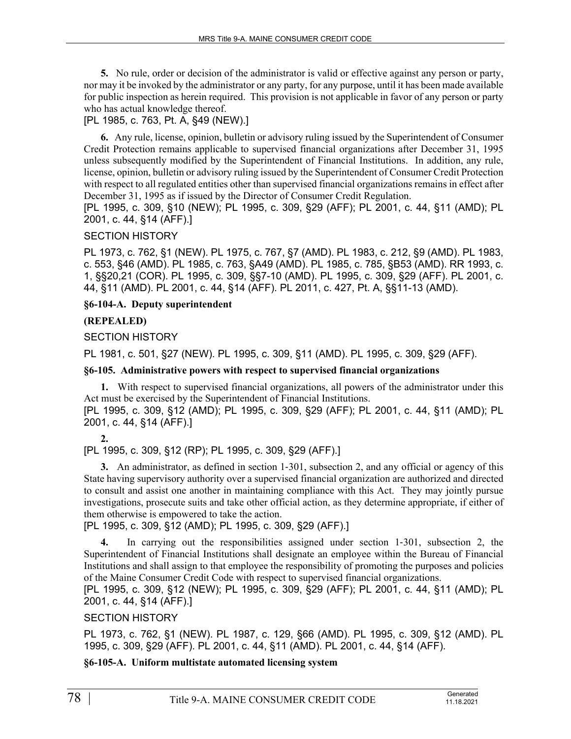**5.** No rule, order or decision of the administrator is valid or effective against any person or party, nor may it be invoked by the administrator or any party, for any purpose, until it has been made available for public inspection as herein required. This provision is not applicable in favor of any person or party who has actual knowledge thereof.

# [PL 1985, c. 763, Pt. A, §49 (NEW).]

**6.** Any rule, license, opinion, bulletin or advisory ruling issued by the Superintendent of Consumer Credit Protection remains applicable to supervised financial organizations after December 31, 1995 unless subsequently modified by the Superintendent of Financial Institutions. In addition, any rule, license, opinion, bulletin or advisory ruling issued by the Superintendent of Consumer Credit Protection with respect to all regulated entities other than supervised financial organizations remains in effect after December 31, 1995 as if issued by the Director of Consumer Credit Regulation.

[PL 1995, c. 309, §10 (NEW); PL 1995, c. 309, §29 (AFF); PL 2001, c. 44, §11 (AMD); PL 2001, c. 44, §14 (AFF).]

#### SECTION HISTORY

PL 1973, c. 762, §1 (NEW). PL 1975, c. 767, §7 (AMD). PL 1983, c. 212, §9 (AMD). PL 1983, c. 553, §46 (AMD). PL 1985, c. 763, §A49 (AMD). PL 1985, c. 785, §B53 (AMD). RR 1993, c. 1, §§20,21 (COR). PL 1995, c. 309, §§7-10 (AMD). PL 1995, c. 309, §29 (AFF). PL 2001, c. 44, §11 (AMD). PL 2001, c. 44, §14 (AFF). PL 2011, c. 427, Pt. A, §§11-13 (AMD).

#### **§6-104-A. Deputy superintendent**

## **(REPEALED)**

#### SECTION HISTORY

PL 1981, c. 501, §27 (NEW). PL 1995, c. 309, §11 (AMD). PL 1995, c. 309, §29 (AFF).

#### **§6-105. Administrative powers with respect to supervised financial organizations**

**1.** With respect to supervised financial organizations, all powers of the administrator under this Act must be exercised by the Superintendent of Financial Institutions.

[PL 1995, c. 309, §12 (AMD); PL 1995, c. 309, §29 (AFF); PL 2001, c. 44, §11 (AMD); PL 2001, c. 44, §14 (AFF).]

#### **2.**

[PL 1995, c. 309, §12 (RP); PL 1995, c. 309, §29 (AFF).]

**3.** An administrator, as defined in section 1‑301, subsection 2, and any official or agency of this State having supervisory authority over a supervised financial organization are authorized and directed to consult and assist one another in maintaining compliance with this Act. They may jointly pursue investigations, prosecute suits and take other official action, as they determine appropriate, if either of them otherwise is empowered to take the action.

[PL 1995, c. 309, §12 (AMD); PL 1995, c. 309, §29 (AFF).]

**4.** In carrying out the responsibilities assigned under section 1‑301, subsection 2, the Superintendent of Financial Institutions shall designate an employee within the Bureau of Financial Institutions and shall assign to that employee the responsibility of promoting the purposes and policies of the Maine Consumer Credit Code with respect to supervised financial organizations.

[PL 1995, c. 309, §12 (NEW); PL 1995, c. 309, §29 (AFF); PL 2001, c. 44, §11 (AMD); PL 2001, c. 44, §14 (AFF).]

#### SECTION HISTORY

PL 1973, c. 762, §1 (NEW). PL 1987, c. 129, §66 (AMD). PL 1995, c. 309, §12 (AMD). PL 1995, c. 309, §29 (AFF). PL 2001, c. 44, §11 (AMD). PL 2001, c. 44, §14 (AFF).

## **§6-105-A. Uniform multistate automated licensing system**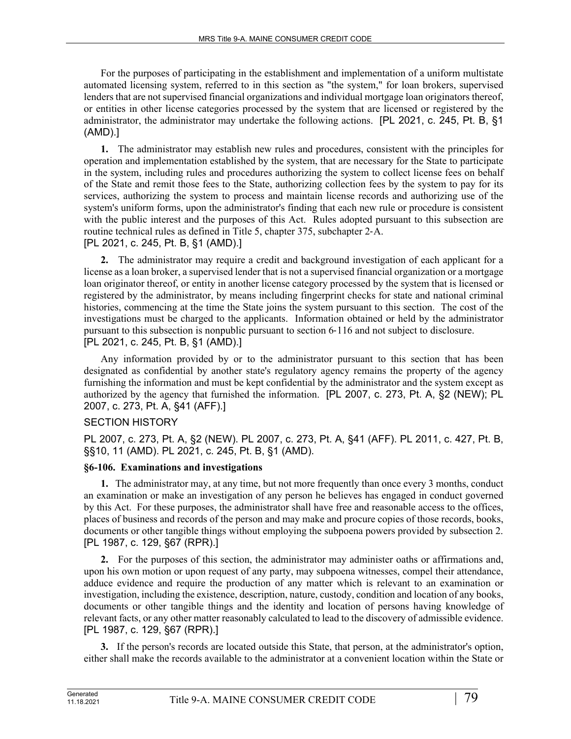For the purposes of participating in the establishment and implementation of a uniform multistate automated licensing system, referred to in this section as "the system," for loan brokers, supervised lenders that are not supervised financial organizations and individual mortgage loan originators thereof, or entities in other license categories processed by the system that are licensed or registered by the administrator, the administrator may undertake the following actions. [PL 2021, c. 245, Pt. B, §1 (AMD).]

**1.** The administrator may establish new rules and procedures, consistent with the principles for operation and implementation established by the system, that are necessary for the State to participate in the system, including rules and procedures authorizing the system to collect license fees on behalf of the State and remit those fees to the State, authorizing collection fees by the system to pay for its services, authorizing the system to process and maintain license records and authorizing use of the system's uniform forms, upon the administrator's finding that each new rule or procedure is consistent with the public interest and the purposes of this Act. Rules adopted pursuant to this subsection are routine technical rules as defined in Title 5, chapter 375, subchapter 2‑A.

# [PL 2021, c. 245, Pt. B, §1 (AMD).]

**2.** The administrator may require a credit and background investigation of each applicant for a license as a loan broker, a supervised lender that is not a supervised financial organization or a mortgage loan originator thereof, or entity in another license category processed by the system that is licensed or registered by the administrator, by means including fingerprint checks for state and national criminal histories, commencing at the time the State joins the system pursuant to this section. The cost of the investigations must be charged to the applicants. Information obtained or held by the administrator pursuant to this subsection is nonpublic pursuant to section 6‑116 and not subject to disclosure. [PL 2021, c. 245, Pt. B, §1 (AMD).]

Any information provided by or to the administrator pursuant to this section that has been designated as confidential by another state's regulatory agency remains the property of the agency furnishing the information and must be kept confidential by the administrator and the system except as authorized by the agency that furnished the information. [PL 2007, c. 273, Pt. A, §2 (NEW); PL 2007, c. 273, Pt. A, §41 (AFF).]

# SECTION HISTORY

PL 2007, c. 273, Pt. A, §2 (NEW). PL 2007, c. 273, Pt. A, §41 (AFF). PL 2011, c. 427, Pt. B, §§10, 11 (AMD). PL 2021, c. 245, Pt. B, §1 (AMD).

# **§6-106. Examinations and investigations**

**1.** The administrator may, at any time, but not more frequently than once every 3 months, conduct an examination or make an investigation of any person he believes has engaged in conduct governed by this Act. For these purposes, the administrator shall have free and reasonable access to the offices, places of business and records of the person and may make and procure copies of those records, books, documents or other tangible things without employing the subpoena powers provided by subsection 2. [PL 1987, c. 129, §67 (RPR).]

**2.** For the purposes of this section, the administrator may administer oaths or affirmations and, upon his own motion or upon request of any party, may subpoena witnesses, compel their attendance, adduce evidence and require the production of any matter which is relevant to an examination or investigation, including the existence, description, nature, custody, condition and location of any books, documents or other tangible things and the identity and location of persons having knowledge of relevant facts, or any other matter reasonably calculated to lead to the discovery of admissible evidence. [PL 1987, c. 129, §67 (RPR).]

**3.** If the person's records are located outside this State, that person, at the administrator's option, either shall make the records available to the administrator at a convenient location within the State or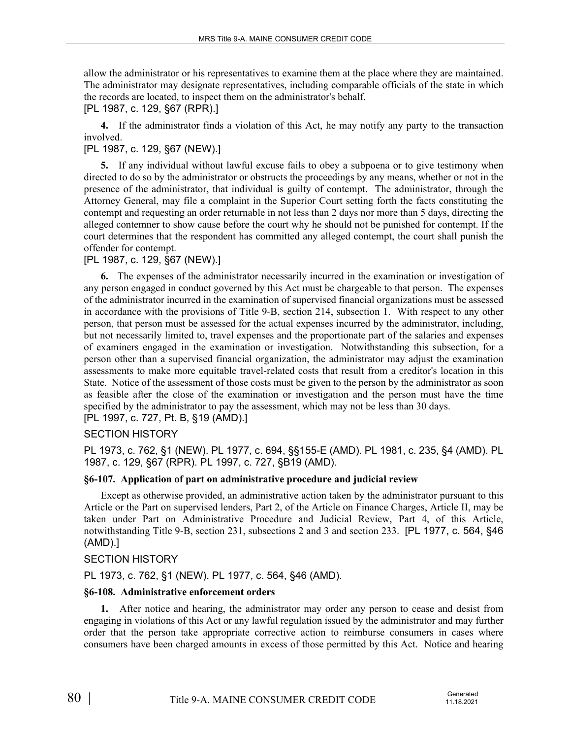allow the administrator or his representatives to examine them at the place where they are maintained. The administrator may designate representatives, including comparable officials of the state in which the records are located, to inspect them on the administrator's behalf.

[PL 1987, c. 129, §67 (RPR).]

**4.** If the administrator finds a violation of this Act, he may notify any party to the transaction involved.

## [PL 1987, c. 129, §67 (NEW).]

**5.** If any individual without lawful excuse fails to obey a subpoena or to give testimony when directed to do so by the administrator or obstructs the proceedings by any means, whether or not in the presence of the administrator, that individual is guilty of contempt. The administrator, through the Attorney General, may file a complaint in the Superior Court setting forth the facts constituting the contempt and requesting an order returnable in not less than 2 days nor more than 5 days, directing the alleged contemner to show cause before the court why he should not be punished for contempt. If the court determines that the respondent has committed any alleged contempt, the court shall punish the offender for contempt.

## [PL 1987, c. 129, §67 (NEW).]

**6.** The expenses of the administrator necessarily incurred in the examination or investigation of any person engaged in conduct governed by this Act must be chargeable to that person. The expenses of the administrator incurred in the examination of supervised financial organizations must be assessed in accordance with the provisions of Title 9-B, section 214, subsection 1. With respect to any other person, that person must be assessed for the actual expenses incurred by the administrator, including, but not necessarily limited to, travel expenses and the proportionate part of the salaries and expenses of examiners engaged in the examination or investigation. Notwithstanding this subsection, for a person other than a supervised financial organization, the administrator may adjust the examination assessments to make more equitable travel-related costs that result from a creditor's location in this State. Notice of the assessment of those costs must be given to the person by the administrator as soon as feasible after the close of the examination or investigation and the person must have the time specified by the administrator to pay the assessment, which may not be less than 30 days. [PL 1997, c. 727, Pt. B, §19 (AMD).]

SECTION HISTORY

PL 1973, c. 762, §1 (NEW). PL 1977, c. 694, §§155-E (AMD). PL 1981, c. 235, §4 (AMD). PL 1987, c. 129, §67 (RPR). PL 1997, c. 727, §B19 (AMD).

## **§6-107. Application of part on administrative procedure and judicial review**

Except as otherwise provided, an administrative action taken by the administrator pursuant to this Article or the Part on supervised lenders, Part 2, of the Article on Finance Charges, Article II, may be taken under Part on Administrative Procedure and Judicial Review, Part 4, of this Article, notwithstanding Title 9-B, section 231, subsections 2 and 3 and section 233. [PL 1977, c. 564, §46 (AMD).]

## SECTION HISTORY

PL 1973, c. 762, §1 (NEW). PL 1977, c. 564, §46 (AMD).

## **§6-108. Administrative enforcement orders**

**1.** After notice and hearing, the administrator may order any person to cease and desist from engaging in violations of this Act or any lawful regulation issued by the administrator and may further order that the person take appropriate corrective action to reimburse consumers in cases where consumers have been charged amounts in excess of those permitted by this Act. Notice and hearing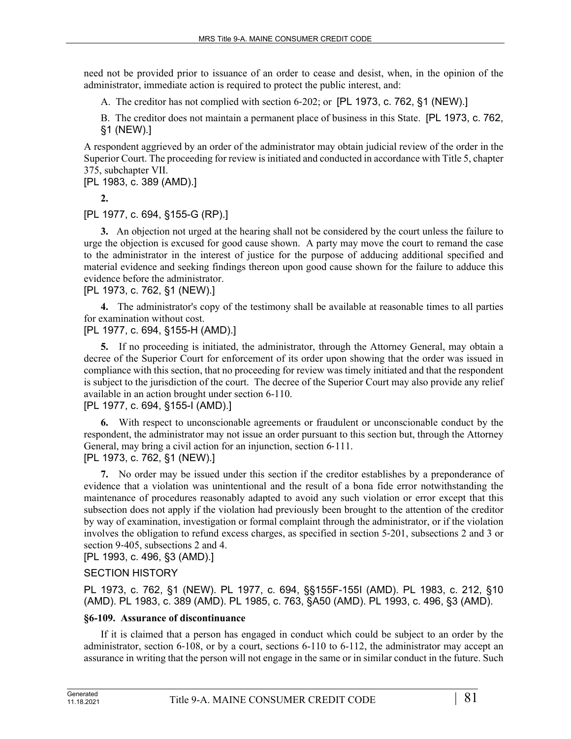need not be provided prior to issuance of an order to cease and desist, when, in the opinion of the administrator, immediate action is required to protect the public interest, and:

A. The creditor has not complied with section 6‑202; or [PL 1973, c. 762, §1 (NEW).]

B. The creditor does not maintain a permanent place of business in this State. [PL 1973, c. 762, §1 (NEW).]

A respondent aggrieved by an order of the administrator may obtain judicial review of the order in the Superior Court. The proceeding for review is initiated and conducted in accordance with Title 5, chapter 375, subchapter VII.

[PL 1983, c. 389 (AMD).]

**2.** 

[PL 1977, c. 694, §155-G (RP).]

**3.** An objection not urged at the hearing shall not be considered by the court unless the failure to urge the objection is excused for good cause shown. A party may move the court to remand the case to the administrator in the interest of justice for the purpose of adducing additional specified and material evidence and seeking findings thereon upon good cause shown for the failure to adduce this evidence before the administrator.

[PL 1973, c. 762, §1 (NEW).]

**4.** The administrator's copy of the testimony shall be available at reasonable times to all parties for examination without cost.

[PL 1977, c. 694, §155-H (AMD).]

**5.** If no proceeding is initiated, the administrator, through the Attorney General, may obtain a decree of the Superior Court for enforcement of its order upon showing that the order was issued in compliance with this section, that no proceeding for review was timely initiated and that the respondent is subject to the jurisdiction of the court. The decree of the Superior Court may also provide any relief available in an action brought under section 6-110.

## [PL 1977, c. 694, §155-I (AMD).]

**6.** With respect to unconscionable agreements or fraudulent or unconscionable conduct by the respondent, the administrator may not issue an order pursuant to this section but, through the Attorney General, may bring a civil action for an injunction, section 6-111.

[PL 1973, c. 762, §1 (NEW).]

**7.** No order may be issued under this section if the creditor establishes by a preponderance of evidence that a violation was unintentional and the result of a bona fide error notwithstanding the maintenance of procedures reasonably adapted to avoid any such violation or error except that this subsection does not apply if the violation had previously been brought to the attention of the creditor by way of examination, investigation or formal complaint through the administrator, or if the violation involves the obligation to refund excess charges, as specified in section 5‑201, subsections 2 and 3 or section 9-405, subsections 2 and 4.

[PL 1993, c. 496, §3 (AMD).]

# SECTION HISTORY

PL 1973, c. 762, §1 (NEW). PL 1977, c. 694, §§155F-155I (AMD). PL 1983, c. 212, §10 (AMD). PL 1983, c. 389 (AMD). PL 1985, c. 763, §A50 (AMD). PL 1993, c. 496, §3 (AMD).

# **§6-109. Assurance of discontinuance**

If it is claimed that a person has engaged in conduct which could be subject to an order by the administrator, section 6-108, or by a court, sections 6-110 to 6-112, the administrator may accept an assurance in writing that the person will not engage in the same or in similar conduct in the future. Such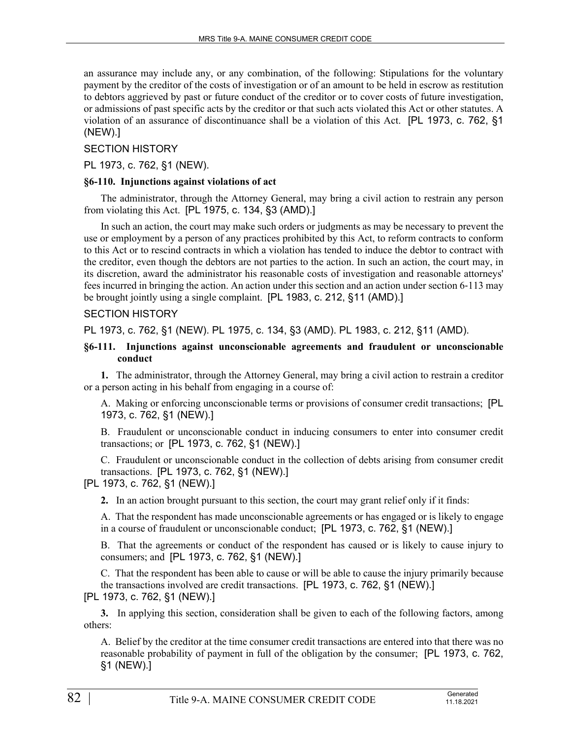an assurance may include any, or any combination, of the following: Stipulations for the voluntary payment by the creditor of the costs of investigation or of an amount to be held in escrow as restitution to debtors aggrieved by past or future conduct of the creditor or to cover costs of future investigation, or admissions of past specific acts by the creditor or that such acts violated this Act or other statutes. A violation of an assurance of discontinuance shall be a violation of this Act. [PL 1973, c. 762, §1 (NEW).]

#### SECTION HISTORY

PL 1973, c. 762, §1 (NEW).

#### **§6-110. Injunctions against violations of act**

The administrator, through the Attorney General, may bring a civil action to restrain any person from violating this Act. [PL 1975, c. 134, §3 (AMD).]

In such an action, the court may make such orders or judgments as may be necessary to prevent the use or employment by a person of any practices prohibited by this Act, to reform contracts to conform to this Act or to rescind contracts in which a violation has tended to induce the debtor to contract with the creditor, even though the debtors are not parties to the action. In such an action, the court may, in its discretion, award the administrator his reasonable costs of investigation and reasonable attorneys' fees incurred in bringing the action. An action under this section and an action under section 6‑113 may be brought jointly using a single complaint. [PL 1983, c. 212, §11 (AMD).]

#### SECTION HISTORY

PL 1973, c. 762, §1 (NEW). PL 1975, c. 134, §3 (AMD). PL 1983, c. 212, §11 (AMD).

#### **§6-111. Injunctions against unconscionable agreements and fraudulent or unconscionable conduct**

**1.** The administrator, through the Attorney General, may bring a civil action to restrain a creditor or a person acting in his behalf from engaging in a course of:

A. Making or enforcing unconscionable terms or provisions of consumer credit transactions; [PL 1973, c. 762, §1 (NEW).]

B. Fraudulent or unconscionable conduct in inducing consumers to enter into consumer credit transactions; or [PL 1973, c. 762, §1 (NEW).]

C. Fraudulent or unconscionable conduct in the collection of debts arising from consumer credit transactions. [PL 1973, c. 762, §1 (NEW).]

[PL 1973, c. 762, §1 (NEW).]

**2.** In an action brought pursuant to this section, the court may grant relief only if it finds:

A. That the respondent has made unconscionable agreements or has engaged or is likely to engage in a course of fraudulent or unconscionable conduct; [PL 1973, c. 762, §1 (NEW).]

B. That the agreements or conduct of the respondent has caused or is likely to cause injury to consumers; and [PL 1973, c. 762, §1 (NEW).]

C. That the respondent has been able to cause or will be able to cause the injury primarily because the transactions involved are credit transactions. [PL 1973, c. 762, §1 (NEW).]

[PL 1973, c. 762, §1 (NEW).]

**3.** In applying this section, consideration shall be given to each of the following factors, among others:

A. Belief by the creditor at the time consumer credit transactions are entered into that there was no reasonable probability of payment in full of the obligation by the consumer; [PL 1973, c. 762, §1 (NEW).]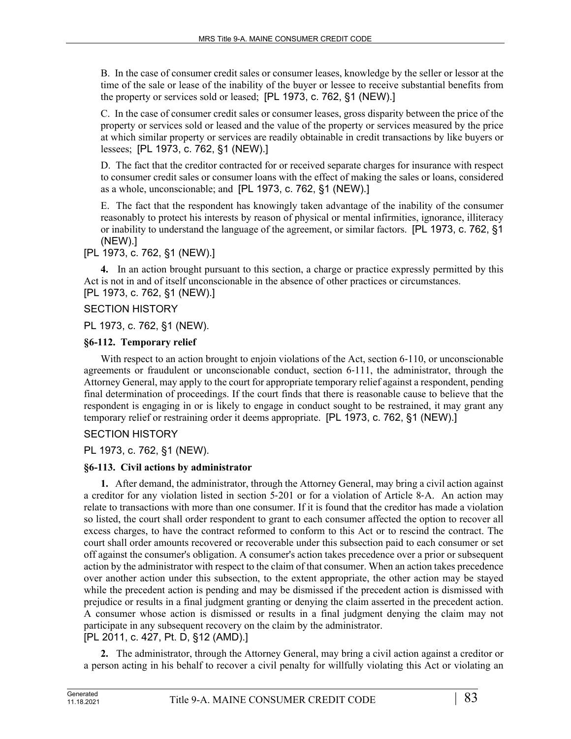B. In the case of consumer credit sales or consumer leases, knowledge by the seller or lessor at the time of the sale or lease of the inability of the buyer or lessee to receive substantial benefits from the property or services sold or leased; [PL 1973, c. 762, §1 (NEW).]

C. In the case of consumer credit sales or consumer leases, gross disparity between the price of the property or services sold or leased and the value of the property or services measured by the price at which similar property or services are readily obtainable in credit transactions by like buyers or lessees; [PL 1973, c. 762, §1 (NEW).]

D. The fact that the creditor contracted for or received separate charges for insurance with respect to consumer credit sales or consumer loans with the effect of making the sales or loans, considered as a whole, unconscionable; and [PL 1973, c. 762, §1 (NEW).]

E. The fact that the respondent has knowingly taken advantage of the inability of the consumer reasonably to protect his interests by reason of physical or mental infirmities, ignorance, illiteracy or inability to understand the language of the agreement, or similar factors. [PL 1973, c. 762, §1 (NEW).]

[PL 1973, c. 762, §1 (NEW).]

**4.** In an action brought pursuant to this section, a charge or practice expressly permitted by this Act is not in and of itself unconscionable in the absence of other practices or circumstances. [PL 1973, c. 762, §1 (NEW).]

## SECTION HISTORY

PL 1973, c. 762, §1 (NEW).

## **§6-112. Temporary relief**

With respect to an action brought to enjoin violations of the Act, section 6-110, or unconscionable agreements or fraudulent or unconscionable conduct, section 6‑111, the administrator, through the Attorney General, may apply to the court for appropriate temporary relief against a respondent, pending final determination of proceedings. If the court finds that there is reasonable cause to believe that the respondent is engaging in or is likely to engage in conduct sought to be restrained, it may grant any temporary relief or restraining order it deems appropriate. [PL 1973, c. 762, §1 (NEW).]

# SECTION HISTORY

PL 1973, c. 762, §1 (NEW).

# **§6-113. Civil actions by administrator**

**1.** After demand, the administrator, through the Attorney General, may bring a civil action against a creditor for any violation listed in section 5–201 or for a violation of Article 8–A. An action may relate to transactions with more than one consumer. If it is found that the creditor has made a violation so listed, the court shall order respondent to grant to each consumer affected the option to recover all excess charges, to have the contract reformed to conform to this Act or to rescind the contract. The court shall order amounts recovered or recoverable under this subsection paid to each consumer or set off against the consumer's obligation. A consumer's action takes precedence over a prior or subsequent action by the administrator with respect to the claim of that consumer. When an action takes precedence over another action under this subsection, to the extent appropriate, the other action may be stayed while the precedent action is pending and may be dismissed if the precedent action is dismissed with prejudice or results in a final judgment granting or denying the claim asserted in the precedent action. A consumer whose action is dismissed or results in a final judgment denying the claim may not participate in any subsequent recovery on the claim by the administrator. [PL 2011, c. 427, Pt. D, §12 (AMD).]

**2.** The administrator, through the Attorney General, may bring a civil action against a creditor or a person acting in his behalf to recover a civil penalty for willfully violating this Act or violating an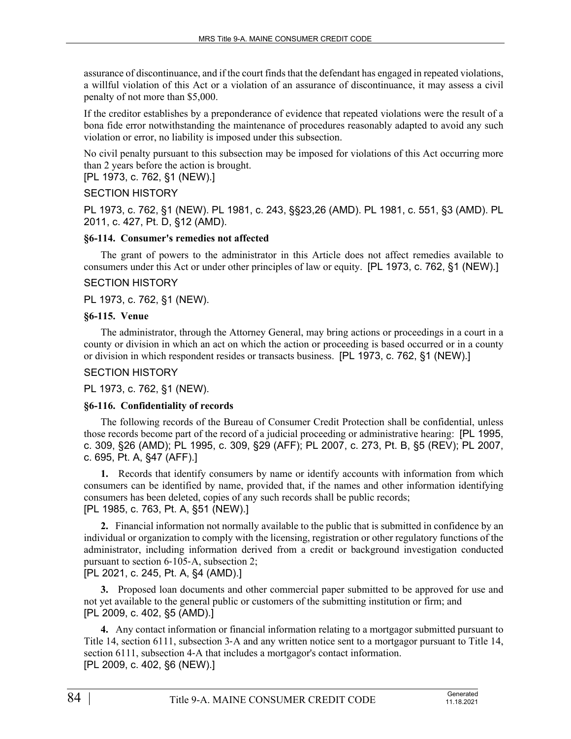assurance of discontinuance, and if the court finds that the defendant has engaged in repeated violations, a willful violation of this Act or a violation of an assurance of discontinuance, it may assess a civil penalty of not more than \$5,000.

If the creditor establishes by a preponderance of evidence that repeated violations were the result of a bona fide error notwithstanding the maintenance of procedures reasonably adapted to avoid any such violation or error, no liability is imposed under this subsection.

No civil penalty pursuant to this subsection may be imposed for violations of this Act occurring more than 2 years before the action is brought.

[PL 1973, c. 762, §1 (NEW).]

## SECTION HISTORY

PL 1973, c. 762, §1 (NEW). PL 1981, c. 243, §§23,26 (AMD). PL 1981, c. 551, §3 (AMD). PL 2011, c. 427, Pt. D, §12 (AMD).

## **§6-114. Consumer's remedies not affected**

The grant of powers to the administrator in this Article does not affect remedies available to consumers under this Act or under other principles of law or equity. [PL 1973, c. 762, §1 (NEW).]

#### SECTION HISTORY

PL 1973, c. 762, §1 (NEW).

#### **§6-115. Venue**

The administrator, through the Attorney General, may bring actions or proceedings in a court in a county or division in which an act on which the action or proceeding is based occurred or in a county or division in which respondent resides or transacts business. [PL 1973, c. 762, §1 (NEW).]

#### SECTION HISTORY

PL 1973, c. 762, §1 (NEW).

## **§6-116. Confidentiality of records**

The following records of the Bureau of Consumer Credit Protection shall be confidential, unless those records become part of the record of a judicial proceeding or administrative hearing: [PL 1995, c. 309, §26 (AMD); PL 1995, c. 309, §29 (AFF); PL 2007, c. 273, Pt. B, §5 (REV); PL 2007, c. 695, Pt. A, §47 (AFF).]

**1.** Records that identify consumers by name or identify accounts with information from which consumers can be identified by name, provided that, if the names and other information identifying consumers has been deleted, copies of any such records shall be public records; [PL 1985, c. 763, Pt. A, §51 (NEW).]

**2.** Financial information not normally available to the public that is submitted in confidence by an individual or organization to comply with the licensing, registration or other regulatory functions of the administrator, including information derived from a credit or background investigation conducted pursuant to section 6‑105‑A, subsection 2;

[PL 2021, c. 245, Pt. A, §4 (AMD).]

**3.** Proposed loan documents and other commercial paper submitted to be approved for use and not yet available to the general public or customers of the submitting institution or firm; and [PL 2009, c. 402, §5 (AMD).]

**4.** Any contact information or financial information relating to a mortgagor submitted pursuant to Title 14, section 6111, subsection 3‑A and any written notice sent to a mortgagor pursuant to Title 14, section 6111, subsection 4–A that includes a mortgagor's contact information. [PL 2009, c. 402, §6 (NEW).]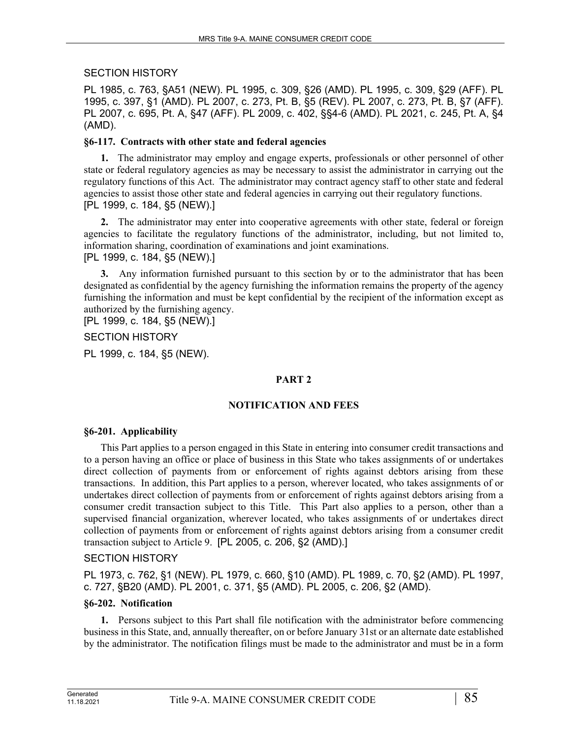SECTION HISTORY

PL 1985, c. 763, §A51 (NEW). PL 1995, c. 309, §26 (AMD). PL 1995, c. 309, §29 (AFF). PL 1995, c. 397, §1 (AMD). PL 2007, c. 273, Pt. B, §5 (REV). PL 2007, c. 273, Pt. B, §7 (AFF). PL 2007, c. 695, Pt. A, §47 (AFF). PL 2009, c. 402, §§4-6 (AMD). PL 2021, c. 245, Pt. A, §4 (AMD).

## **§6-117. Contracts with other state and federal agencies**

**1.** The administrator may employ and engage experts, professionals or other personnel of other state or federal regulatory agencies as may be necessary to assist the administrator in carrying out the regulatory functions of this Act. The administrator may contract agency staff to other state and federal agencies to assist those other state and federal agencies in carrying out their regulatory functions. [PL 1999, c. 184, §5 (NEW).]

**2.** The administrator may enter into cooperative agreements with other state, federal or foreign agencies to facilitate the regulatory functions of the administrator, including, but not limited to, information sharing, coordination of examinations and joint examinations. [PL 1999, c. 184, §5 (NEW).]

**3.** Any information furnished pursuant to this section by or to the administrator that has been designated as confidential by the agency furnishing the information remains the property of the agency furnishing the information and must be kept confidential by the recipient of the information except as authorized by the furnishing agency.

[PL 1999, c. 184, §5 (NEW).]

#### SECTION HISTORY

PL 1999, c. 184, §5 (NEW).

## **PART 2**

## **NOTIFICATION AND FEES**

#### **§6-201. Applicability**

This Part applies to a person engaged in this State in entering into consumer credit transactions and to a person having an office or place of business in this State who takes assignments of or undertakes direct collection of payments from or enforcement of rights against debtors arising from these transactions. In addition, this Part applies to a person, wherever located, who takes assignments of or undertakes direct collection of payments from or enforcement of rights against debtors arising from a consumer credit transaction subject to this Title. This Part also applies to a person, other than a supervised financial organization, wherever located, who takes assignments of or undertakes direct collection of payments from or enforcement of rights against debtors arising from a consumer credit transaction subject to Article 9. [PL 2005, c. 206, §2 (AMD).]

## SECTION HISTORY

PL 1973, c. 762, §1 (NEW). PL 1979, c. 660, §10 (AMD). PL 1989, c. 70, §2 (AMD). PL 1997, c. 727, §B20 (AMD). PL 2001, c. 371, §5 (AMD). PL 2005, c. 206, §2 (AMD).

#### **§6-202. Notification**

**1.** Persons subject to this Part shall file notification with the administrator before commencing business in this State, and, annually thereafter, on or before January 31st or an alternate date established by the administrator. The notification filings must be made to the administrator and must be in a form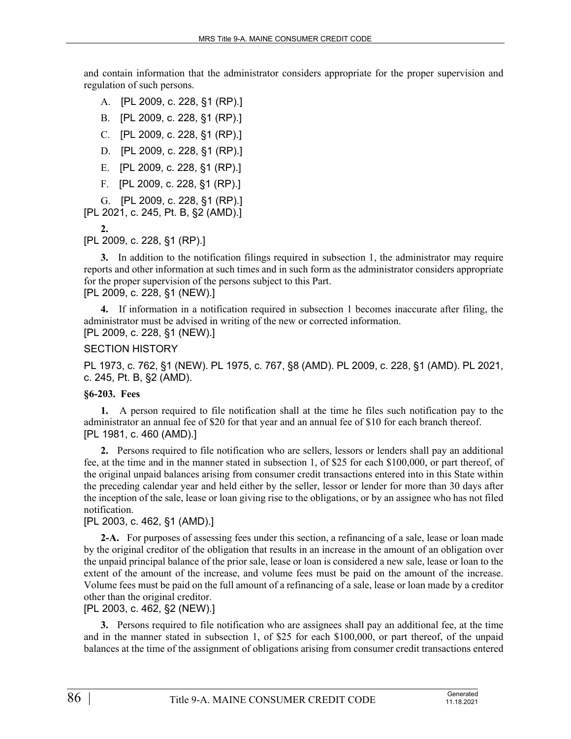and contain information that the administrator considers appropriate for the proper supervision and regulation of such persons.

- A. [PL 2009, c. 228, §1 (RP).]
- B. [PL 2009, c. 228, §1 (RP).]
- C. [PL 2009, c. 228, §1 (RP).]
- D. [PL 2009, c. 228, §1 (RP).]
- E. [PL 2009, c. 228, §1 (RP).]
- F. [PL 2009, c. 228, §1 (RP).]

G. [PL 2009, c. 228, §1 (RP).]

[PL 2021, c. 245, Pt. B, §2 (AMD).]

**2.** 

[PL 2009, c. 228, §1 (RP).]

**3.** In addition to the notification filings required in subsection 1, the administrator may require reports and other information at such times and in such form as the administrator considers appropriate for the proper supervision of the persons subject to this Part. [PL 2009, c. 228, §1 (NEW).]

**4.** If information in a notification required in subsection 1 becomes inaccurate after filing, the administrator must be advised in writing of the new or corrected information. [PL 2009, c. 228, §1 (NEW).]

## SECTION HISTORY

PL 1973, c. 762, §1 (NEW). PL 1975, c. 767, §8 (AMD). PL 2009, c. 228, §1 (AMD). PL 2021, c. 245, Pt. B, §2 (AMD).

## **§6-203. Fees**

**1.** A person required to file notification shall at the time he files such notification pay to the administrator an annual fee of \$20 for that year and an annual fee of \$10 for each branch thereof. [PL 1981, c. 460 (AMD).]

**2.** Persons required to file notification who are sellers, lessors or lenders shall pay an additional fee, at the time and in the manner stated in subsection 1, of \$25 for each \$100,000, or part thereof, of the original unpaid balances arising from consumer credit transactions entered into in this State within the preceding calendar year and held either by the seller, lessor or lender for more than 30 days after the inception of the sale, lease or loan giving rise to the obligations, or by an assignee who has not filed notification.

## [PL 2003, c. 462, §1 (AMD).]

**2-A.** For purposes of assessing fees under this section, a refinancing of a sale, lease or loan made by the original creditor of the obligation that results in an increase in the amount of an obligation over the unpaid principal balance of the prior sale, lease or loan is considered a new sale, lease or loan to the extent of the amount of the increase, and volume fees must be paid on the amount of the increase. Volume fees must be paid on the full amount of a refinancing of a sale, lease or loan made by a creditor other than the original creditor.

## [PL 2003, c. 462, §2 (NEW).]

**3.** Persons required to file notification who are assignees shall pay an additional fee, at the time and in the manner stated in subsection 1, of \$25 for each \$100,000, or part thereof, of the unpaid balances at the time of the assignment of obligations arising from consumer credit transactions entered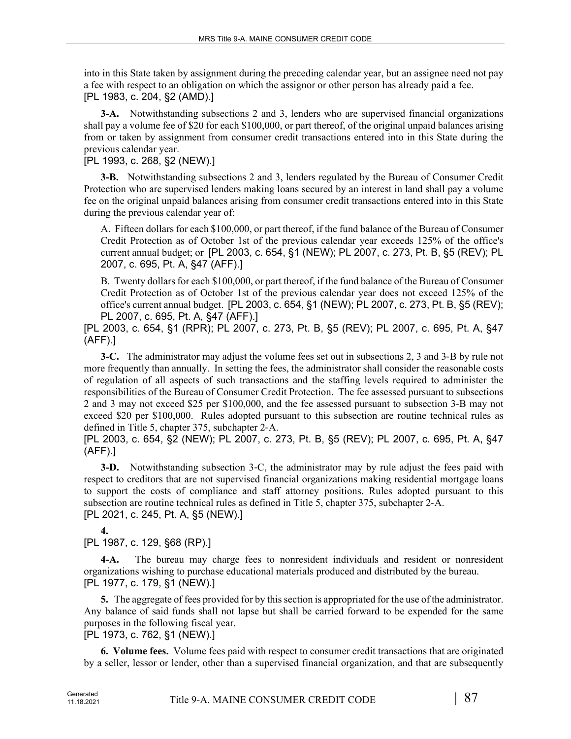into in this State taken by assignment during the preceding calendar year, but an assignee need not pay a fee with respect to an obligation on which the assignor or other person has already paid a fee. [PL 1983, c. 204, §2 (AMD).]

**3-A.** Notwithstanding subsections 2 and 3, lenders who are supervised financial organizations shall pay a volume fee of \$20 for each \$100,000, or part thereof, of the original unpaid balances arising from or taken by assignment from consumer credit transactions entered into in this State during the previous calendar year.

[PL 1993, c. 268, §2 (NEW).]

**3-B.** Notwithstanding subsections 2 and 3, lenders regulated by the Bureau of Consumer Credit Protection who are supervised lenders making loans secured by an interest in land shall pay a volume fee on the original unpaid balances arising from consumer credit transactions entered into in this State during the previous calendar year of:

A. Fifteen dollars for each \$100,000, or part thereof, if the fund balance of the Bureau of Consumer Credit Protection as of October 1st of the previous calendar year exceeds 125% of the office's current annual budget; or [PL 2003, c. 654, §1 (NEW); PL 2007, c. 273, Pt. B, §5 (REV); PL 2007, c. 695, Pt. A, §47 (AFF).]

B. Twenty dollars for each \$100,000, or part thereof, if the fund balance of the Bureau of Consumer Credit Protection as of October 1st of the previous calendar year does not exceed 125% of the office's current annual budget. [PL 2003, c. 654, §1 (NEW); PL 2007, c. 273, Pt. B, §5 (REV); PL 2007, c. 695, Pt. A, §47 (AFF).]

[PL 2003, c. 654, §1 (RPR); PL 2007, c. 273, Pt. B, §5 (REV); PL 2007, c. 695, Pt. A, §47 (AFF).]

**3-C.** The administrator may adjust the volume fees set out in subsections 2, 3 and 3‑B by rule not more frequently than annually. In setting the fees, the administrator shall consider the reasonable costs of regulation of all aspects of such transactions and the staffing levels required to administer the responsibilities of the Bureau of Consumer Credit Protection. The fee assessed pursuant to subsections 2 and 3 may not exceed \$25 per \$100,000, and the fee assessed pursuant to subsection 3‑B may not exceed \$20 per \$100,000. Rules adopted pursuant to this subsection are routine technical rules as defined in Title 5, chapter 375, subchapter 2‑A.

[PL 2003, c. 654, §2 (NEW); PL 2007, c. 273, Pt. B, §5 (REV); PL 2007, c. 695, Pt. A, §47 (AFF).]

**3-D.** Notwithstanding subsection 3-C, the administrator may by rule adjust the fees paid with respect to creditors that are not supervised financial organizations making residential mortgage loans to support the costs of compliance and staff attorney positions. Rules adopted pursuant to this subsection are routine technical rules as defined in Title 5, chapter 375, subchapter 2‑A. [PL 2021, c. 245, Pt. A, §5 (NEW).]

**4.** 

[PL 1987, c. 129, §68 (RP).]

**4-A.** The bureau may charge fees to nonresident individuals and resident or nonresident organizations wishing to purchase educational materials produced and distributed by the bureau. [PL 1977, c. 179, §1 (NEW).]

**5.** The aggregate of fees provided for by this section is appropriated for the use of the administrator. Any balance of said funds shall not lapse but shall be carried forward to be expended for the same purposes in the following fiscal year.

[PL 1973, c. 762, §1 (NEW).]

**6. Volume fees.** Volume fees paid with respect to consumer credit transactions that are originated by a seller, lessor or lender, other than a supervised financial organization, and that are subsequently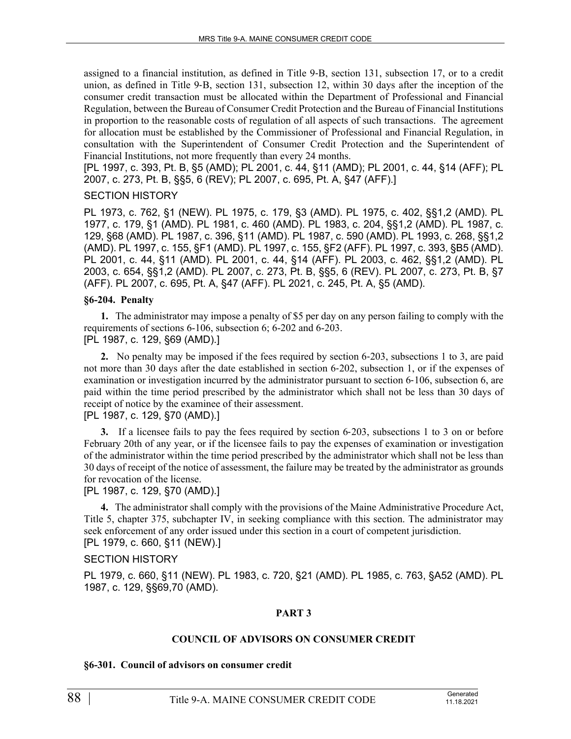assigned to a financial institution, as defined in Title 9‑B, section 131, subsection 17, or to a credit union, as defined in Title 9‑B, section 131, subsection 12, within 30 days after the inception of the consumer credit transaction must be allocated within the Department of Professional and Financial Regulation, between the Bureau of Consumer Credit Protection and the Bureau of Financial Institutions in proportion to the reasonable costs of regulation of all aspects of such transactions. The agreement for allocation must be established by the Commissioner of Professional and Financial Regulation, in consultation with the Superintendent of Consumer Credit Protection and the Superintendent of Financial Institutions, not more frequently than every 24 months.

[PL 1997, c. 393, Pt. B, §5 (AMD); PL 2001, c. 44, §11 (AMD); PL 2001, c. 44, §14 (AFF); PL 2007, c. 273, Pt. B, §§5, 6 (REV); PL 2007, c. 695, Pt. A, §47 (AFF).]

#### SECTION HISTORY

PL 1973, c. 762, §1 (NEW). PL 1975, c. 179, §3 (AMD). PL 1975, c. 402, §§1,2 (AMD). PL 1977, c. 179, §1 (AMD). PL 1981, c. 460 (AMD). PL 1983, c. 204, §§1,2 (AMD). PL 1987, c. 129, §68 (AMD). PL 1987, c. 396, §11 (AMD). PL 1987, c. 590 (AMD). PL 1993, c. 268, §§1,2 (AMD). PL 1997, c. 155, §F1 (AMD). PL 1997, c. 155, §F2 (AFF). PL 1997, c. 393, §B5 (AMD). PL 2001, c. 44, §11 (AMD). PL 2001, c. 44, §14 (AFF). PL 2003, c. 462, §§1,2 (AMD). PL 2003, c. 654, §§1,2 (AMD). PL 2007, c. 273, Pt. B, §§5, 6 (REV). PL 2007, c. 273, Pt. B, §7 (AFF). PL 2007, c. 695, Pt. A, §47 (AFF). PL 2021, c. 245, Pt. A, §5 (AMD).

#### **§6-204. Penalty**

**1.** The administrator may impose a penalty of \$5 per day on any person failing to comply with the requirements of sections 6-106, subsection 6; 6-202 and 6-203. [PL 1987, c. 129, §69 (AMD).]

**2.** No penalty may be imposed if the fees required by section 6‑203, subsections 1 to 3, are paid not more than 30 days after the date established in section 6-202, subsection 1, or if the expenses of examination or investigation incurred by the administrator pursuant to section 6-106, subsection 6, are paid within the time period prescribed by the administrator which shall not be less than 30 days of receipt of notice by the examinee of their assessment.

[PL 1987, c. 129, §70 (AMD).]

**3.** If a licensee fails to pay the fees required by section 6-203, subsections 1 to 3 on or before February 20th of any year, or if the licensee fails to pay the expenses of examination or investigation of the administrator within the time period prescribed by the administrator which shall not be less than 30 days of receipt of the notice of assessment, the failure may be treated by the administrator as grounds for revocation of the license.

#### [PL 1987, c. 129, §70 (AMD).]

**4.** The administrator shall comply with the provisions of the Maine Administrative Procedure Act, Title 5, chapter 375, subchapter IV, in seeking compliance with this section. The administrator may seek enforcement of any order issued under this section in a court of competent jurisdiction. [PL 1979, c. 660, §11 (NEW).]

#### SECTION HISTORY

PL 1979, c. 660, §11 (NEW). PL 1983, c. 720, §21 (AMD). PL 1985, c. 763, §A52 (AMD). PL 1987, c. 129, §§69,70 (AMD).

#### **PART 3**

#### **COUNCIL OF ADVISORS ON CONSUMER CREDIT**

#### **§6-301. Council of advisors on consumer credit**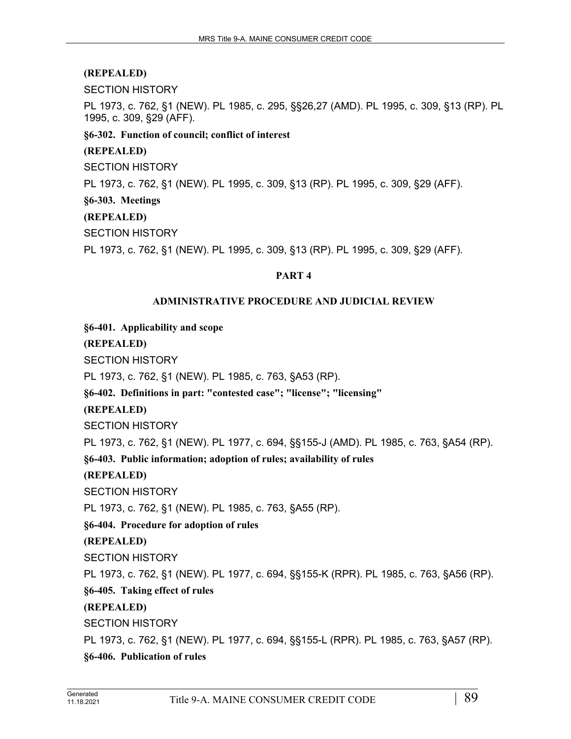SECTION HISTORY

PL 1973, c. 762, §1 (NEW). PL 1985, c. 295, §§26,27 (AMD). PL 1995, c. 309, §13 (RP). PL 1995, c. 309, §29 (AFF).

**§6-302. Function of council; conflict of interest**

#### **(REPEALED)**

SECTION HISTORY

PL 1973, c. 762, §1 (NEW). PL 1995, c. 309, §13 (RP). PL 1995, c. 309, §29 (AFF).

#### **§6-303. Meetings**

#### **(REPEALED)**

SECTION HISTORY

PL 1973, c. 762, §1 (NEW). PL 1995, c. 309, §13 (RP). PL 1995, c. 309, §29 (AFF).

#### **PART 4**

#### **ADMINISTRATIVE PROCEDURE AND JUDICIAL REVIEW**

**§6-401. Applicability and scope**

**(REPEALED)**

SECTION HISTORY

PL 1973, c. 762, §1 (NEW). PL 1985, c. 763, §A53 (RP).

**§6-402. Definitions in part: "contested case"; "license"; "licensing"**

## **(REPEALED)**

SECTION HISTORY

PL 1973, c. 762, §1 (NEW). PL 1977, c. 694, §§155-J (AMD). PL 1985, c. 763, §A54 (RP).

**§6-403. Public information; adoption of rules; availability of rules**

#### **(REPEALED)**

SECTION HISTORY

PL 1973, c. 762, §1 (NEW). PL 1985, c. 763, §A55 (RP).

## **§6-404. Procedure for adoption of rules**

## **(REPEALED)**

SECTION HISTORY

PL 1973, c. 762, §1 (NEW). PL 1977, c. 694, §§155-K (RPR). PL 1985, c. 763, §A56 (RP).

**§6-405. Taking effect of rules**

**(REPEALED)**

SECTION HISTORY

PL 1973, c. 762, §1 (NEW). PL 1977, c. 694, §§155-L (RPR). PL 1985, c. 763, §A57 (RP). **§6-406. Publication of rules**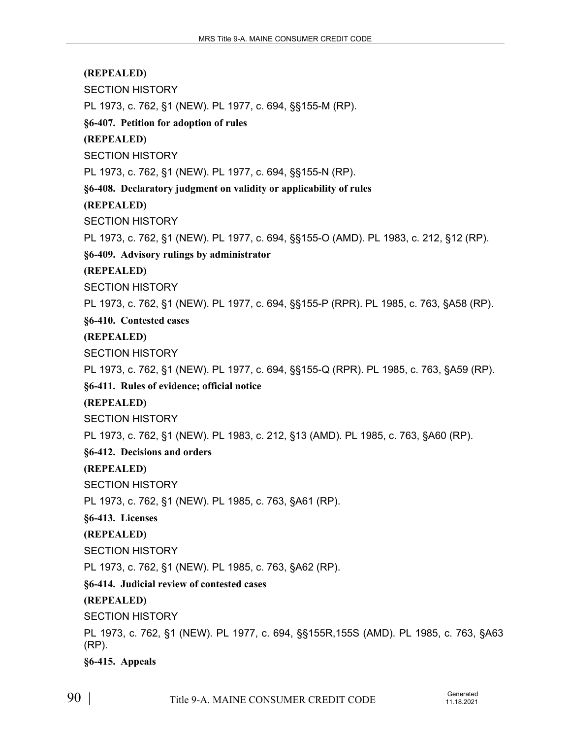SECTION HISTORY

PL 1973, c. 762, §1 (NEW). PL 1977, c. 694, §§155-M (RP).

**§6-407. Petition for adoption of rules**

**(REPEALED)**

SECTION HISTORY

PL 1973, c. 762, §1 (NEW). PL 1977, c. 694, §§155-N (RP).

**§6-408. Declaratory judgment on validity or applicability of rules**

**(REPEALED)**

SECTION HISTORY

PL 1973, c. 762, §1 (NEW). PL 1977, c. 694, §§155-O (AMD). PL 1983, c. 212, §12 (RP).

**§6-409. Advisory rulings by administrator**

**(REPEALED)**

SECTION HISTORY

PL 1973, c. 762, §1 (NEW). PL 1977, c. 694, §§155-P (RPR). PL 1985, c. 763, §A58 (RP).

**§6-410. Contested cases**

**(REPEALED)**

SECTION HISTORY

PL 1973, c. 762, §1 (NEW). PL 1977, c. 694, §§155-Q (RPR). PL 1985, c. 763, §A59 (RP).

**§6-411. Rules of evidence; official notice**

**(REPEALED)**

SECTION HISTORY

PL 1973, c. 762, §1 (NEW). PL 1983, c. 212, §13 (AMD). PL 1985, c. 763, §A60 (RP).

**§6-412. Decisions and orders**

**(REPEALED)**

SECTION HISTORY

PL 1973, c. 762, §1 (NEW). PL 1985, c. 763, §A61 (RP).

**§6-413. Licenses**

**(REPEALED)**

SECTION HISTORY

PL 1973, c. 762, §1 (NEW). PL 1985, c. 763, §A62 (RP).

**§6-414. Judicial review of contested cases**

**(REPEALED)**

SECTION HISTORY

PL 1973, c. 762, §1 (NEW). PL 1977, c. 694, §§155R,155S (AMD). PL 1985, c. 763, §A63 (RP).

**§6-415. Appeals**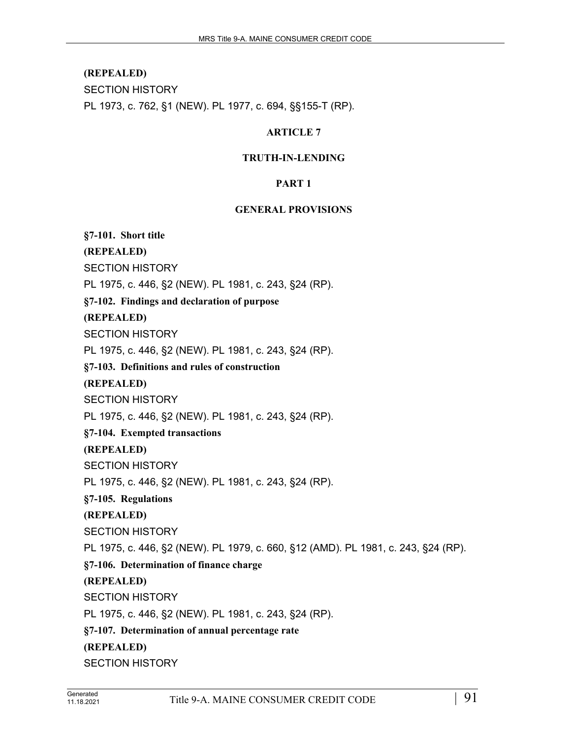SECTION HISTORY

PL 1973, c. 762, §1 (NEW). PL 1977, c. 694, §§155-T (RP).

#### **ARTICLE 7**

#### **TRUTH-IN-LENDING**

#### **PART 1**

#### **GENERAL PROVISIONS**

**§7-101. Short title**

**(REPEALED)**

SECTION HISTORY

PL 1975, c. 446, §2 (NEW). PL 1981, c. 243, §24 (RP).

**§7-102. Findings and declaration of purpose**

**(REPEALED)**

SECTION HISTORY

PL 1975, c. 446, §2 (NEW). PL 1981, c. 243, §24 (RP).

**§7-103. Definitions and rules of construction**

**(REPEALED)**

SECTION HISTORY

PL 1975, c. 446, §2 (NEW). PL 1981, c. 243, §24 (RP).

**§7-104. Exempted transactions**

**(REPEALED)**

SECTION HISTORY

PL 1975, c. 446, §2 (NEW). PL 1981, c. 243, §24 (RP).

**§7-105. Regulations**

**(REPEALED)**

SECTION HISTORY

PL 1975, c. 446, §2 (NEW). PL 1979, c. 660, §12 (AMD). PL 1981, c. 243, §24 (RP).

**§7-106. Determination of finance charge**

## **(REPEALED)**

SECTION HISTORY

PL 1975, c. 446, §2 (NEW). PL 1981, c. 243, §24 (RP).

**§7-107. Determination of annual percentage rate**

**(REPEALED)**

SECTION HISTORY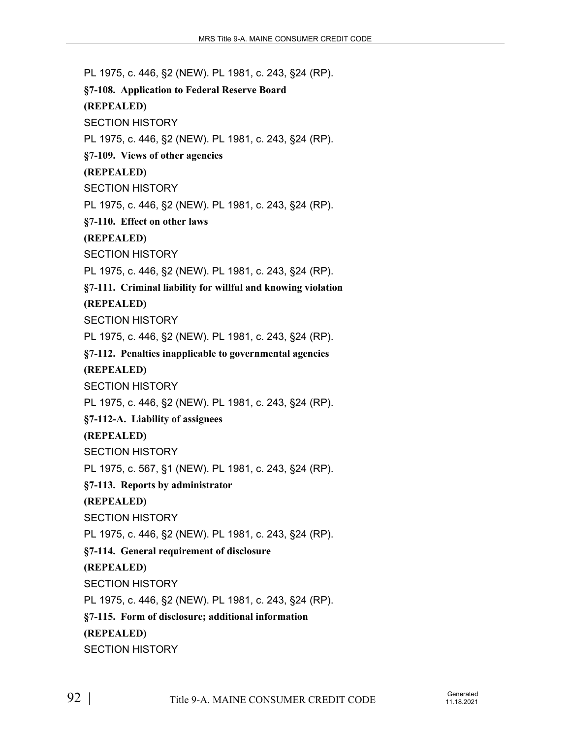PL 1975, c. 446, §2 (NEW). PL 1981, c. 243, §24 (RP). **§7-108. Application to Federal Reserve Board (REPEALED)** SECTION HISTORY PL 1975, c. 446, §2 (NEW). PL 1981, c. 243, §24 (RP). **§7-109. Views of other agencies (REPEALED)** SECTION HISTORY PL 1975, c. 446, §2 (NEW). PL 1981, c. 243, §24 (RP). **§7-110. Effect on other laws (REPEALED)** SECTION HISTORY PL 1975, c. 446, §2 (NEW). PL 1981, c. 243, §24 (RP). **§7-111. Criminal liability for willful and knowing violation (REPEALED)** SECTION HISTORY PL 1975, c. 446, §2 (NEW). PL 1981, c. 243, §24 (RP). **§7-112. Penalties inapplicable to governmental agencies (REPEALED)** SECTION HISTORY PL 1975, c. 446, §2 (NEW). PL 1981, c. 243, §24 (RP). **§7-112-A. Liability of assignees (REPEALED)** SECTION HISTORY PL 1975, c. 567, §1 (NEW). PL 1981, c. 243, §24 (RP). **§7-113. Reports by administrator (REPEALED)** SECTION HISTORY PL 1975, c. 446, §2 (NEW). PL 1981, c. 243, §24 (RP). **§7-114. General requirement of disclosure (REPEALED)** SECTION HISTORY PL 1975, c. 446, §2 (NEW). PL 1981, c. 243, §24 (RP). **§7-115. Form of disclosure; additional information (REPEALED)** SECTION HISTORY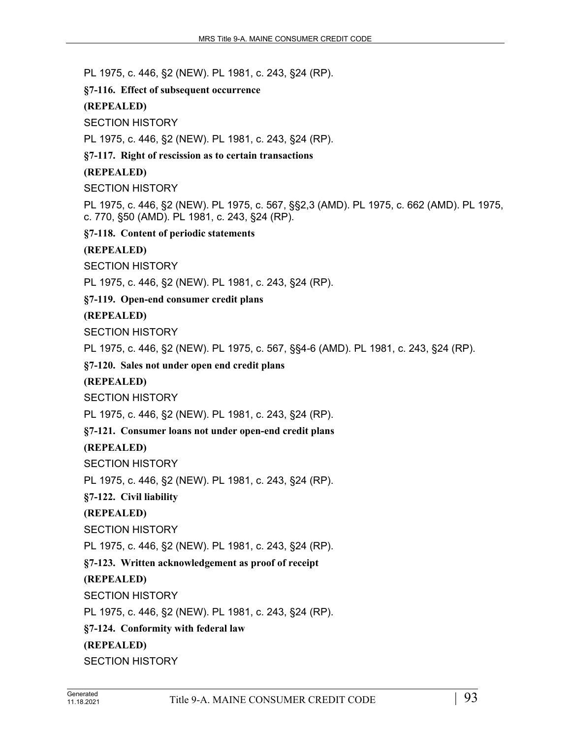PL 1975, c. 446, §2 (NEW). PL 1981, c. 243, §24 (RP).

**§7-116. Effect of subsequent occurrence**

#### **(REPEALED)**

SECTION HISTORY

PL 1975, c. 446, §2 (NEW). PL 1981, c. 243, §24 (RP).

**§7-117. Right of rescission as to certain transactions**

#### **(REPEALED)**

SECTION HISTORY

PL 1975, c. 446, §2 (NEW). PL 1975, c. 567, §§2,3 (AMD). PL 1975, c. 662 (AMD). PL 1975, c. 770, §50 (AMD). PL 1981, c. 243, §24 (RP).

**§7-118. Content of periodic statements**

**(REPEALED)**

SECTION HISTORY

PL 1975, c. 446, §2 (NEW). PL 1981, c. 243, §24 (RP).

**§7-119. Open-end consumer credit plans**

**(REPEALED)**

SECTION HISTORY

PL 1975, c. 446, §2 (NEW). PL 1975, c. 567, §§4-6 (AMD). PL 1981, c. 243, §24 (RP).

**§7-120. Sales not under open end credit plans**

**(REPEALED)**

SECTION HISTORY

PL 1975, c. 446, §2 (NEW). PL 1981, c. 243, §24 (RP).

**§7-121. Consumer loans not under open-end credit plans**

**(REPEALED)**

SECTION HISTORY

PL 1975, c. 446, §2 (NEW). PL 1981, c. 243, §24 (RP).

**§7-122. Civil liability**

**(REPEALED)**

SECTION HISTORY

PL 1975, c. 446, §2 (NEW). PL 1981, c. 243, §24 (RP).

**§7-123. Written acknowledgement as proof of receipt**

#### **(REPEALED)**

SECTION HISTORY

PL 1975, c. 446, §2 (NEW). PL 1981, c. 243, §24 (RP).

**§7-124. Conformity with federal law**

## **(REPEALED)**

SECTION HISTORY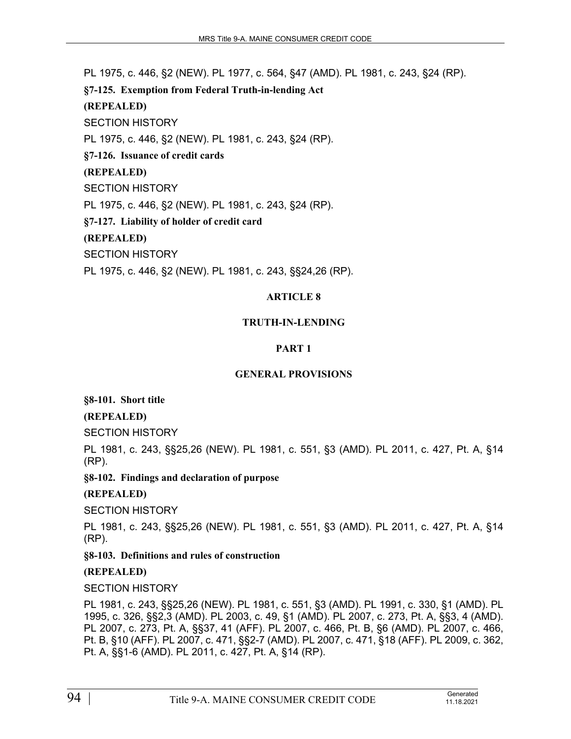PL 1975, c. 446, §2 (NEW). PL 1977, c. 564, §47 (AMD). PL 1981, c. 243, §24 (RP).

**§7-125. Exemption from Federal Truth-in-lending Act**

#### **(REPEALED)**

SECTION HISTORY

PL 1975, c. 446, §2 (NEW). PL 1981, c. 243, §24 (RP).

**§7-126. Issuance of credit cards**

## **(REPEALED)**

SECTION HISTORY

PL 1975, c. 446, §2 (NEW). PL 1981, c. 243, §24 (RP).

**§7-127. Liability of holder of credit card**

## **(REPEALED)**

SECTION HISTORY

PL 1975, c. 446, §2 (NEW). PL 1981, c. 243, §§24,26 (RP).

## **ARTICLE 8**

## **TRUTH-IN-LENDING**

## **PART 1**

## **GENERAL PROVISIONS**

**§8-101. Short title**

## **(REPEALED)**

SECTION HISTORY

PL 1981, c. 243, §§25,26 (NEW). PL 1981, c. 551, §3 (AMD). PL 2011, c. 427, Pt. A, §14 (RP).

**§8-102. Findings and declaration of purpose**

## **(REPEALED)**

SECTION HISTORY

PL 1981, c. 243, §§25,26 (NEW). PL 1981, c. 551, §3 (AMD). PL 2011, c. 427, Pt. A, §14 (RP).

**§8-103. Definitions and rules of construction**

## **(REPEALED)**

SECTION HISTORY

PL 1981, c. 243, §§25,26 (NEW). PL 1981, c. 551, §3 (AMD). PL 1991, c. 330, §1 (AMD). PL 1995, c. 326, §§2,3 (AMD). PL 2003, c. 49, §1 (AMD). PL 2007, c. 273, Pt. A, §§3, 4 (AMD). PL 2007, c. 273, Pt. A, §§37, 41 (AFF). PL 2007, c. 466, Pt. B, §6 (AMD). PL 2007, c. 466, Pt. B, §10 (AFF). PL 2007, c. 471, §§2-7 (AMD). PL 2007, c. 471, §18 (AFF). PL 2009, c. 362, Pt. A, §§1-6 (AMD). PL 2011, c. 427, Pt. A, §14 (RP).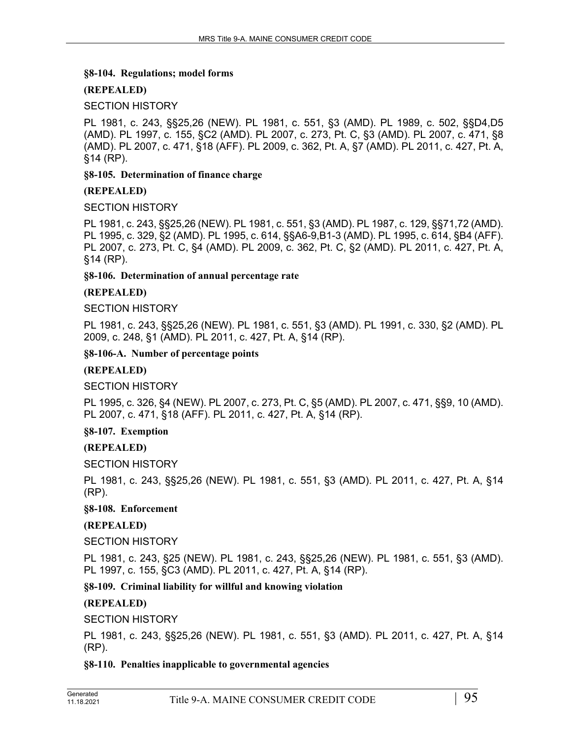#### **§8-104. Regulations; model forms**

## **(REPEALED)**

#### SECTION HISTORY

PL 1981, c. 243, §§25,26 (NEW). PL 1981, c. 551, §3 (AMD). PL 1989, c. 502, §§D4,D5 (AMD). PL 1997, c. 155, §C2 (AMD). PL 2007, c. 273, Pt. C, §3 (AMD). PL 2007, c. 471, §8 (AMD). PL 2007, c. 471, §18 (AFF). PL 2009, c. 362, Pt. A, §7 (AMD). PL 2011, c. 427, Pt. A, §14 (RP).

#### **§8-105. Determination of finance charge**

#### **(REPEALED)**

#### SECTION HISTORY

PL 1981, c. 243, §§25,26 (NEW). PL 1981, c. 551, §3 (AMD). PL 1987, c. 129, §§71,72 (AMD). PL 1995, c. 329, §2 (AMD). PL 1995, c. 614, §§A6-9,B1-3 (AMD). PL 1995, c. 614, §B4 (AFF). PL 2007, c. 273, Pt. C, §4 (AMD). PL 2009, c. 362, Pt. C, §2 (AMD). PL 2011, c. 427, Pt. A, §14 (RP).

#### **§8-106. Determination of annual percentage rate**

#### **(REPEALED)**

SECTION HISTORY

PL 1981, c. 243, §§25,26 (NEW). PL 1981, c. 551, §3 (AMD). PL 1991, c. 330, §2 (AMD). PL 2009, c. 248, §1 (AMD). PL 2011, c. 427, Pt. A, §14 (RP).

#### **§8-106-A. Number of percentage points**

#### **(REPEALED)**

SECTION HISTORY

PL 1995, c. 326, §4 (NEW). PL 2007, c. 273, Pt. C, §5 (AMD). PL 2007, c. 471, §§9, 10 (AMD). PL 2007, c. 471, §18 (AFF). PL 2011, c. 427, Pt. A, §14 (RP).

#### **§8-107. Exemption**

#### **(REPEALED)**

SECTION HISTORY

PL 1981, c. 243, §§25,26 (NEW). PL 1981, c. 551, §3 (AMD). PL 2011, c. 427, Pt. A, §14 (RP).

#### **§8-108. Enforcement**

## **(REPEALED)**

#### SECTION HISTORY

PL 1981, c. 243, §25 (NEW). PL 1981, c. 243, §§25,26 (NEW). PL 1981, c. 551, §3 (AMD). PL 1997, c. 155, §C3 (AMD). PL 2011, c. 427, Pt. A, §14 (RP).

## **§8-109. Criminal liability for willful and knowing violation**

## **(REPEALED)**

## SECTION HISTORY

PL 1981, c. 243, §§25,26 (NEW). PL 1981, c. 551, §3 (AMD). PL 2011, c. 427, Pt. A, §14 (RP).

## **§8-110. Penalties inapplicable to governmental agencies**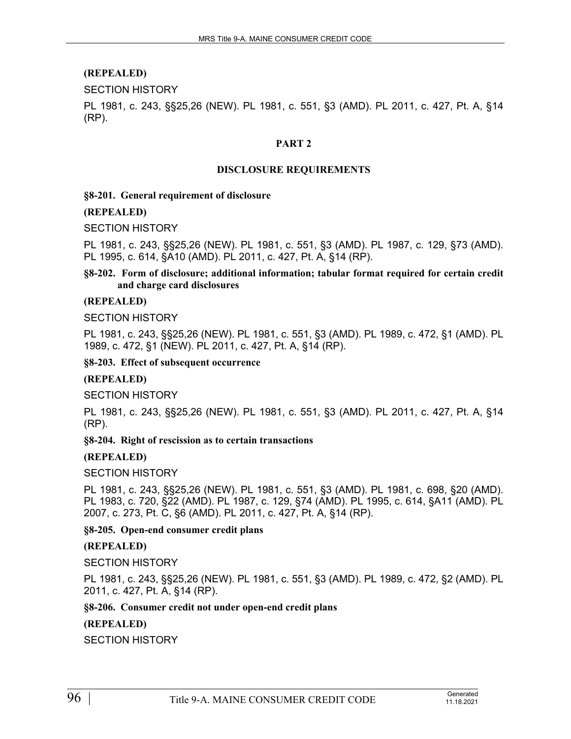SECTION HISTORY

PL 1981, c. 243, §§25,26 (NEW). PL 1981, c. 551, §3 (AMD). PL 2011, c. 427, Pt. A, §14 (RP).

#### **PART 2**

#### **DISCLOSURE REQUIREMENTS**

#### **§8-201. General requirement of disclosure**

#### **(REPEALED)**

SECTION HISTORY

PL 1981, c. 243, §§25,26 (NEW). PL 1981, c. 551, §3 (AMD). PL 1987, c. 129, §73 (AMD). PL 1995, c. 614, §A10 (AMD). PL 2011, c. 427, Pt. A, §14 (RP).

**§8-202. Form of disclosure; additional information; tabular format required for certain credit and charge card disclosures**

#### **(REPEALED)**

SECTION HISTORY

PL 1981, c. 243, §§25,26 (NEW). PL 1981, c. 551, §3 (AMD). PL 1989, c. 472, §1 (AMD). PL 1989, c. 472, §1 (NEW). PL 2011, c. 427, Pt. A, §14 (RP).

**§8-203. Effect of subsequent occurrence**

#### **(REPEALED)**

SECTION HISTORY

PL 1981, c. 243, §§25,26 (NEW). PL 1981, c. 551, §3 (AMD). PL 2011, c. 427, Pt. A, §14 (RP).

**§8-204. Right of rescission as to certain transactions**

#### **(REPEALED)**

SECTION HISTORY

PL 1981, c. 243, §§25,26 (NEW). PL 1981, c. 551, §3 (AMD). PL 1981, c. 698, §20 (AMD). PL 1983, c. 720, §22 (AMD). PL 1987, c. 129, §74 (AMD). PL 1995, c. 614, §A11 (AMD). PL 2007, c. 273, Pt. C, §6 (AMD). PL 2011, c. 427, Pt. A, §14 (RP).

#### **§8-205. Open-end consumer credit plans**

**(REPEALED)**

SECTION HISTORY

PL 1981, c. 243, §§25,26 (NEW). PL 1981, c. 551, §3 (AMD). PL 1989, c. 472, §2 (AMD). PL 2011, c. 427, Pt. A, §14 (RP).

#### **§8-206. Consumer credit not under open-end credit plans**

**(REPEALED)**

SECTION HISTORY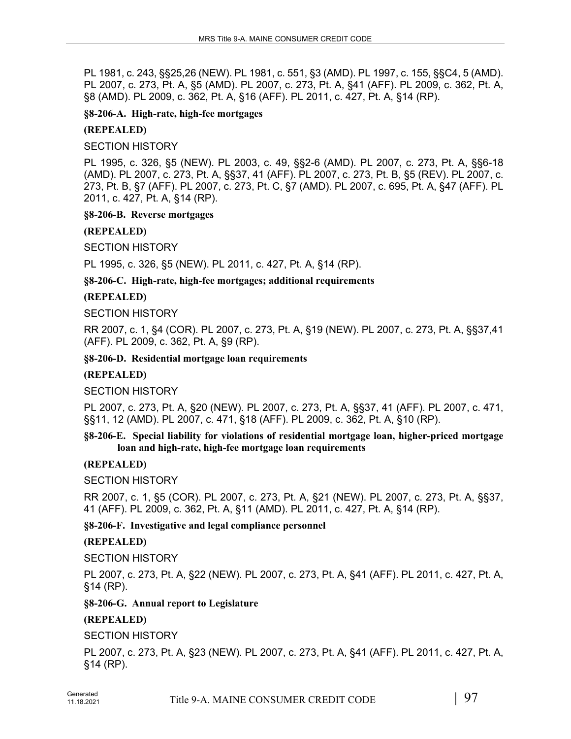PL 1981, c. 243, §§25,26 (NEW). PL 1981, c. 551, §3 (AMD). PL 1997, c. 155, §§C4, 5 (AMD). PL 2007, c. 273, Pt. A, §5 (AMD). PL 2007, c. 273, Pt. A, §41 (AFF). PL 2009, c. 362, Pt. A, §8 (AMD). PL 2009, c. 362, Pt. A, §16 (AFF). PL 2011, c. 427, Pt. A, §14 (RP).

**§8-206-A. High-rate, high-fee mortgages**

#### **(REPEALED)**

SECTION HISTORY

PL 1995, c. 326, §5 (NEW). PL 2003, c. 49, §§2-6 (AMD). PL 2007, c. 273, Pt. A, §§6-18 (AMD). PL 2007, c. 273, Pt. A, §§37, 41 (AFF). PL 2007, c. 273, Pt. B, §5 (REV). PL 2007, c. 273, Pt. B, §7 (AFF). PL 2007, c. 273, Pt. C, §7 (AMD). PL 2007, c. 695, Pt. A, §47 (AFF). PL 2011, c. 427, Pt. A, §14 (RP).

#### **§8-206-B. Reverse mortgages**

**(REPEALED)**

SECTION HISTORY

PL 1995, c. 326, §5 (NEW). PL 2011, c. 427, Pt. A, §14 (RP).

**§8-206-C. High-rate, high-fee mortgages; additional requirements**

#### **(REPEALED)**

SECTION HISTORY

RR 2007, c. 1, §4 (COR). PL 2007, c. 273, Pt. A, §19 (NEW). PL 2007, c. 273, Pt. A, §§37,41 (AFF). PL 2009, c. 362, Pt. A, §9 (RP).

#### **§8-206-D. Residential mortgage loan requirements**

#### **(REPEALED)**

## SECTION HISTORY

PL 2007, c. 273, Pt. A, §20 (NEW). PL 2007, c. 273, Pt. A, §§37, 41 (AFF). PL 2007, c. 471, §§11, 12 (AMD). PL 2007, c. 471, §18 (AFF). PL 2009, c. 362, Pt. A, §10 (RP).

#### **§8-206-E. Special liability for violations of residential mortgage loan, higher-priced mortgage loan and high-rate, high-fee mortgage loan requirements**

## **(REPEALED)**

SECTION HISTORY

RR 2007, c. 1, §5 (COR). PL 2007, c. 273, Pt. A, §21 (NEW). PL 2007, c. 273, Pt. A, §§37, 41 (AFF). PL 2009, c. 362, Pt. A, §11 (AMD). PL 2011, c. 427, Pt. A, §14 (RP).

## **§8-206-F. Investigative and legal compliance personnel**

## **(REPEALED)**

SECTION HISTORY

PL 2007, c. 273, Pt. A, §22 (NEW). PL 2007, c. 273, Pt. A, §41 (AFF). PL 2011, c. 427, Pt. A, §14 (RP).

## **§8-206-G. Annual report to Legislature**

## **(REPEALED)**

SECTION HISTORY

PL 2007, c. 273, Pt. A, §23 (NEW). PL 2007, c. 273, Pt. A, §41 (AFF). PL 2011, c. 427, Pt. A, §14 (RP).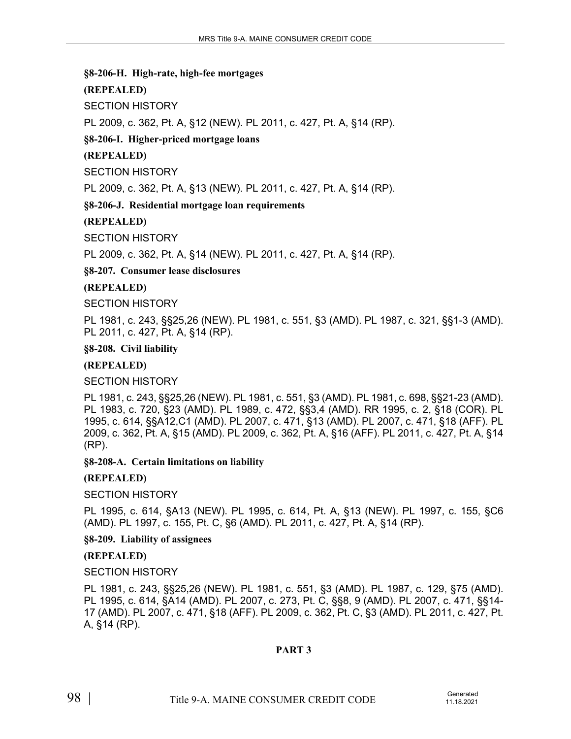#### **§8-206-H. High-rate, high-fee mortgages**

## **(REPEALED)**

SECTION HISTORY

PL 2009, c. 362, Pt. A, §12 (NEW). PL 2011, c. 427, Pt. A, §14 (RP).

#### **§8-206-I. Higher-priced mortgage loans**

#### **(REPEALED)**

SECTION HISTORY

PL 2009, c. 362, Pt. A, §13 (NEW). PL 2011, c. 427, Pt. A, §14 (RP).

**§8-206-J. Residential mortgage loan requirements**

#### **(REPEALED)**

SECTION HISTORY

PL 2009, c. 362, Pt. A, §14 (NEW). PL 2011, c. 427, Pt. A, §14 (RP).

**§8-207. Consumer lease disclosures**

## **(REPEALED)**

SECTION HISTORY

PL 1981, c. 243, §§25,26 (NEW). PL 1981, c. 551, §3 (AMD). PL 1987, c. 321, §§1-3 (AMD). PL 2011, c. 427, Pt. A, §14 (RP).

#### **§8-208. Civil liability**

#### **(REPEALED)**

SECTION HISTORY

PL 1981, c. 243, §§25,26 (NEW). PL 1981, c. 551, §3 (AMD). PL 1981, c. 698, §§21-23 (AMD). PL 1983, c. 720, §23 (AMD). PL 1989, c. 472, §§3,4 (AMD). RR 1995, c. 2, §18 (COR). PL 1995, c. 614, §§A12,C1 (AMD). PL 2007, c. 471, §13 (AMD). PL 2007, c. 471, §18 (AFF). PL 2009, c. 362, Pt. A, §15 (AMD). PL 2009, c. 362, Pt. A, §16 (AFF). PL 2011, c. 427, Pt. A, §14 (RP).

**§8-208-A. Certain limitations on liability**

## **(REPEALED)**

## SECTION HISTORY

PL 1995, c. 614, §A13 (NEW). PL 1995, c. 614, Pt. A, §13 (NEW). PL 1997, c. 155, §C6 (AMD). PL 1997, c. 155, Pt. C, §6 (AMD). PL 2011, c. 427, Pt. A, §14 (RP).

**§8-209. Liability of assignees**

## **(REPEALED)**

#### SECTION HISTORY

PL 1981, c. 243, §§25,26 (NEW). PL 1981, c. 551, §3 (AMD). PL 1987, c. 129, §75 (AMD). PL 1995, c. 614, §A14 (AMD). PL 2007, c. 273, Pt. C, §§8, 9 (AMD). PL 2007, c. 471, §§14- 17 (AMD). PL 2007, c. 471, §18 (AFF). PL 2009, c. 362, Pt. C, §3 (AMD). PL 2011, c. 427, Pt. A, §14 (RP).

#### **PART 3**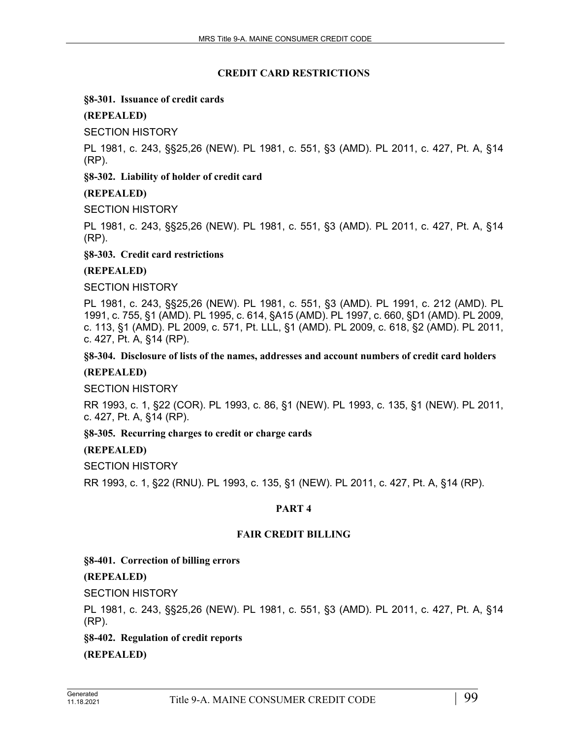#### **CREDIT CARD RESTRICTIONS**

#### **§8-301. Issuance of credit cards**

## **(REPEALED)**

SECTION HISTORY

PL 1981, c. 243, §§25,26 (NEW). PL 1981, c. 551, §3 (AMD). PL 2011, c. 427, Pt. A, §14 (RP).

## **§8-302. Liability of holder of credit card**

#### **(REPEALED)**

SECTION HISTORY

PL 1981, c. 243, §§25,26 (NEW). PL 1981, c. 551, §3 (AMD). PL 2011, c. 427, Pt. A, §14 (RP).

**§8-303. Credit card restrictions**

#### **(REPEALED)**

SECTION HISTORY

PL 1981, c. 243, §§25,26 (NEW). PL 1981, c. 551, §3 (AMD). PL 1991, c. 212 (AMD). PL 1991, c. 755, §1 (AMD). PL 1995, c. 614, §A15 (AMD). PL 1997, c. 660, §D1 (AMD). PL 2009, c. 113, §1 (AMD). PL 2009, c. 571, Pt. LLL, §1 (AMD). PL 2009, c. 618, §2 (AMD). PL 2011, c. 427, Pt. A, §14 (RP).

**§8-304. Disclosure of lists of the names, addresses and account numbers of credit card holders**

#### **(REPEALED)**

SECTION HISTORY

RR 1993, c. 1, §22 (COR). PL 1993, c. 86, §1 (NEW). PL 1993, c. 135, §1 (NEW). PL 2011, c. 427, Pt. A, §14 (RP).

## **§8-305. Recurring charges to credit or charge cards**

## **(REPEALED)**

SECTION HISTORY

RR 1993, c. 1, §22 (RNU). PL 1993, c. 135, §1 (NEW). PL 2011, c. 427, Pt. A, §14 (RP).

## **PART 4**

#### **FAIR CREDIT BILLING**

## **§8-401. Correction of billing errors**

## **(REPEALED)**

SECTION HISTORY

PL 1981, c. 243, §§25,26 (NEW). PL 1981, c. 551, §3 (AMD). PL 2011, c. 427, Pt. A, §14 (RP).

**§8-402. Regulation of credit reports**

**(REPEALED)**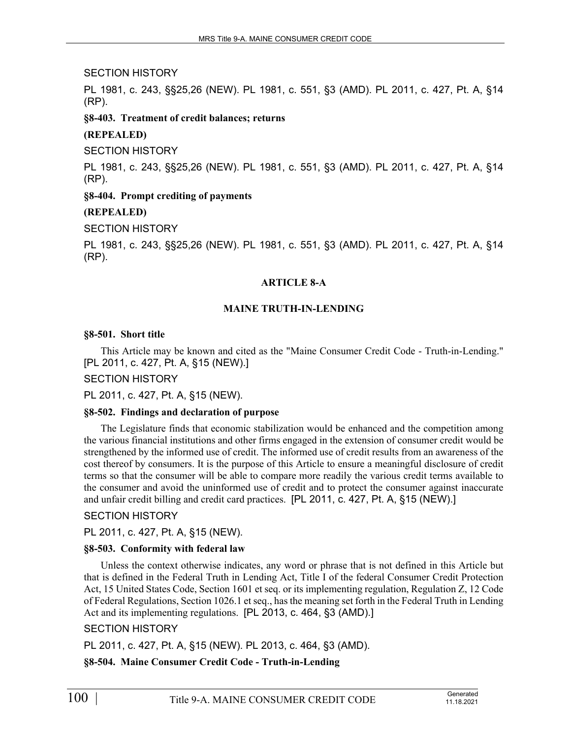#### SECTION HISTORY

PL 1981, c. 243, §§25,26 (NEW). PL 1981, c. 551, §3 (AMD). PL 2011, c. 427, Pt. A, §14 (RP).

**§8-403. Treatment of credit balances; returns**

## **(REPEALED)**

SECTION HISTORY

PL 1981, c. 243, §§25,26 (NEW). PL 1981, c. 551, §3 (AMD). PL 2011, c. 427, Pt. A, §14 (RP).

## **§8-404. Prompt crediting of payments**

## **(REPEALED)**

SECTION HISTORY

PL 1981, c. 243, §§25,26 (NEW). PL 1981, c. 551, §3 (AMD). PL 2011, c. 427, Pt. A, §14 (RP).

## **ARTICLE 8-A**

## **MAINE TRUTH-IN-LENDING**

## **§8-501. Short title**

This Article may be known and cited as the "Maine Consumer Credit Code - Truth-in-Lending." [PL 2011, c. 427, Pt. A, §15 (NEW).]

SECTION HISTORY

PL 2011, c. 427, Pt. A, §15 (NEW).

## **§8-502. Findings and declaration of purpose**

The Legislature finds that economic stabilization would be enhanced and the competition among the various financial institutions and other firms engaged in the extension of consumer credit would be strengthened by the informed use of credit. The informed use of credit results from an awareness of the cost thereof by consumers. It is the purpose of this Article to ensure a meaningful disclosure of credit terms so that the consumer will be able to compare more readily the various credit terms available to the consumer and avoid the uninformed use of credit and to protect the consumer against inaccurate and unfair credit billing and credit card practices. [PL 2011, c. 427, Pt. A, §15 (NEW).]

## SECTION HISTORY

PL 2011, c. 427, Pt. A, §15 (NEW).

## **§8-503. Conformity with federal law**

Unless the context otherwise indicates, any word or phrase that is not defined in this Article but that is defined in the Federal Truth in Lending Act, Title I of the federal Consumer Credit Protection Act, 15 United States Code, Section 1601 et seq. or its implementing regulation, Regulation Z, 12 Code of Federal Regulations, Section 1026.1 et seq., has the meaning set forth in the Federal Truth in Lending Act and its implementing regulations. [PL 2013, c. 464, §3 (AMD).]

## SECTION HISTORY

PL 2011, c. 427, Pt. A, §15 (NEW). PL 2013, c. 464, §3 (AMD).

**§8-504. Maine Consumer Credit Code - Truth-in-Lending**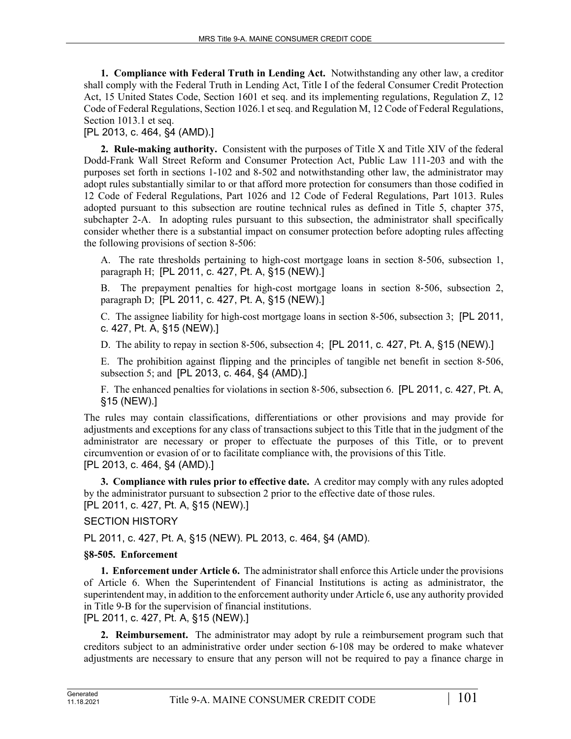**1. Compliance with Federal Truth in Lending Act.** Notwithstanding any other law, a creditor shall comply with the Federal Truth in Lending Act, Title I of the federal Consumer Credit Protection Act, 15 United States Code, Section 1601 et seq. and its implementing regulations, Regulation Z, 12 Code of Federal Regulations, Section 1026.1 et seq. and Regulation M, 12 Code of Federal Regulations, Section 1013.1 et seq.

[PL 2013, c. 464, §4 (AMD).]

**2. Rule-making authority.** Consistent with the purposes of Title X and Title XIV of the federal Dodd-Frank Wall Street Reform and Consumer Protection Act, Public Law 111-203 and with the purposes set forth in sections 1-102 and 8-502 and notwithstanding other law, the administrator may adopt rules substantially similar to or that afford more protection for consumers than those codified in 12 Code of Federal Regulations, Part 1026 and 12 Code of Federal Regulations, Part 1013. Rules adopted pursuant to this subsection are routine technical rules as defined in Title 5, chapter 375, subchapter 2-A. In adopting rules pursuant to this subsection, the administrator shall specifically consider whether there is a substantial impact on consumer protection before adopting rules affecting the following provisions of section 8-506:

A. The rate thresholds pertaining to high-cost mortgage loans in section 8–506, subsection 1, paragraph H; [PL 2011, c. 427, Pt. A, §15 (NEW).]

B. The prepayment penalties for high-cost mortgage loans in section 8–506, subsection 2, paragraph D; [PL 2011, c. 427, Pt. A, §15 (NEW).]

C. The assignee liability for high-cost mortgage loans in section 8‑506, subsection 3; [PL 2011, c. 427, Pt. A, §15 (NEW).]

D. The ability to repay in section 8–506, subsection 4; [PL 2011, c. 427, Pt. A, §15 (NEW).]

E. The prohibition against flipping and the principles of tangible net benefit in section 8‑506, subsection 5; and [PL 2013, c. 464, §4 (AMD).]

F. The enhanced penalties for violations in section 8‑506, subsection 6. [PL 2011, c. 427, Pt. A, §15 (NEW).]

The rules may contain classifications, differentiations or other provisions and may provide for adjustments and exceptions for any class of transactions subject to this Title that in the judgment of the administrator are necessary or proper to effectuate the purposes of this Title, or to prevent circumvention or evasion of or to facilitate compliance with, the provisions of this Title. [PL 2013, c. 464, §4 (AMD).]

**3. Compliance with rules prior to effective date.** A creditor may comply with any rules adopted by the administrator pursuant to subsection 2 prior to the effective date of those rules. [PL 2011, c. 427, Pt. A, §15 (NEW).]

SECTION HISTORY

PL 2011, c. 427, Pt. A, §15 (NEW). PL 2013, c. 464, §4 (AMD).

# **§8-505. Enforcement**

**1. Enforcement under Article 6.** The administrator shall enforce this Article under the provisions of Article 6. When the Superintendent of Financial Institutions is acting as administrator, the superintendent may, in addition to the enforcement authority under Article 6, use any authority provided in Title 9‑B for the supervision of financial institutions.

[PL 2011, c. 427, Pt. A, §15 (NEW).]

**2. Reimbursement.** The administrator may adopt by rule a reimbursement program such that creditors subject to an administrative order under section 6‑108 may be ordered to make whatever adjustments are necessary to ensure that any person will not be required to pay a finance charge in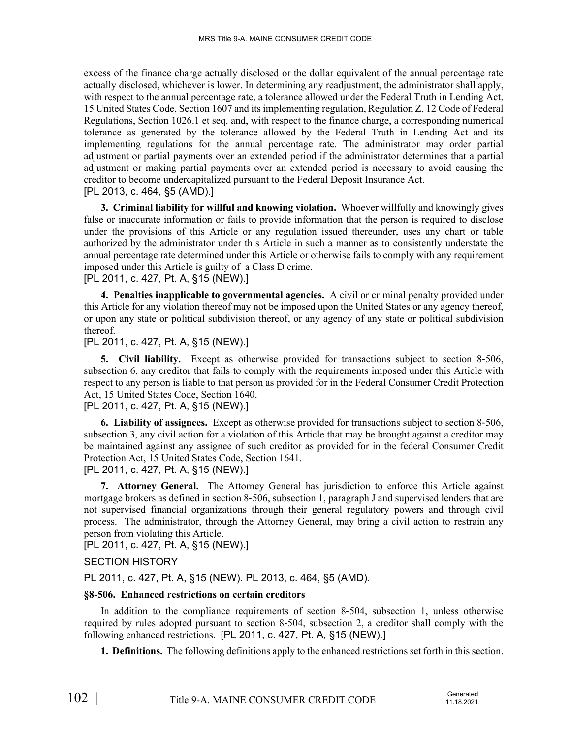excess of the finance charge actually disclosed or the dollar equivalent of the annual percentage rate actually disclosed, whichever is lower. In determining any readjustment, the administrator shall apply, with respect to the annual percentage rate, a tolerance allowed under the Federal Truth in Lending Act, 15 United States Code, Section 1607 and its implementing regulation, Regulation Z, 12 Code of Federal Regulations, Section 1026.1 et seq. and, with respect to the finance charge, a corresponding numerical tolerance as generated by the tolerance allowed by the Federal Truth in Lending Act and its implementing regulations for the annual percentage rate. The administrator may order partial adjustment or partial payments over an extended period if the administrator determines that a partial adjustment or making partial payments over an extended period is necessary to avoid causing the creditor to become undercapitalized pursuant to the Federal Deposit Insurance Act. [PL 2013, c. 464, §5 (AMD).]

**3. Criminal liability for willful and knowing violation.** Whoever willfully and knowingly gives false or inaccurate information or fails to provide information that the person is required to disclose under the provisions of this Article or any regulation issued thereunder, uses any chart or table authorized by the administrator under this Article in such a manner as to consistently understate the annual percentage rate determined under this Article or otherwise fails to comply with any requirement imposed under this Article is guilty of a Class D crime.

[PL 2011, c. 427, Pt. A, §15 (NEW).]

**4. Penalties inapplicable to governmental agencies.** A civil or criminal penalty provided under this Article for any violation thereof may not be imposed upon the United States or any agency thereof, or upon any state or political subdivision thereof, or any agency of any state or political subdivision thereof.

## [PL 2011, c. 427, Pt. A, §15 (NEW).]

**5. Civil liability.** Except as otherwise provided for transactions subject to section 8-506, subsection 6, any creditor that fails to comply with the requirements imposed under this Article with respect to any person is liable to that person as provided for in the Federal Consumer Credit Protection Act, 15 United States Code, Section 1640.

# [PL 2011, c. 427, Pt. A, §15 (NEW).]

**6. Liability of assignees.** Except as otherwise provided for transactions subject to section 8‑506, subsection 3, any civil action for a violation of this Article that may be brought against a creditor may be maintained against any assignee of such creditor as provided for in the federal Consumer Credit Protection Act, 15 United States Code, Section 1641. [PL 2011, c. 427, Pt. A, §15 (NEW).]

**7. Attorney General.** The Attorney General has jurisdiction to enforce this Article against mortgage brokers as defined in section 8-506, subsection 1, paragraph J and supervised lenders that are not supervised financial organizations through their general regulatory powers and through civil process. The administrator, through the Attorney General, may bring a civil action to restrain any person from violating this Article.

[PL 2011, c. 427, Pt. A, §15 (NEW).]

## SECTION HISTORY

PL 2011, c. 427, Pt. A, §15 (NEW). PL 2013, c. 464, §5 (AMD).

## **§8-506. Enhanced restrictions on certain creditors**

In addition to the compliance requirements of section 8-504, subsection 1, unless otherwise required by rules adopted pursuant to section 8‑504, subsection 2, a creditor shall comply with the following enhanced restrictions. [PL 2011, c. 427, Pt. A, §15 (NEW).]

**1. Definitions.** The following definitions apply to the enhanced restrictions set forth in this section.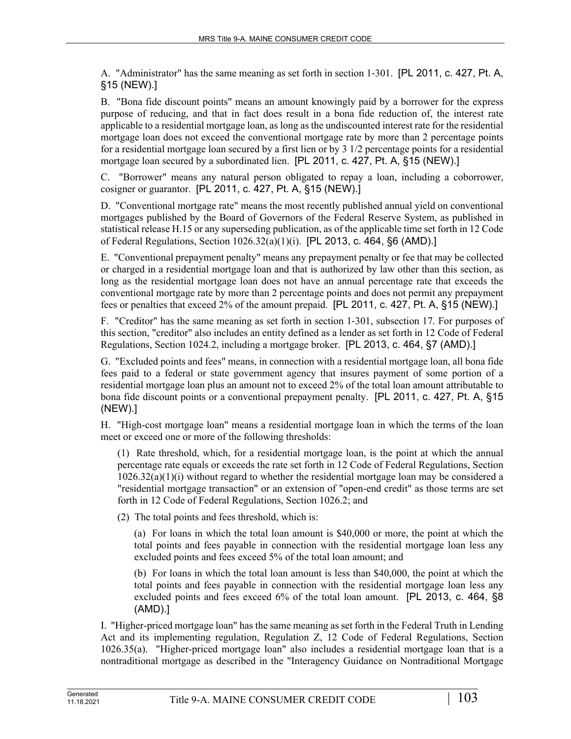A. "Administrator" has the same meaning as set forth in section 1‑301. [PL 2011, c. 427, Pt. A, §15 (NEW).]

B. "Bona fide discount points" means an amount knowingly paid by a borrower for the express purpose of reducing, and that in fact does result in a bona fide reduction of, the interest rate applicable to a residential mortgage loan, as long as the undiscounted interest rate for the residential mortgage loan does not exceed the conventional mortgage rate by more than 2 percentage points for a residential mortgage loan secured by a first lien or by 3 1/2 percentage points for a residential mortgage loan secured by a subordinated lien. [PL 2011, c. 427, Pt. A, §15 (NEW).]

C. "Borrower" means any natural person obligated to repay a loan, including a coborrower, cosigner or guarantor. [PL 2011, c. 427, Pt. A, §15 (NEW).]

D. "Conventional mortgage rate" means the most recently published annual yield on conventional mortgages published by the Board of Governors of the Federal Reserve System, as published in statistical release H.15 or any superseding publication, as of the applicable time set forth in 12 Code of Federal Regulations, Section 1026.32(a)(1)(i). [PL 2013, c. 464, §6 (AMD).]

E. "Conventional prepayment penalty" means any prepayment penalty or fee that may be collected or charged in a residential mortgage loan and that is authorized by law other than this section, as long as the residential mortgage loan does not have an annual percentage rate that exceeds the conventional mortgage rate by more than 2 percentage points and does not permit any prepayment fees or penalties that exceed 2% of the amount prepaid. [PL 2011, c. 427, Pt. A, §15 (NEW).]

F. "Creditor" has the same meaning as set forth in section 1–301, subsection 17. For purposes of this section, "creditor" also includes an entity defined as a lender as set forth in 12 Code of Federal Regulations, Section 1024.2, including a mortgage broker. [PL 2013, c. 464, §7 (AMD).]

G. "Excluded points and fees" means, in connection with a residential mortgage loan, all bona fide fees paid to a federal or state government agency that insures payment of some portion of a residential mortgage loan plus an amount not to exceed 2% of the total loan amount attributable to bona fide discount points or a conventional prepayment penalty. [PL 2011, c. 427, Pt. A, §15 (NEW).]

H. "High-cost mortgage loan" means a residential mortgage loan in which the terms of the loan meet or exceed one or more of the following thresholds:

(1) Rate threshold, which, for a residential mortgage loan, is the point at which the annual percentage rate equals or exceeds the rate set forth in 12 Code of Federal Regulations, Section 1026.32(a)(1)(i) without regard to whether the residential mortgage loan may be considered a "residential mortgage transaction" or an extension of "open-end credit" as those terms are set forth in 12 Code of Federal Regulations, Section 1026.2; and

(2) The total points and fees threshold, which is:

(a) For loans in which the total loan amount is \$40,000 or more, the point at which the total points and fees payable in connection with the residential mortgage loan less any excluded points and fees exceed 5% of the total loan amount; and

(b) For loans in which the total loan amount is less than \$40,000, the point at which the total points and fees payable in connection with the residential mortgage loan less any excluded points and fees exceed 6% of the total loan amount. [PL 2013, c. 464, §8 (AMD).]

I. "Higher-priced mortgage loan" has the same meaning as set forth in the Federal Truth in Lending Act and its implementing regulation, Regulation Z, 12 Code of Federal Regulations, Section 1026.35(a). "Higher-priced mortgage loan" also includes a residential mortgage loan that is a nontraditional mortgage as described in the "Interagency Guidance on Nontraditional Mortgage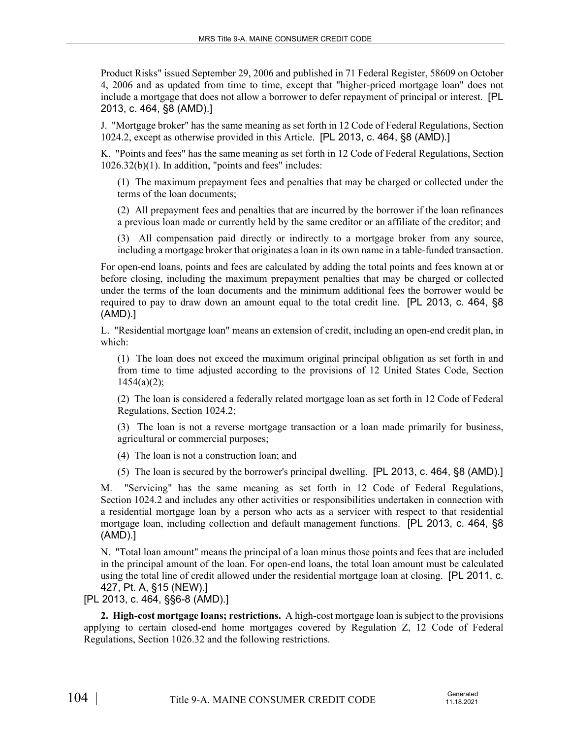Product Risks" issued September 29, 2006 and published in 71 Federal Register, 58609 on October 4, 2006 and as updated from time to time, except that "higher-priced mortgage loan" does not include a mortgage that does not allow a borrower to defer repayment of principal or interest. [PL 2013, c. 464, §8 (AMD).]

J. "Mortgage broker" has the same meaning as set forth in 12 Code of Federal Regulations, Section 1024.2, except as otherwise provided in this Article. [PL 2013, c. 464, §8 (AMD).]

K. "Points and fees" has the same meaning as set forth in 12 Code of Federal Regulations, Section 1026.32(b)(1). In addition, "points and fees" includes:

(1) The maximum prepayment fees and penalties that may be charged or collected under the terms of the loan documents;

(2) All prepayment fees and penalties that are incurred by the borrower if the loan refinances a previous loan made or currently held by the same creditor or an affiliate of the creditor; and

(3) All compensation paid directly or indirectly to a mortgage broker from any source, including a mortgage broker that originates a loan in its own name in a table-funded transaction.

For open-end loans, points and fees are calculated by adding the total points and fees known at or before closing, including the maximum prepayment penalties that may be charged or collected under the terms of the loan documents and the minimum additional fees the borrower would be required to pay to draw down an amount equal to the total credit line. [PL 2013, c. 464, §8 (AMD).]

L. "Residential mortgage loan" means an extension of credit, including an open-end credit plan, in which:

(1) The loan does not exceed the maximum original principal obligation as set forth in and from time to time adjusted according to the provisions of 12 United States Code, Section  $1454(a)(2)$ ;

(2) The loan is considered a federally related mortgage loan as set forth in 12 Code of Federal Regulations, Section 1024.2;

(3) The loan is not a reverse mortgage transaction or a loan made primarily for business, agricultural or commercial purposes;

(4) The loan is not a construction loan; and

(5) The loan is secured by the borrower's principal dwelling. [PL 2013, c. 464, §8 (AMD).]

M. "Servicing" has the same meaning as set forth in 12 Code of Federal Regulations, Section 1024.2 and includes any other activities or responsibilities undertaken in connection with a residential mortgage loan by a person who acts as a servicer with respect to that residential mortgage loan, including collection and default management functions. [PL 2013, c. 464, §8 (AMD).]

N. "Total loan amount" means the principal of a loan minus those points and fees that are included in the principal amount of the loan. For open-end loans, the total loan amount must be calculated using the total line of credit allowed under the residential mortgage loan at closing. [PL 2011, c. 427, Pt. A, §15 (NEW).]

[PL 2013, c. 464, §§6-8 (AMD).]

**2. High-cost mortgage loans; restrictions.** A high-cost mortgage loan is subject to the provisions applying to certain closed-end home mortgages covered by Regulation Z, 12 Code of Federal Regulations, Section 1026.32 and the following restrictions.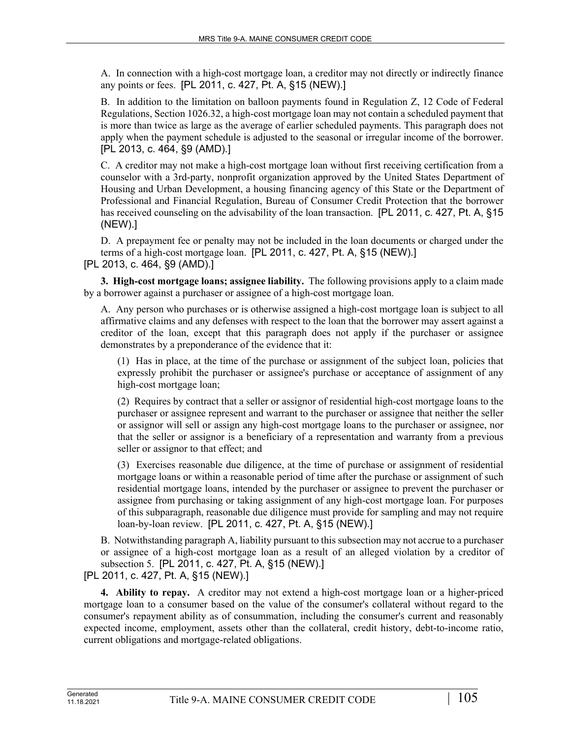A. In connection with a high-cost mortgage loan, a creditor may not directly or indirectly finance any points or fees. [PL 2011, c. 427, Pt. A, §15 (NEW).]

B. In addition to the limitation on balloon payments found in Regulation Z, 12 Code of Federal Regulations, Section 1026.32, a high-cost mortgage loan may not contain a scheduled payment that is more than twice as large as the average of earlier scheduled payments. This paragraph does not apply when the payment schedule is adjusted to the seasonal or irregular income of the borrower. [PL 2013, c. 464, §9 (AMD).]

C. A creditor may not make a high-cost mortgage loan without first receiving certification from a counselor with a 3rd-party, nonprofit organization approved by the United States Department of Housing and Urban Development, a housing financing agency of this State or the Department of Professional and Financial Regulation, Bureau of Consumer Credit Protection that the borrower has received counseling on the advisability of the loan transaction. [PL 2011, c. 427, Pt. A, §15 (NEW).]

D. A prepayment fee or penalty may not be included in the loan documents or charged under the terms of a high-cost mortgage loan. [PL 2011, c. 427, Pt. A, §15 (NEW).] [PL 2013, c. 464, §9 (AMD).]

**3. High-cost mortgage loans; assignee liability.** The following provisions apply to a claim made by a borrower against a purchaser or assignee of a high-cost mortgage loan.

A. Any person who purchases or is otherwise assigned a high-cost mortgage loan is subject to all affirmative claims and any defenses with respect to the loan that the borrower may assert against a creditor of the loan, except that this paragraph does not apply if the purchaser or assignee demonstrates by a preponderance of the evidence that it:

(1) Has in place, at the time of the purchase or assignment of the subject loan, policies that expressly prohibit the purchaser or assignee's purchase or acceptance of assignment of any high-cost mortgage loan;

(2) Requires by contract that a seller or assignor of residential high-cost mortgage loans to the purchaser or assignee represent and warrant to the purchaser or assignee that neither the seller or assignor will sell or assign any high-cost mortgage loans to the purchaser or assignee, nor that the seller or assignor is a beneficiary of a representation and warranty from a previous seller or assignor to that effect; and

(3) Exercises reasonable due diligence, at the time of purchase or assignment of residential mortgage loans or within a reasonable period of time after the purchase or assignment of such residential mortgage loans, intended by the purchaser or assignee to prevent the purchaser or assignee from purchasing or taking assignment of any high-cost mortgage loan. For purposes of this subparagraph, reasonable due diligence must provide for sampling and may not require loan-by-loan review. [PL 2011, c. 427, Pt. A, §15 (NEW).]

B. Notwithstanding paragraph A, liability pursuant to this subsection may not accrue to a purchaser or assignee of a high-cost mortgage loan as a result of an alleged violation by a creditor of subsection 5. [PL 2011, c. 427, Pt. A, §15 (NEW).] [PL 2011, c. 427, Pt. A, §15 (NEW).]

**4. Ability to repay.** A creditor may not extend a high-cost mortgage loan or a higher-priced mortgage loan to a consumer based on the value of the consumer's collateral without regard to the consumer's repayment ability as of consummation, including the consumer's current and reasonably expected income, employment, assets other than the collateral, credit history, debt-to-income ratio, current obligations and mortgage-related obligations.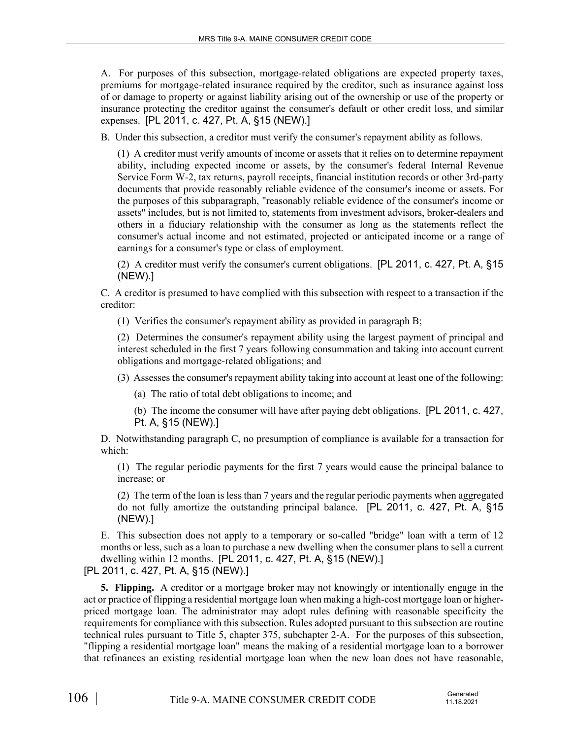A. For purposes of this subsection, mortgage-related obligations are expected property taxes, premiums for mortgage-related insurance required by the creditor, such as insurance against loss of or damage to property or against liability arising out of the ownership or use of the property or insurance protecting the creditor against the consumer's default or other credit loss, and similar expenses. [PL 2011, c. 427, Pt. A, §15 (NEW).]

B. Under this subsection, a creditor must verify the consumer's repayment ability as follows.

(1) A creditor must verify amounts of income or assets that it relies on to determine repayment ability, including expected income or assets, by the consumer's federal Internal Revenue Service Form W-2, tax returns, payroll receipts, financial institution records or other 3rd-party documents that provide reasonably reliable evidence of the consumer's income or assets. For the purposes of this subparagraph, "reasonably reliable evidence of the consumer's income or assets" includes, but is not limited to, statements from investment advisors, broker-dealers and others in a fiduciary relationship with the consumer as long as the statements reflect the consumer's actual income and not estimated, projected or anticipated income or a range of earnings for a consumer's type or class of employment.

(2) A creditor must verify the consumer's current obligations. [PL 2011, c. 427, Pt. A, §15 (NEW).]

C. A creditor is presumed to have complied with this subsection with respect to a transaction if the creditor:

(1) Verifies the consumer's repayment ability as provided in paragraph B;

(2) Determines the consumer's repayment ability using the largest payment of principal and interest scheduled in the first 7 years following consummation and taking into account current obligations and mortgage-related obligations; and

(3) Assesses the consumer's repayment ability taking into account at least one of the following:

(a) The ratio of total debt obligations to income; and

(b) The income the consumer will have after paying debt obligations. [PL 2011, c. 427, Pt. A, §15 (NEW).]

D. Notwithstanding paragraph C, no presumption of compliance is available for a transaction for which:

(1) The regular periodic payments for the first 7 years would cause the principal balance to increase; or

(2) The term of the loan is less than 7 years and the regular periodic payments when aggregated do not fully amortize the outstanding principal balance. [PL 2011, c. 427, Pt. A, §15 (NEW).]

E. This subsection does not apply to a temporary or so-called "bridge" loan with a term of 12 months or less, such as a loan to purchase a new dwelling when the consumer plans to sell a current dwelling within 12 months. [PL 2011, c. 427, Pt. A, §15 (NEW).]

[PL 2011, c. 427, Pt. A, §15 (NEW).]

**5. Flipping.** A creditor or a mortgage broker may not knowingly or intentionally engage in the act or practice of flipping a residential mortgage loan when making a high-cost mortgage loan or higherpriced mortgage loan. The administrator may adopt rules defining with reasonable specificity the requirements for compliance with this subsection. Rules adopted pursuant to this subsection are routine technical rules pursuant to Title 5, chapter 375, subchapter 2-A. For the purposes of this subsection, "flipping a residential mortgage loan" means the making of a residential mortgage loan to a borrower that refinances an existing residential mortgage loan when the new loan does not have reasonable,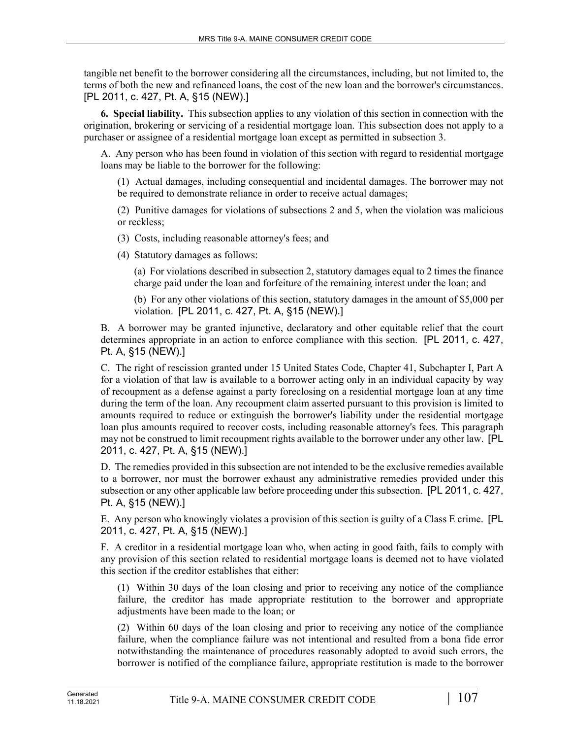tangible net benefit to the borrower considering all the circumstances, including, but not limited to, the terms of both the new and refinanced loans, the cost of the new loan and the borrower's circumstances. [PL 2011, c. 427, Pt. A, §15 (NEW).]

**6. Special liability.** This subsection applies to any violation of this section in connection with the origination, brokering or servicing of a residential mortgage loan. This subsection does not apply to a purchaser or assignee of a residential mortgage loan except as permitted in subsection 3.

A. Any person who has been found in violation of this section with regard to residential mortgage loans may be liable to the borrower for the following:

(1) Actual damages, including consequential and incidental damages. The borrower may not be required to demonstrate reliance in order to receive actual damages;

(2) Punitive damages for violations of subsections 2 and 5, when the violation was malicious or reckless;

(3) Costs, including reasonable attorney's fees; and

(4) Statutory damages as follows:

(a) For violations described in subsection 2, statutory damages equal to 2 times the finance charge paid under the loan and forfeiture of the remaining interest under the loan; and

(b) For any other violations of this section, statutory damages in the amount of \$5,000 per violation. [PL 2011, c. 427, Pt. A, §15 (NEW).]

B. A borrower may be granted injunctive, declaratory and other equitable relief that the court determines appropriate in an action to enforce compliance with this section. [PL 2011, c. 427, Pt. A, §15 (NEW).]

C. The right of rescission granted under 15 United States Code, Chapter 41, Subchapter I, Part A for a violation of that law is available to a borrower acting only in an individual capacity by way of recoupment as a defense against a party foreclosing on a residential mortgage loan at any time during the term of the loan. Any recoupment claim asserted pursuant to this provision is limited to amounts required to reduce or extinguish the borrower's liability under the residential mortgage loan plus amounts required to recover costs, including reasonable attorney's fees. This paragraph may not be construed to limit recoupment rights available to the borrower under any other law. [PL 2011, c. 427, Pt. A, §15 (NEW).]

D. The remedies provided in this subsection are not intended to be the exclusive remedies available to a borrower, nor must the borrower exhaust any administrative remedies provided under this subsection or any other applicable law before proceeding under this subsection. [PL 2011, c. 427, Pt. A, §15 (NEW).]

E. Any person who knowingly violates a provision of this section is guilty of a Class E crime. [PL 2011, c. 427, Pt. A, §15 (NEW).]

F. A creditor in a residential mortgage loan who, when acting in good faith, fails to comply with any provision of this section related to residential mortgage loans is deemed not to have violated this section if the creditor establishes that either:

(1) Within 30 days of the loan closing and prior to receiving any notice of the compliance failure, the creditor has made appropriate restitution to the borrower and appropriate adjustments have been made to the loan; or

(2) Within 60 days of the loan closing and prior to receiving any notice of the compliance failure, when the compliance failure was not intentional and resulted from a bona fide error notwithstanding the maintenance of procedures reasonably adopted to avoid such errors, the borrower is notified of the compliance failure, appropriate restitution is made to the borrower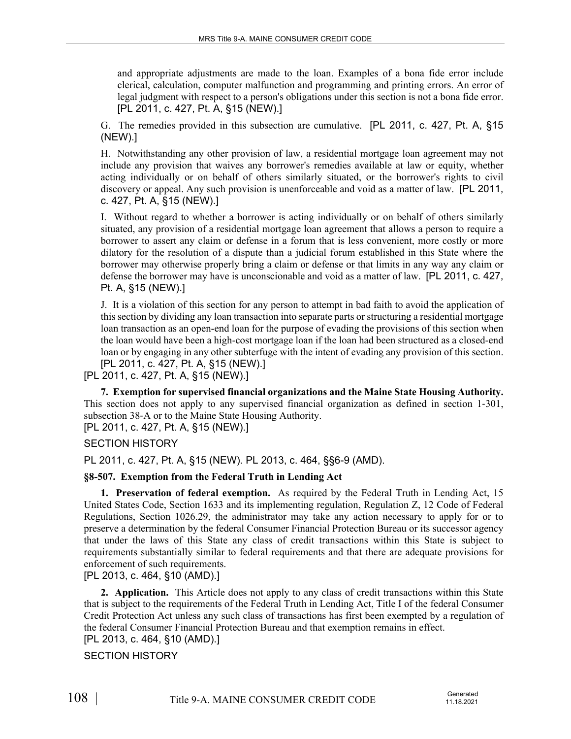and appropriate adjustments are made to the loan. Examples of a bona fide error include clerical, calculation, computer malfunction and programming and printing errors. An error of legal judgment with respect to a person's obligations under this section is not a bona fide error. [PL 2011, c. 427, Pt. A, §15 (NEW).]

G. The remedies provided in this subsection are cumulative. [PL 2011, c. 427, Pt. A, §15 (NEW).]

H. Notwithstanding any other provision of law, a residential mortgage loan agreement may not include any provision that waives any borrower's remedies available at law or equity, whether acting individually or on behalf of others similarly situated, or the borrower's rights to civil discovery or appeal. Any such provision is unenforceable and void as a matter of law. [PL 2011, c. 427, Pt. A, §15 (NEW).]

I. Without regard to whether a borrower is acting individually or on behalf of others similarly situated, any provision of a residential mortgage loan agreement that allows a person to require a borrower to assert any claim or defense in a forum that is less convenient, more costly or more dilatory for the resolution of a dispute than a judicial forum established in this State where the borrower may otherwise properly bring a claim or defense or that limits in any way any claim or defense the borrower may have is unconscionable and void as a matter of law. [PL 2011, c. 427, Pt. A, §15 (NEW).]

J. It is a violation of this section for any person to attempt in bad faith to avoid the application of this section by dividing any loan transaction into separate parts or structuring a residential mortgage loan transaction as an open-end loan for the purpose of evading the provisions of this section when the loan would have been a high-cost mortgage loan if the loan had been structured as a closed-end loan or by engaging in any other subterfuge with the intent of evading any provision of this section. [PL 2011, c. 427, Pt. A, §15 (NEW).]

[PL 2011, c. 427, Pt. A, §15 (NEW).]

**7. Exemption for supervised financial organizations and the Maine State Housing Authority.**  This section does not apply to any supervised financial organization as defined in section 1‑301, subsection 38‑A or to the Maine State Housing Authority. [PL 2011, c. 427, Pt. A, §15 (NEW).]

SECTION HISTORY

PL 2011, c. 427, Pt. A, §15 (NEW). PL 2013, c. 464, §§6-9 (AMD).

## **§8-507. Exemption from the Federal Truth in Lending Act**

**1. Preservation of federal exemption.** As required by the Federal Truth in Lending Act, 15 United States Code, Section 1633 and its implementing regulation, Regulation Z, 12 Code of Federal Regulations, Section 1026.29, the administrator may take any action necessary to apply for or to preserve a determination by the federal Consumer Financial Protection Bureau or its successor agency that under the laws of this State any class of credit transactions within this State is subject to requirements substantially similar to federal requirements and that there are adequate provisions for enforcement of such requirements.

[PL 2013, c. 464, §10 (AMD).]

**2. Application.** This Article does not apply to any class of credit transactions within this State that is subject to the requirements of the Federal Truth in Lending Act, Title I of the federal Consumer Credit Protection Act unless any such class of transactions has first been exempted by a regulation of the federal Consumer Financial Protection Bureau and that exemption remains in effect.

[PL 2013, c. 464, §10 (AMD).]

SECTION HISTORY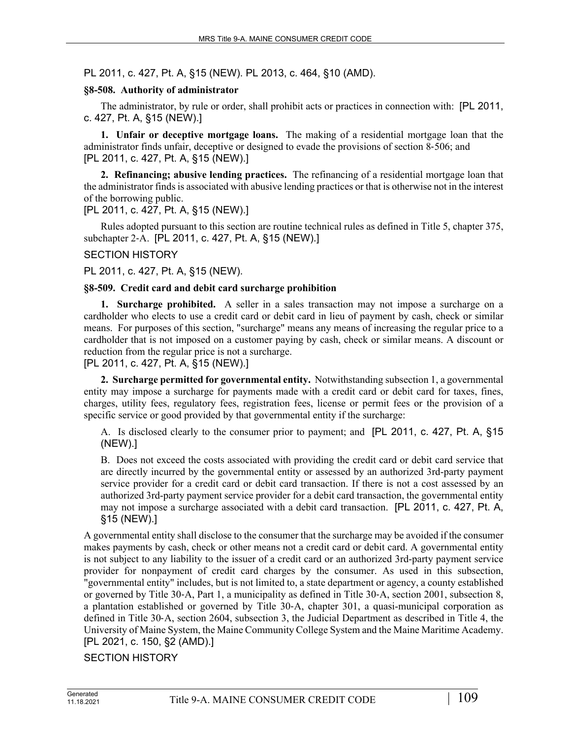PL 2011, c. 427, Pt. A, §15 (NEW). PL 2013, c. 464, §10 (AMD).

## **§8-508. Authority of administrator**

The administrator, by rule or order, shall prohibit acts or practices in connection with: [PL 2011, c. 427, Pt. A, §15 (NEW).]

**1. Unfair or deceptive mortgage loans.** The making of a residential mortgage loan that the administrator finds unfair, deceptive or designed to evade the provisions of section 8‑506; and [PL 2011, c. 427, Pt. A, §15 (NEW).]

**2. Refinancing; abusive lending practices.** The refinancing of a residential mortgage loan that the administrator finds is associated with abusive lending practices or that is otherwise not in the interest of the borrowing public.

[PL 2011, c. 427, Pt. A, §15 (NEW).]

Rules adopted pursuant to this section are routine technical rules as defined in Title 5, chapter 375, subchapter 2‑A. [PL 2011, c. 427, Pt. A, §15 (NEW).]

## SECTION HISTORY

PL 2011, c. 427, Pt. A, §15 (NEW).

## **§8-509. Credit card and debit card surcharge prohibition**

**1. Surcharge prohibited.** A seller in a sales transaction may not impose a surcharge on a cardholder who elects to use a credit card or debit card in lieu of payment by cash, check or similar means. For purposes of this section, "surcharge" means any means of increasing the regular price to a cardholder that is not imposed on a customer paying by cash, check or similar means. A discount or reduction from the regular price is not a surcharge.

[PL 2011, c. 427, Pt. A, §15 (NEW).]

**2. Surcharge permitted for governmental entity.** Notwithstanding subsection 1, a governmental entity may impose a surcharge for payments made with a credit card or debit card for taxes, fines, charges, utility fees, regulatory fees, registration fees, license or permit fees or the provision of a specific service or good provided by that governmental entity if the surcharge:

A. Is disclosed clearly to the consumer prior to payment; and [PL 2011, c. 427, Pt. A, §15 (NEW).]

B. Does not exceed the costs associated with providing the credit card or debit card service that are directly incurred by the governmental entity or assessed by an authorized 3rd-party payment service provider for a credit card or debit card transaction. If there is not a cost assessed by an authorized 3rd-party payment service provider for a debit card transaction, the governmental entity may not impose a surcharge associated with a debit card transaction. [PL 2011, c. 427, Pt. A, §15 (NEW).]

A governmental entity shall disclose to the consumer that the surcharge may be avoided if the consumer makes payments by cash, check or other means not a credit card or debit card. A governmental entity is not subject to any liability to the issuer of a credit card or an authorized 3rd-party payment service provider for nonpayment of credit card charges by the consumer. As used in this subsection, "governmental entity" includes, but is not limited to, a state department or agency, a county established or governed by Title 30‑A, Part 1, a municipality as defined in Title 30‑A, section 2001, subsection 8, a plantation established or governed by Title 30‑A, chapter 301, a quasi-municipal corporation as defined in Title 30‑A, section 2604, subsection 3, the Judicial Department as described in Title 4, the University of Maine System, the Maine Community College System and the Maine Maritime Academy. [PL 2021, c. 150, §2 (AMD).]

SECTION HISTORY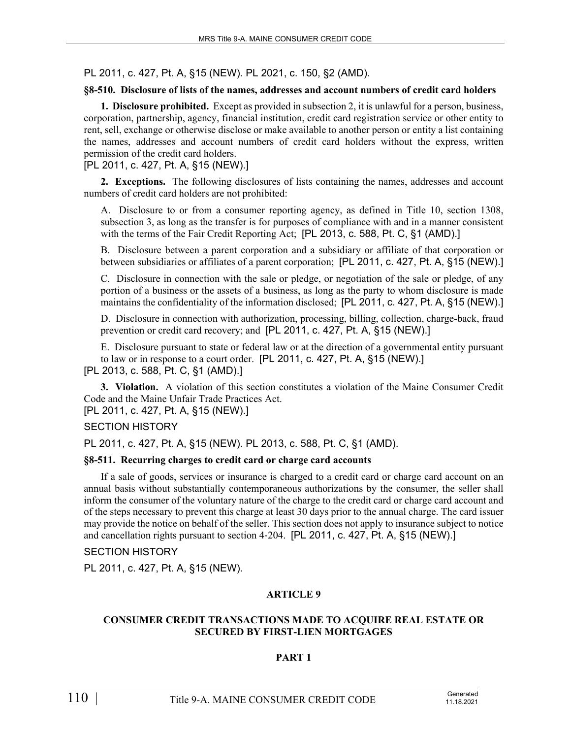PL 2011, c. 427, Pt. A, §15 (NEW). PL 2021, c. 150, §2 (AMD).

## **§8-510. Disclosure of lists of the names, addresses and account numbers of credit card holders**

**1. Disclosure prohibited.** Except as provided in subsection 2, it is unlawful for a person, business, corporation, partnership, agency, financial institution, credit card registration service or other entity to rent, sell, exchange or otherwise disclose or make available to another person or entity a list containing the names, addresses and account numbers of credit card holders without the express, written permission of the credit card holders.

[PL 2011, c. 427, Pt. A, §15 (NEW).]

**2. Exceptions.** The following disclosures of lists containing the names, addresses and account numbers of credit card holders are not prohibited:

A. Disclosure to or from a consumer reporting agency, as defined in Title 10, section 1308, subsection 3, as long as the transfer is for purposes of compliance with and in a manner consistent with the terms of the Fair Credit Reporting Act; [PL 2013, c. 588, Pt. C, §1 (AMD).]

B. Disclosure between a parent corporation and a subsidiary or affiliate of that corporation or between subsidiaries or affiliates of a parent corporation; [PL 2011, c. 427, Pt. A, §15 (NEW).]

C. Disclosure in connection with the sale or pledge, or negotiation of the sale or pledge, of any portion of a business or the assets of a business, as long as the party to whom disclosure is made maintains the confidentiality of the information disclosed; [PL 2011, c. 427, Pt. A, §15 (NEW).]

D. Disclosure in connection with authorization, processing, billing, collection, charge-back, fraud prevention or credit card recovery; and [PL 2011, c. 427, Pt. A, §15 (NEW).]

E. Disclosure pursuant to state or federal law or at the direction of a governmental entity pursuant to law or in response to a court order. [PL 2011, c. 427, Pt. A, §15 (NEW).] [PL 2013, c. 588, Pt. C, §1 (AMD).]

**3. Violation.** A violation of this section constitutes a violation of the Maine Consumer Credit Code and the Maine Unfair Trade Practices Act.

[PL 2011, c. 427, Pt. A, §15 (NEW).]

SECTION HISTORY

PL 2011, c. 427, Pt. A, §15 (NEW). PL 2013, c. 588, Pt. C, §1 (AMD).

## **§8-511. Recurring charges to credit card or charge card accounts**

If a sale of goods, services or insurance is charged to a credit card or charge card account on an annual basis without substantially contemporaneous authorizations by the consumer, the seller shall inform the consumer of the voluntary nature of the charge to the credit card or charge card account and of the steps necessary to prevent this charge at least 30 days prior to the annual charge. The card issuer may provide the notice on behalf of the seller. This section does not apply to insurance subject to notice and cancellation rights pursuant to section 4‑204. [PL 2011, c. 427, Pt. A, §15 (NEW).]

SECTION HISTORY

PL 2011, c. 427, Pt. A, §15 (NEW).

## **ARTICLE 9**

## **CONSUMER CREDIT TRANSACTIONS MADE TO ACQUIRE REAL ESTATE OR SECURED BY FIRST-LIEN MORTGAGES**

# **PART 1**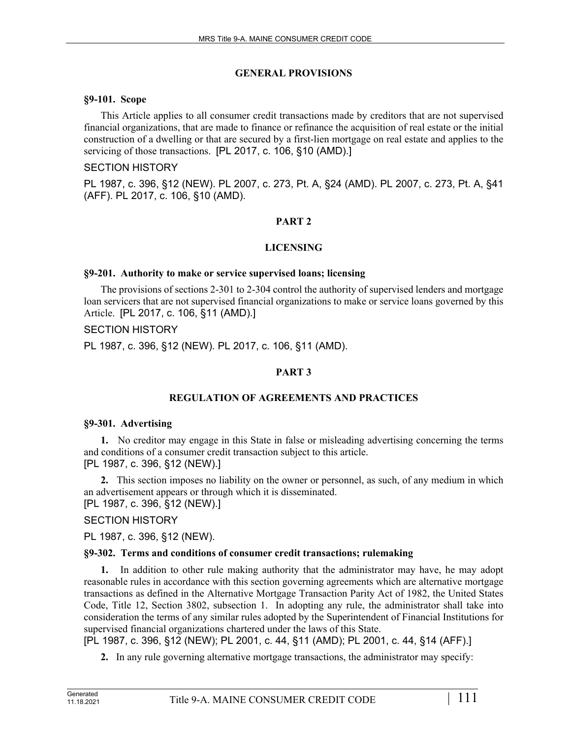## **GENERAL PROVISIONS**

## **§9-101. Scope**

This Article applies to all consumer credit transactions made by creditors that are not supervised financial organizations, that are made to finance or refinance the acquisition of real estate or the initial construction of a dwelling or that are secured by a first-lien mortgage on real estate and applies to the servicing of those transactions. [PL 2017, c. 106, §10 (AMD).]

## SECTION HISTORY

PL 1987, c. 396, §12 (NEW). PL 2007, c. 273, Pt. A, §24 (AMD). PL 2007, c. 273, Pt. A, §41 (AFF). PL 2017, c. 106, §10 (AMD).

# **PART 2**

# **LICENSING**

# **§9-201. Authority to make or service supervised loans; licensing**

The provisions of sections 2-301 to 2-304 control the authority of supervised lenders and mortgage loan servicers that are not supervised financial organizations to make or service loans governed by this Article. [PL 2017, c. 106, §11 (AMD).]

## SECTION HISTORY

PL 1987, c. 396, §12 (NEW). PL 2017, c. 106, §11 (AMD).

# **PART 3**

# **REGULATION OF AGREEMENTS AND PRACTICES**

# **§9-301. Advertising**

**1.** No creditor may engage in this State in false or misleading advertising concerning the terms and conditions of a consumer credit transaction subject to this article. [PL 1987, c. 396, §12 (NEW).]

**2.** This section imposes no liability on the owner or personnel, as such, of any medium in which an advertisement appears or through which it is disseminated.

[PL 1987, c. 396, §12 (NEW).]

# SECTION HISTORY

PL 1987, c. 396, §12 (NEW).

# **§9-302. Terms and conditions of consumer credit transactions; rulemaking**

**1.** In addition to other rule making authority that the administrator may have, he may adopt reasonable rules in accordance with this section governing agreements which are alternative mortgage transactions as defined in the Alternative Mortgage Transaction Parity Act of 1982, the United States Code, Title 12, Section 3802, subsection 1. In adopting any rule, the administrator shall take into consideration the terms of any similar rules adopted by the Superintendent of Financial Institutions for supervised financial organizations chartered under the laws of this State.

[PL 1987, c. 396, §12 (NEW); PL 2001, c. 44, §11 (AMD); PL 2001, c. 44, §14 (AFF).]

**2.** In any rule governing alternative mortgage transactions, the administrator may specify: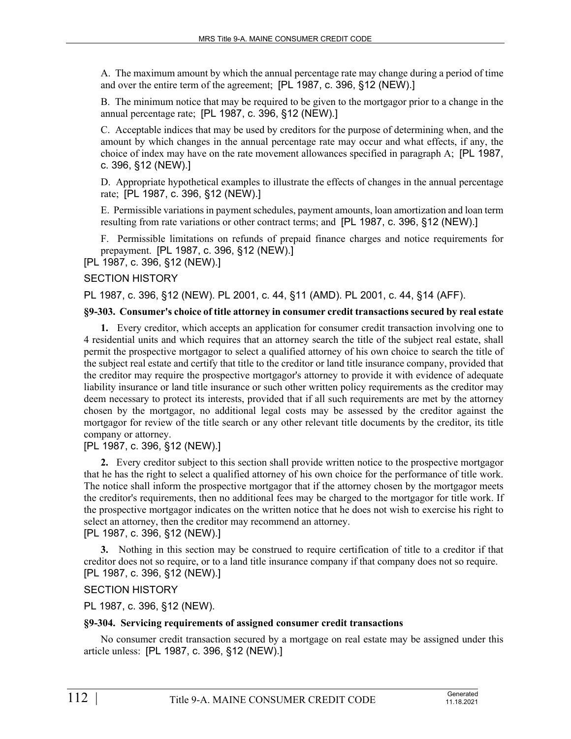A. The maximum amount by which the annual percentage rate may change during a period of time and over the entire term of the agreement; [PL 1987, c. 396, §12 (NEW).]

B. The minimum notice that may be required to be given to the mortgagor prior to a change in the annual percentage rate; [PL 1987, c. 396, §12 (NEW).]

C. Acceptable indices that may be used by creditors for the purpose of determining when, and the amount by which changes in the annual percentage rate may occur and what effects, if any, the choice of index may have on the rate movement allowances specified in paragraph A; [PL 1987, c. 396, §12 (NEW).]

D. Appropriate hypothetical examples to illustrate the effects of changes in the annual percentage rate; [PL 1987, c. 396, §12 (NEW).]

E. Permissible variations in payment schedules, payment amounts, loan amortization and loan term resulting from rate variations or other contract terms; and [PL 1987, c. 396, §12 (NEW).]

F. Permissible limitations on refunds of prepaid finance charges and notice requirements for prepayment. [PL 1987, c. 396, §12 (NEW).]

[PL 1987, c. 396, §12 (NEW).]

#### SECTION HISTORY

PL 1987, c. 396, §12 (NEW). PL 2001, c. 44, §11 (AMD). PL 2001, c. 44, §14 (AFF).

#### **§9-303. Consumer's choice of title attorney in consumer credit transactions secured by real estate**

**1.** Every creditor, which accepts an application for consumer credit transaction involving one to 4 residential units and which requires that an attorney search the title of the subject real estate, shall permit the prospective mortgagor to select a qualified attorney of his own choice to search the title of the subject real estate and certify that title to the creditor or land title insurance company, provided that the creditor may require the prospective mortgagor's attorney to provide it with evidence of adequate liability insurance or land title insurance or such other written policy requirements as the creditor may deem necessary to protect its interests, provided that if all such requirements are met by the attorney chosen by the mortgagor, no additional legal costs may be assessed by the creditor against the mortgagor for review of the title search or any other relevant title documents by the creditor, its title company or attorney.

[PL 1987, c. 396, §12 (NEW).]

**2.** Every creditor subject to this section shall provide written notice to the prospective mortgagor that he has the right to select a qualified attorney of his own choice for the performance of title work. The notice shall inform the prospective mortgagor that if the attorney chosen by the mortgagor meets the creditor's requirements, then no additional fees may be charged to the mortgagor for title work. If the prospective mortgagor indicates on the written notice that he does not wish to exercise his right to select an attorney, then the creditor may recommend an attorney.

[PL 1987, c. 396, §12 (NEW).]

**3.** Nothing in this section may be construed to require certification of title to a creditor if that creditor does not so require, or to a land title insurance company if that company does not so require. [PL 1987, c. 396, §12 (NEW).]

SECTION HISTORY

PL 1987, c. 396, §12 (NEW).

#### **§9-304. Servicing requirements of assigned consumer credit transactions**

No consumer credit transaction secured by a mortgage on real estate may be assigned under this article unless: [PL 1987, c. 396, §12 (NEW).]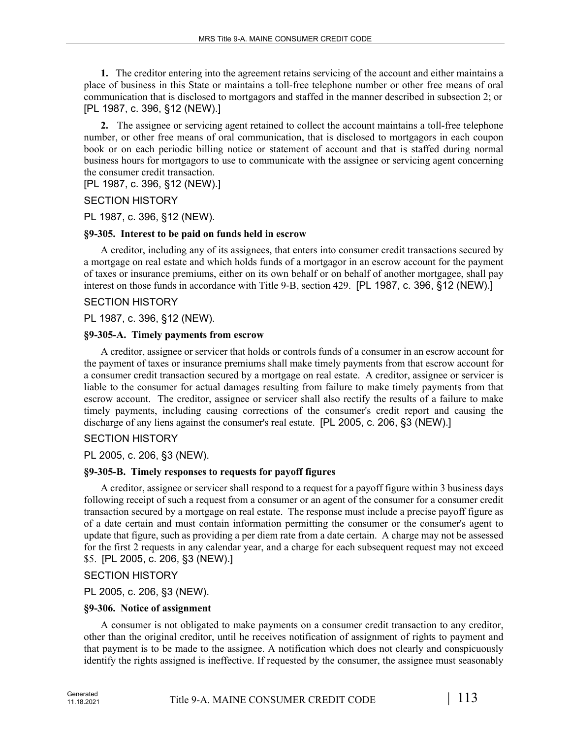**1.** The creditor entering into the agreement retains servicing of the account and either maintains a place of business in this State or maintains a toll-free telephone number or other free means of oral communication that is disclosed to mortgagors and staffed in the manner described in subsection 2; or [PL 1987, c. 396, §12 (NEW).]

**2.** The assignee or servicing agent retained to collect the account maintains a toll-free telephone number, or other free means of oral communication, that is disclosed to mortgagors in each coupon book or on each periodic billing notice or statement of account and that is staffed during normal business hours for mortgagors to use to communicate with the assignee or servicing agent concerning the consumer credit transaction.

[PL 1987, c. 396, §12 (NEW).]

SECTION HISTORY

PL 1987, c. 396, §12 (NEW).

## **§9-305. Interest to be paid on funds held in escrow**

A creditor, including any of its assignees, that enters into consumer credit transactions secured by a mortgage on real estate and which holds funds of a mortgagor in an escrow account for the payment of taxes or insurance premiums, either on its own behalf or on behalf of another mortgagee, shall pay interest on those funds in accordance with Title 9-B, section 429. [PL 1987, c. 396, §12 (NEW).]

## SECTION HISTORY

PL 1987, c. 396, §12 (NEW).

## **§9-305-A. Timely payments from escrow**

A creditor, assignee or servicer that holds or controls funds of a consumer in an escrow account for the payment of taxes or insurance premiums shall make timely payments from that escrow account for a consumer credit transaction secured by a mortgage on real estate. A creditor, assignee or servicer is liable to the consumer for actual damages resulting from failure to make timely payments from that escrow account. The creditor, assignee or servicer shall also rectify the results of a failure to make timely payments, including causing corrections of the consumer's credit report and causing the discharge of any liens against the consumer's real estate. [PL 2005, c. 206, §3 (NEW).]

# SECTION HISTORY

PL 2005, c. 206, §3 (NEW).

# **§9-305-B. Timely responses to requests for payoff figures**

A creditor, assignee or servicer shall respond to a request for a payoff figure within 3 business days following receipt of such a request from a consumer or an agent of the consumer for a consumer credit transaction secured by a mortgage on real estate. The response must include a precise payoff figure as of a date certain and must contain information permitting the consumer or the consumer's agent to update that figure, such as providing a per diem rate from a date certain. A charge may not be assessed for the first 2 requests in any calendar year, and a charge for each subsequent request may not exceed \$5. [PL 2005, c. 206, §3 (NEW).]

SECTION HISTORY

PL 2005, c. 206, §3 (NEW).

# **§9-306. Notice of assignment**

A consumer is not obligated to make payments on a consumer credit transaction to any creditor, other than the original creditor, until he receives notification of assignment of rights to payment and that payment is to be made to the assignee. A notification which does not clearly and conspicuously identify the rights assigned is ineffective. If requested by the consumer, the assignee must seasonably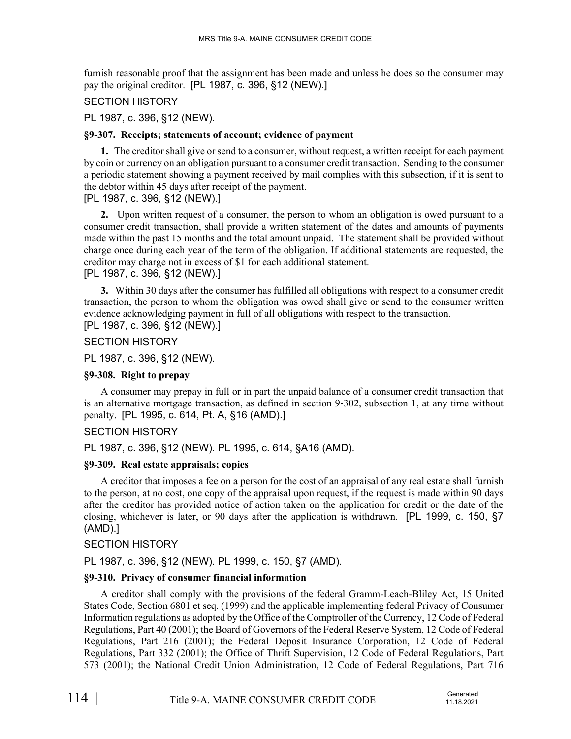furnish reasonable proof that the assignment has been made and unless he does so the consumer may pay the original creditor. [PL 1987, c. 396, §12 (NEW).]

## SECTION HISTORY

## PL 1987, c. 396, §12 (NEW).

## **§9-307. Receipts; statements of account; evidence of payment**

**1.** The creditor shall give or send to a consumer, without request, a written receipt for each payment by coin or currency on an obligation pursuant to a consumer credit transaction. Sending to the consumer a periodic statement showing a payment received by mail complies with this subsection, if it is sent to the debtor within 45 days after receipt of the payment.

# [PL 1987, c. 396, §12 (NEW).]

**2.** Upon written request of a consumer, the person to whom an obligation is owed pursuant to a consumer credit transaction, shall provide a written statement of the dates and amounts of payments made within the past 15 months and the total amount unpaid. The statement shall be provided without charge once during each year of the term of the obligation. If additional statements are requested, the creditor may charge not in excess of \$1 for each additional statement.

# [PL 1987, c. 396, §12 (NEW).]

**3.** Within 30 days after the consumer has fulfilled all obligations with respect to a consumer credit transaction, the person to whom the obligation was owed shall give or send to the consumer written evidence acknowledging payment in full of all obligations with respect to the transaction. [PL 1987, c. 396, §12 (NEW).]

## SECTION HISTORY

PL 1987, c. 396, §12 (NEW).

## **§9-308. Right to prepay**

A consumer may prepay in full or in part the unpaid balance of a consumer credit transaction that is an alternative mortgage transaction, as defined in section 9‑302, subsection 1, at any time without penalty. [PL 1995, c. 614, Pt. A, §16 (AMD).]

## SECTION HISTORY

PL 1987, c. 396, §12 (NEW). PL 1995, c. 614, §A16 (AMD).

## **§9-309. Real estate appraisals; copies**

A creditor that imposes a fee on a person for the cost of an appraisal of any real estate shall furnish to the person, at no cost, one copy of the appraisal upon request, if the request is made within 90 days after the creditor has provided notice of action taken on the application for credit or the date of the closing, whichever is later, or 90 days after the application is withdrawn. [PL 1999, c. 150, §7 (AMD).]

## SECTION HISTORY

PL 1987, c. 396, §12 (NEW). PL 1999, c. 150, §7 (AMD).

## **§9-310. Privacy of consumer financial information**

A creditor shall comply with the provisions of the federal Gramm-Leach-Bliley Act, 15 United States Code, Section 6801 et seq. (1999) and the applicable implementing federal Privacy of Consumer Information regulations as adopted by the Office of the Comptroller of the Currency, 12 Code of Federal Regulations, Part 40 (2001); the Board of Governors of the Federal Reserve System, 12 Code of Federal Regulations, Part 216 (2001); the Federal Deposit Insurance Corporation, 12 Code of Federal Regulations, Part 332 (2001); the Office of Thrift Supervision, 12 Code of Federal Regulations, Part 573 (2001); the National Credit Union Administration, 12 Code of Federal Regulations, Part 716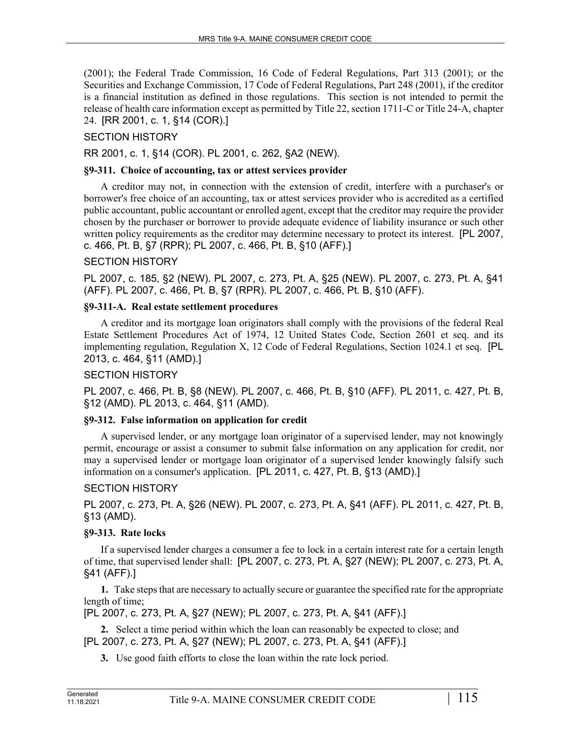(2001); the Federal Trade Commission, 16 Code of Federal Regulations, Part 313 (2001); or the Securities and Exchange Commission, 17 Code of Federal Regulations, Part 248 (2001), if the creditor is a financial institution as defined in those regulations. This section is not intended to permit the release of health care information except as permitted by Title 22, section 1711-C or Title 24-A, chapter 24. [RR 2001, c. 1, §14 (COR).]

# SECTION HISTORY

RR 2001, c. 1, §14 (COR). PL 2001, c. 262, §A2 (NEW).

## **§9-311. Choice of accounting, tax or attest services provider**

A creditor may not, in connection with the extension of credit, interfere with a purchaser's or borrower's free choice of an accounting, tax or attest services provider who is accredited as a certified public accountant, public accountant or enrolled agent, except that the creditor may require the provider chosen by the purchaser or borrower to provide adequate evidence of liability insurance or such other written policy requirements as the creditor may determine necessary to protect its interest. [PL 2007, c. 466, Pt. B, §7 (RPR); PL 2007, c. 466, Pt. B, §10 (AFF).]

## SECTION HISTORY

PL 2007, c. 185, §2 (NEW). PL 2007, c. 273, Pt. A, §25 (NEW). PL 2007, c. 273, Pt. A, §41 (AFF). PL 2007, c. 466, Pt. B, §7 (RPR). PL 2007, c. 466, Pt. B, §10 (AFF).

# **§9-311-A. Real estate settlement procedures**

A creditor and its mortgage loan originators shall comply with the provisions of the federal Real Estate Settlement Procedures Act of 1974, 12 United States Code, Section 2601 et seq. and its implementing regulation, Regulation X, 12 Code of Federal Regulations, Section 1024.1 et seq. [PL 2013, c. 464, §11 (AMD).]

## SECTION HISTORY

PL 2007, c. 466, Pt. B, §8 (NEW). PL 2007, c. 466, Pt. B, §10 (AFF). PL 2011, c. 427, Pt. B, §12 (AMD). PL 2013, c. 464, §11 (AMD).

## **§9-312. False information on application for credit**

A supervised lender, or any mortgage loan originator of a supervised lender, may not knowingly permit, encourage or assist a consumer to submit false information on any application for credit, nor may a supervised lender or mortgage loan originator of a supervised lender knowingly falsify such information on a consumer's application. [PL 2011, c. 427, Pt. B, §13 (AMD).]

# SECTION HISTORY

PL 2007, c. 273, Pt. A, §26 (NEW). PL 2007, c. 273, Pt. A, §41 (AFF). PL 2011, c. 427, Pt. B, §13 (AMD).

# **§9-313. Rate locks**

If a supervised lender charges a consumer a fee to lock in a certain interest rate for a certain length of time, that supervised lender shall: [PL 2007, c. 273, Pt. A, §27 (NEW); PL 2007, c. 273, Pt. A, §41 (AFF).]

**1.** Take steps that are necessary to actually secure or guarantee the specified rate for the appropriate length of time;

[PL 2007, c. 273, Pt. A, §27 (NEW); PL 2007, c. 273, Pt. A, §41 (AFF).]

**2.** Select a time period within which the loan can reasonably be expected to close; and [PL 2007, c. 273, Pt. A, §27 (NEW); PL 2007, c. 273, Pt. A, §41 (AFF).]

**3.** Use good faith efforts to close the loan within the rate lock period.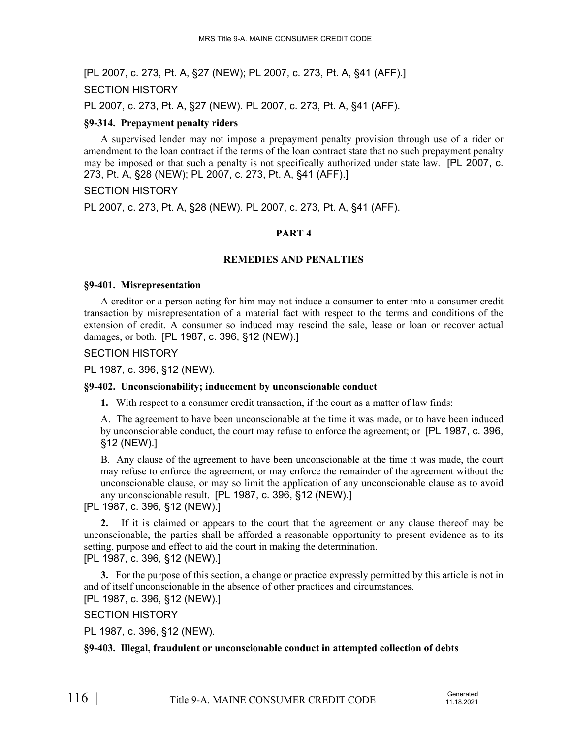[PL 2007, c. 273, Pt. A, §27 (NEW); PL 2007, c. 273, Pt. A, §41 (AFF).] SECTION HISTORY

PL 2007, c. 273, Pt. A, §27 (NEW). PL 2007, c. 273, Pt. A, §41 (AFF).

## **§9-314. Prepayment penalty riders**

A supervised lender may not impose a prepayment penalty provision through use of a rider or amendment to the loan contract if the terms of the loan contract state that no such prepayment penalty may be imposed or that such a penalty is not specifically authorized under state law. [PL 2007, c. 273, Pt. A, §28 (NEW); PL 2007, c. 273, Pt. A, §41 (AFF).]

#### SECTION HISTORY

PL 2007, c. 273, Pt. A, §28 (NEW). PL 2007, c. 273, Pt. A, §41 (AFF).

## **PART 4**

#### **REMEDIES AND PENALTIES**

#### **§9-401. Misrepresentation**

A creditor or a person acting for him may not induce a consumer to enter into a consumer credit transaction by misrepresentation of a material fact with respect to the terms and conditions of the extension of credit. A consumer so induced may rescind the sale, lease or loan or recover actual damages, or both. [PL 1987, c. 396, §12 (NEW).]

SECTION HISTORY

PL 1987, c. 396, §12 (NEW).

#### **§9-402. Unconscionability; inducement by unconscionable conduct**

**1.** With respect to a consumer credit transaction, if the court as a matter of law finds:

A. The agreement to have been unconscionable at the time it was made, or to have been induced by unconscionable conduct, the court may refuse to enforce the agreement; or [PL 1987, c. 396, §12 (NEW).]

B. Any clause of the agreement to have been unconscionable at the time it was made, the court may refuse to enforce the agreement, or may enforce the remainder of the agreement without the unconscionable clause, or may so limit the application of any unconscionable clause as to avoid any unconscionable result. [PL 1987, c. 396, §12 (NEW).]

[PL 1987, c. 396, §12 (NEW).]

**2.** If it is claimed or appears to the court that the agreement or any clause thereof may be unconscionable, the parties shall be afforded a reasonable opportunity to present evidence as to its setting, purpose and effect to aid the court in making the determination.

[PL 1987, c. 396, §12 (NEW).]

**3.** For the purpose of this section, a change or practice expressly permitted by this article is not in and of itself unconscionable in the absence of other practices and circumstances.

[PL 1987, c. 396, §12 (NEW).]

SECTION HISTORY

PL 1987, c. 396, §12 (NEW).

#### **§9-403. Illegal, fraudulent or unconscionable conduct in attempted collection of debts**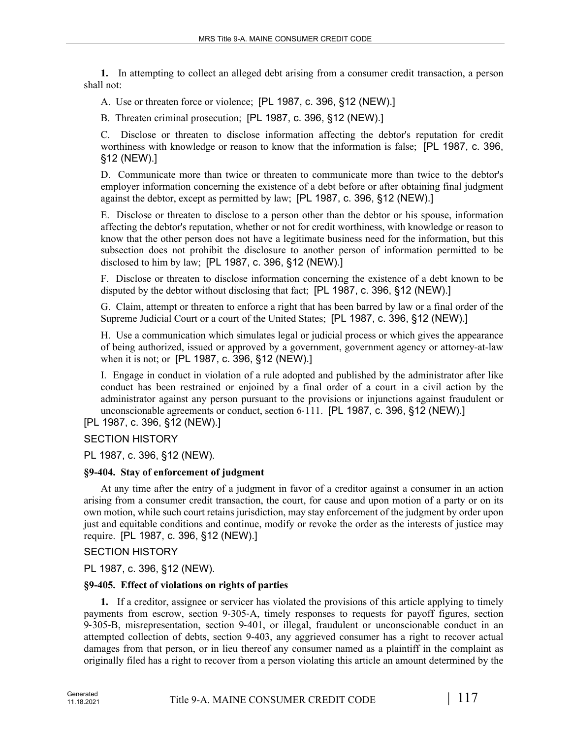**1.** In attempting to collect an alleged debt arising from a consumer credit transaction, a person shall not:

A. Use or threaten force or violence; [PL 1987, c. 396, §12 (NEW).]

B. Threaten criminal prosecution; [PL 1987, c. 396, §12 (NEW).]

C. Disclose or threaten to disclose information affecting the debtor's reputation for credit worthiness with knowledge or reason to know that the information is false; [PL 1987, c. 396, §12 (NEW).]

D. Communicate more than twice or threaten to communicate more than twice to the debtor's employer information concerning the existence of a debt before or after obtaining final judgment against the debtor, except as permitted by law; [PL 1987, c. 396, §12 (NEW).]

E. Disclose or threaten to disclose to a person other than the debtor or his spouse, information affecting the debtor's reputation, whether or not for credit worthiness, with knowledge or reason to know that the other person does not have a legitimate business need for the information, but this subsection does not prohibit the disclosure to another person of information permitted to be disclosed to him by law; [PL 1987, c. 396, §12 (NEW).]

F. Disclose or threaten to disclose information concerning the existence of a debt known to be disputed by the debtor without disclosing that fact; [PL 1987, c. 396, §12 (NEW).]

G. Claim, attempt or threaten to enforce a right that has been barred by law or a final order of the Supreme Judicial Court or a court of the United States; [PL 1987, c. 396, §12 (NEW).]

H. Use a communication which simulates legal or judicial process or which gives the appearance of being authorized, issued or approved by a government, government agency or attorney-at-law when it is not; or [PL 1987, c. 396, §12 (NEW).]

I. Engage in conduct in violation of a rule adopted and published by the administrator after like conduct has been restrained or enjoined by a final order of a court in a civil action by the administrator against any person pursuant to the provisions or injunctions against fraudulent or unconscionable agreements or conduct, section 6‑111. [PL 1987, c. 396, §12 (NEW).]

[PL 1987, c. 396, §12 (NEW).]

SECTION HISTORY

PL 1987, c. 396, §12 (NEW).

## **§9-404. Stay of enforcement of judgment**

At any time after the entry of a judgment in favor of a creditor against a consumer in an action arising from a consumer credit transaction, the court, for cause and upon motion of a party or on its own motion, while such court retains jurisdiction, may stay enforcement of the judgment by order upon just and equitable conditions and continue, modify or revoke the order as the interests of justice may require. [PL 1987, c. 396, §12 (NEW).]

SECTION HISTORY

PL 1987, c. 396, §12 (NEW).

# **§9-405. Effect of violations on rights of parties**

**1.** If a creditor, assignee or servicer has violated the provisions of this article applying to timely payments from escrow, section 9‑305‑A, timely responses to requests for payoff figures, section 9‑305‑B, misrepresentation, section 9‑401, or illegal, fraudulent or unconscionable conduct in an attempted collection of debts, section 9‑403, any aggrieved consumer has a right to recover actual damages from that person, or in lieu thereof any consumer named as a plaintiff in the complaint as originally filed has a right to recover from a person violating this article an amount determined by the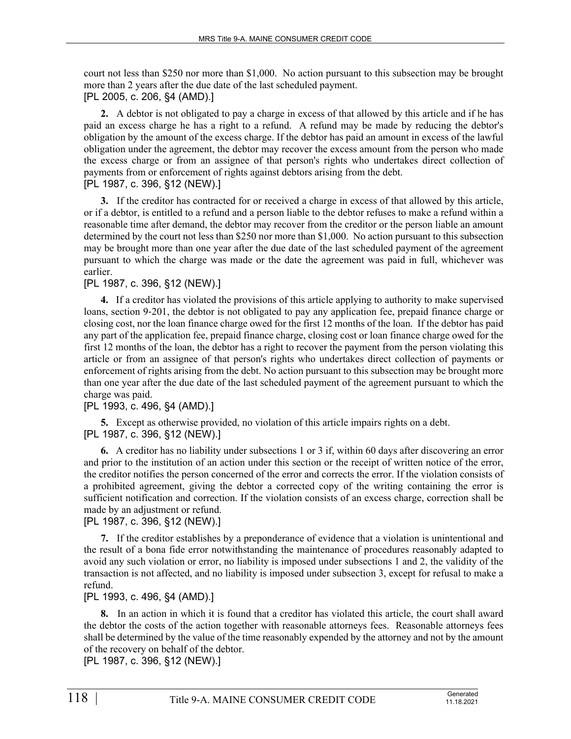court not less than \$250 nor more than \$1,000. No action pursuant to this subsection may be brought more than 2 years after the due date of the last scheduled payment. [PL 2005, c. 206, §4 (AMD).]

**2.** A debtor is not obligated to pay a charge in excess of that allowed by this article and if he has paid an excess charge he has a right to a refund. A refund may be made by reducing the debtor's obligation by the amount of the excess charge. If the debtor has paid an amount in excess of the lawful obligation under the agreement, the debtor may recover the excess amount from the person who made the excess charge or from an assignee of that person's rights who undertakes direct collection of payments from or enforcement of rights against debtors arising from the debt. [PL 1987, c. 396, §12 (NEW).]

**3.** If the creditor has contracted for or received a charge in excess of that allowed by this article, or if a debtor, is entitled to a refund and a person liable to the debtor refuses to make a refund within a reasonable time after demand, the debtor may recover from the creditor or the person liable an amount determined by the court not less than \$250 nor more than \$1,000. No action pursuant to this subsection may be brought more than one year after the due date of the last scheduled payment of the agreement pursuant to which the charge was made or the date the agreement was paid in full, whichever was earlier.

## [PL 1987, c. 396, §12 (NEW).]

**4.** If a creditor has violated the provisions of this article applying to authority to make supervised loans, section 9‑201, the debtor is not obligated to pay any application fee, prepaid finance charge or closing cost, nor the loan finance charge owed for the first 12 months of the loan. If the debtor has paid any part of the application fee, prepaid finance charge, closing cost or loan finance charge owed for the first 12 months of the loan, the debtor has a right to recover the payment from the person violating this article or from an assignee of that person's rights who undertakes direct collection of payments or enforcement of rights arising from the debt. No action pursuant to this subsection may be brought more than one year after the due date of the last scheduled payment of the agreement pursuant to which the charge was paid.

# [PL 1993, c. 496, §4 (AMD).]

**5.** Except as otherwise provided, no violation of this article impairs rights on a debt. [PL 1987, c. 396, §12 (NEW).]

**6.** A creditor has no liability under subsections 1 or 3 if, within 60 days after discovering an error and prior to the institution of an action under this section or the receipt of written notice of the error, the creditor notifies the person concerned of the error and corrects the error. If the violation consists of a prohibited agreement, giving the debtor a corrected copy of the writing containing the error is sufficient notification and correction. If the violation consists of an excess charge, correction shall be made by an adjustment or refund.

# [PL 1987, c. 396, §12 (NEW).]

**7.** If the creditor establishes by a preponderance of evidence that a violation is unintentional and the result of a bona fide error notwithstanding the maintenance of procedures reasonably adapted to avoid any such violation or error, no liability is imposed under subsections 1 and 2, the validity of the transaction is not affected, and no liability is imposed under subsection 3, except for refusal to make a refund.

## [PL 1993, c. 496, §4 (AMD).]

**8.** In an action in which it is found that a creditor has violated this article, the court shall award the debtor the costs of the action together with reasonable attorneys fees. Reasonable attorneys fees shall be determined by the value of the time reasonably expended by the attorney and not by the amount of the recovery on behalf of the debtor.

[PL 1987, c. 396, §12 (NEW).]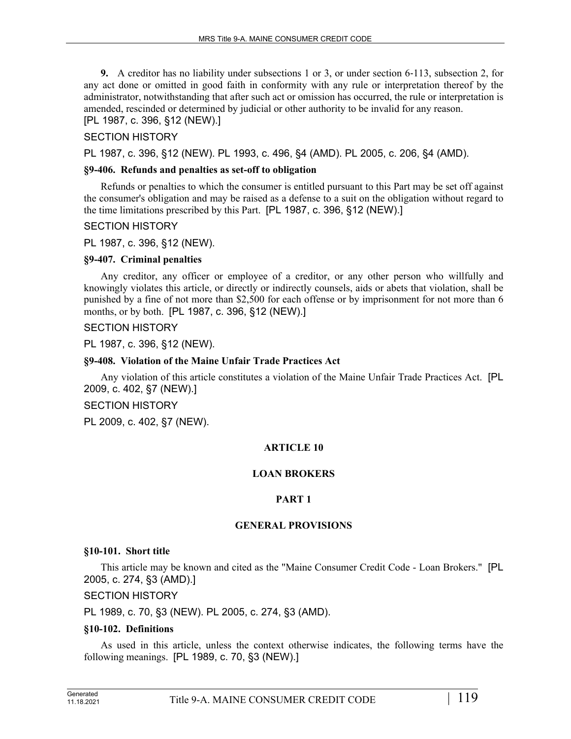**9.** A creditor has no liability under subsections 1 or 3, or under section 6–113, subsection 2, for any act done or omitted in good faith in conformity with any rule or interpretation thereof by the administrator, notwithstanding that after such act or omission has occurred, the rule or interpretation is amended, rescinded or determined by judicial or other authority to be invalid for any reason.

[PL 1987, c. 396, §12 (NEW).]

## SECTION HISTORY

PL 1987, c. 396, §12 (NEW). PL 1993, c. 496, §4 (AMD). PL 2005, c. 206, §4 (AMD).

## **§9-406. Refunds and penalties as set-off to obligation**

Refunds or penalties to which the consumer is entitled pursuant to this Part may be set off against the consumer's obligation and may be raised as a defense to a suit on the obligation without regard to the time limitations prescribed by this Part. [PL 1987, c. 396, §12 (NEW).]

## SECTION HISTORY

PL 1987, c. 396, §12 (NEW).

## **§9-407. Criminal penalties**

Any creditor, any officer or employee of a creditor, or any other person who willfully and knowingly violates this article, or directly or indirectly counsels, aids or abets that violation, shall be punished by a fine of not more than \$2,500 for each offense or by imprisonment for not more than 6 months, or by both. [PL 1987, c. 396, §12 (NEW).]

SECTION HISTORY

PL 1987, c. 396, §12 (NEW).

## **§9-408. Violation of the Maine Unfair Trade Practices Act**

Any violation of this article constitutes a violation of the Maine Unfair Trade Practices Act. [PL 2009, c. 402, §7 (NEW).]

SECTION HISTORY

PL 2009, c. 402, §7 (NEW).

# **ARTICLE 10**

## **LOAN BROKERS**

# **PART 1**

## **GENERAL PROVISIONS**

## **§10-101. Short title**

This article may be known and cited as the "Maine Consumer Credit Code - Loan Brokers." [PL 2005, c. 274, §3 (AMD).]

## SECTION HISTORY

PL 1989, c. 70, §3 (NEW). PL 2005, c. 274, §3 (AMD).

## **§10-102. Definitions**

As used in this article, unless the context otherwise indicates, the following terms have the following meanings. [PL 1989, c. 70, §3 (NEW).]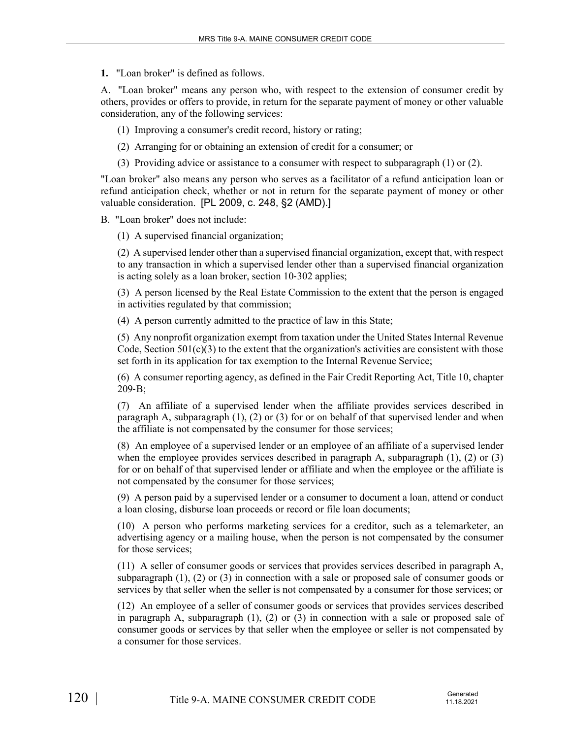**1.** "Loan broker" is defined as follows.

A. "Loan broker" means any person who, with respect to the extension of consumer credit by others, provides or offers to provide, in return for the separate payment of money or other valuable consideration, any of the following services:

(1) Improving a consumer's credit record, history or rating;

(2) Arranging for or obtaining an extension of credit for a consumer; or

(3) Providing advice or assistance to a consumer with respect to subparagraph (1) or (2).

"Loan broker" also means any person who serves as a facilitator of a refund anticipation loan or refund anticipation check, whether or not in return for the separate payment of money or other valuable consideration. [PL 2009, c. 248, §2 (AMD).]

B. "Loan broker" does not include:

(1) A supervised financial organization;

(2) A supervised lender other than a supervised financial organization, except that, with respect to any transaction in which a supervised lender other than a supervised financial organization is acting solely as a loan broker, section 10‑302 applies;

(3) A person licensed by the Real Estate Commission to the extent that the person is engaged in activities regulated by that commission;

(4) A person currently admitted to the practice of law in this State;

(5) Any nonprofit organization exempt from taxation under the United States Internal Revenue Code, Section  $501(c)(3)$  to the extent that the organization's activities are consistent with those set forth in its application for tax exemption to the Internal Revenue Service;

(6) A consumer reporting agency, as defined in the Fair Credit Reporting Act, Title 10, chapter 209‑B;

(7) An affiliate of a supervised lender when the affiliate provides services described in paragraph A, subparagraph (1), (2) or (3) for or on behalf of that supervised lender and when the affiliate is not compensated by the consumer for those services;

(8) An employee of a supervised lender or an employee of an affiliate of a supervised lender when the employee provides services described in paragraph  $A$ , subparagraph  $(1)$ ,  $(2)$  or  $(3)$ for or on behalf of that supervised lender or affiliate and when the employee or the affiliate is not compensated by the consumer for those services;

(9) A person paid by a supervised lender or a consumer to document a loan, attend or conduct a loan closing, disburse loan proceeds or record or file loan documents;

(10) A person who performs marketing services for a creditor, such as a telemarketer, an advertising agency or a mailing house, when the person is not compensated by the consumer for those services;

(11) A seller of consumer goods or services that provides services described in paragraph A, subparagraph (1), (2) or (3) in connection with a sale or proposed sale of consumer goods or services by that seller when the seller is not compensated by a consumer for those services; or

(12) An employee of a seller of consumer goods or services that provides services described in paragraph A, subparagraph (1), (2) or (3) in connection with a sale or proposed sale of consumer goods or services by that seller when the employee or seller is not compensated by a consumer for those services.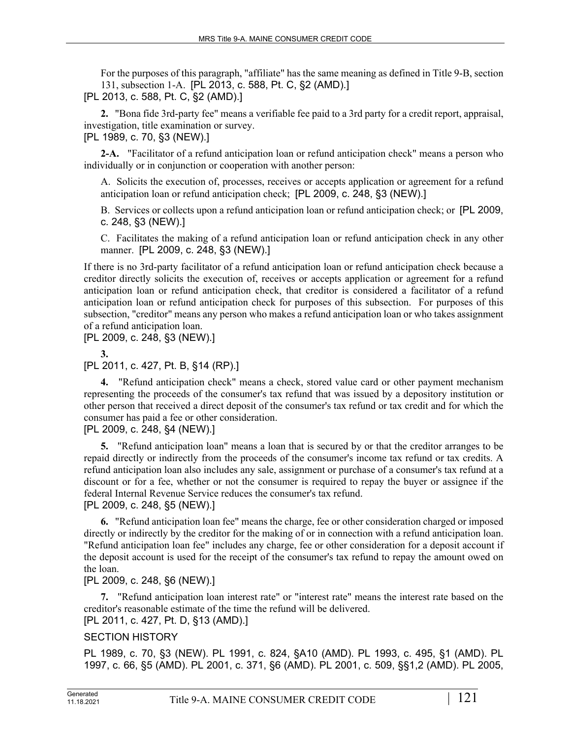For the purposes of this paragraph, "affiliate" has the same meaning as defined in Title 9-B, section 131, subsection 1-A. [PL 2013, c. 588, Pt. C, §2 (AMD).]

[PL 2013, c. 588, Pt. C, §2 (AMD).]

**2.** "Bona fide 3rd-party fee" means a verifiable fee paid to a 3rd party for a credit report, appraisal, investigation, title examination or survey.

[PL 1989, c. 70, §3 (NEW).]

**2-A.** "Facilitator of a refund anticipation loan or refund anticipation check" means a person who individually or in conjunction or cooperation with another person:

A. Solicits the execution of, processes, receives or accepts application or agreement for a refund anticipation loan or refund anticipation check; [PL 2009, c. 248, §3 (NEW).]

B. Services or collects upon a refund anticipation loan or refund anticipation check; or [PL 2009, c. 248, §3 (NEW).]

C. Facilitates the making of a refund anticipation loan or refund anticipation check in any other manner. [PL 2009, c. 248, §3 (NEW).]

If there is no 3rd-party facilitator of a refund anticipation loan or refund anticipation check because a creditor directly solicits the execution of, receives or accepts application or agreement for a refund anticipation loan or refund anticipation check, that creditor is considered a facilitator of a refund anticipation loan or refund anticipation check for purposes of this subsection. For purposes of this subsection, "creditor" means any person who makes a refund anticipation loan or who takes assignment of a refund anticipation loan.

[PL 2009, c. 248, §3 (NEW).]

**3.**  [PL 2011, c. 427, Pt. B, §14 (RP).]

**4.** "Refund anticipation check" means a check, stored value card or other payment mechanism representing the proceeds of the consumer's tax refund that was issued by a depository institution or other person that received a direct deposit of the consumer's tax refund or tax credit and for which the consumer has paid a fee or other consideration.

[PL 2009, c. 248, §4 (NEW).]

**5.** "Refund anticipation loan" means a loan that is secured by or that the creditor arranges to be repaid directly or indirectly from the proceeds of the consumer's income tax refund or tax credits. A refund anticipation loan also includes any sale, assignment or purchase of a consumer's tax refund at a discount or for a fee, whether or not the consumer is required to repay the buyer or assignee if the federal Internal Revenue Service reduces the consumer's tax refund.

[PL 2009, c. 248, §5 (NEW).]

**6.** "Refund anticipation loan fee" means the charge, fee or other consideration charged or imposed directly or indirectly by the creditor for the making of or in connection with a refund anticipation loan. "Refund anticipation loan fee" includes any charge, fee or other consideration for a deposit account if the deposit account is used for the receipt of the consumer's tax refund to repay the amount owed on the loan.

# [PL 2009, c. 248, §6 (NEW).]

**7.** "Refund anticipation loan interest rate" or "interest rate" means the interest rate based on the creditor's reasonable estimate of the time the refund will be delivered.

[PL 2011, c. 427, Pt. D, §13 (AMD).]

# SECTION HISTORY

PL 1989, c. 70, §3 (NEW). PL 1991, c. 824, §A10 (AMD). PL 1993, c. 495, §1 (AMD). PL 1997, c. 66, §5 (AMD). PL 2001, c. 371, §6 (AMD). PL 2001, c. 509, §§1,2 (AMD). PL 2005,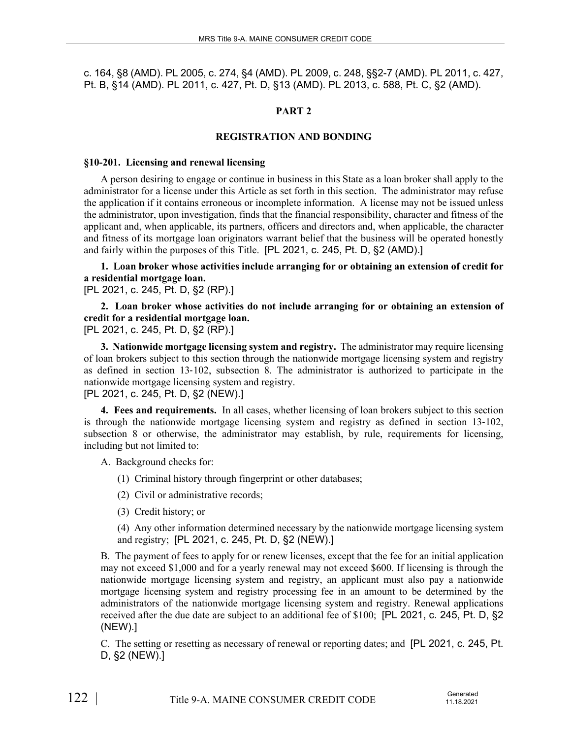c. 164, §8 (AMD). PL 2005, c. 274, §4 (AMD). PL 2009, c. 248, §§2-7 (AMD). PL 2011, c. 427, Pt. B, §14 (AMD). PL 2011, c. 427, Pt. D, §13 (AMD). PL 2013, c. 588, Pt. C, §2 (AMD).

# **PART 2**

## **REGISTRATION AND BONDING**

#### **§10-201. Licensing and renewal licensing**

A person desiring to engage or continue in business in this State as a loan broker shall apply to the administrator for a license under this Article as set forth in this section. The administrator may refuse the application if it contains erroneous or incomplete information. A license may not be issued unless the administrator, upon investigation, finds that the financial responsibility, character and fitness of the applicant and, when applicable, its partners, officers and directors and, when applicable, the character and fitness of its mortgage loan originators warrant belief that the business will be operated honestly and fairly within the purposes of this Title. [PL 2021, c. 245, Pt. D, §2 (AMD).]

**1. Loan broker whose activities include arranging for or obtaining an extension of credit for a residential mortgage loan.** 

[PL 2021, c. 245, Pt. D, §2 (RP).]

**2. Loan broker whose activities do not include arranging for or obtaining an extension of credit for a residential mortgage loan.**  [PL 2021, c. 245, Pt. D, §2 (RP).]

**3. Nationwide mortgage licensing system and registry.** The administrator may require licensing of loan brokers subject to this section through the nationwide mortgage licensing system and registry as defined in section 13‑102, subsection 8. The administrator is authorized to participate in the

nationwide mortgage licensing system and registry.

[PL 2021, c. 245, Pt. D, §2 (NEW).]

**4. Fees and requirements.** In all cases, whether licensing of loan brokers subject to this section is through the nationwide mortgage licensing system and registry as defined in section 13–102, subsection 8 or otherwise, the administrator may establish, by rule, requirements for licensing, including but not limited to:

A. Background checks for:

(1) Criminal history through fingerprint or other databases;

(2) Civil or administrative records;

(3) Credit history; or

(4) Any other information determined necessary by the nationwide mortgage licensing system and registry; [PL 2021, c. 245, Pt. D, §2 (NEW).]

B. The payment of fees to apply for or renew licenses, except that the fee for an initial application may not exceed \$1,000 and for a yearly renewal may not exceed \$600. If licensing is through the nationwide mortgage licensing system and registry, an applicant must also pay a nationwide mortgage licensing system and registry processing fee in an amount to be determined by the administrators of the nationwide mortgage licensing system and registry. Renewal applications received after the due date are subject to an additional fee of \$100; [PL 2021, c. 245, Pt. D, §2 (NEW).]

C. The setting or resetting as necessary of renewal or reporting dates; and [PL 2021, c. 245, Pt. D, §2 (NEW).]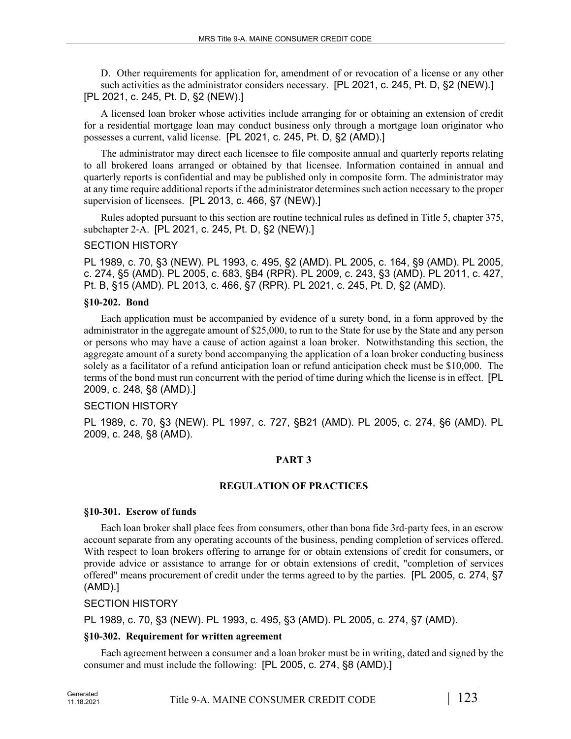D. Other requirements for application for, amendment of or revocation of a license or any other such activities as the administrator considers necessary. [PL 2021, c. 245, Pt. D, §2 (NEW).] [PL 2021, c. 245, Pt. D, §2 (NEW).]

A licensed loan broker whose activities include arranging for or obtaining an extension of credit for a residential mortgage loan may conduct business only through a mortgage loan originator who possesses a current, valid license. [PL 2021, c. 245, Pt. D, §2 (AMD).]

The administrator may direct each licensee to file composite annual and quarterly reports relating to all brokered loans arranged or obtained by that licensee. Information contained in annual and quarterly reports is confidential and may be published only in composite form. The administrator may at any time require additional reports if the administrator determines such action necessary to the proper supervision of licensees. [PL 2013, c. 466, §7 (NEW).]

Rules adopted pursuant to this section are routine technical rules as defined in Title 5, chapter 375, subchapter 2‑A. [PL 2021, c. 245, Pt. D, §2 (NEW).]

## SECTION HISTORY

PL 1989, c. 70, §3 (NEW). PL 1993, c. 495, §2 (AMD). PL 2005, c. 164, §9 (AMD). PL 2005, c. 274, §5 (AMD). PL 2005, c. 683, §B4 (RPR). PL 2009, c. 243, §3 (AMD). PL 2011, c. 427, Pt. B, §15 (AMD). PL 2013, c. 466, §7 (RPR). PL 2021, c. 245, Pt. D, §2 (AMD).

## **§10-202. Bond**

Each application must be accompanied by evidence of a surety bond, in a form approved by the administrator in the aggregate amount of \$25,000, to run to the State for use by the State and any person or persons who may have a cause of action against a loan broker. Notwithstanding this section, the aggregate amount of a surety bond accompanying the application of a loan broker conducting business solely as a facilitator of a refund anticipation loan or refund anticipation check must be \$10,000. The terms of the bond must run concurrent with the period of time during which the license is in effect. [PL 2009, c. 248, §8 (AMD).]

## SECTION HISTORY

PL 1989, c. 70, §3 (NEW). PL 1997, c. 727, §B21 (AMD). PL 2005, c. 274, §6 (AMD). PL 2009, c. 248, §8 (AMD).

## **PART 3**

## **REGULATION OF PRACTICES**

## **§10-301. Escrow of funds**

Each loan broker shall place fees from consumers, other than bona fide 3rd-party fees, in an escrow account separate from any operating accounts of the business, pending completion of services offered. With respect to loan brokers offering to arrange for or obtain extensions of credit for consumers, or provide advice or assistance to arrange for or obtain extensions of credit, "completion of services offered" means procurement of credit under the terms agreed to by the parties. [PL 2005, c. 274, §7 (AMD).]

## SECTION HISTORY

PL 1989, c. 70, §3 (NEW). PL 1993, c. 495, §3 (AMD). PL 2005, c. 274, §7 (AMD).

# **§10-302. Requirement for written agreement**

Each agreement between a consumer and a loan broker must be in writing, dated and signed by the consumer and must include the following: [PL 2005, c. 274, §8 (AMD).]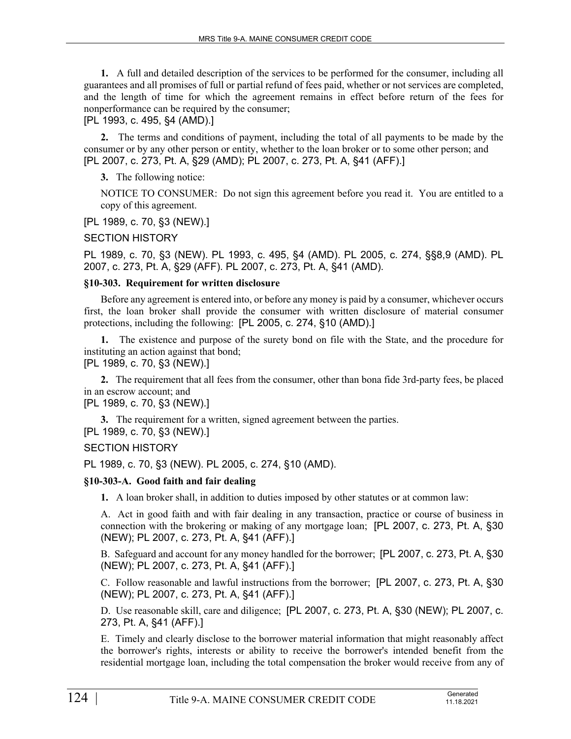**1.** A full and detailed description of the services to be performed for the consumer, including all guarantees and all promises of full or partial refund of fees paid, whether or not services are completed, and the length of time for which the agreement remains in effect before return of the fees for nonperformance can be required by the consumer;

[PL 1993, c. 495, §4 (AMD).]

**2.** The terms and conditions of payment, including the total of all payments to be made by the consumer or by any other person or entity, whether to the loan broker or to some other person; and [PL 2007, c. 273, Pt. A, §29 (AMD); PL 2007, c. 273, Pt. A, §41 (AFF).]

**3.** The following notice:

NOTICE TO CONSUMER: Do not sign this agreement before you read it. You are entitled to a copy of this agreement.

[PL 1989, c. 70, §3 (NEW).]

SECTION HISTORY

PL 1989, c. 70, §3 (NEW). PL 1993, c. 495, §4 (AMD). PL 2005, c. 274, §§8,9 (AMD). PL 2007, c. 273, Pt. A, §29 (AFF). PL 2007, c. 273, Pt. A, §41 (AMD).

# **§10-303. Requirement for written disclosure**

Before any agreement is entered into, or before any money is paid by a consumer, whichever occurs first, the loan broker shall provide the consumer with written disclosure of material consumer protections, including the following: [PL 2005, c. 274, §10 (AMD).]

**1.** The existence and purpose of the surety bond on file with the State, and the procedure for instituting an action against that bond;

[PL 1989, c. 70, §3 (NEW).]

**2.** The requirement that all fees from the consumer, other than bona fide 3rd-party fees, be placed in an escrow account; and

[PL 1989, c. 70, §3 (NEW).]

**3.** The requirement for a written, signed agreement between the parties. [PL 1989, c. 70, §3 (NEW).]

SECTION HISTORY

PL 1989, c. 70, §3 (NEW). PL 2005, c. 274, §10 (AMD).

# **§10-303-A. Good faith and fair dealing**

**1.** A loan broker shall, in addition to duties imposed by other statutes or at common law:

A. Act in good faith and with fair dealing in any transaction, practice or course of business in connection with the brokering or making of any mortgage loan; [PL 2007, c. 273, Pt. A, §30 (NEW); PL 2007, c. 273, Pt. A, §41 (AFF).]

B. Safeguard and account for any money handled for the borrower; [PL 2007, c. 273, Pt. A, §30 (NEW); PL 2007, c. 273, Pt. A, §41 (AFF).]

C. Follow reasonable and lawful instructions from the borrower; [PL 2007, c. 273, Pt. A, §30 (NEW); PL 2007, c. 273, Pt. A, §41 (AFF).]

D. Use reasonable skill, care and diligence; [PL 2007, c. 273, Pt. A, §30 (NEW); PL 2007, c. 273, Pt. A, §41 (AFF).]

E. Timely and clearly disclose to the borrower material information that might reasonably affect the borrower's rights, interests or ability to receive the borrower's intended benefit from the residential mortgage loan, including the total compensation the broker would receive from any of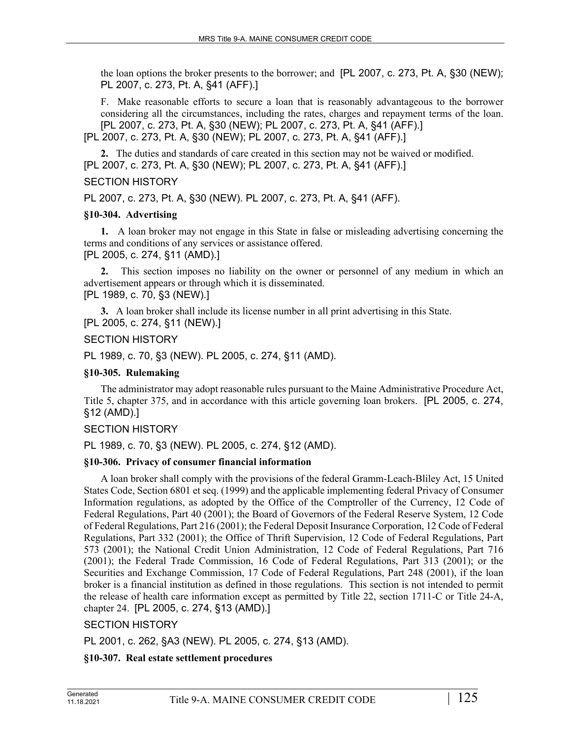the loan options the broker presents to the borrower; and [PL 2007, c. 273, Pt. A, §30 (NEW); PL 2007, c. 273, Pt. A, §41 (AFF).]

F. Make reasonable efforts to secure a loan that is reasonably advantageous to the borrower considering all the circumstances, including the rates, charges and repayment terms of the loan. [PL 2007, c. 273, Pt. A, §30 (NEW); PL 2007, c. 273, Pt. A, §41 (AFF).] [PL 2007, c. 273, Pt. A, §30 (NEW); PL 2007, c. 273, Pt. A, §41 (AFF).]

**2.** The duties and standards of care created in this section may not be waived or modified. [PL 2007, c. 273, Pt. A, §30 (NEW); PL 2007, c. 273, Pt. A, §41 (AFF).]

## SECTION HISTORY

PL 2007, c. 273, Pt. A, §30 (NEW). PL 2007, c. 273, Pt. A, §41 (AFF).

## **§10-304. Advertising**

**1.** A loan broker may not engage in this State in false or misleading advertising concerning the terms and conditions of any services or assistance offered. [PL 2005, c. 274, §11 (AMD).]

**2.** This section imposes no liability on the owner or personnel of any medium in which an advertisement appears or through which it is disseminated. [PL 1989, c. 70, §3 (NEW).]

**3.** A loan broker shall include its license number in all print advertising in this State. [PL 2005, c. 274, §11 (NEW).]

## SECTION HISTORY

PL 1989, c. 70, §3 (NEW). PL 2005, c. 274, §11 (AMD).

## **§10-305. Rulemaking**

The administrator may adopt reasonable rules pursuant to the Maine Administrative Procedure Act, Title 5, chapter 375, and in accordance with this article governing loan brokers. [PL 2005, c. 274, §12 (AMD).]

## SECTION HISTORY

PL 1989, c. 70, §3 (NEW). PL 2005, c. 274, §12 (AMD).

## **§10-306. Privacy of consumer financial information**

A loan broker shall comply with the provisions of the federal Gramm-Leach-Bliley Act, 15 United States Code, Section 6801 et seq. (1999) and the applicable implementing federal Privacy of Consumer Information regulations, as adopted by the Office of the Comptroller of the Currency, 12 Code of Federal Regulations, Part 40 (2001); the Board of Governors of the Federal Reserve System, 12 Code of Federal Regulations, Part 216 (2001); the Federal Deposit Insurance Corporation, 12 Code of Federal Regulations, Part 332 (2001); the Office of Thrift Supervision, 12 Code of Federal Regulations, Part 573 (2001); the National Credit Union Administration, 12 Code of Federal Regulations, Part 716 (2001); the Federal Trade Commission, 16 Code of Federal Regulations, Part 313 (2001); or the Securities and Exchange Commission, 17 Code of Federal Regulations, Part 248 (2001), if the loan broker is a financial institution as defined in those regulations. This section is not intended to permit the release of health care information except as permitted by Title 22, section 1711-C or Title 24-A, chapter 24. [PL 2005, c. 274, §13 (AMD).]

## SECTION HISTORY

PL 2001, c. 262, §A3 (NEW). PL 2005, c. 274, §13 (AMD).

## **§10-307. Real estate settlement procedures**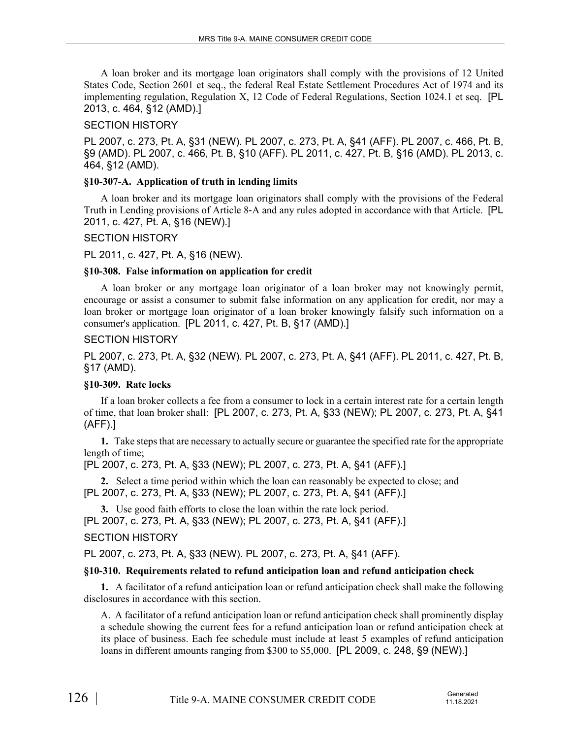A loan broker and its mortgage loan originators shall comply with the provisions of 12 United States Code, Section 2601 et seq., the federal Real Estate Settlement Procedures Act of 1974 and its implementing regulation, Regulation X, 12 Code of Federal Regulations, Section 1024.1 et seq. [PL 2013, c. 464, §12 (AMD).]

# SECTION HISTORY

PL 2007, c. 273, Pt. A, §31 (NEW). PL 2007, c. 273, Pt. A, §41 (AFF). PL 2007, c. 466, Pt. B, §9 (AMD). PL 2007, c. 466, Pt. B, §10 (AFF). PL 2011, c. 427, Pt. B, §16 (AMD). PL 2013, c. 464, §12 (AMD).

## **§10-307-A. Application of truth in lending limits**

A loan broker and its mortgage loan originators shall comply with the provisions of the Federal Truth in Lending provisions of Article 8‑A and any rules adopted in accordance with that Article. [PL 2011, c. 427, Pt. A, §16 (NEW).]

## SECTION HISTORY

PL 2011, c. 427, Pt. A, §16 (NEW).

## **§10-308. False information on application for credit**

A loan broker or any mortgage loan originator of a loan broker may not knowingly permit, encourage or assist a consumer to submit false information on any application for credit, nor may a loan broker or mortgage loan originator of a loan broker knowingly falsify such information on a consumer's application. [PL 2011, c. 427, Pt. B, §17 (AMD).]

## SECTION HISTORY

PL 2007, c. 273, Pt. A, §32 (NEW). PL 2007, c. 273, Pt. A, §41 (AFF). PL 2011, c. 427, Pt. B, §17 (AMD).

## **§10-309. Rate locks**

If a loan broker collects a fee from a consumer to lock in a certain interest rate for a certain length of time, that loan broker shall: [PL 2007, c. 273, Pt. A, §33 (NEW); PL 2007, c. 273, Pt. A, §41 (AFF).]

**1.** Take steps that are necessary to actually secure or guarantee the specified rate for the appropriate length of time;

## [PL 2007, c. 273, Pt. A, §33 (NEW); PL 2007, c. 273, Pt. A, §41 (AFF).]

**2.** Select a time period within which the loan can reasonably be expected to close; and [PL 2007, c. 273, Pt. A, §33 (NEW); PL 2007, c. 273, Pt. A, §41 (AFF).]

**3.** Use good faith efforts to close the loan within the rate lock period. [PL 2007, c. 273, Pt. A, §33 (NEW); PL 2007, c. 273, Pt. A, §41 (AFF).] SECTION HISTORY

# PL 2007, c. 273, Pt. A, §33 (NEW). PL 2007, c. 273, Pt. A, §41 (AFF).

# **§10-310. Requirements related to refund anticipation loan and refund anticipation check**

**1.** A facilitator of a refund anticipation loan or refund anticipation check shall make the following disclosures in accordance with this section.

A. A facilitator of a refund anticipation loan or refund anticipation check shall prominently display a schedule showing the current fees for a refund anticipation loan or refund anticipation check at its place of business. Each fee schedule must include at least 5 examples of refund anticipation loans in different amounts ranging from \$300 to \$5,000. [PL 2009, c. 248, §9 (NEW).]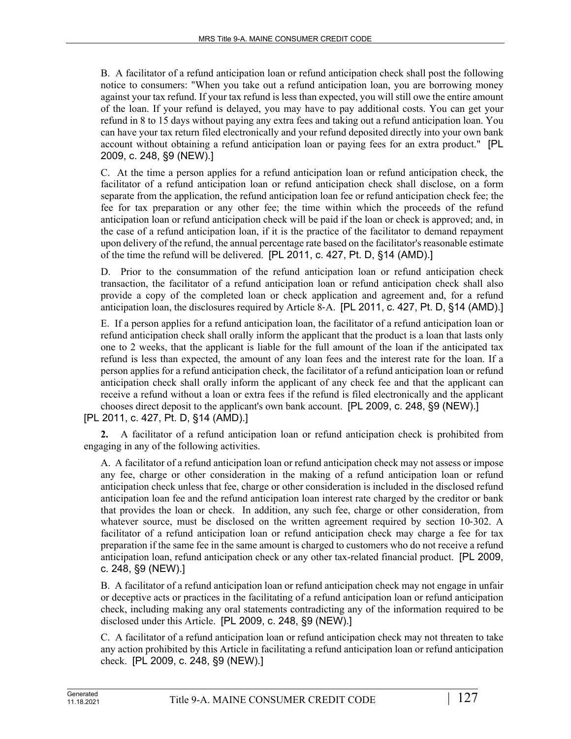B. A facilitator of a refund anticipation loan or refund anticipation check shall post the following notice to consumers: "When you take out a refund anticipation loan, you are borrowing money against your tax refund. If your tax refund is less than expected, you will still owe the entire amount of the loan. If your refund is delayed, you may have to pay additional costs. You can get your refund in 8 to 15 days without paying any extra fees and taking out a refund anticipation loan. You can have your tax return filed electronically and your refund deposited directly into your own bank account without obtaining a refund anticipation loan or paying fees for an extra product." [PL 2009, c. 248, §9 (NEW).]

C. At the time a person applies for a refund anticipation loan or refund anticipation check, the facilitator of a refund anticipation loan or refund anticipation check shall disclose, on a form separate from the application, the refund anticipation loan fee or refund anticipation check fee; the fee for tax preparation or any other fee; the time within which the proceeds of the refund anticipation loan or refund anticipation check will be paid if the loan or check is approved; and, in the case of a refund anticipation loan, if it is the practice of the facilitator to demand repayment upon delivery of the refund, the annual percentage rate based on the facilitator's reasonable estimate of the time the refund will be delivered. [PL 2011, c. 427, Pt. D, §14 (AMD).]

D. Prior to the consummation of the refund anticipation loan or refund anticipation check transaction, the facilitator of a refund anticipation loan or refund anticipation check shall also provide a copy of the completed loan or check application and agreement and, for a refund anticipation loan, the disclosures required by Article 8‑A. [PL 2011, c. 427, Pt. D, §14 (AMD).]

E. If a person applies for a refund anticipation loan, the facilitator of a refund anticipation loan or refund anticipation check shall orally inform the applicant that the product is a loan that lasts only one to 2 weeks, that the applicant is liable for the full amount of the loan if the anticipated tax refund is less than expected, the amount of any loan fees and the interest rate for the loan. If a person applies for a refund anticipation check, the facilitator of a refund anticipation loan or refund anticipation check shall orally inform the applicant of any check fee and that the applicant can receive a refund without a loan or extra fees if the refund is filed electronically and the applicant chooses direct deposit to the applicant's own bank account. [PL 2009, c. 248, §9 (NEW).]

[PL 2011, c. 427, Pt. D, §14 (AMD).]

**2.** A facilitator of a refund anticipation loan or refund anticipation check is prohibited from engaging in any of the following activities.

A. A facilitator of a refund anticipation loan or refund anticipation check may not assess or impose any fee, charge or other consideration in the making of a refund anticipation loan or refund anticipation check unless that fee, charge or other consideration is included in the disclosed refund anticipation loan fee and the refund anticipation loan interest rate charged by the creditor or bank that provides the loan or check. In addition, any such fee, charge or other consideration, from whatever source, must be disclosed on the written agreement required by section 10-302. A facilitator of a refund anticipation loan or refund anticipation check may charge a fee for tax preparation if the same fee in the same amount is charged to customers who do not receive a refund anticipation loan, refund anticipation check or any other tax-related financial product. [PL 2009, c. 248, §9 (NEW).]

B. A facilitator of a refund anticipation loan or refund anticipation check may not engage in unfair or deceptive acts or practices in the facilitating of a refund anticipation loan or refund anticipation check, including making any oral statements contradicting any of the information required to be disclosed under this Article. [PL 2009, c. 248, §9 (NEW).]

C. A facilitator of a refund anticipation loan or refund anticipation check may not threaten to take any action prohibited by this Article in facilitating a refund anticipation loan or refund anticipation check. [PL 2009, c. 248, §9 (NEW).]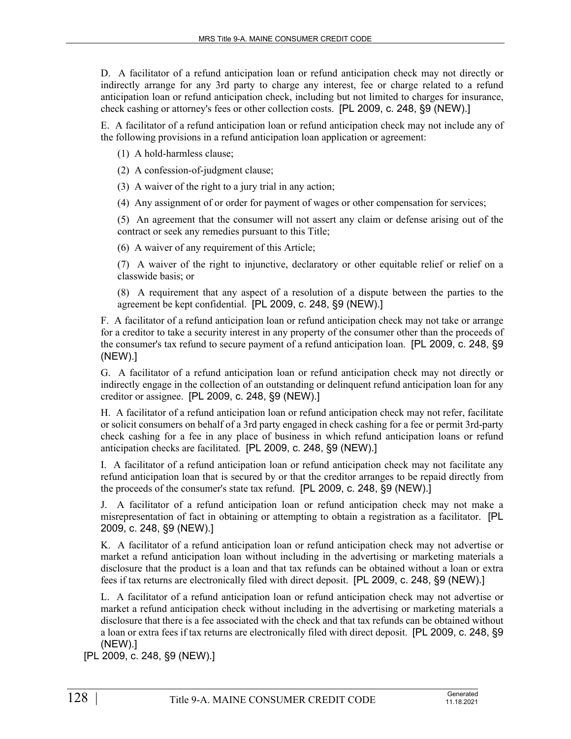D. A facilitator of a refund anticipation loan or refund anticipation check may not directly or indirectly arrange for any 3rd party to charge any interest, fee or charge related to a refund anticipation loan or refund anticipation check, including but not limited to charges for insurance, check cashing or attorney's fees or other collection costs. [PL 2009, c. 248, §9 (NEW).]

E. A facilitator of a refund anticipation loan or refund anticipation check may not include any of the following provisions in a refund anticipation loan application or agreement:

(1) A hold-harmless clause;

(2) A confession-of-judgment clause;

(3) A waiver of the right to a jury trial in any action;

(4) Any assignment of or order for payment of wages or other compensation for services;

(5) An agreement that the consumer will not assert any claim or defense arising out of the contract or seek any remedies pursuant to this Title;

(6) A waiver of any requirement of this Article;

(7) A waiver of the right to injunctive, declaratory or other equitable relief or relief on a classwide basis; or

(8) A requirement that any aspect of a resolution of a dispute between the parties to the agreement be kept confidential. [PL 2009, c. 248, §9 (NEW).]

F. A facilitator of a refund anticipation loan or refund anticipation check may not take or arrange for a creditor to take a security interest in any property of the consumer other than the proceeds of the consumer's tax refund to secure payment of a refund anticipation loan. [PL 2009, c. 248, §9 (NEW).]

G. A facilitator of a refund anticipation loan or refund anticipation check may not directly or indirectly engage in the collection of an outstanding or delinquent refund anticipation loan for any creditor or assignee. [PL 2009, c. 248, §9 (NEW).]

H. A facilitator of a refund anticipation loan or refund anticipation check may not refer, facilitate or solicit consumers on behalf of a 3rd party engaged in check cashing for a fee or permit 3rd-party check cashing for a fee in any place of business in which refund anticipation loans or refund anticipation checks are facilitated. [PL 2009, c. 248, §9 (NEW).]

I. A facilitator of a refund anticipation loan or refund anticipation check may not facilitate any refund anticipation loan that is secured by or that the creditor arranges to be repaid directly from the proceeds of the consumer's state tax refund. [PL 2009, c. 248, §9 (NEW).]

J. A facilitator of a refund anticipation loan or refund anticipation check may not make a misrepresentation of fact in obtaining or attempting to obtain a registration as a facilitator. [PL 2009, c. 248, §9 (NEW).]

K. A facilitator of a refund anticipation loan or refund anticipation check may not advertise or market a refund anticipation loan without including in the advertising or marketing materials a disclosure that the product is a loan and that tax refunds can be obtained without a loan or extra fees if tax returns are electronically filed with direct deposit. [PL 2009, c. 248, §9 (NEW).]

L. A facilitator of a refund anticipation loan or refund anticipation check may not advertise or market a refund anticipation check without including in the advertising or marketing materials a disclosure that there is a fee associated with the check and that tax refunds can be obtained without a loan or extra fees if tax returns are electronically filed with direct deposit. [PL 2009, c. 248, §9 (NEW).]

[PL 2009, c. 248, §9 (NEW).]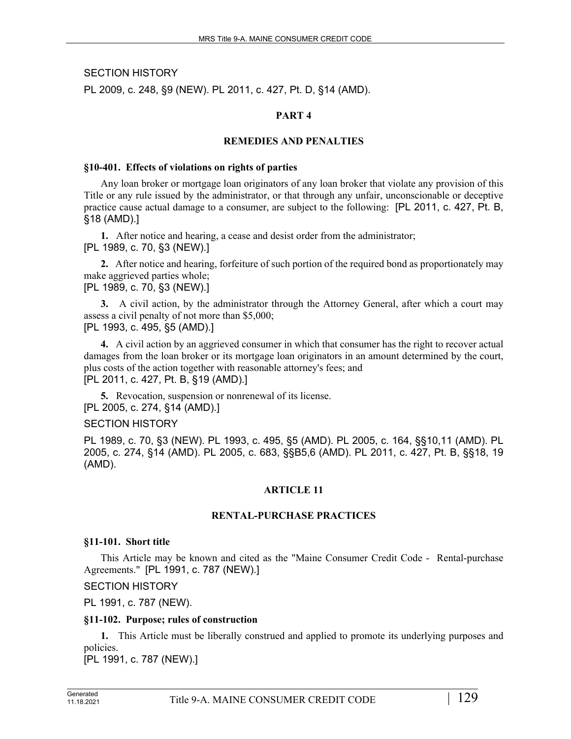SECTION HISTORY

PL 2009, c. 248, §9 (NEW). PL 2011, c. 427, Pt. D, §14 (AMD).

# **PART 4**

# **REMEDIES AND PENALTIES**

## **§10-401. Effects of violations on rights of parties**

Any loan broker or mortgage loan originators of any loan broker that violate any provision of this Title or any rule issued by the administrator, or that through any unfair, unconscionable or deceptive practice cause actual damage to a consumer, are subject to the following: [PL 2011, c. 427, Pt. B, §18 (AMD).]

**1.** After notice and hearing, a cease and desist order from the administrator; [PL 1989, c. 70, §3 (NEW).]

**2.** After notice and hearing, forfeiture of such portion of the required bond as proportionately may make aggrieved parties whole;

# [PL 1989, c. 70, §3 (NEW).]

**3.** A civil action, by the administrator through the Attorney General, after which a court may assess a civil penalty of not more than \$5,000; [PL 1993, c. 495, §5 (AMD).]

**4.** A civil action by an aggrieved consumer in which that consumer has the right to recover actual damages from the loan broker or its mortgage loan originators in an amount determined by the court, plus costs of the action together with reasonable attorney's fees; and [PL 2011, c. 427, Pt. B, §19 (AMD).]

**5.** Revocation, suspension or nonrenewal of its license. [PL 2005, c. 274, §14 (AMD).]

# SECTION HISTORY

PL 1989, c. 70, §3 (NEW). PL 1993, c. 495, §5 (AMD). PL 2005, c. 164, §§10,11 (AMD). PL 2005, c. 274, §14 (AMD). PL 2005, c. 683, §§B5,6 (AMD). PL 2011, c. 427, Pt. B, §§18, 19 (AMD).

# **ARTICLE 11**

# **RENTAL-PURCHASE PRACTICES**

# **§11-101. Short title**

This Article may be known and cited as the "Maine Consumer Credit Code - Rental-purchase Agreements." [PL 1991, c. 787 (NEW).]

# SECTION HISTORY

PL 1991, c. 787 (NEW).

# **§11-102. Purpose; rules of construction**

**1.** This Article must be liberally construed and applied to promote its underlying purposes and policies.

[PL 1991, c. 787 (NEW).]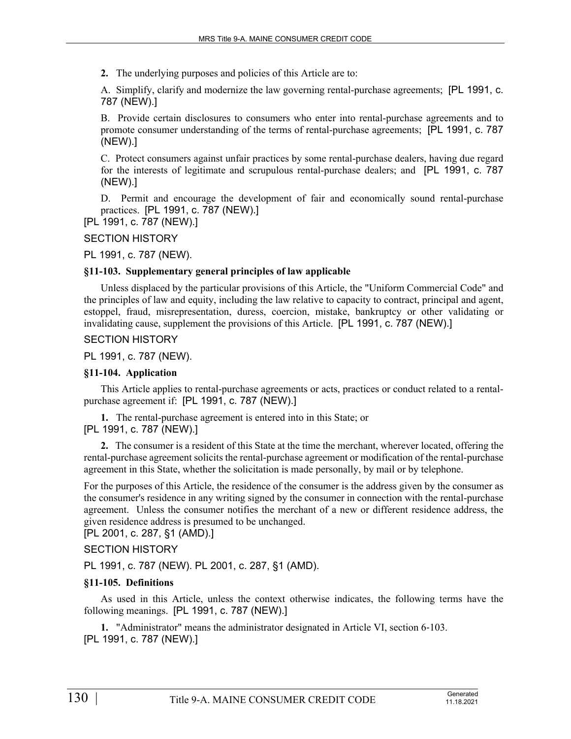**2.** The underlying purposes and policies of this Article are to:

A. Simplify, clarify and modernize the law governing rental-purchase agreements; [PL 1991, c. 787 (NEW).]

B. Provide certain disclosures to consumers who enter into rental-purchase agreements and to promote consumer understanding of the terms of rental-purchase agreements; [PL 1991, c. 787 (NEW).]

C. Protect consumers against unfair practices by some rental-purchase dealers, having due regard for the interests of legitimate and scrupulous rental-purchase dealers; and [PL 1991, c. 787 (NEW).]

D. Permit and encourage the development of fair and economically sound rental-purchase practices. [PL 1991, c. 787 (NEW).]

[PL 1991, c. 787 (NEW).]

#### SECTION HISTORY

PL 1991, c. 787 (NEW).

#### **§11-103. Supplementary general principles of law applicable**

Unless displaced by the particular provisions of this Article, the "Uniform Commercial Code" and the principles of law and equity, including the law relative to capacity to contract, principal and agent, estoppel, fraud, misrepresentation, duress, coercion, mistake, bankruptcy or other validating or invalidating cause, supplement the provisions of this Article. [PL 1991, c. 787 (NEW).]

## SECTION HISTORY

PL 1991, c. 787 (NEW).

## **§11-104. Application**

This Article applies to rental-purchase agreements or acts, practices or conduct related to a rentalpurchase agreement if: [PL 1991, c. 787 (NEW).]

**1.** The rental-purchase agreement is entered into in this State; or [PL 1991, c. 787 (NEW).]

**2.** The consumer is a resident of this State at the time the merchant, wherever located, offering the rental-purchase agreement solicits the rental-purchase agreement or modification of the rental-purchase agreement in this State, whether the solicitation is made personally, by mail or by telephone.

For the purposes of this Article, the residence of the consumer is the address given by the consumer as the consumer's residence in any writing signed by the consumer in connection with the rental-purchase agreement. Unless the consumer notifies the merchant of a new or different residence address, the given residence address is presumed to be unchanged.

# [PL 2001, c. 287, §1 (AMD).]

#### SECTION HISTORY

PL 1991, c. 787 (NEW). PL 2001, c. 287, §1 (AMD).

## **§11-105. Definitions**

As used in this Article, unless the context otherwise indicates, the following terms have the following meanings. [PL 1991, c. 787 (NEW).]

**1.** "Administrator" means the administrator designated in Article VI, section 6-103. [PL 1991, c. 787 (NEW).]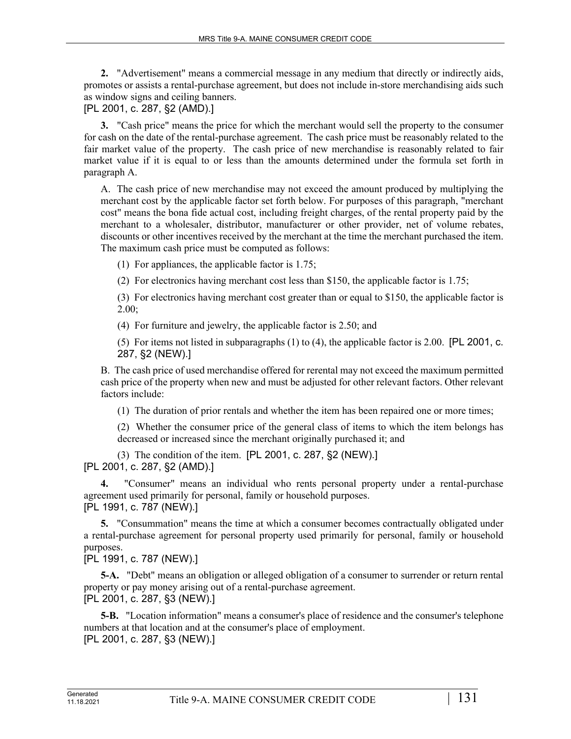**2.** "Advertisement" means a commercial message in any medium that directly or indirectly aids, promotes or assists a rental-purchase agreement, but does not include in-store merchandising aids such as window signs and ceiling banners.

[PL 2001, c. 287, §2 (AMD).]

**3.** "Cash price" means the price for which the merchant would sell the property to the consumer for cash on the date of the rental-purchase agreement. The cash price must be reasonably related to the fair market value of the property. The cash price of new merchandise is reasonably related to fair market value if it is equal to or less than the amounts determined under the formula set forth in paragraph A.

A. The cash price of new merchandise may not exceed the amount produced by multiplying the merchant cost by the applicable factor set forth below. For purposes of this paragraph, "merchant cost" means the bona fide actual cost, including freight charges, of the rental property paid by the merchant to a wholesaler, distributor, manufacturer or other provider, net of volume rebates, discounts or other incentives received by the merchant at the time the merchant purchased the item. The maximum cash price must be computed as follows:

(1) For appliances, the applicable factor is 1.75;

(2) For electronics having merchant cost less than \$150, the applicable factor is 1.75;

(3) For electronics having merchant cost greater than or equal to \$150, the applicable factor is 2.00;

(4) For furniture and jewelry, the applicable factor is 2.50; and

(5) For items not listed in subparagraphs (1) to (4), the applicable factor is 2.00. [PL 2001, c. 287, §2 (NEW).]

B. The cash price of used merchandise offered for rerental may not exceed the maximum permitted cash price of the property when new and must be adjusted for other relevant factors. Other relevant factors include:

(1) The duration of prior rentals and whether the item has been repaired one or more times;

(2) Whether the consumer price of the general class of items to which the item belongs has decreased or increased since the merchant originally purchased it; and

(3) The condition of the item. [PL 2001, c. 287, §2 (NEW).] [PL 2001, c. 287, §2 (AMD).]

**4.** "Consumer" means an individual who rents personal property under a rental-purchase agreement used primarily for personal, family or household purposes. [PL 1991, c. 787 (NEW).]

**5.** "Consummation" means the time at which a consumer becomes contractually obligated under a rental-purchase agreement for personal property used primarily for personal, family or household purposes.

[PL 1991, c. 787 (NEW).]

**5-A.** "Debt" means an obligation or alleged obligation of a consumer to surrender or return rental property or pay money arising out of a rental-purchase agreement. [PL 2001, c. 287, §3 (NEW).]

**5-B.** "Location information" means a consumer's place of residence and the consumer's telephone numbers at that location and at the consumer's place of employment. [PL 2001, c. 287, §3 (NEW).]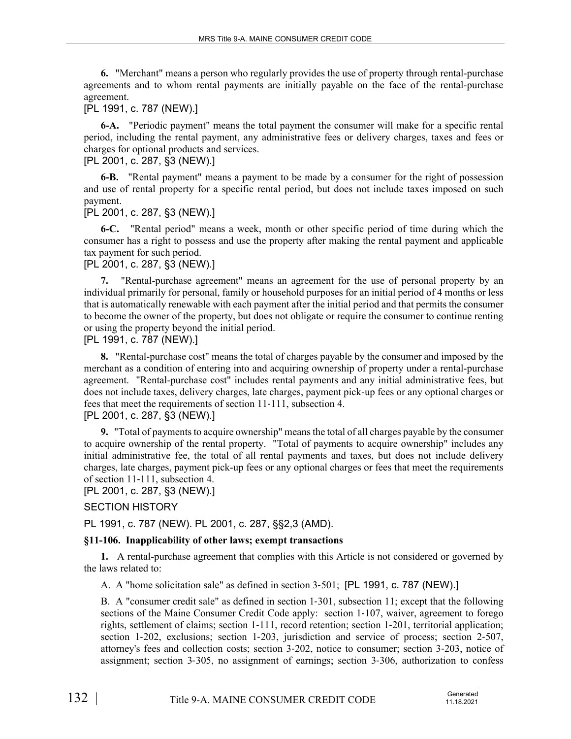**6.** "Merchant" means a person who regularly provides the use of property through rental-purchase agreements and to whom rental payments are initially payable on the face of the rental-purchase agreement.

# [PL 1991, c. 787 (NEW).]

**6-A.** "Periodic payment" means the total payment the consumer will make for a specific rental period, including the rental payment, any administrative fees or delivery charges, taxes and fees or charges for optional products and services.

## [PL 2001, c. 287, §3 (NEW).]

**6-B.** "Rental payment" means a payment to be made by a consumer for the right of possession and use of rental property for a specific rental period, but does not include taxes imposed on such payment.

## [PL 2001, c. 287, §3 (NEW).]

**6-C.** "Rental period" means a week, month or other specific period of time during which the consumer has a right to possess and use the property after making the rental payment and applicable tax payment for such period.

[PL 2001, c. 287, §3 (NEW).]

**7.** "Rental-purchase agreement" means an agreement for the use of personal property by an individual primarily for personal, family or household purposes for an initial period of 4 months or less that is automatically renewable with each payment after the initial period and that permits the consumer to become the owner of the property, but does not obligate or require the consumer to continue renting or using the property beyond the initial period.

[PL 1991, c. 787 (NEW).]

**8.** "Rental-purchase cost" means the total of charges payable by the consumer and imposed by the merchant as a condition of entering into and acquiring ownership of property under a rental-purchase agreement. "Rental-purchase cost" includes rental payments and any initial administrative fees, but does not include taxes, delivery charges, late charges, payment pick-up fees or any optional charges or fees that meet the requirements of section 11-111, subsection 4. [PL 2001, c. 287, §3 (NEW).]

**9.** "Total of payments to acquire ownership" means the total of all charges payable by the consumer to acquire ownership of the rental property. "Total of payments to acquire ownership" includes any initial administrative fee, the total of all rental payments and taxes, but does not include delivery charges, late charges, payment pick-up fees or any optional charges or fees that meet the requirements of section 11-111, subsection 4.

[PL 2001, c. 287, §3 (NEW).]

# SECTION HISTORY

PL 1991, c. 787 (NEW). PL 2001, c. 287, §§2,3 (AMD).

# **§11-106. Inapplicability of other laws; exempt transactions**

**1.** A rental-purchase agreement that complies with this Article is not considered or governed by the laws related to:

A. A "home solicitation sale" as defined in section 3‑501; [PL 1991, c. 787 (NEW).]

B. A "consumer credit sale" as defined in section 1-301, subsection 11; except that the following sections of the Maine Consumer Credit Code apply: section 1-107, waiver, agreement to forego rights, settlement of claims; section 1‑111, record retention; section 1‑201, territorial application; section 1-202, exclusions; section 1-203, jurisdiction and service of process; section 2-507, attorney's fees and collection costs; section 3‑202, notice to consumer; section 3‑203, notice of assignment; section 3‑305, no assignment of earnings; section 3‑306, authorization to confess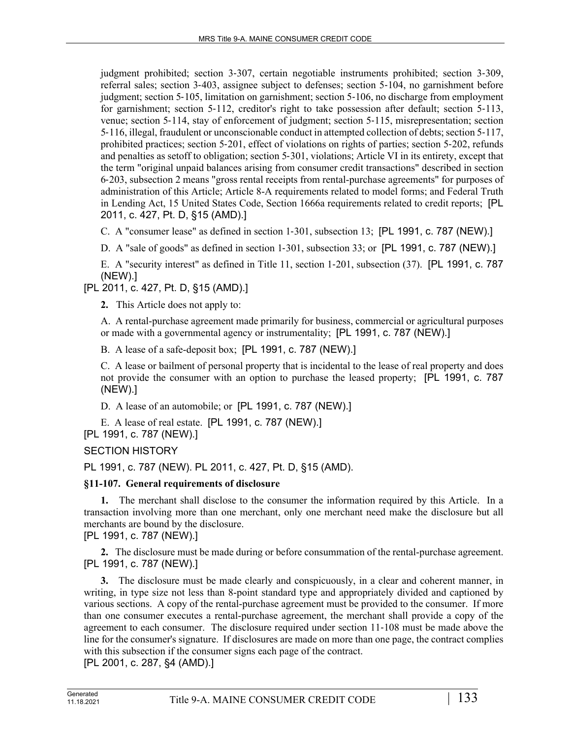judgment prohibited; section 3‑307, certain negotiable instruments prohibited; section 3‑309, referral sales; section 3‑403, assignee subject to defenses; section 5‑104, no garnishment before judgment; section 5‑105, limitation on garnishment; section 5‑106, no discharge from employment for garnishment; section 5-112, creditor's right to take possession after default; section 5-113, venue; section 5‑114, stay of enforcement of judgment; section 5‑115, misrepresentation; section 5‑116, illegal, fraudulent or unconscionable conduct in attempted collection of debts; section 5‑117, prohibited practices; section 5‑201, effect of violations on rights of parties; section 5‑202, refunds and penalties as setoff to obligation; section 5‑301, violations; Article VI in its entirety, except that the term "original unpaid balances arising from consumer credit transactions" described in section 6‑203, subsection 2 means "gross rental receipts from rental-purchase agreements" for purposes of administration of this Article; Article 8-A requirements related to model forms; and Federal Truth in Lending Act, 15 United States Code, Section 1666a requirements related to credit reports; [PL 2011, c. 427, Pt. D, §15 (AMD).]

C. A "consumer lease" as defined in section 1–301, subsection 13; [PL 1991, c. 787 (NEW).]

D. A "sale of goods" as defined in section 1–301, subsection 33; or [PL 1991, c. 787 (NEW).]

E. A "security interest" as defined in Title 11, section 1‑201, subsection (37). [PL 1991, c. 787 (NEW).]

[PL 2011, c. 427, Pt. D, §15 (AMD).]

**2.** This Article does not apply to:

A. A rental-purchase agreement made primarily for business, commercial or agricultural purposes or made with a governmental agency or instrumentality; [PL 1991, c. 787 (NEW).]

B. A lease of a safe-deposit box; [PL 1991, c. 787 (NEW).]

C. A lease or bailment of personal property that is incidental to the lease of real property and does not provide the consumer with an option to purchase the leased property; [PL 1991, c. 787 (NEW).]

D. A lease of an automobile; or [PL 1991, c. 787 (NEW).]

E. A lease of real estate. [PL 1991, c. 787 (NEW).]

[PL 1991, c. 787 (NEW).]

SECTION HISTORY

PL 1991, c. 787 (NEW). PL 2011, c. 427, Pt. D, §15 (AMD).

# **§11-107. General requirements of disclosure**

**1.** The merchant shall disclose to the consumer the information required by this Article. In a transaction involving more than one merchant, only one merchant need make the disclosure but all merchants are bound by the disclosure.

# [PL 1991, c. 787 (NEW).]

**2.** The disclosure must be made during or before consummation of the rental-purchase agreement. [PL 1991, c. 787 (NEW).]

**3.** The disclosure must be made clearly and conspicuously, in a clear and coherent manner, in writing, in type size not less than 8-point standard type and appropriately divided and captioned by various sections. A copy of the rental-purchase agreement must be provided to the consumer. If more than one consumer executes a rental-purchase agreement, the merchant shall provide a copy of the agreement to each consumer. The disclosure required under section 11‑108 must be made above the line for the consumer's signature. If disclosures are made on more than one page, the contract complies with this subsection if the consumer signs each page of the contract.

[PL 2001, c. 287, §4 (AMD).]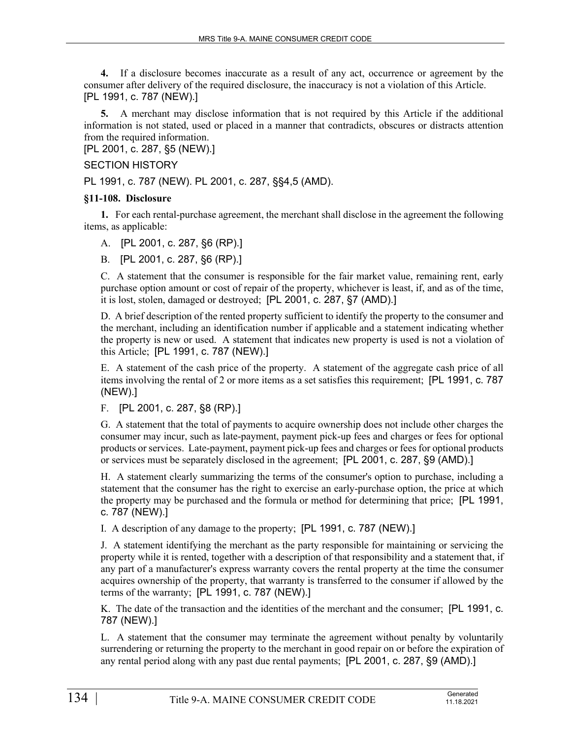**4.** If a disclosure becomes inaccurate as a result of any act, occurrence or agreement by the consumer after delivery of the required disclosure, the inaccuracy is not a violation of this Article. [PL 1991, c. 787 (NEW).]

**5.** A merchant may disclose information that is not required by this Article if the additional information is not stated, used or placed in a manner that contradicts, obscures or distracts attention from the required information.

[PL 2001, c. 287, §5 (NEW).]

# SECTION HISTORY

PL 1991, c. 787 (NEW). PL 2001, c. 287, §§4,5 (AMD).

# **§11-108. Disclosure**

**1.** For each rental-purchase agreement, the merchant shall disclose in the agreement the following items, as applicable:

A. [PL 2001, c. 287, §6 (RP).]

B. [PL 2001, c. 287, §6 (RP).]

C. A statement that the consumer is responsible for the fair market value, remaining rent, early purchase option amount or cost of repair of the property, whichever is least, if, and as of the time, it is lost, stolen, damaged or destroyed; [PL 2001, c. 287, §7 (AMD).]

D. A brief description of the rented property sufficient to identify the property to the consumer and the merchant, including an identification number if applicable and a statement indicating whether the property is new or used. A statement that indicates new property is used is not a violation of this Article; [PL 1991, c. 787 (NEW).]

E. A statement of the cash price of the property. A statement of the aggregate cash price of all items involving the rental of 2 or more items as a set satisfies this requirement; [PL 1991, c. 787 (NEW).]

F. [PL 2001, c. 287, §8 (RP).]

G. A statement that the total of payments to acquire ownership does not include other charges the consumer may incur, such as late-payment, payment pick-up fees and charges or fees for optional products or services. Late-payment, payment pick-up fees and charges or fees for optional products or services must be separately disclosed in the agreement; [PL 2001, c. 287, §9 (AMD).]

H. A statement clearly summarizing the terms of the consumer's option to purchase, including a statement that the consumer has the right to exercise an early-purchase option, the price at which the property may be purchased and the formula or method for determining that price; [PL 1991, c. 787 (NEW).]

I. A description of any damage to the property; [PL 1991, c. 787 (NEW).]

J. A statement identifying the merchant as the party responsible for maintaining or servicing the property while it is rented, together with a description of that responsibility and a statement that, if any part of a manufacturer's express warranty covers the rental property at the time the consumer acquires ownership of the property, that warranty is transferred to the consumer if allowed by the terms of the warranty; [PL 1991, c. 787 (NEW).]

K. The date of the transaction and the identities of the merchant and the consumer; [PL 1991, c. 787 (NEW).]

L. A statement that the consumer may terminate the agreement without penalty by voluntarily surrendering or returning the property to the merchant in good repair on or before the expiration of any rental period along with any past due rental payments; [PL 2001, c. 287, §9 (AMD).]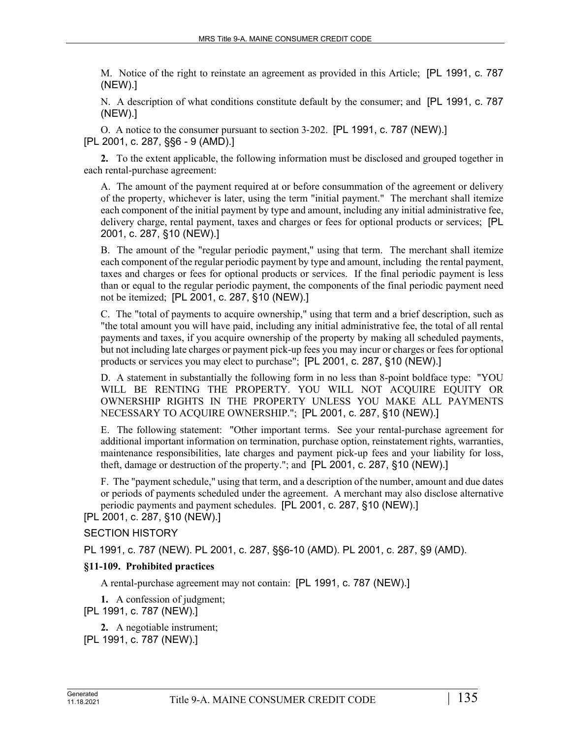M. Notice of the right to reinstate an agreement as provided in this Article; [PL 1991, c. 787 (NEW).]

N. A description of what conditions constitute default by the consumer; and [PL 1991, c. 787 (NEW).]

O. A notice to the consumer pursuant to section 3‑202. [PL 1991, c. 787 (NEW).] [PL 2001, c. 287, §§6 - 9 (AMD).]

**2.** To the extent applicable, the following information must be disclosed and grouped together in each rental-purchase agreement:

A. The amount of the payment required at or before consummation of the agreement or delivery of the property, whichever is later, using the term "initial payment." The merchant shall itemize each component of the initial payment by type and amount, including any initial administrative fee, delivery charge, rental payment, taxes and charges or fees for optional products or services; [PL 2001, c. 287, §10 (NEW).]

B. The amount of the "regular periodic payment," using that term. The merchant shall itemize each component of the regular periodic payment by type and amount, including the rental payment, taxes and charges or fees for optional products or services. If the final periodic payment is less than or equal to the regular periodic payment, the components of the final periodic payment need not be itemized; [PL 2001, c. 287, §10 (NEW).]

C. The "total of payments to acquire ownership," using that term and a brief description, such as "the total amount you will have paid, including any initial administrative fee, the total of all rental payments and taxes, if you acquire ownership of the property by making all scheduled payments, but not including late charges or payment pick-up fees you may incur or charges or fees for optional products or services you may elect to purchase"; [PL 2001, c. 287, §10 (NEW).]

D. A statement in substantially the following form in no less than 8-point boldface type: "YOU WILL BE RENTING THE PROPERTY. YOU WILL NOT ACQUIRE EQUITY OR OWNERSHIP RIGHTS IN THE PROPERTY UNLESS YOU MAKE ALL PAYMENTS NECESSARY TO ACQUIRE OWNERSHIP."; [PL 2001, c. 287, §10 (NEW).]

E. The following statement: "Other important terms. See your rental-purchase agreement for additional important information on termination, purchase option, reinstatement rights, warranties, maintenance responsibilities, late charges and payment pick-up fees and your liability for loss, theft, damage or destruction of the property."; and [PL 2001, c. 287, §10 (NEW).]

F. The "payment schedule," using that term, and a description of the number, amount and due dates or periods of payments scheduled under the agreement. A merchant may also disclose alternative periodic payments and payment schedules. [PL 2001, c. 287, §10 (NEW).]

## [PL 2001, c. 287, §10 (NEW).]

## SECTION HISTORY

PL 1991, c. 787 (NEW). PL 2001, c. 287, §§6-10 (AMD). PL 2001, c. 287, §9 (AMD).

## **§11-109. Prohibited practices**

A rental-purchase agreement may not contain: [PL 1991, c. 787 (NEW).]

**1.** A confession of judgment;

[PL 1991, c. 787 (NEW).]

**2.** A negotiable instrument; [PL 1991, c. 787 (NEW).]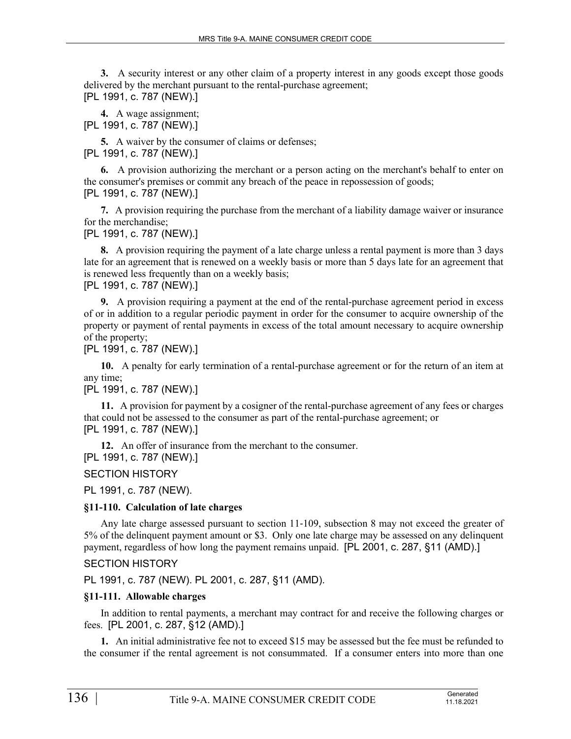**3.** A security interest or any other claim of a property interest in any goods except those goods delivered by the merchant pursuant to the rental-purchase agreement; [PL 1991, c. 787 (NEW).]

**4.** A wage assignment; [PL 1991, c. 787 (NEW).]

**5.** A waiver by the consumer of claims or defenses; [PL 1991, c. 787 (NEW).]

**6.** A provision authorizing the merchant or a person acting on the merchant's behalf to enter on the consumer's premises or commit any breach of the peace in repossession of goods; [PL 1991, c. 787 (NEW).]

**7.** A provision requiring the purchase from the merchant of a liability damage waiver or insurance for the merchandise;

[PL 1991, c. 787 (NEW).]

**8.** A provision requiring the payment of a late charge unless a rental payment is more than 3 days late for an agreement that is renewed on a weekly basis or more than 5 days late for an agreement that is renewed less frequently than on a weekly basis; [PL 1991, c. 787 (NEW).]

**9.** A provision requiring a payment at the end of the rental-purchase agreement period in excess of or in addition to a regular periodic payment in order for the consumer to acquire ownership of the property or payment of rental payments in excess of the total amount necessary to acquire ownership of the property;

[PL 1991, c. 787 (NEW).]

**10.** A penalty for early termination of a rental-purchase agreement or for the return of an item at any time;

[PL 1991, c. 787 (NEW).]

**11.** A provision for payment by a cosigner of the rental-purchase agreement of any fees or charges that could not be assessed to the consumer as part of the rental-purchase agreement; or [PL 1991, c. 787 (NEW).]

**12.** An offer of insurance from the merchant to the consumer.

[PL 1991, c. 787 (NEW).]

SECTION HISTORY

PL 1991, c. 787 (NEW).

## **§11-110. Calculation of late charges**

Any late charge assessed pursuant to section 11‑109, subsection 8 may not exceed the greater of 5% of the delinquent payment amount or \$3. Only one late charge may be assessed on any delinquent payment, regardless of how long the payment remains unpaid. [PL 2001, c. 287, §11 (AMD).]

SECTION HISTORY

PL 1991, c. 787 (NEW). PL 2001, c. 287, §11 (AMD).

# **§11-111. Allowable charges**

In addition to rental payments, a merchant may contract for and receive the following charges or fees. [PL 2001, c. 287, §12 (AMD).]

**1.** An initial administrative fee not to exceed \$15 may be assessed but the fee must be refunded to the consumer if the rental agreement is not consummated. If a consumer enters into more than one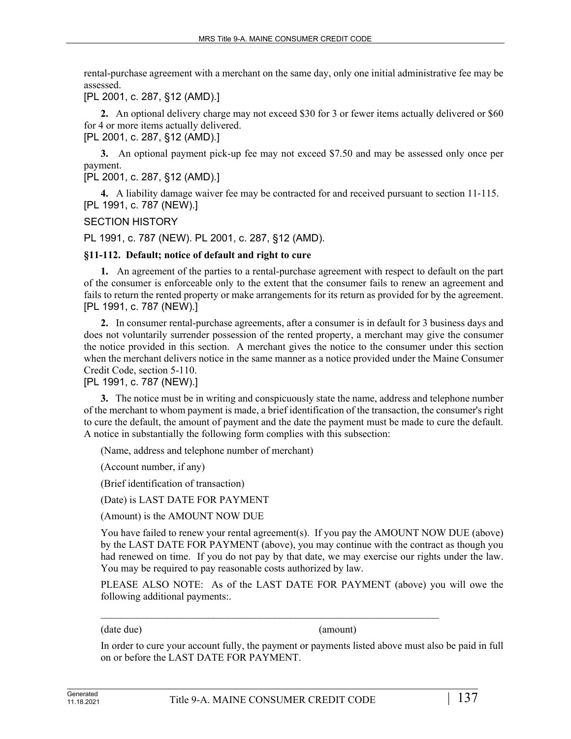rental-purchase agreement with a merchant on the same day, only one initial administrative fee may be assessed.

[PL 2001, c. 287, §12 (AMD).]

**2.** An optional delivery charge may not exceed \$30 for 3 or fewer items actually delivered or \$60 for 4 or more items actually delivered.

[PL 2001, c. 287, §12 (AMD).]

**3.** An optional payment pick-up fee may not exceed \$7.50 and may be assessed only once per payment.

[PL 2001, c. 287, §12 (AMD).]

**4.** A liability damage waiver fee may be contracted for and received pursuant to section 11‑115. [PL 1991, c. 787 (NEW).]

## SECTION HISTORY

PL 1991, c. 787 (NEW). PL 2001, c. 287, §12 (AMD).

## **§11-112. Default; notice of default and right to cure**

**1.** An agreement of the parties to a rental-purchase agreement with respect to default on the part of the consumer is enforceable only to the extent that the consumer fails to renew an agreement and fails to return the rented property or make arrangements for its return as provided for by the agreement. [PL 1991, c. 787 (NEW).]

**2.** In consumer rental-purchase agreements, after a consumer is in default for 3 business days and does not voluntarily surrender possession of the rented property, a merchant may give the consumer the notice provided in this section. A merchant gives the notice to the consumer under this section when the merchant delivers notice in the same manner as a notice provided under the Maine Consumer Credit Code, section 5-110.

# [PL 1991, c. 787 (NEW).]

**3.** The notice must be in writing and conspicuously state the name, address and telephone number of the merchant to whom payment is made, a brief identification of the transaction, the consumer's right to cure the default, the amount of payment and the date the payment must be made to cure the default. A notice in substantially the following form complies with this subsection:

(Name, address and telephone number of merchant)

(Account number, if any)

(Brief identification of transaction)

(Date) is LAST DATE FOR PAYMENT

(Amount) is the AMOUNT NOW DUE

You have failed to renew your rental agreement(s). If you pay the AMOUNT NOW DUE (above) by the LAST DATE FOR PAYMENT (above), you may continue with the contract as though you had renewed on time. If you do not pay by that date, we may exercise our rights under the law. You may be required to pay reasonable costs authorized by law.

PLEASE ALSO NOTE: As of the LAST DATE FOR PAYMENT (above) you will owe the following additional payments:.

(date due) (amount)

In order to cure your account fully, the payment or payments listed above must also be paid in full on or before the LAST DATE FOR PAYMENT.

 $\mathcal{L}_\text{max} = \frac{1}{2} \sum_{i=1}^n \mathcal{L}_\text{max}(\mathbf{z}_i - \mathbf{z}_i)$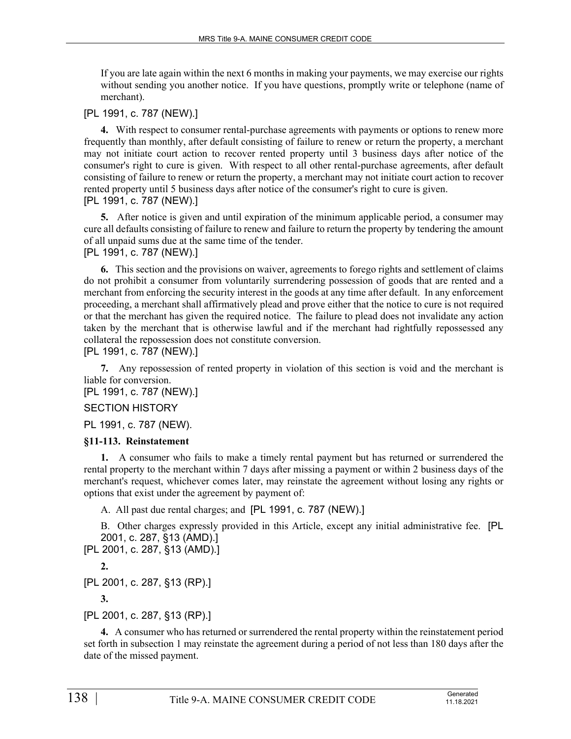If you are late again within the next 6 months in making your payments, we may exercise our rights without sending you another notice. If you have questions, promptly write or telephone (name of merchant).

## [PL 1991, c. 787 (NEW).]

**4.** With respect to consumer rental-purchase agreements with payments or options to renew more frequently than monthly, after default consisting of failure to renew or return the property, a merchant may not initiate court action to recover rented property until 3 business days after notice of the consumer's right to cure is given. With respect to all other rental-purchase agreements, after default consisting of failure to renew or return the property, a merchant may not initiate court action to recover rented property until 5 business days after notice of the consumer's right to cure is given. [PL 1991, c. 787 (NEW).]

**5.** After notice is given and until expiration of the minimum applicable period, a consumer may cure all defaults consisting of failure to renew and failure to return the property by tendering the amount of all unpaid sums due at the same time of the tender. [PL 1991, c. 787 (NEW).]

**6.** This section and the provisions on waiver, agreements to forego rights and settlement of claims do not prohibit a consumer from voluntarily surrendering possession of goods that are rented and a merchant from enforcing the security interest in the goods at any time after default. In any enforcement proceeding, a merchant shall affirmatively plead and prove either that the notice to cure is not required or that the merchant has given the required notice. The failure to plead does not invalidate any action taken by the merchant that is otherwise lawful and if the merchant had rightfully repossessed any collateral the repossession does not constitute conversion.

[PL 1991, c. 787 (NEW).]

**7.** Any repossession of rented property in violation of this section is void and the merchant is liable for conversion.

[PL 1991, c. 787 (NEW).]

## SECTION HISTORY

PL 1991, c. 787 (NEW).

## **§11-113. Reinstatement**

**1.** A consumer who fails to make a timely rental payment but has returned or surrendered the rental property to the merchant within 7 days after missing a payment or within 2 business days of the merchant's request, whichever comes later, may reinstate the agreement without losing any rights or options that exist under the agreement by payment of:

A. All past due rental charges; and [PL 1991, c. 787 (NEW).]

B. Other charges expressly provided in this Article, except any initial administrative fee. [PL 2001, c. 287, §13 (AMD).]

[PL 2001, c. 287, §13 (AMD).]

**2.** 

[PL 2001, c. 287, §13 (RP).]

**3.** 

[PL 2001, c. 287, §13 (RP).]

**4.** A consumer who has returned or surrendered the rental property within the reinstatement period set forth in subsection 1 may reinstate the agreement during a period of not less than 180 days after the date of the missed payment.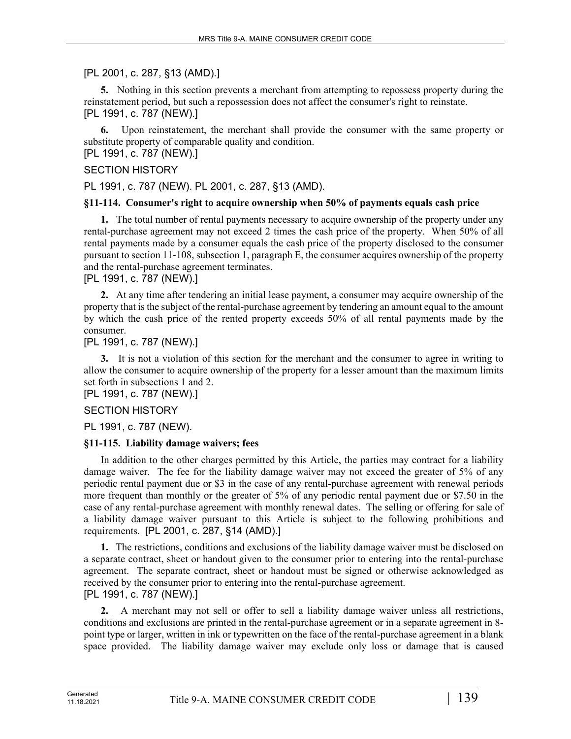[PL 2001, c. 287, §13 (AMD).]

**5.** Nothing in this section prevents a merchant from attempting to repossess property during the reinstatement period, but such a repossession does not affect the consumer's right to reinstate. [PL 1991, c. 787 (NEW).]

**6.** Upon reinstatement, the merchant shall provide the consumer with the same property or substitute property of comparable quality and condition.

[PL 1991, c. 787 (NEW).]

## SECTION HISTORY

PL 1991, c. 787 (NEW). PL 2001, c. 287, §13 (AMD).

## **§11-114. Consumer's right to acquire ownership when 50% of payments equals cash price**

**1.** The total number of rental payments necessary to acquire ownership of the property under any rental-purchase agreement may not exceed 2 times the cash price of the property. When 50% of all rental payments made by a consumer equals the cash price of the property disclosed to the consumer pursuant to section 11‑108, subsection 1, paragraph E, the consumer acquires ownership of the property and the rental-purchase agreement terminates.

## [PL 1991, c. 787 (NEW).]

**2.** At any time after tendering an initial lease payment, a consumer may acquire ownership of the property that is the subject of the rental-purchase agreement by tendering an amount equal to the amount by which the cash price of the rented property exceeds 50% of all rental payments made by the consumer.

# [PL 1991, c. 787 (NEW).]

**3.** It is not a violation of this section for the merchant and the consumer to agree in writing to allow the consumer to acquire ownership of the property for a lesser amount than the maximum limits set forth in subsections 1 and 2.

[PL 1991, c. 787 (NEW).]

# SECTION HISTORY

PL 1991, c. 787 (NEW).

# **§11-115. Liability damage waivers; fees**

In addition to the other charges permitted by this Article, the parties may contract for a liability damage waiver. The fee for the liability damage waiver may not exceed the greater of 5% of any periodic rental payment due or \$3 in the case of any rental-purchase agreement with renewal periods more frequent than monthly or the greater of 5% of any periodic rental payment due or \$7.50 in the case of any rental-purchase agreement with monthly renewal dates. The selling or offering for sale of a liability damage waiver pursuant to this Article is subject to the following prohibitions and requirements. [PL 2001, c. 287, §14 (AMD).]

**1.** The restrictions, conditions and exclusions of the liability damage waiver must be disclosed on a separate contract, sheet or handout given to the consumer prior to entering into the rental-purchase agreement. The separate contract, sheet or handout must be signed or otherwise acknowledged as received by the consumer prior to entering into the rental-purchase agreement. [PL 1991, c. 787 (NEW).]

**2.** A merchant may not sell or offer to sell a liability damage waiver unless all restrictions, conditions and exclusions are printed in the rental-purchase agreement or in a separate agreement in 8 point type or larger, written in ink or typewritten on the face of the rental-purchase agreement in a blank space provided. The liability damage waiver may exclude only loss or damage that is caused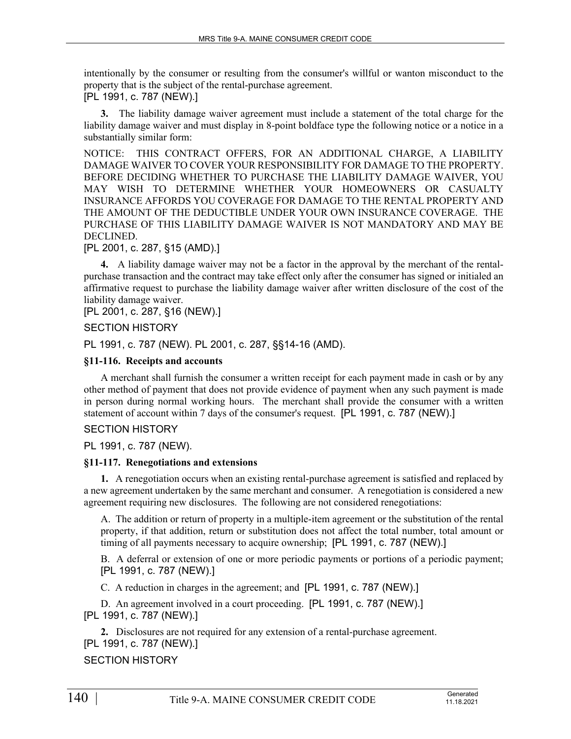intentionally by the consumer or resulting from the consumer's willful or wanton misconduct to the property that is the subject of the rental-purchase agreement.

[PL 1991, c. 787 (NEW).]

**3.** The liability damage waiver agreement must include a statement of the total charge for the liability damage waiver and must display in 8-point boldface type the following notice or a notice in a substantially similar form:

NOTICE: THIS CONTRACT OFFERS, FOR AN ADDITIONAL CHARGE, A LIABILITY DAMAGE WAIVER TO COVER YOUR RESPONSIBILITY FOR DAMAGE TO THE PROPERTY. BEFORE DECIDING WHETHER TO PURCHASE THE LIABILITY DAMAGE WAIVER, YOU MAY WISH TO DETERMINE WHETHER YOUR HOMEOWNERS OR CASUALTY INSURANCE AFFORDS YOU COVERAGE FOR DAMAGE TO THE RENTAL PROPERTY AND THE AMOUNT OF THE DEDUCTIBLE UNDER YOUR OWN INSURANCE COVERAGE. THE PURCHASE OF THIS LIABILITY DAMAGE WAIVER IS NOT MANDATORY AND MAY BE DECLINED.

[PL 2001, c. 287, §15 (AMD).]

**4.** A liability damage waiver may not be a factor in the approval by the merchant of the rentalpurchase transaction and the contract may take effect only after the consumer has signed or initialed an affirmative request to purchase the liability damage waiver after written disclosure of the cost of the liability damage waiver.

[PL 2001, c. 287, §16 (NEW).]

## SECTION HISTORY

PL 1991, c. 787 (NEW). PL 2001, c. 287, §§14-16 (AMD).

## **§11-116. Receipts and accounts**

A merchant shall furnish the consumer a written receipt for each payment made in cash or by any other method of payment that does not provide evidence of payment when any such payment is made in person during normal working hours. The merchant shall provide the consumer with a written statement of account within 7 days of the consumer's request. [PL 1991, c. 787 (NEW).]

## SECTION HISTORY

PL 1991, c. 787 (NEW).

## **§11-117. Renegotiations and extensions**

**1.** A renegotiation occurs when an existing rental-purchase agreement is satisfied and replaced by a new agreement undertaken by the same merchant and consumer. A renegotiation is considered a new agreement requiring new disclosures. The following are not considered renegotiations:

A. The addition or return of property in a multiple-item agreement or the substitution of the rental property, if that addition, return or substitution does not affect the total number, total amount or timing of all payments necessary to acquire ownership; [PL 1991, c. 787 (NEW).]

B. A deferral or extension of one or more periodic payments or portions of a periodic payment; [PL 1991, c. 787 (NEW).]

C. A reduction in charges in the agreement; and [PL 1991, c. 787 (NEW).]

D. An agreement involved in a court proceeding. [PL 1991, c. 787 (NEW).] [PL 1991, c. 787 (NEW).]

**2.** Disclosures are not required for any extension of a rental-purchase agreement. [PL 1991, c. 787 (NEW).]

# SECTION HISTORY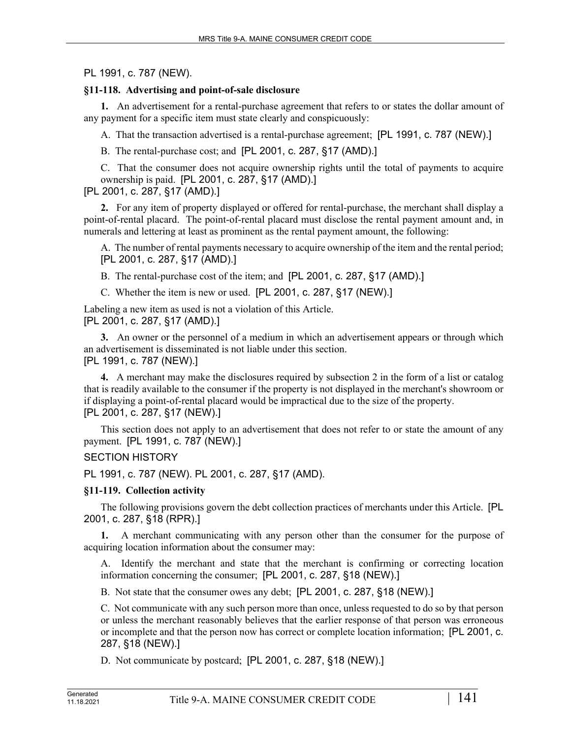## PL 1991, c. 787 (NEW).

## **§11-118. Advertising and point-of-sale disclosure**

**1.** An advertisement for a rental-purchase agreement that refers to or states the dollar amount of any payment for a specific item must state clearly and conspicuously:

A. That the transaction advertised is a rental-purchase agreement; [PL 1991, c. 787 (NEW).]

B. The rental-purchase cost; and [PL 2001, c. 287, §17 (AMD).]

C. That the consumer does not acquire ownership rights until the total of payments to acquire ownership is paid. [PL 2001, c. 287, §17 (AMD).]

[PL 2001, c. 287, §17 (AMD).]

**2.** For any item of property displayed or offered for rental-purchase, the merchant shall display a point-of-rental placard. The point-of-rental placard must disclose the rental payment amount and, in numerals and lettering at least as prominent as the rental payment amount, the following:

A. The number of rental payments necessary to acquire ownership of the item and the rental period; [PL 2001, c. 287, §17 (AMD).]

B. The rental-purchase cost of the item; and [PL 2001, c. 287, §17 (AMD).]

C. Whether the item is new or used. [PL 2001, c. 287, §17 (NEW).]

Labeling a new item as used is not a violation of this Article. [PL 2001, c. 287, §17 (AMD).]

**3.** An owner or the personnel of a medium in which an advertisement appears or through which an advertisement is disseminated is not liable under this section. [PL 1991, c. 787 (NEW).]

**4.** A merchant may make the disclosures required by subsection 2 in the form of a list or catalog that is readily available to the consumer if the property is not displayed in the merchant's showroom or if displaying a point-of-rental placard would be impractical due to the size of the property. [PL 2001, c. 287, §17 (NEW).]

This section does not apply to an advertisement that does not refer to or state the amount of any payment. [PL 1991, c. 787 (NEW).]

# SECTION HISTORY

PL 1991, c. 787 (NEW). PL 2001, c. 287, §17 (AMD).

## **§11-119. Collection activity**

The following provisions govern the debt collection practices of merchants under this Article. [PL 2001, c. 287, §18 (RPR).]

**1.** A merchant communicating with any person other than the consumer for the purpose of acquiring location information about the consumer may:

A. Identify the merchant and state that the merchant is confirming or correcting location information concerning the consumer; [PL 2001, c. 287, §18 (NEW).]

B. Not state that the consumer owes any debt; [PL 2001, c. 287, §18 (NEW).]

C. Not communicate with any such person more than once, unless requested to do so by that person or unless the merchant reasonably believes that the earlier response of that person was erroneous or incomplete and that the person now has correct or complete location information; [PL 2001, c. 287, §18 (NEW).]

D. Not communicate by postcard; [PL 2001, c. 287, §18 (NEW).]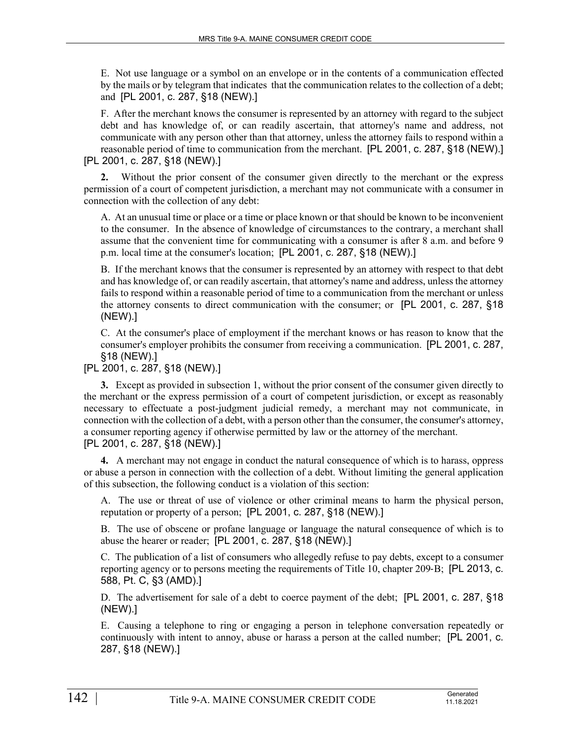E. Not use language or a symbol on an envelope or in the contents of a communication effected by the mails or by telegram that indicates that the communication relates to the collection of a debt; and [PL 2001, c. 287, §18 (NEW).]

F. After the merchant knows the consumer is represented by an attorney with regard to the subject debt and has knowledge of, or can readily ascertain, that attorney's name and address, not communicate with any person other than that attorney, unless the attorney fails to respond within a reasonable period of time to communication from the merchant. [PL 2001, c. 287, §18 (NEW).] [PL 2001, c. 287, §18 (NEW).]

**2.** Without the prior consent of the consumer given directly to the merchant or the express permission of a court of competent jurisdiction, a merchant may not communicate with a consumer in connection with the collection of any debt:

A. At an unusual time or place or a time or place known or that should be known to be inconvenient to the consumer. In the absence of knowledge of circumstances to the contrary, a merchant shall assume that the convenient time for communicating with a consumer is after 8 a.m. and before 9 p.m. local time at the consumer's location; [PL 2001, c. 287, §18 (NEW).]

B. If the merchant knows that the consumer is represented by an attorney with respect to that debt and has knowledge of, or can readily ascertain, that attorney's name and address, unless the attorney fails to respond within a reasonable period of time to a communication from the merchant or unless the attorney consents to direct communication with the consumer; or [PL 2001, c. 287, §18 (NEW).]

C. At the consumer's place of employment if the merchant knows or has reason to know that the consumer's employer prohibits the consumer from receiving a communication. [PL 2001, c. 287, §18 (NEW).]

[PL 2001, c. 287, §18 (NEW).]

**3.** Except as provided in subsection 1, without the prior consent of the consumer given directly to the merchant or the express permission of a court of competent jurisdiction, or except as reasonably necessary to effectuate a post-judgment judicial remedy, a merchant may not communicate, in connection with the collection of a debt, with a person other than the consumer, the consumer's attorney, a consumer reporting agency if otherwise permitted by law or the attorney of the merchant. [PL 2001, c. 287, §18 (NEW).]

**4.** A merchant may not engage in conduct the natural consequence of which is to harass, oppress or abuse a person in connection with the collection of a debt. Without limiting the general application of this subsection, the following conduct is a violation of this section:

A. The use or threat of use of violence or other criminal means to harm the physical person, reputation or property of a person; [PL 2001, c. 287, §18 (NEW).]

B. The use of obscene or profane language or language the natural consequence of which is to abuse the hearer or reader; [PL 2001, c. 287, §18 (NEW).]

C. The publication of a list of consumers who allegedly refuse to pay debts, except to a consumer reporting agency or to persons meeting the requirements of Title 10, chapter 209-B; [PL 2013, c. 588, Pt. C, §3 (AMD).]

D. The advertisement for sale of a debt to coerce payment of the debt; [PL 2001, c. 287, §18 (NEW).]

E. Causing a telephone to ring or engaging a person in telephone conversation repeatedly or continuously with intent to annoy, abuse or harass a person at the called number; [PL 2001, c. 287, §18 (NEW).]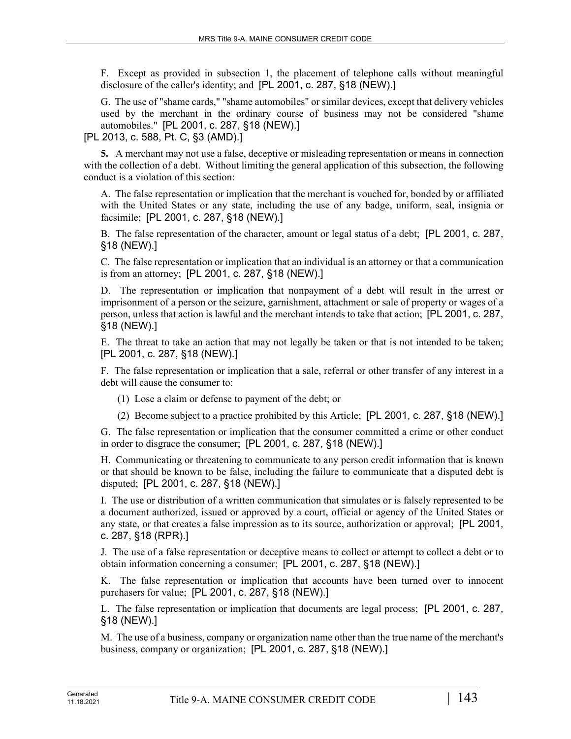F. Except as provided in subsection 1, the placement of telephone calls without meaningful disclosure of the caller's identity; and [PL 2001, c. 287, §18 (NEW).]

G. The use of "shame cards," "shame automobiles" or similar devices, except that delivery vehicles used by the merchant in the ordinary course of business may not be considered "shame automobiles." [PL 2001, c. 287, §18 (NEW).]

[PL 2013, c. 588, Pt. C, §3 (AMD).]

**5.** A merchant may not use a false, deceptive or misleading representation or means in connection with the collection of a debt. Without limiting the general application of this subsection, the following conduct is a violation of this section:

A. The false representation or implication that the merchant is vouched for, bonded by or affiliated with the United States or any state, including the use of any badge, uniform, seal, insignia or facsimile; [PL 2001, c. 287, §18 (NEW).]

B. The false representation of the character, amount or legal status of a debt; [PL 2001, c. 287, §18 (NEW).]

C. The false representation or implication that an individual is an attorney or that a communication is from an attorney; [PL 2001, c. 287, §18 (NEW).]

D. The representation or implication that nonpayment of a debt will result in the arrest or imprisonment of a person or the seizure, garnishment, attachment or sale of property or wages of a person, unless that action is lawful and the merchant intends to take that action; [PL 2001, c. 287, §18 (NEW).]

E. The threat to take an action that may not legally be taken or that is not intended to be taken; [PL 2001, c. 287, §18 (NEW).]

F. The false representation or implication that a sale, referral or other transfer of any interest in a debt will cause the consumer to:

- (1) Lose a claim or defense to payment of the debt; or
- (2) Become subject to a practice prohibited by this Article; [PL 2001, c. 287, §18 (NEW).]

G. The false representation or implication that the consumer committed a crime or other conduct in order to disgrace the consumer; [PL 2001, c. 287, §18 (NEW).]

H. Communicating or threatening to communicate to any person credit information that is known or that should be known to be false, including the failure to communicate that a disputed debt is disputed; [PL 2001, c. 287, §18 (NEW).]

I. The use or distribution of a written communication that simulates or is falsely represented to be a document authorized, issued or approved by a court, official or agency of the United States or any state, or that creates a false impression as to its source, authorization or approval; [PL 2001, c. 287, §18 (RPR).]

J. The use of a false representation or deceptive means to collect or attempt to collect a debt or to obtain information concerning a consumer; [PL 2001, c. 287, §18 (NEW).]

K. The false representation or implication that accounts have been turned over to innocent purchasers for value; [PL 2001, c. 287, §18 (NEW).]

L. The false representation or implication that documents are legal process; [PL 2001, c. 287, §18 (NEW).]

M. The use of a business, company or organization name other than the true name of the merchant's business, company or organization; [PL 2001, c. 287, §18 (NEW).]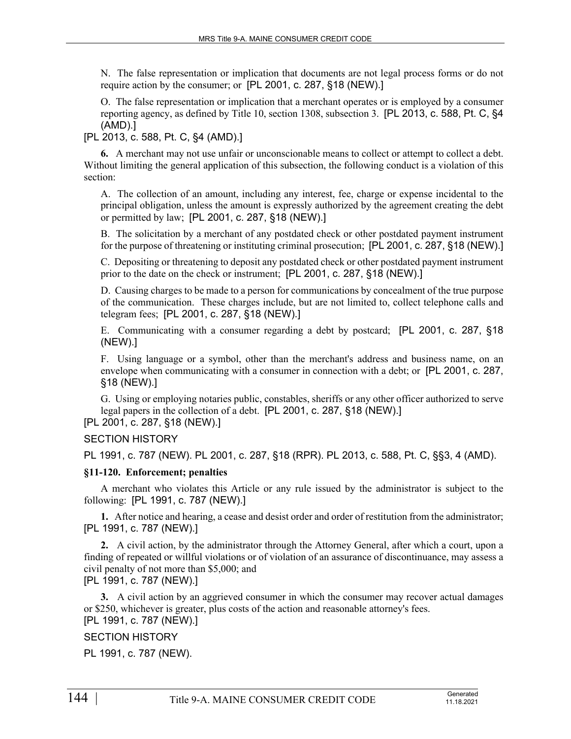N. The false representation or implication that documents are not legal process forms or do not require action by the consumer; or [PL 2001, c. 287, §18 (NEW).]

O. The false representation or implication that a merchant operates or is employed by a consumer reporting agency, as defined by Title 10, section 1308, subsection 3. [PL 2013, c. 588, Pt. C, §4 (AMD).]

[PL 2013, c. 588, Pt. C, §4 (AMD).]

**6.** A merchant may not use unfair or unconscionable means to collect or attempt to collect a debt. Without limiting the general application of this subsection, the following conduct is a violation of this section:

A. The collection of an amount, including any interest, fee, charge or expense incidental to the principal obligation, unless the amount is expressly authorized by the agreement creating the debt or permitted by law; [PL 2001, c. 287, §18 (NEW).]

B. The solicitation by a merchant of any postdated check or other postdated payment instrument for the purpose of threatening or instituting criminal prosecution; [PL 2001, c. 287, §18 (NEW).]

C. Depositing or threatening to deposit any postdated check or other postdated payment instrument prior to the date on the check or instrument; [PL 2001, c. 287, §18 (NEW).]

D. Causing charges to be made to a person for communications by concealment of the true purpose of the communication. These charges include, but are not limited to, collect telephone calls and telegram fees; [PL 2001, c. 287, §18 (NEW).]

E. Communicating with a consumer regarding a debt by postcard; [PL 2001, c. 287, §18 (NEW).]

F. Using language or a symbol, other than the merchant's address and business name, on an envelope when communicating with a consumer in connection with a debt; or [PL 2001, c. 287, §18 (NEW).]

G. Using or employing notaries public, constables, sheriffs or any other officer authorized to serve legal papers in the collection of a debt. [PL 2001, c. 287, §18 (NEW).]

# [PL 2001, c. 287, §18 (NEW).]

SECTION HISTORY

PL 1991, c. 787 (NEW). PL 2001, c. 287, §18 (RPR). PL 2013, c. 588, Pt. C, §§3, 4 (AMD).

## **§11-120. Enforcement; penalties**

A merchant who violates this Article or any rule issued by the administrator is subject to the following: [PL 1991, c. 787 (NEW).]

**1.** After notice and hearing, a cease and desist order and order of restitution from the administrator; [PL 1991, c. 787 (NEW).]

**2.** A civil action, by the administrator through the Attorney General, after which a court, upon a finding of repeated or willful violations or of violation of an assurance of discontinuance, may assess a civil penalty of not more than \$5,000; and

[PL 1991, c. 787 (NEW).]

**3.** A civil action by an aggrieved consumer in which the consumer may recover actual damages or \$250, whichever is greater, plus costs of the action and reasonable attorney's fees.

# [PL 1991, c. 787 (NEW).]

# SECTION HISTORY

PL 1991, c. 787 (NEW).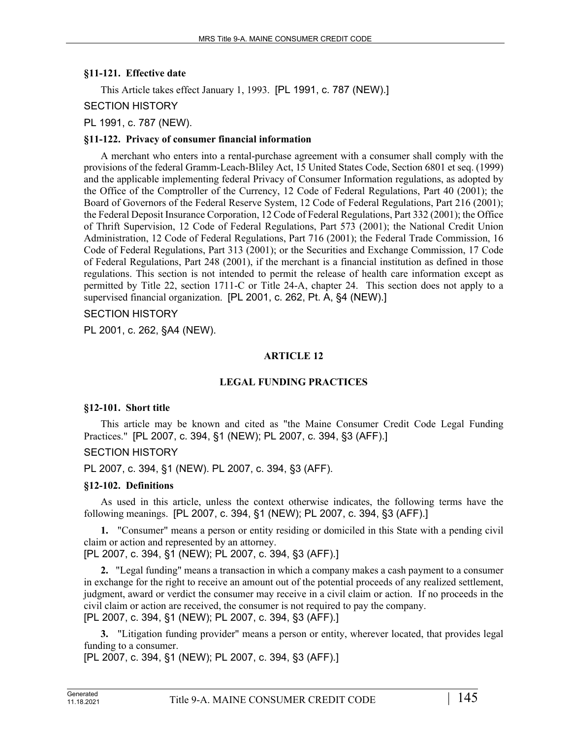### **§11-121. Effective date**

This Article takes effect January 1, 1993. [PL 1991, c. 787 (NEW).]

SECTION HISTORY

PL 1991, c. 787 (NEW).

### **§11-122. Privacy of consumer financial information**

A merchant who enters into a rental-purchase agreement with a consumer shall comply with the provisions of the federal Gramm-Leach-Bliley Act, 15 United States Code, Section 6801 et seq. (1999) and the applicable implementing federal Privacy of Consumer Information regulations, as adopted by the Office of the Comptroller of the Currency, 12 Code of Federal Regulations, Part 40 (2001); the Board of Governors of the Federal Reserve System, 12 Code of Federal Regulations, Part 216 (2001); the Federal Deposit Insurance Corporation, 12 Code of Federal Regulations, Part 332 (2001); the Office of Thrift Supervision, 12 Code of Federal Regulations, Part 573 (2001); the National Credit Union Administration, 12 Code of Federal Regulations, Part 716 (2001); the Federal Trade Commission, 16 Code of Federal Regulations, Part 313 (2001); or the Securities and Exchange Commission, 17 Code of Federal Regulations, Part 248 (2001), if the merchant is a financial institution as defined in those regulations. This section is not intended to permit the release of health care information except as permitted by Title 22, section 1711-C or Title 24-A, chapter 24. This section does not apply to a supervised financial organization. [PL 2001, c. 262, Pt. A, §4 (NEW).]

# SECTION HISTORY

PL 2001, c. 262, §A4 (NEW).

# **ARTICLE 12**

# **LEGAL FUNDING PRACTICES**

#### **§12-101. Short title**

This article may be known and cited as "the Maine Consumer Credit Code Legal Funding Practices." [PL 2007, c. 394, §1 (NEW); PL 2007, c. 394, §3 (AFF).]

# SECTION HISTORY

PL 2007, c. 394, §1 (NEW). PL 2007, c. 394, §3 (AFF).

#### **§12-102. Definitions**

As used in this article, unless the context otherwise indicates, the following terms have the following meanings. [PL 2007, c. 394, §1 (NEW); PL 2007, c. 394, §3 (AFF).]

**1.** "Consumer" means a person or entity residing or domiciled in this State with a pending civil claim or action and represented by an attorney.

[PL 2007, c. 394, §1 (NEW); PL 2007, c. 394, §3 (AFF).]

**2.** "Legal funding" means a transaction in which a company makes a cash payment to a consumer in exchange for the right to receive an amount out of the potential proceeds of any realized settlement, judgment, award or verdict the consumer may receive in a civil claim or action. If no proceeds in the civil claim or action are received, the consumer is not required to pay the company. [PL 2007, c. 394, §1 (NEW); PL 2007, c. 394, §3 (AFF).]

**3.** "Litigation funding provider" means a person or entity, wherever located, that provides legal funding to a consumer.

[PL 2007, c. 394, §1 (NEW); PL 2007, c. 394, §3 (AFF).]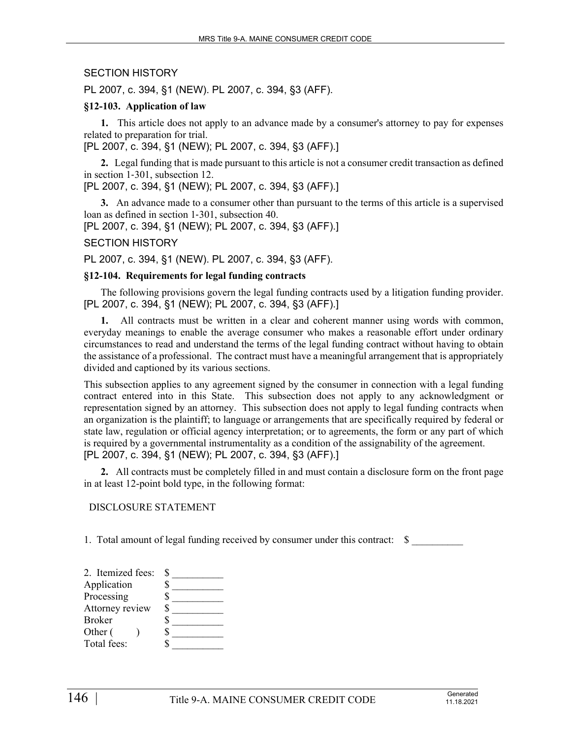# SECTION HISTORY

PL 2007, c. 394, §1 (NEW). PL 2007, c. 394, §3 (AFF).

#### **§12-103. Application of law**

**1.** This article does not apply to an advance made by a consumer's attorney to pay for expenses related to preparation for trial.

[PL 2007, c. 394, §1 (NEW); PL 2007, c. 394, §3 (AFF).]

**2.** Legal funding that is made pursuant to this article is not a consumer credit transaction as defined in section 1‑301, subsection 12.

[PL 2007, c. 394, §1 (NEW); PL 2007, c. 394, §3 (AFF).]

**3.** An advance made to a consumer other than pursuant to the terms of this article is a supervised loan as defined in section 1‑301, subsection 40.

[PL 2007, c. 394, §1 (NEW); PL 2007, c. 394, §3 (AFF).]

#### SECTION HISTORY

PL 2007, c. 394, §1 (NEW). PL 2007, c. 394, §3 (AFF).

#### **§12-104. Requirements for legal funding contracts**

The following provisions govern the legal funding contracts used by a litigation funding provider. [PL 2007, c. 394, §1 (NEW); PL 2007, c. 394, §3 (AFF).]

**1.** All contracts must be written in a clear and coherent manner using words with common, everyday meanings to enable the average consumer who makes a reasonable effort under ordinary circumstances to read and understand the terms of the legal funding contract without having to obtain the assistance of a professional. The contract must have a meaningful arrangement that is appropriately divided and captioned by its various sections.

This subsection applies to any agreement signed by the consumer in connection with a legal funding contract entered into in this State. This subsection does not apply to any acknowledgment or representation signed by an attorney. This subsection does not apply to legal funding contracts when an organization is the plaintiff; to language or arrangements that are specifically required by federal or state law, regulation or official agency interpretation; or to agreements, the form or any part of which is required by a governmental instrumentality as a condition of the assignability of the agreement. [PL 2007, c. 394, §1 (NEW); PL 2007, c. 394, §3 (AFF).]

**2.** All contracts must be completely filled in and must contain a disclosure form on the front page in at least 12-point bold type, in the following format:

#### DISCLOSURE STATEMENT

1. Total amount of legal funding received by consumer under this contract: \$

| 2. Itemized fees: |  |
|-------------------|--|
| Application       |  |
| Processing        |  |
| Attorney review   |  |
| <b>Broker</b>     |  |
| Other (           |  |
| Total fees:       |  |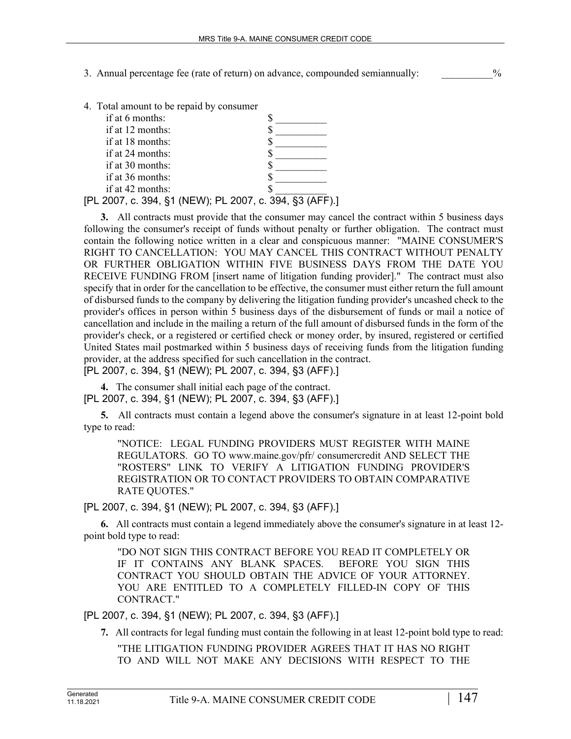- 3. Annual percentage fee (rate of return) on advance, compounded semiannually:  $\%$
- 4. Total amount to be repaid by consumer

| if at 6 months:    |                                                         |
|--------------------|---------------------------------------------------------|
| if at 12 months:   |                                                         |
| if at 18 months:   |                                                         |
| if at 24 months:   |                                                         |
| if at $30$ months: |                                                         |
| if at 36 months:   |                                                         |
| if at 42 months:   |                                                         |
|                    | [PL 2007, c. 394, §1 (NEW); PL 2007, c. 394, §3 (AFF).] |

**3.** All contracts must provide that the consumer may cancel the contract within 5 business days following the consumer's receipt of funds without penalty or further obligation. The contract must contain the following notice written in a clear and conspicuous manner: "MAINE CONSUMER'S RIGHT TO CANCELLATION: YOU MAY CANCEL THIS CONTRACT WITHOUT PENALTY OR FURTHER OBLIGATION WITHIN FIVE BUSINESS DAYS FROM THE DATE YOU RECEIVE FUNDING FROM [insert name of litigation funding provider]." The contract must also specify that in order for the cancellation to be effective, the consumer must either return the full amount of disbursed funds to the company by delivering the litigation funding provider's uncashed check to the provider's offices in person within 5 business days of the disbursement of funds or mail a notice of cancellation and include in the mailing a return of the full amount of disbursed funds in the form of the provider's check, or a registered or certified check or money order, by insured, registered or certified United States mail postmarked within 5 business days of receiving funds from the litigation funding provider, at the address specified for such cancellation in the contract. [PL 2007, c. 394, §1 (NEW); PL 2007, c. 394, §3 (AFF).]

**4.** The consumer shall initial each page of the contract. [PL 2007, c. 394, §1 (NEW); PL 2007, c. 394, §3 (AFF).]

**5.** All contracts must contain a legend above the consumer's signature in at least 12-point bold type to read:

"NOTICE: LEGAL FUNDING PROVIDERS MUST REGISTER WITH MAINE REGULATORS. GO TO www.maine.gov/pfr/ consumercredit AND SELECT THE "ROSTERS" LINK TO VERIFY A LITIGATION FUNDING PROVIDER'S REGISTRATION OR TO CONTACT PROVIDERS TO OBTAIN COMPARATIVE RATE QUOTES."

[PL 2007, c. 394, §1 (NEW); PL 2007, c. 394, §3 (AFF).]

**6.** All contracts must contain a legend immediately above the consumer's signature in at least 12 point bold type to read:

"DO NOT SIGN THIS CONTRACT BEFORE YOU READ IT COMPLETELY OR IF IT CONTAINS ANY BLANK SPACES. BEFORE YOU SIGN THIS CONTRACT YOU SHOULD OBTAIN THE ADVICE OF YOUR ATTORNEY. YOU ARE ENTITLED TO A COMPLETELY FILLED-IN COPY OF THIS CONTRACT."

[PL 2007, c. 394, §1 (NEW); PL 2007, c. 394, §3 (AFF).]

**7.** All contracts for legal funding must contain the following in at least 12-point bold type to read:

"THE LITIGATION FUNDING PROVIDER AGREES THAT IT HAS NO RIGHT TO AND WILL NOT MAKE ANY DECISIONS WITH RESPECT TO THE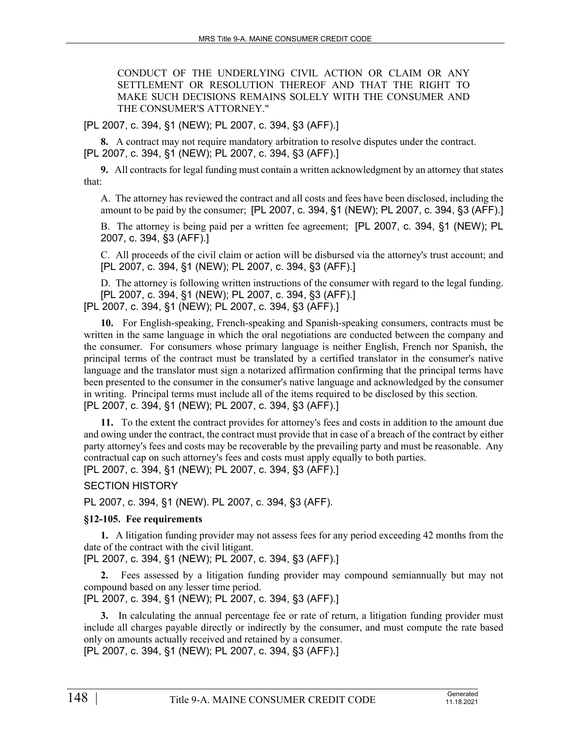CONDUCT OF THE UNDERLYING CIVIL ACTION OR CLAIM OR ANY SETTLEMENT OR RESOLUTION THEREOF AND THAT THE RIGHT TO MAKE SUCH DECISIONS REMAINS SOLELY WITH THE CONSUMER AND THE CONSUMER'S ATTORNEY."

[PL 2007, c. 394, §1 (NEW); PL 2007, c. 394, §3 (AFF).]

**8.** A contract may not require mandatory arbitration to resolve disputes under the contract. [PL 2007, c. 394, §1 (NEW); PL 2007, c. 394, §3 (AFF).]

**9.** All contracts for legal funding must contain a written acknowledgment by an attorney that states that:

A. The attorney has reviewed the contract and all costs and fees have been disclosed, including the amount to be paid by the consumer; [PL 2007, c. 394, §1 (NEW); PL 2007, c. 394, §3 (AFF).]

B. The attorney is being paid per a written fee agreement; [PL 2007, c. 394, §1 (NEW); PL 2007, c. 394, §3 (AFF).]

C. All proceeds of the civil claim or action will be disbursed via the attorney's trust account; and [PL 2007, c. 394, §1 (NEW); PL 2007, c. 394, §3 (AFF).]

D. The attorney is following written instructions of the consumer with regard to the legal funding. [PL 2007, c. 394, §1 (NEW); PL 2007, c. 394, §3 (AFF).]

[PL 2007, c. 394, §1 (NEW); PL 2007, c. 394, §3 (AFF).]

**10.** For English-speaking, French-speaking and Spanish-speaking consumers, contracts must be written in the same language in which the oral negotiations are conducted between the company and the consumer. For consumers whose primary language is neither English, French nor Spanish, the principal terms of the contract must be translated by a certified translator in the consumer's native language and the translator must sign a notarized affirmation confirming that the principal terms have been presented to the consumer in the consumer's native language and acknowledged by the consumer in writing. Principal terms must include all of the items required to be disclosed by this section. [PL 2007, c. 394, §1 (NEW); PL 2007, c. 394, §3 (AFF).]

**11.** To the extent the contract provides for attorney's fees and costs in addition to the amount due and owing under the contract, the contract must provide that in case of a breach of the contract by either party attorney's fees and costs may be recoverable by the prevailing party and must be reasonable. Any contractual cap on such attorney's fees and costs must apply equally to both parties.

[PL 2007, c. 394, §1 (NEW); PL 2007, c. 394, §3 (AFF).]

SECTION HISTORY

PL 2007, c. 394, §1 (NEW). PL 2007, c. 394, §3 (AFF).

# **§12-105. Fee requirements**

**1.** A litigation funding provider may not assess fees for any period exceeding 42 months from the date of the contract with the civil litigant.

[PL 2007, c. 394, §1 (NEW); PL 2007, c. 394, §3 (AFF).]

**2.** Fees assessed by a litigation funding provider may compound semiannually but may not compound based on any lesser time period.

[PL 2007, c. 394, §1 (NEW); PL 2007, c. 394, §3 (AFF).]

**3.** In calculating the annual percentage fee or rate of return, a litigation funding provider must include all charges payable directly or indirectly by the consumer, and must compute the rate based only on amounts actually received and retained by a consumer.

[PL 2007, c. 394, §1 (NEW); PL 2007, c. 394, §3 (AFF).]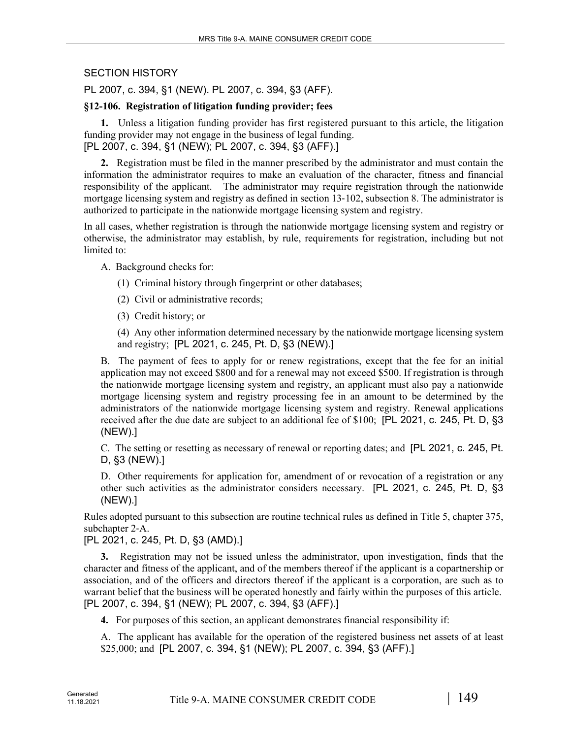# SECTION HISTORY

PL 2007, c. 394, §1 (NEW). PL 2007, c. 394, §3 (AFF).

### **§12-106. Registration of litigation funding provider; fees**

**1.** Unless a litigation funding provider has first registered pursuant to this article, the litigation funding provider may not engage in the business of legal funding. [PL 2007, c. 394, §1 (NEW); PL 2007, c. 394, §3 (AFF).]

**2.** Registration must be filed in the manner prescribed by the administrator and must contain the information the administrator requires to make an evaluation of the character, fitness and financial responsibility of the applicant. The administrator may require registration through the nationwide mortgage licensing system and registry as defined in section 13‑102, subsection 8. The administrator is authorized to participate in the nationwide mortgage licensing system and registry.

In all cases, whether registration is through the nationwide mortgage licensing system and registry or otherwise, the administrator may establish, by rule, requirements for registration, including but not limited to:

A. Background checks for:

- (1) Criminal history through fingerprint or other databases;
- (2) Civil or administrative records;
- (3) Credit history; or

(4) Any other information determined necessary by the nationwide mortgage licensing system and registry; [PL 2021, c. 245, Pt. D, §3 (NEW).]

B. The payment of fees to apply for or renew registrations, except that the fee for an initial application may not exceed \$800 and for a renewal may not exceed \$500. If registration is through the nationwide mortgage licensing system and registry, an applicant must also pay a nationwide mortgage licensing system and registry processing fee in an amount to be determined by the administrators of the nationwide mortgage licensing system and registry. Renewal applications received after the due date are subject to an additional fee of \$100; [PL 2021, c. 245, Pt. D, §3 (NEW).]

C. The setting or resetting as necessary of renewal or reporting dates; and [PL 2021, c. 245, Pt. D, §3 (NEW).]

D. Other requirements for application for, amendment of or revocation of a registration or any other such activities as the administrator considers necessary. [PL 2021, c. 245, Pt. D, §3 (NEW).]

Rules adopted pursuant to this subsection are routine technical rules as defined in Title 5, chapter 375, subchapter 2‑A.

[PL 2021, c. 245, Pt. D, §3 (AMD).]

**3.** Registration may not be issued unless the administrator, upon investigation, finds that the character and fitness of the applicant, and of the members thereof if the applicant is a copartnership or association, and of the officers and directors thereof if the applicant is a corporation, are such as to warrant belief that the business will be operated honestly and fairly within the purposes of this article. [PL 2007, c. 394, §1 (NEW); PL 2007, c. 394, §3 (AFF).]

**4.** For purposes of this section, an applicant demonstrates financial responsibility if:

A. The applicant has available for the operation of the registered business net assets of at least \$25,000; and [PL 2007, c. 394, §1 (NEW); PL 2007, c. 394, §3 (AFF).]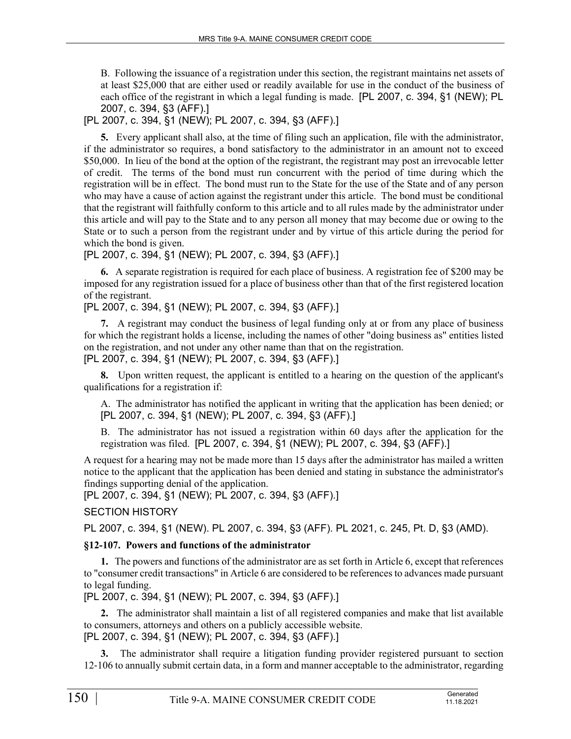B. Following the issuance of a registration under this section, the registrant maintains net assets of at least \$25,000 that are either used or readily available for use in the conduct of the business of each office of the registrant in which a legal funding is made. [PL 2007, c. 394, §1 (NEW); PL 2007, c. 394, §3 (AFF).]

# [PL 2007, c. 394, §1 (NEW); PL 2007, c. 394, §3 (AFF).]

**5.** Every applicant shall also, at the time of filing such an application, file with the administrator, if the administrator so requires, a bond satisfactory to the administrator in an amount not to exceed \$50,000. In lieu of the bond at the option of the registrant, the registrant may post an irrevocable letter of credit. The terms of the bond must run concurrent with the period of time during which the registration will be in effect. The bond must run to the State for the use of the State and of any person who may have a cause of action against the registrant under this article. The bond must be conditional that the registrant will faithfully conform to this article and to all rules made by the administrator under this article and will pay to the State and to any person all money that may become due or owing to the State or to such a person from the registrant under and by virtue of this article during the period for which the bond is given.

[PL 2007, c. 394, §1 (NEW); PL 2007, c. 394, §3 (AFF).]

**6.** A separate registration is required for each place of business. A registration fee of \$200 may be imposed for any registration issued for a place of business other than that of the first registered location of the registrant.

[PL 2007, c. 394, §1 (NEW); PL 2007, c. 394, §3 (AFF).]

**7.** A registrant may conduct the business of legal funding only at or from any place of business for which the registrant holds a license, including the names of other "doing business as" entities listed on the registration, and not under any other name than that on the registration.

[PL 2007, c. 394, §1 (NEW); PL 2007, c. 394, §3 (AFF).]

**8.** Upon written request, the applicant is entitled to a hearing on the question of the applicant's qualifications for a registration if:

A. The administrator has notified the applicant in writing that the application has been denied; or [PL 2007, c. 394, §1 (NEW); PL 2007, c. 394, §3 (AFF).]

B. The administrator has not issued a registration within 60 days after the application for the registration was filed. [PL 2007, c. 394, §1 (NEW); PL 2007, c. 394, §3 (AFF).]

A request for a hearing may not be made more than 15 days after the administrator has mailed a written notice to the applicant that the application has been denied and stating in substance the administrator's findings supporting denial of the application.

[PL 2007, c. 394, §1 (NEW); PL 2007, c. 394, §3 (AFF).]

SECTION HISTORY

PL 2007, c. 394, §1 (NEW). PL 2007, c. 394, §3 (AFF). PL 2021, c. 245, Pt. D, §3 (AMD).

# **§12-107. Powers and functions of the administrator**

**1.** The powers and functions of the administrator are as set forth in Article 6, except that references to "consumer credit transactions" in Article 6 are considered to be references to advances made pursuant to legal funding.

[PL 2007, c. 394, §1 (NEW); PL 2007, c. 394, §3 (AFF).]

**2.** The administrator shall maintain a list of all registered companies and make that list available to consumers, attorneys and others on a publicly accessible website. [PL 2007, c. 394, §1 (NEW); PL 2007, c. 394, §3 (AFF).]

**3.** The administrator shall require a litigation funding provider registered pursuant to section 12‑106 to annually submit certain data, in a form and manner acceptable to the administrator, regarding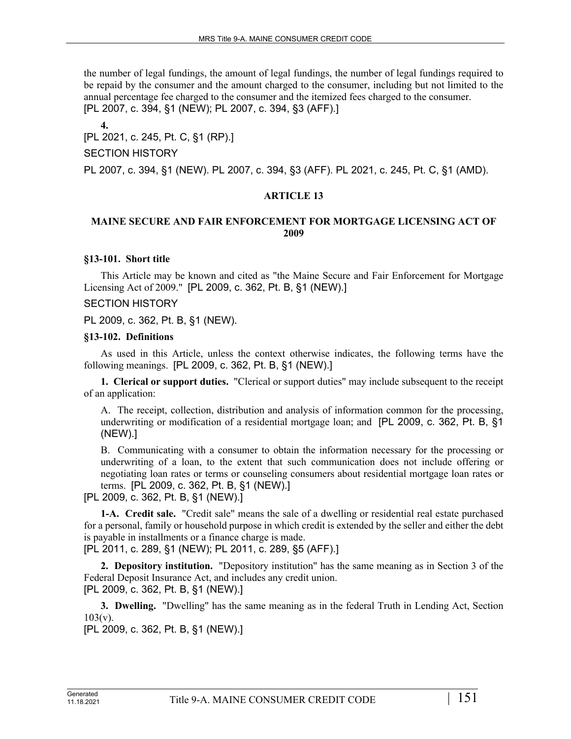the number of legal fundings, the amount of legal fundings, the number of legal fundings required to be repaid by the consumer and the amount charged to the consumer, including but not limited to the annual percentage fee charged to the consumer and the itemized fees charged to the consumer. [PL 2007, c. 394, §1 (NEW); PL 2007, c. 394, §3 (AFF).]

**4.**  [PL 2021, c. 245, Pt. C, §1 (RP).]

SECTION HISTORY

PL 2007, c. 394, §1 (NEW). PL 2007, c. 394, §3 (AFF). PL 2021, c. 245, Pt. C, §1 (AMD).

#### **ARTICLE 13**

### **MAINE SECURE AND FAIR ENFORCEMENT FOR MORTGAGE LICENSING ACT OF 2009**

#### **§13-101. Short title**

This Article may be known and cited as "the Maine Secure and Fair Enforcement for Mortgage Licensing Act of 2009." [PL 2009, c. 362, Pt. B, §1 (NEW).]

#### SECTION HISTORY

PL 2009, c. 362, Pt. B, §1 (NEW).

#### **§13-102. Definitions**

As used in this Article, unless the context otherwise indicates, the following terms have the following meanings. [PL 2009, c. 362, Pt. B, §1 (NEW).]

**1. Clerical or support duties.** "Clerical or support duties" may include subsequent to the receipt of an application:

A. The receipt, collection, distribution and analysis of information common for the processing, underwriting or modification of a residential mortgage loan; and [PL 2009, c. 362, Pt. B, §1 (NEW).]

B. Communicating with a consumer to obtain the information necessary for the processing or underwriting of a loan, to the extent that such communication does not include offering or negotiating loan rates or terms or counseling consumers about residential mortgage loan rates or terms. [PL 2009, c. 362, Pt. B, §1 (NEW).]

[PL 2009, c. 362, Pt. B, §1 (NEW).]

**1-A. Credit sale.** "Credit sale" means the sale of a dwelling or residential real estate purchased for a personal, family or household purpose in which credit is extended by the seller and either the debt is payable in installments or a finance charge is made.

[PL 2011, c. 289, §1 (NEW); PL 2011, c. 289, §5 (AFF).]

**2. Depository institution.** "Depository institution" has the same meaning as in Section 3 of the Federal Deposit Insurance Act, and includes any credit union. [PL 2009, c. 362, Pt. B, §1 (NEW).]

**3. Dwelling.** "Dwelling" has the same meaning as in the federal Truth in Lending Act, Section  $103(v)$ .

[PL 2009, c. 362, Pt. B, §1 (NEW).]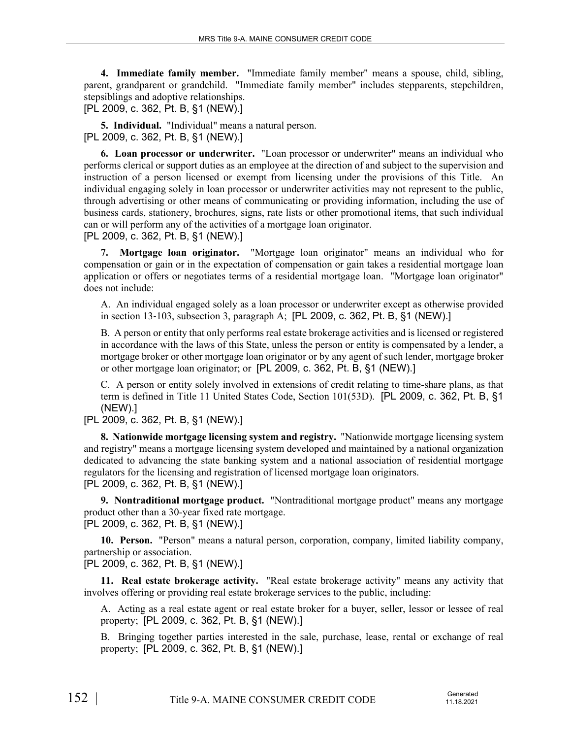**4. Immediate family member.** "Immediate family member" means a spouse, child, sibling, parent, grandparent or grandchild. "Immediate family member" includes stepparents, stepchildren, stepsiblings and adoptive relationships.

[PL 2009, c. 362, Pt. B, §1 (NEW).]

**5. Individual.** "Individual" means a natural person. [PL 2009, c. 362, Pt. B, §1 (NEW).]

**6. Loan processor or underwriter.** "Loan processor or underwriter" means an individual who performs clerical or support duties as an employee at the direction of and subject to the supervision and instruction of a person licensed or exempt from licensing under the provisions of this Title. An individual engaging solely in loan processor or underwriter activities may not represent to the public, through advertising or other means of communicating or providing information, including the use of business cards, stationery, brochures, signs, rate lists or other promotional items, that such individual can or will perform any of the activities of a mortgage loan originator.

[PL 2009, c. 362, Pt. B, §1 (NEW).]

**7. Mortgage loan originator.** "Mortgage loan originator" means an individual who for compensation or gain or in the expectation of compensation or gain takes a residential mortgage loan application or offers or negotiates terms of a residential mortgage loan. "Mortgage loan originator" does not include:

A. An individual engaged solely as a loan processor or underwriter except as otherwise provided in section 13‑103, subsection 3, paragraph A; [PL 2009, c. 362, Pt. B, §1 (NEW).]

B. A person or entity that only performs real estate brokerage activities and is licensed or registered in accordance with the laws of this State, unless the person or entity is compensated by a lender, a mortgage broker or other mortgage loan originator or by any agent of such lender, mortgage broker or other mortgage loan originator; or [PL 2009, c. 362, Pt. B, §1 (NEW).]

C. A person or entity solely involved in extensions of credit relating to time-share plans, as that term is defined in Title 11 United States Code, Section 101(53D). [PL 2009, c. 362, Pt. B, §1 (NEW).]

[PL 2009, c. 362, Pt. B, §1 (NEW).]

**8. Nationwide mortgage licensing system and registry.** "Nationwide mortgage licensing system and registry" means a mortgage licensing system developed and maintained by a national organization dedicated to advancing the state banking system and a national association of residential mortgage regulators for the licensing and registration of licensed mortgage loan originators. [PL 2009, c. 362, Pt. B, §1 (NEW).]

**9. Nontraditional mortgage product.** "Nontraditional mortgage product" means any mortgage product other than a 30-year fixed rate mortgage. [PL 2009, c. 362, Pt. B, §1 (NEW).]

**10. Person.** "Person" means a natural person, corporation, company, limited liability company, partnership or association.

[PL 2009, c. 362, Pt. B, §1 (NEW).]

**11. Real estate brokerage activity.** "Real estate brokerage activity" means any activity that involves offering or providing real estate brokerage services to the public, including:

A. Acting as a real estate agent or real estate broker for a buyer, seller, lessor or lessee of real property; [PL 2009, c. 362, Pt. B, §1 (NEW).]

B. Bringing together parties interested in the sale, purchase, lease, rental or exchange of real property; [PL 2009, c. 362, Pt. B, §1 (NEW).]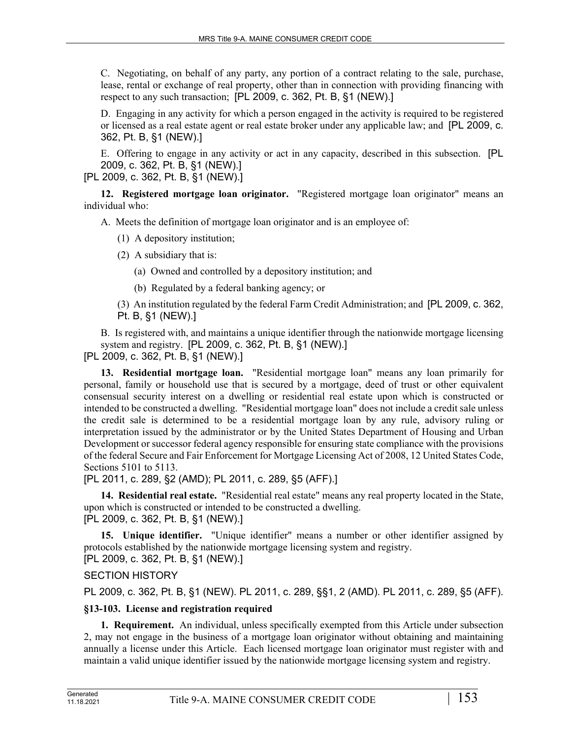C. Negotiating, on behalf of any party, any portion of a contract relating to the sale, purchase, lease, rental or exchange of real property, other than in connection with providing financing with respect to any such transaction; [PL 2009, c. 362, Pt. B, §1 (NEW).]

D. Engaging in any activity for which a person engaged in the activity is required to be registered or licensed as a real estate agent or real estate broker under any applicable law; and [PL 2009, c. 362, Pt. B, §1 (NEW).]

E. Offering to engage in any activity or act in any capacity, described in this subsection. [PL 2009, c. 362, Pt. B, §1 (NEW).]

[PL 2009, c. 362, Pt. B, §1 (NEW).]

**12. Registered mortgage loan originator.** "Registered mortgage loan originator" means an individual who:

A. Meets the definition of mortgage loan originator and is an employee of:

- (1) A depository institution;
- (2) A subsidiary that is:
	- (a) Owned and controlled by a depository institution; and
	- (b) Regulated by a federal banking agency; or
- (3) An institution regulated by the federal Farm Credit Administration; and [PL 2009, c. 362, Pt. B, §1 (NEW).]

B. Is registered with, and maintains a unique identifier through the nationwide mortgage licensing system and registry. [PL 2009, c. 362, Pt. B, §1 (NEW).]

[PL 2009, c. 362, Pt. B, §1 (NEW).]

**13. Residential mortgage loan.** "Residential mortgage loan" means any loan primarily for personal, family or household use that is secured by a mortgage, deed of trust or other equivalent consensual security interest on a dwelling or residential real estate upon which is constructed or intended to be constructed a dwelling. "Residential mortgage loan" does not include a credit sale unless the credit sale is determined to be a residential mortgage loan by any rule, advisory ruling or interpretation issued by the administrator or by the United States Department of Housing and Urban Development or successor federal agency responsible for ensuring state compliance with the provisions of the federal Secure and Fair Enforcement for Mortgage Licensing Act of 2008, 12 United States Code, Sections 5101 to 5113.

[PL 2011, c. 289, §2 (AMD); PL 2011, c. 289, §5 (AFF).]

**14. Residential real estate.** "Residential real estate" means any real property located in the State, upon which is constructed or intended to be constructed a dwelling. [PL 2009, c. 362, Pt. B, §1 (NEW).]

**15. Unique identifier.** "Unique identifier" means a number or other identifier assigned by protocols established by the nationwide mortgage licensing system and registry.

[PL 2009, c. 362, Pt. B, §1 (NEW).]

SECTION HISTORY

PL 2009, c. 362, Pt. B, §1 (NEW). PL 2011, c. 289, §§1, 2 (AMD). PL 2011, c. 289, §5 (AFF).

# **§13-103. License and registration required**

**1. Requirement.** An individual, unless specifically exempted from this Article under subsection 2, may not engage in the business of a mortgage loan originator without obtaining and maintaining annually a license under this Article. Each licensed mortgage loan originator must register with and maintain a valid unique identifier issued by the nationwide mortgage licensing system and registry.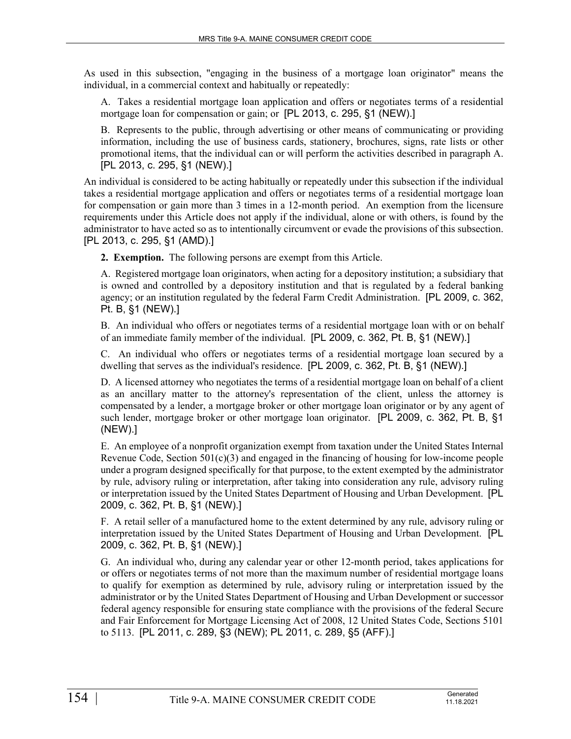As used in this subsection, "engaging in the business of a mortgage loan originator" means the individual, in a commercial context and habitually or repeatedly:

A. Takes a residential mortgage loan application and offers or negotiates terms of a residential mortgage loan for compensation or gain; or [PL 2013, c. 295, §1 (NEW).]

B. Represents to the public, through advertising or other means of communicating or providing information, including the use of business cards, stationery, brochures, signs, rate lists or other promotional items, that the individual can or will perform the activities described in paragraph A. [PL 2013, c. 295, §1 (NEW).]

An individual is considered to be acting habitually or repeatedly under this subsection if the individual takes a residential mortgage application and offers or negotiates terms of a residential mortgage loan for compensation or gain more than 3 times in a 12-month period. An exemption from the licensure requirements under this Article does not apply if the individual, alone or with others, is found by the administrator to have acted so as to intentionally circumvent or evade the provisions of this subsection. [PL 2013, c. 295, §1 (AMD).]

**2. Exemption.** The following persons are exempt from this Article.

A. Registered mortgage loan originators, when acting for a depository institution; a subsidiary that is owned and controlled by a depository institution and that is regulated by a federal banking agency; or an institution regulated by the federal Farm Credit Administration. [PL 2009, c. 362, Pt. B, §1 (NEW).]

B. An individual who offers or negotiates terms of a residential mortgage loan with or on behalf of an immediate family member of the individual. [PL 2009, c. 362, Pt. B, §1 (NEW).]

C. An individual who offers or negotiates terms of a residential mortgage loan secured by a dwelling that serves as the individual's residence. [PL 2009, c. 362, Pt. B, §1 (NEW).]

D. A licensed attorney who negotiates the terms of a residential mortgage loan on behalf of a client as an ancillary matter to the attorney's representation of the client, unless the attorney is compensated by a lender, a mortgage broker or other mortgage loan originator or by any agent of such lender, mortgage broker or other mortgage loan originator. [PL 2009, c. 362, Pt. B, §1 (NEW).]

E. An employee of a nonprofit organization exempt from taxation under the United States Internal Revenue Code, Section  $501(c)(3)$  and engaged in the financing of housing for low-income people under a program designed specifically for that purpose, to the extent exempted by the administrator by rule, advisory ruling or interpretation, after taking into consideration any rule, advisory ruling or interpretation issued by the United States Department of Housing and Urban Development. [PL 2009, c. 362, Pt. B, §1 (NEW).]

F. A retail seller of a manufactured home to the extent determined by any rule, advisory ruling or interpretation issued by the United States Department of Housing and Urban Development. [PL 2009, c. 362, Pt. B, §1 (NEW).]

G. An individual who, during any calendar year or other 12-month period, takes applications for or offers or negotiates terms of not more than the maximum number of residential mortgage loans to qualify for exemption as determined by rule, advisory ruling or interpretation issued by the administrator or by the United States Department of Housing and Urban Development or successor federal agency responsible for ensuring state compliance with the provisions of the federal Secure and Fair Enforcement for Mortgage Licensing Act of 2008, 12 United States Code, Sections 5101 to 5113. [PL 2011, c. 289, §3 (NEW); PL 2011, c. 289, §5 (AFF).]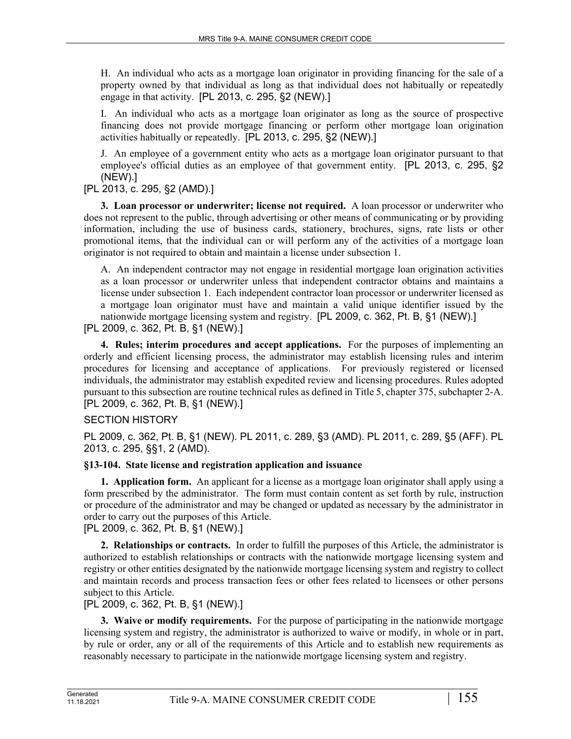H. An individual who acts as a mortgage loan originator in providing financing for the sale of a property owned by that individual as long as that individual does not habitually or repeatedly engage in that activity. [PL 2013, c. 295, §2 (NEW).]

I. An individual who acts as a mortgage loan originator as long as the source of prospective financing does not provide mortgage financing or perform other mortgage loan origination activities habitually or repeatedly. [PL 2013, c. 295, §2 (NEW).]

J. An employee of a government entity who acts as a mortgage loan originator pursuant to that employee's official duties as an employee of that government entity. [PL 2013, c. 295, §2 (NEW).]

[PL 2013, c. 295, §2 (AMD).]

**3. Loan processor or underwriter; license not required.** A loan processor or underwriter who does not represent to the public, through advertising or other means of communicating or by providing information, including the use of business cards, stationery, brochures, signs, rate lists or other promotional items, that the individual can or will perform any of the activities of a mortgage loan originator is not required to obtain and maintain a license under subsection 1.

A. An independent contractor may not engage in residential mortgage loan origination activities as a loan processor or underwriter unless that independent contractor obtains and maintains a license under subsection 1. Each independent contractor loan processor or underwriter licensed as a mortgage loan originator must have and maintain a valid unique identifier issued by the nationwide mortgage licensing system and registry. [PL 2009, c. 362, Pt. B, §1 (NEW).]

[PL 2009, c. 362, Pt. B, §1 (NEW).]

**4. Rules; interim procedures and accept applications.** For the purposes of implementing an orderly and efficient licensing process, the administrator may establish licensing rules and interim procedures for licensing and acceptance of applications. For previously registered or licensed individuals, the administrator may establish expedited review and licensing procedures. Rules adopted pursuant to this subsection are routine technical rules as defined in Title 5, chapter 375, subchapter 2‑A. [PL 2009, c. 362, Pt. B, §1 (NEW).]

# SECTION HISTORY

PL 2009, c. 362, Pt. B, §1 (NEW). PL 2011, c. 289, §3 (AMD). PL 2011, c. 289, §5 (AFF). PL 2013, c. 295, §§1, 2 (AMD).

# **§13-104. State license and registration application and issuance**

**1. Application form.** An applicant for a license as a mortgage loan originator shall apply using a form prescribed by the administrator. The form must contain content as set forth by rule, instruction or procedure of the administrator and may be changed or updated as necessary by the administrator in order to carry out the purposes of this Article.

[PL 2009, c. 362, Pt. B, §1 (NEW).]

**2. Relationships or contracts.** In order to fulfill the purposes of this Article, the administrator is authorized to establish relationships or contracts with the nationwide mortgage licensing system and registry or other entities designated by the nationwide mortgage licensing system and registry to collect and maintain records and process transaction fees or other fees related to licensees or other persons subject to this Article.

# [PL 2009, c. 362, Pt. B, §1 (NEW).]

**3. Waive or modify requirements.** For the purpose of participating in the nationwide mortgage licensing system and registry, the administrator is authorized to waive or modify, in whole or in part, by rule or order, any or all of the requirements of this Article and to establish new requirements as reasonably necessary to participate in the nationwide mortgage licensing system and registry.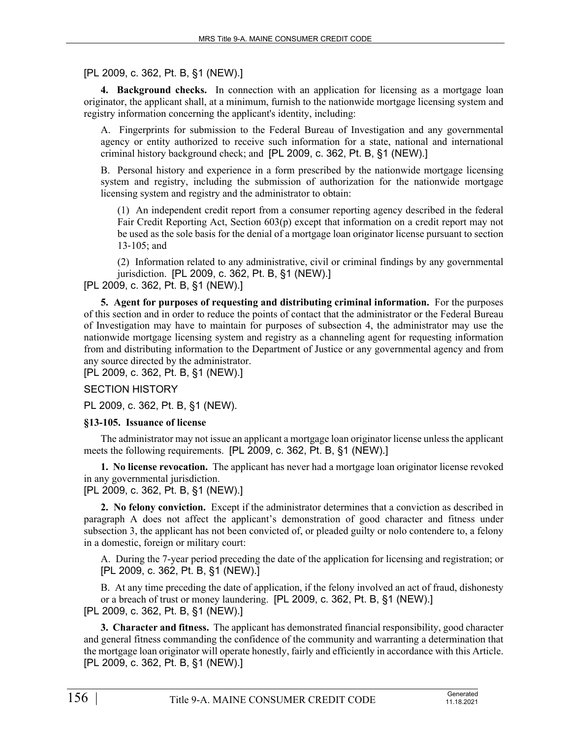# [PL 2009, c. 362, Pt. B, §1 (NEW).]

**4. Background checks.** In connection with an application for licensing as a mortgage loan originator, the applicant shall, at a minimum, furnish to the nationwide mortgage licensing system and registry information concerning the applicant's identity, including:

A. Fingerprints for submission to the Federal Bureau of Investigation and any governmental agency or entity authorized to receive such information for a state, national and international criminal history background check; and [PL 2009, c. 362, Pt. B, §1 (NEW).]

B. Personal history and experience in a form prescribed by the nationwide mortgage licensing system and registry, including the submission of authorization for the nationwide mortgage licensing system and registry and the administrator to obtain:

(1) An independent credit report from a consumer reporting agency described in the federal Fair Credit Reporting Act, Section 603(p) except that information on a credit report may not be used as the sole basis for the denial of a mortgage loan originator license pursuant to section 13‑105; and

(2) Information related to any administrative, civil or criminal findings by any governmental jurisdiction. [PL 2009, c. 362, Pt. B, §1 (NEW).]

# [PL 2009, c. 362, Pt. B, §1 (NEW).]

**5. Agent for purposes of requesting and distributing criminal information.** For the purposes of this section and in order to reduce the points of contact that the administrator or the Federal Bureau of Investigation may have to maintain for purposes of subsection 4, the administrator may use the nationwide mortgage licensing system and registry as a channeling agent for requesting information from and distributing information to the Department of Justice or any governmental agency and from any source directed by the administrator.

[PL 2009, c. 362, Pt. B, §1 (NEW).]

SECTION HISTORY

PL 2009, c. 362, Pt. B, §1 (NEW).

#### **§13-105. Issuance of license**

The administrator may not issue an applicant a mortgage loan originator license unless the applicant meets the following requirements. [PL 2009, c. 362, Pt. B, §1 (NEW).]

**1. No license revocation.** The applicant has never had a mortgage loan originator license revoked in any governmental jurisdiction.

[PL 2009, c. 362, Pt. B, §1 (NEW).]

**2. No felony conviction.** Except if the administrator determines that a conviction as described in paragraph A does not affect the applicant's demonstration of good character and fitness under subsection 3, the applicant has not been convicted of, or pleaded guilty or nolo contendere to, a felony in a domestic, foreign or military court:

A. During the 7-year period preceding the date of the application for licensing and registration; or [PL 2009, c. 362, Pt. B, §1 (NEW).]

B. At any time preceding the date of application, if the felony involved an act of fraud, dishonesty or a breach of trust or money laundering. [PL 2009, c. 362, Pt. B, §1 (NEW).] [PL 2009, c. 362, Pt. B, §1 (NEW).]

**3. Character and fitness.** The applicant has demonstrated financial responsibility, good character and general fitness commanding the confidence of the community and warranting a determination that the mortgage loan originator will operate honestly, fairly and efficiently in accordance with this Article. [PL 2009, c. 362, Pt. B, §1 (NEW).]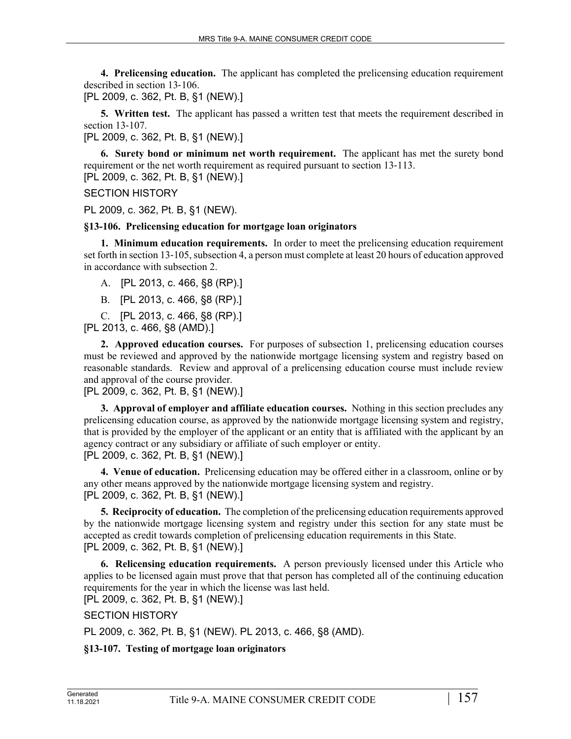**4. Prelicensing education.** The applicant has completed the prelicensing education requirement described in section 13‑106.

[PL 2009, c. 362, Pt. B, §1 (NEW).]

**5. Written test.** The applicant has passed a written test that meets the requirement described in section 13‑107.

[PL 2009, c. 362, Pt. B, §1 (NEW).]

**6. Surety bond or minimum net worth requirement.** The applicant has met the surety bond requirement or the net worth requirement as required pursuant to section 13–113. [PL 2009, c. 362, Pt. B, §1 (NEW).]

SECTION HISTORY

PL 2009, c. 362, Pt. B, §1 (NEW).

### **§13-106. Prelicensing education for mortgage loan originators**

**1. Minimum education requirements.** In order to meet the prelicensing education requirement set forth in section 13‑105, subsection 4, a person must complete at least 20 hours of education approved in accordance with subsection 2.

A. [PL 2013, c. 466, §8 (RP).]

B. [PL 2013, c. 466, §8 (RP).]

C. [PL 2013, c. 466, §8 (RP).]

[PL 2013, c. 466, §8 (AMD).]

**2. Approved education courses.** For purposes of subsection 1, prelicensing education courses must be reviewed and approved by the nationwide mortgage licensing system and registry based on reasonable standards. Review and approval of a prelicensing education course must include review and approval of the course provider.

[PL 2009, c. 362, Pt. B, §1 (NEW).]

**3. Approval of employer and affiliate education courses.** Nothing in this section precludes any prelicensing education course, as approved by the nationwide mortgage licensing system and registry, that is provided by the employer of the applicant or an entity that is affiliated with the applicant by an agency contract or any subsidiary or affiliate of such employer or entity. [PL 2009, c. 362, Pt. B, §1 (NEW).]

**4. Venue of education.** Prelicensing education may be offered either in a classroom, online or by any other means approved by the nationwide mortgage licensing system and registry. [PL 2009, c. 362, Pt. B, §1 (NEW).]

**5. Reciprocity of education.** The completion of the prelicensing education requirements approved by the nationwide mortgage licensing system and registry under this section for any state must be accepted as credit towards completion of prelicensing education requirements in this State. [PL 2009, c. 362, Pt. B, §1 (NEW).]

**6. Relicensing education requirements.** A person previously licensed under this Article who applies to be licensed again must prove that that person has completed all of the continuing education requirements for the year in which the license was last held.

[PL 2009, c. 362, Pt. B, §1 (NEW).]

SECTION HISTORY

PL 2009, c. 362, Pt. B, §1 (NEW). PL 2013, c. 466, §8 (AMD).

# **§13-107. Testing of mortgage loan originators**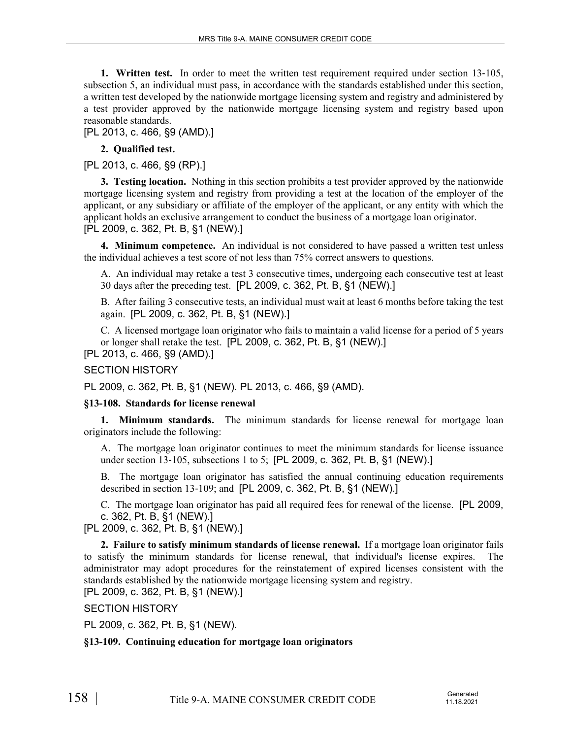**1. Written test.** In order to meet the written test requirement required under section 13–105, subsection 5, an individual must pass, in accordance with the standards established under this section, a written test developed by the nationwide mortgage licensing system and registry and administered by a test provider approved by the nationwide mortgage licensing system and registry based upon reasonable standards.

[PL 2013, c. 466, §9 (AMD).]

### **2. Qualified test.**

[PL 2013, c. 466, §9 (RP).]

**3. Testing location.** Nothing in this section prohibits a test provider approved by the nationwide mortgage licensing system and registry from providing a test at the location of the employer of the applicant, or any subsidiary or affiliate of the employer of the applicant, or any entity with which the applicant holds an exclusive arrangement to conduct the business of a mortgage loan originator. [PL 2009, c. 362, Pt. B, §1 (NEW).]

**4. Minimum competence.** An individual is not considered to have passed a written test unless the individual achieves a test score of not less than 75% correct answers to questions.

A. An individual may retake a test 3 consecutive times, undergoing each consecutive test at least 30 days after the preceding test. [PL 2009, c. 362, Pt. B, §1 (NEW).]

B. After failing 3 consecutive tests, an individual must wait at least 6 months before taking the test again. [PL 2009, c. 362, Pt. B, §1 (NEW).]

C. A licensed mortgage loan originator who fails to maintain a valid license for a period of 5 years or longer shall retake the test. [PL 2009, c. 362, Pt. B, §1 (NEW).]

[PL 2013, c. 466, §9 (AMD).]

SECTION HISTORY

PL 2009, c. 362, Pt. B, §1 (NEW). PL 2013, c. 466, §9 (AMD).

#### **§13-108. Standards for license renewal**

**1. Minimum standards.** The minimum standards for license renewal for mortgage loan originators include the following:

A. The mortgage loan originator continues to meet the minimum standards for license issuance under section 13-105, subsections 1 to 5; [PL 2009, c. 362, Pt. B, §1 (NEW).]

B. The mortgage loan originator has satisfied the annual continuing education requirements described in section 13‑109; and [PL 2009, c. 362, Pt. B, §1 (NEW).]

C. The mortgage loan originator has paid all required fees for renewal of the license. [PL 2009, c. 362, Pt. B, §1 (NEW).]

[PL 2009, c. 362, Pt. B, §1 (NEW).]

**2. Failure to satisfy minimum standards of license renewal.** If a mortgage loan originator fails to satisfy the minimum standards for license renewal, that individual's license expires. The administrator may adopt procedures for the reinstatement of expired licenses consistent with the standards established by the nationwide mortgage licensing system and registry. [PL 2009, c. 362, Pt. B, §1 (NEW).]

SECTION HISTORY

PL 2009, c. 362, Pt. B, §1 (NEW).

# **§13-109. Continuing education for mortgage loan originators**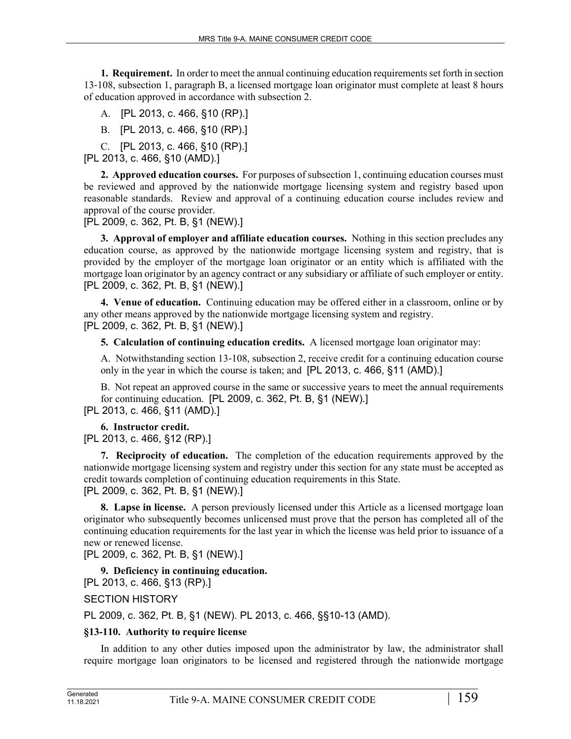**1. Requirement.** In order to meet the annual continuing education requirements set forth in section 13‑108, subsection 1, paragraph B, a licensed mortgage loan originator must complete at least 8 hours of education approved in accordance with subsection 2.

A. [PL 2013, c. 466, §10 (RP).]

B. [PL 2013, c. 466, §10 (RP).]

C. [PL 2013, c. 466, §10 (RP).]

[PL 2013, c. 466, §10 (AMD).]

**2. Approved education courses.** For purposes of subsection 1, continuing education courses must be reviewed and approved by the nationwide mortgage licensing system and registry based upon reasonable standards. Review and approval of a continuing education course includes review and approval of the course provider.

[PL 2009, c. 362, Pt. B, §1 (NEW).]

**3. Approval of employer and affiliate education courses.** Nothing in this section precludes any education course, as approved by the nationwide mortgage licensing system and registry, that is provided by the employer of the mortgage loan originator or an entity which is affiliated with the mortgage loan originator by an agency contract or any subsidiary or affiliate of such employer or entity. [PL 2009, c. 362, Pt. B, §1 (NEW).]

**4. Venue of education.** Continuing education may be offered either in a classroom, online or by any other means approved by the nationwide mortgage licensing system and registry. [PL 2009, c. 362, Pt. B, §1 (NEW).]

**5. Calculation of continuing education credits.** A licensed mortgage loan originator may:

A. Notwithstanding section 13‑108, subsection 2, receive credit for a continuing education course only in the year in which the course is taken; and [PL 2013, c. 466, §11 (AMD).]

B. Not repeat an approved course in the same or successive years to meet the annual requirements for continuing education. [PL 2009, c. 362, Pt. B, §1 (NEW).]

[PL 2013, c. 466, §11 (AMD).]

**6. Instructor credit.** 

[PL 2013, c. 466, §12 (RP).]

**7. Reciprocity of education.** The completion of the education requirements approved by the nationwide mortgage licensing system and registry under this section for any state must be accepted as credit towards completion of continuing education requirements in this State. [PL 2009, c. 362, Pt. B, §1 (NEW).]

**8. Lapse in license.** A person previously licensed under this Article as a licensed mortgage loan originator who subsequently becomes unlicensed must prove that the person has completed all of the continuing education requirements for the last year in which the license was held prior to issuance of a new or renewed license.

[PL 2009, c. 362, Pt. B, §1 (NEW).]

**9. Deficiency in continuing education.** 

[PL 2013, c. 466, §13 (RP).]

SECTION HISTORY

PL 2009, c. 362, Pt. B, §1 (NEW). PL 2013, c. 466, §§10-13 (AMD).

# **§13-110. Authority to require license**

In addition to any other duties imposed upon the administrator by law, the administrator shall require mortgage loan originators to be licensed and registered through the nationwide mortgage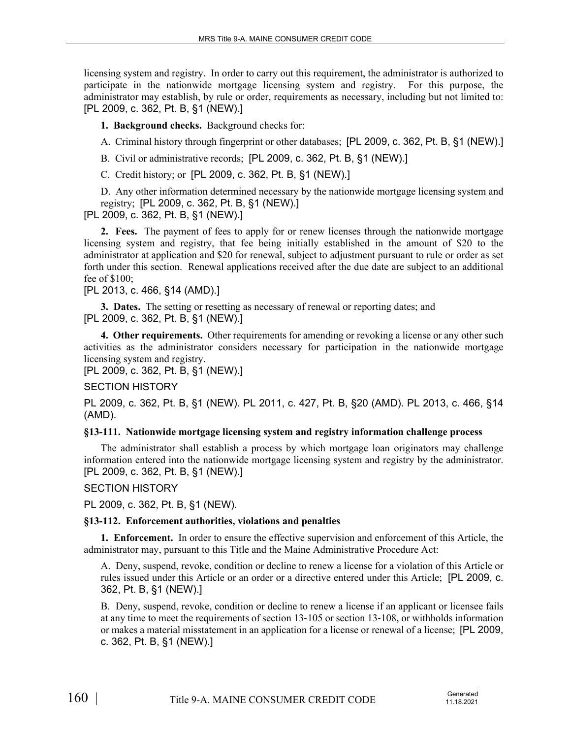licensing system and registry. In order to carry out this requirement, the administrator is authorized to participate in the nationwide mortgage licensing system and registry. For this purpose, the administrator may establish, by rule or order, requirements as necessary, including but not limited to: [PL 2009, c. 362, Pt. B, §1 (NEW).]

**1. Background checks.** Background checks for:

A. Criminal history through fingerprint or other databases; [PL 2009, c. 362, Pt. B, §1 (NEW).]

B. Civil or administrative records; [PL 2009, c. 362, Pt. B, §1 (NEW).]

C. Credit history; or [PL 2009, c. 362, Pt. B, §1 (NEW).]

D. Any other information determined necessary by the nationwide mortgage licensing system and registry; [PL 2009, c. 362, Pt. B, §1 (NEW).]

[PL 2009, c. 362, Pt. B, §1 (NEW).]

**2. Fees.** The payment of fees to apply for or renew licenses through the nationwide mortgage licensing system and registry, that fee being initially established in the amount of \$20 to the administrator at application and \$20 for renewal, subject to adjustment pursuant to rule or order as set forth under this section. Renewal applications received after the due date are subject to an additional fee of \$100;

[PL 2013, c. 466, §14 (AMD).]

**3. Dates.** The setting or resetting as necessary of renewal or reporting dates; and [PL 2009, c. 362, Pt. B, §1 (NEW).]

**4. Other requirements.** Other requirements for amending or revoking a license or any other such activities as the administrator considers necessary for participation in the nationwide mortgage licensing system and registry.

[PL 2009, c. 362, Pt. B, §1 (NEW).]

SECTION HISTORY

PL 2009, c. 362, Pt. B, §1 (NEW). PL 2011, c. 427, Pt. B, §20 (AMD). PL 2013, c. 466, §14 (AMD).

#### **§13-111. Nationwide mortgage licensing system and registry information challenge process**

The administrator shall establish a process by which mortgage loan originators may challenge information entered into the nationwide mortgage licensing system and registry by the administrator. [PL 2009, c. 362, Pt. B, §1 (NEW).]

SECTION HISTORY

PL 2009, c. 362, Pt. B, §1 (NEW).

#### **§13-112. Enforcement authorities, violations and penalties**

**1. Enforcement.** In order to ensure the effective supervision and enforcement of this Article, the administrator may, pursuant to this Title and the Maine Administrative Procedure Act:

A. Deny, suspend, revoke, condition or decline to renew a license for a violation of this Article or rules issued under this Article or an order or a directive entered under this Article; [PL 2009, c. 362, Pt. B, §1 (NEW).]

B. Deny, suspend, revoke, condition or decline to renew a license if an applicant or licensee fails at any time to meet the requirements of section 13‑105 or section 13‑108, or withholds information or makes a material misstatement in an application for a license or renewal of a license; [PL 2009, c. 362, Pt. B, §1 (NEW).]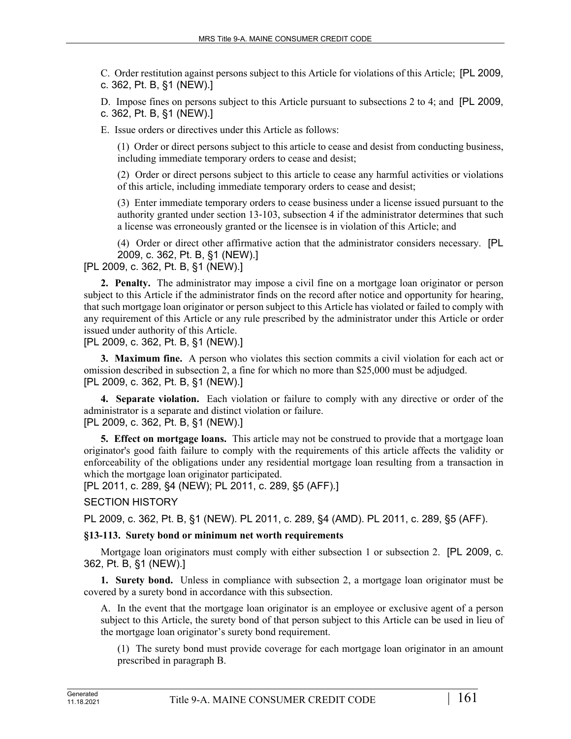C. Order restitution against persons subject to this Article for violations of this Article; [PL 2009, c. 362, Pt. B, §1 (NEW).]

D. Impose fines on persons subject to this Article pursuant to subsections 2 to 4; and [PL 2009, c. 362, Pt. B, §1 (NEW).]

E. Issue orders or directives under this Article as follows:

(1) Order or direct persons subject to this article to cease and desist from conducting business, including immediate temporary orders to cease and desist;

(2) Order or direct persons subject to this article to cease any harmful activities or violations of this article, including immediate temporary orders to cease and desist;

(3) Enter immediate temporary orders to cease business under a license issued pursuant to the authority granted under section 13‑103, subsection 4 if the administrator determines that such a license was erroneously granted or the licensee is in violation of this Article; and

(4) Order or direct other affirmative action that the administrator considers necessary. [PL 2009, c. 362, Pt. B, §1 (NEW).]

[PL 2009, c. 362, Pt. B, §1 (NEW).]

**2. Penalty.** The administrator may impose a civil fine on a mortgage loan originator or person subject to this Article if the administrator finds on the record after notice and opportunity for hearing, that such mortgage loan originator or person subject to this Article has violated or failed to comply with any requirement of this Article or any rule prescribed by the administrator under this Article or order issued under authority of this Article.

[PL 2009, c. 362, Pt. B, §1 (NEW).]

**3. Maximum fine.** A person who violates this section commits a civil violation for each act or omission described in subsection 2, a fine for which no more than \$25,000 must be adjudged. [PL 2009, c. 362, Pt. B, §1 (NEW).]

**4. Separate violation.** Each violation or failure to comply with any directive or order of the administrator is a separate and distinct violation or failure. [PL 2009, c. 362, Pt. B, §1 (NEW).]

**5. Effect on mortgage loans.** This article may not be construed to provide that a mortgage loan originator's good faith failure to comply with the requirements of this article affects the validity or enforceability of the obligations under any residential mortgage loan resulting from a transaction in which the mortgage loan originator participated.

[PL 2011, c. 289, §4 (NEW); PL 2011, c. 289, §5 (AFF).]

#### SECTION HISTORY

PL 2009, c. 362, Pt. B, §1 (NEW). PL 2011, c. 289, §4 (AMD). PL 2011, c. 289, §5 (AFF).

#### **§13-113. Surety bond or minimum net worth requirements**

Mortgage loan originators must comply with either subsection 1 or subsection 2. [PL 2009, c. 362, Pt. B, §1 (NEW).]

**1. Surety bond.** Unless in compliance with subsection 2, a mortgage loan originator must be covered by a surety bond in accordance with this subsection.

A. In the event that the mortgage loan originator is an employee or exclusive agent of a person subject to this Article, the surety bond of that person subject to this Article can be used in lieu of the mortgage loan originator's surety bond requirement.

(1) The surety bond must provide coverage for each mortgage loan originator in an amount prescribed in paragraph B.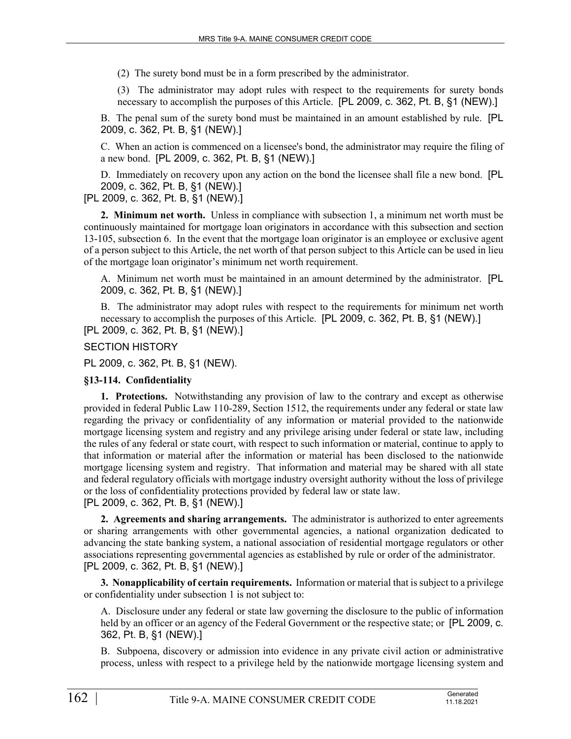(2) The surety bond must be in a form prescribed by the administrator.

(3) The administrator may adopt rules with respect to the requirements for surety bonds necessary to accomplish the purposes of this Article. [PL 2009, c. 362, Pt. B, §1 (NEW).]

B. The penal sum of the surety bond must be maintained in an amount established by rule. [PL 2009, c. 362, Pt. B, §1 (NEW).]

C. When an action is commenced on a licensee's bond, the administrator may require the filing of a new bond. [PL 2009, c. 362, Pt. B, §1 (NEW).]

D. Immediately on recovery upon any action on the bond the licensee shall file a new bond. [PL 2009, c. 362, Pt. B, §1 (NEW).]

[PL 2009, c. 362, Pt. B, §1 (NEW).]

**2. Minimum net worth.** Unless in compliance with subsection 1, a minimum net worth must be continuously maintained for mortgage loan originators in accordance with this subsection and section 13-105, subsection 6. In the event that the mortgage loan originator is an employee or exclusive agent of a person subject to this Article, the net worth of that person subject to this Article can be used in lieu of the mortgage loan originator's minimum net worth requirement.

A. Minimum net worth must be maintained in an amount determined by the administrator. [PL 2009, c. 362, Pt. B, §1 (NEW).]

B. The administrator may adopt rules with respect to the requirements for minimum net worth necessary to accomplish the purposes of this Article. [PL 2009, c. 362, Pt. B, §1 (NEW).] [PL 2009, c. 362, Pt. B, §1 (NEW).]

SECTION HISTORY

PL 2009, c. 362, Pt. B, §1 (NEW).

#### **§13-114. Confidentiality**

**1. Protections.** Notwithstanding any provision of law to the contrary and except as otherwise provided in federal Public Law 110-289, Section 1512, the requirements under any federal or state law regarding the privacy or confidentiality of any information or material provided to the nationwide mortgage licensing system and registry and any privilege arising under federal or state law, including the rules of any federal or state court, with respect to such information or material, continue to apply to that information or material after the information or material has been disclosed to the nationwide mortgage licensing system and registry. That information and material may be shared with all state and federal regulatory officials with mortgage industry oversight authority without the loss of privilege or the loss of confidentiality protections provided by federal law or state law. [PL 2009, c. 362, Pt. B, §1 (NEW).]

**2. Agreements and sharing arrangements.** The administrator is authorized to enter agreements or sharing arrangements with other governmental agencies, a national organization dedicated to advancing the state banking system, a national association of residential mortgage regulators or other associations representing governmental agencies as established by rule or order of the administrator. [PL 2009, c. 362, Pt. B, §1 (NEW).]

**3. Nonapplicability of certain requirements.** Information or material that is subject to a privilege or confidentiality under subsection 1 is not subject to:

A. Disclosure under any federal or state law governing the disclosure to the public of information held by an officer or an agency of the Federal Government or the respective state; or [PL 2009, c. 362, Pt. B, §1 (NEW).]

B. Subpoena, discovery or admission into evidence in any private civil action or administrative process, unless with respect to a privilege held by the nationwide mortgage licensing system and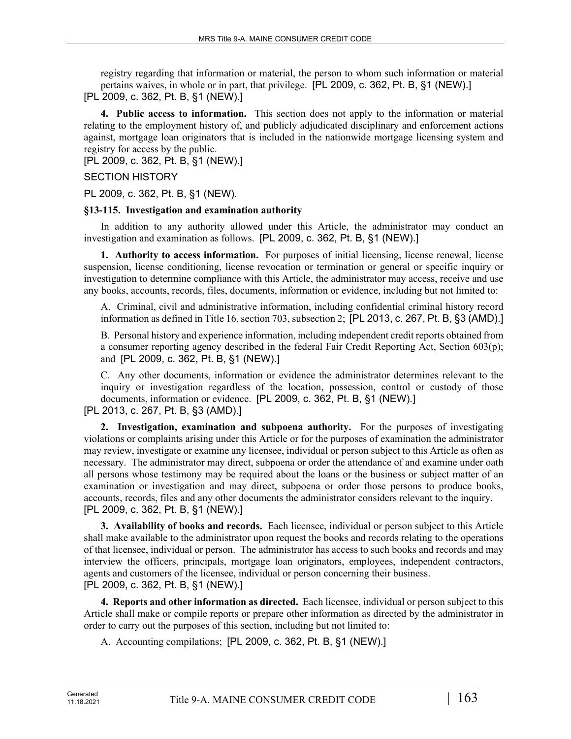registry regarding that information or material, the person to whom such information or material pertains waives, in whole or in part, that privilege. [PL 2009, c. 362, Pt. B, §1 (NEW).] [PL 2009, c. 362, Pt. B, §1 (NEW).]

**4. Public access to information.** This section does not apply to the information or material relating to the employment history of, and publicly adjudicated disciplinary and enforcement actions against, mortgage loan originators that is included in the nationwide mortgage licensing system and registry for access by the public.

[PL 2009, c. 362, Pt. B, §1 (NEW).]

### SECTION HISTORY

PL 2009, c. 362, Pt. B, §1 (NEW).

#### **§13-115. Investigation and examination authority**

In addition to any authority allowed under this Article, the administrator may conduct an investigation and examination as follows. [PL 2009, c. 362, Pt. B, §1 (NEW).]

**1. Authority to access information.** For purposes of initial licensing, license renewal, license suspension, license conditioning, license revocation or termination or general or specific inquiry or investigation to determine compliance with this Article, the administrator may access, receive and use any books, accounts, records, files, documents, information or evidence, including but not limited to:

A. Criminal, civil and administrative information, including confidential criminal history record information as defined in Title 16, section 703, subsection 2; [PL 2013, c. 267, Pt. B, §3 (AMD).]

B. Personal history and experience information, including independent credit reports obtained from a consumer reporting agency described in the federal Fair Credit Reporting Act, Section 603(p); and [PL 2009, c. 362, Pt. B, §1 (NEW).]

C. Any other documents, information or evidence the administrator determines relevant to the inquiry or investigation regardless of the location, possession, control or custody of those documents, information or evidence. [PL 2009, c. 362, Pt. B, §1 (NEW).]

[PL 2013, c. 267, Pt. B, §3 (AMD).]

**2. Investigation, examination and subpoena authority.** For the purposes of investigating violations or complaints arising under this Article or for the purposes of examination the administrator may review, investigate or examine any licensee, individual or person subject to this Article as often as necessary. The administrator may direct, subpoena or order the attendance of and examine under oath all persons whose testimony may be required about the loans or the business or subject matter of an examination or investigation and may direct, subpoena or order those persons to produce books, accounts, records, files and any other documents the administrator considers relevant to the inquiry. [PL 2009, c. 362, Pt. B, §1 (NEW).]

**3. Availability of books and records.** Each licensee, individual or person subject to this Article shall make available to the administrator upon request the books and records relating to the operations of that licensee, individual or person. The administrator has access to such books and records and may interview the officers, principals, mortgage loan originators, employees, independent contractors, agents and customers of the licensee, individual or person concerning their business. [PL 2009, c. 362, Pt. B, §1 (NEW).]

**4. Reports and other information as directed.** Each licensee, individual or person subject to this Article shall make or compile reports or prepare other information as directed by the administrator in order to carry out the purposes of this section, including but not limited to:

A. Accounting compilations; [PL 2009, c. 362, Pt. B, §1 (NEW).]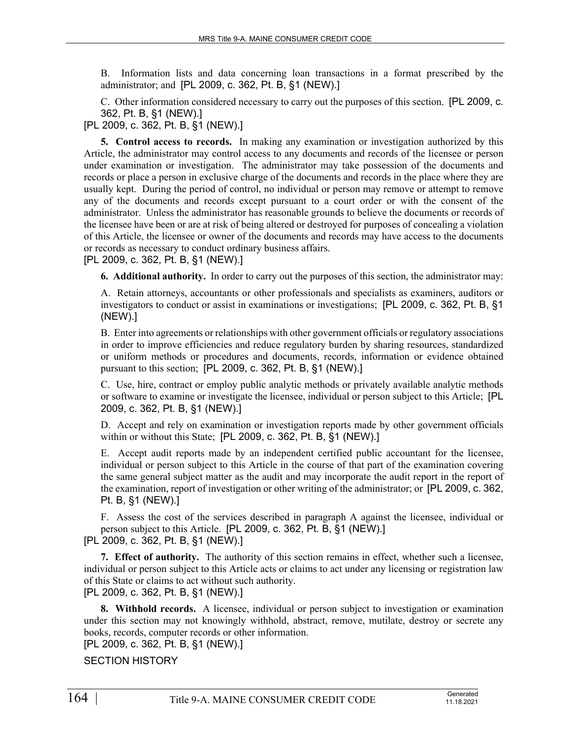B. Information lists and data concerning loan transactions in a format prescribed by the administrator; and [PL 2009, c. 362, Pt. B, §1 (NEW).]

C. Other information considered necessary to carry out the purposes of this section. [PL 2009, c. 362, Pt. B, §1 (NEW).]

[PL 2009, c. 362, Pt. B, §1 (NEW).]

**5. Control access to records.** In making any examination or investigation authorized by this Article, the administrator may control access to any documents and records of the licensee or person under examination or investigation. The administrator may take possession of the documents and records or place a person in exclusive charge of the documents and records in the place where they are usually kept. During the period of control, no individual or person may remove or attempt to remove any of the documents and records except pursuant to a court order or with the consent of the administrator. Unless the administrator has reasonable grounds to believe the documents or records of the licensee have been or are at risk of being altered or destroyed for purposes of concealing a violation of this Article, the licensee or owner of the documents and records may have access to the documents or records as necessary to conduct ordinary business affairs.

[PL 2009, c. 362, Pt. B, §1 (NEW).]

**6. Additional authority.** In order to carry out the purposes of this section, the administrator may:

A. Retain attorneys, accountants or other professionals and specialists as examiners, auditors or investigators to conduct or assist in examinations or investigations; [PL 2009, c. 362, Pt. B, §1 (NEW).]

B. Enter into agreements or relationships with other government officials or regulatory associations in order to improve efficiencies and reduce regulatory burden by sharing resources, standardized or uniform methods or procedures and documents, records, information or evidence obtained pursuant to this section; [PL 2009, c. 362, Pt. B, §1 (NEW).]

C. Use, hire, contract or employ public analytic methods or privately available analytic methods or software to examine or investigate the licensee, individual or person subject to this Article; [PL 2009, c. 362, Pt. B, §1 (NEW).]

D. Accept and rely on examination or investigation reports made by other government officials within or without this State; [PL 2009, c. 362, Pt. B, §1 (NEW).]

E. Accept audit reports made by an independent certified public accountant for the licensee, individual or person subject to this Article in the course of that part of the examination covering the same general subject matter as the audit and may incorporate the audit report in the report of the examination, report of investigation or other writing of the administrator; or [PL 2009, c. 362, Pt. B, §1 (NEW).]

F. Assess the cost of the services described in paragraph A against the licensee, individual or person subject to this Article. [PL 2009, c. 362, Pt. B, §1 (NEW).] [PL 2009, c. 362, Pt. B, §1 (NEW).]

**7. Effect of authority.** The authority of this section remains in effect, whether such a licensee, individual or person subject to this Article acts or claims to act under any licensing or registration law of this State or claims to act without such authority. [PL 2009, c. 362, Pt. B, §1 (NEW).]

**8. Withhold records.** A licensee, individual or person subject to investigation or examination under this section may not knowingly withhold, abstract, remove, mutilate, destroy or secrete any books, records, computer records or other information.

[PL 2009, c. 362, Pt. B, §1 (NEW).]

SECTION HISTORY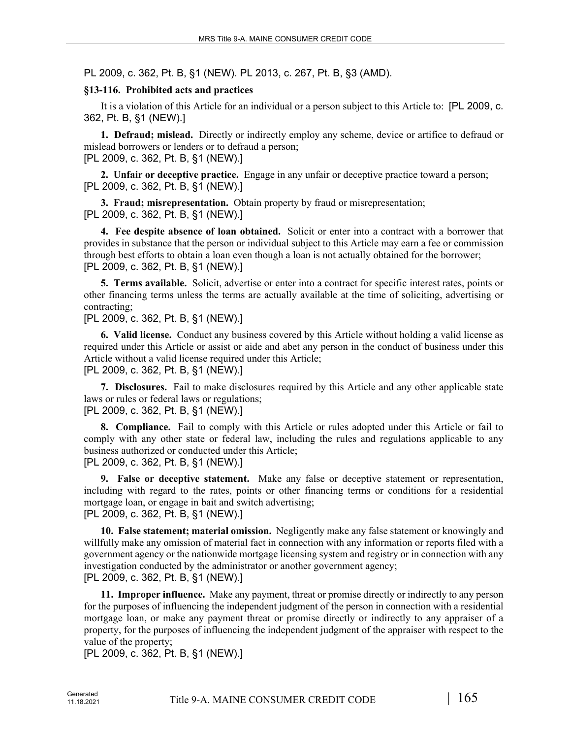PL 2009, c. 362, Pt. B, §1 (NEW). PL 2013, c. 267, Pt. B, §3 (AMD).

### **§13-116. Prohibited acts and practices**

It is a violation of this Article for an individual or a person subject to this Article to: [PL 2009, c. 362, Pt. B, §1 (NEW).]

**1. Defraud; mislead.** Directly or indirectly employ any scheme, device or artifice to defraud or mislead borrowers or lenders or to defraud a person; [PL 2009, c. 362, Pt. B, §1 (NEW).]

**2. Unfair or deceptive practice.** Engage in any unfair or deceptive practice toward a person; [PL 2009, c. 362, Pt. B, §1 (NEW).]

**3. Fraud; misrepresentation.** Obtain property by fraud or misrepresentation; [PL 2009, c. 362, Pt. B, §1 (NEW).]

**4. Fee despite absence of loan obtained.** Solicit or enter into a contract with a borrower that provides in substance that the person or individual subject to this Article may earn a fee or commission through best efforts to obtain a loan even though a loan is not actually obtained for the borrower; [PL 2009, c. 362, Pt. B, §1 (NEW).]

**5. Terms available.** Solicit, advertise or enter into a contract for specific interest rates, points or other financing terms unless the terms are actually available at the time of soliciting, advertising or contracting;

[PL 2009, c. 362, Pt. B, §1 (NEW).]

**6. Valid license.** Conduct any business covered by this Article without holding a valid license as required under this Article or assist or aide and abet any person in the conduct of business under this Article without a valid license required under this Article; [PL 2009, c. 362, Pt. B, §1 (NEW).]

**7. Disclosures.** Fail to make disclosures required by this Article and any other applicable state laws or rules or federal laws or regulations; [PL 2009, c. 362, Pt. B, §1 (NEW).]

**8. Compliance.** Fail to comply with this Article or rules adopted under this Article or fail to comply with any other state or federal law, including the rules and regulations applicable to any business authorized or conducted under this Article; [PL 2009, c. 362, Pt. B, §1 (NEW).]

**9. False or deceptive statement.** Make any false or deceptive statement or representation, including with regard to the rates, points or other financing terms or conditions for a residential mortgage loan, or engage in bait and switch advertising;

[PL 2009, c. 362, Pt. B, §1 (NEW).]

**10. False statement; material omission.** Negligently make any false statement or knowingly and willfully make any omission of material fact in connection with any information or reports filed with a government agency or the nationwide mortgage licensing system and registry or in connection with any investigation conducted by the administrator or another government agency; [PL 2009, c. 362, Pt. B, §1 (NEW).]

**11. Improper influence.** Make any payment, threat or promise directly or indirectly to any person for the purposes of influencing the independent judgment of the person in connection with a residential mortgage loan, or make any payment threat or promise directly or indirectly to any appraiser of a property, for the purposes of influencing the independent judgment of the appraiser with respect to the value of the property;

[PL 2009, c. 362, Pt. B, §1 (NEW).]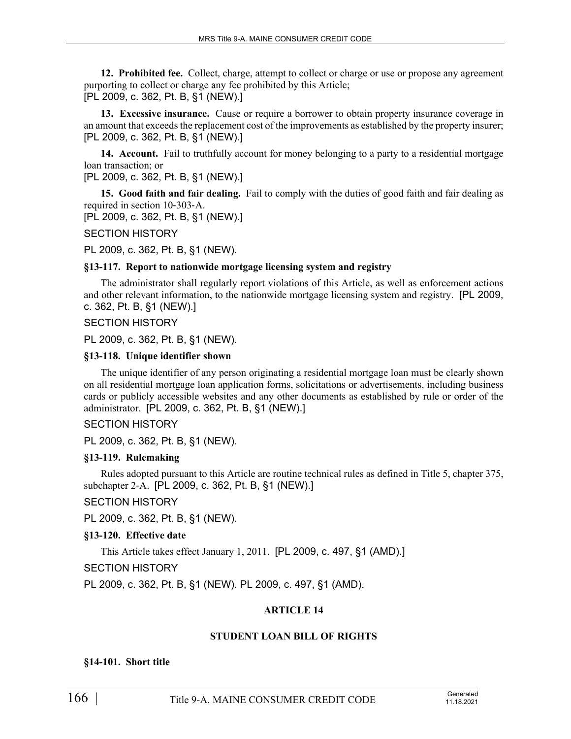**12. Prohibited fee.** Collect, charge, attempt to collect or charge or use or propose any agreement purporting to collect or charge any fee prohibited by this Article; [PL 2009, c. 362, Pt. B, §1 (NEW).]

**13. Excessive insurance.** Cause or require a borrower to obtain property insurance coverage in an amount that exceeds the replacement cost of the improvements as established by the property insurer; [PL 2009, c. 362, Pt. B, §1 (NEW).]

14. Account. Fail to truthfully account for money belonging to a party to a residential mortgage loan transaction; or

[PL 2009, c. 362, Pt. B, §1 (NEW).]

**15. Good faith and fair dealing.** Fail to comply with the duties of good faith and fair dealing as required in section 10‑303‑A.

[PL 2009, c. 362, Pt. B, §1 (NEW).]

SECTION HISTORY

PL 2009, c. 362, Pt. B, §1 (NEW).

#### **§13-117. Report to nationwide mortgage licensing system and registry**

The administrator shall regularly report violations of this Article, as well as enforcement actions and other relevant information, to the nationwide mortgage licensing system and registry. [PL 2009, c. 362, Pt. B, §1 (NEW).]

SECTION HISTORY

PL 2009, c. 362, Pt. B, §1 (NEW).

### **§13-118. Unique identifier shown**

The unique identifier of any person originating a residential mortgage loan must be clearly shown on all residential mortgage loan application forms, solicitations or advertisements, including business cards or publicly accessible websites and any other documents as established by rule or order of the administrator. [PL 2009, c. 362, Pt. B, §1 (NEW).]

# SECTION HISTORY

PL 2009, c. 362, Pt. B, §1 (NEW).

#### **§13-119. Rulemaking**

Rules adopted pursuant to this Article are routine technical rules as defined in Title 5, chapter 375, subchapter 2‑A. [PL 2009, c. 362, Pt. B, §1 (NEW).]

#### SECTION HISTORY

PL 2009, c. 362, Pt. B, §1 (NEW).

#### **§13-120. Effective date**

This Article takes effect January 1, 2011. [PL 2009, c. 497, §1 (AMD).]

#### SECTION HISTORY

PL 2009, c. 362, Pt. B, §1 (NEW). PL 2009, c. 497, §1 (AMD).

# **ARTICLE 14**

# **STUDENT LOAN BILL OF RIGHTS**

#### **§14-101. Short title**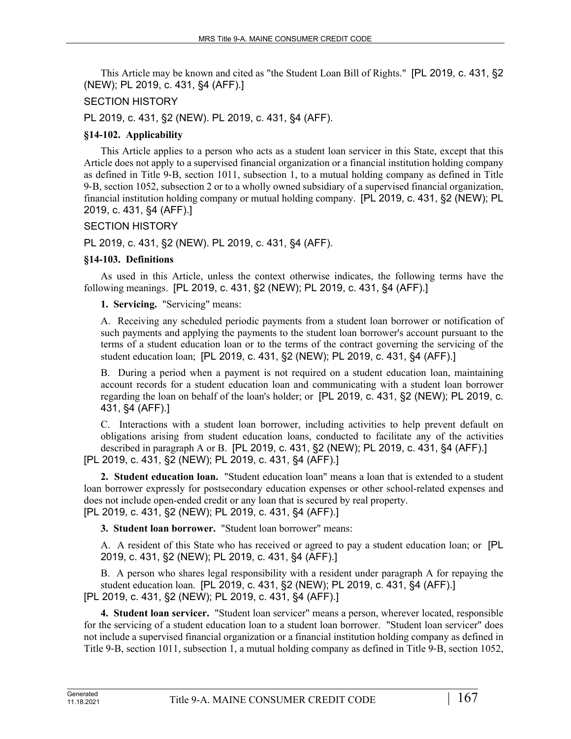This Article may be known and cited as "the Student Loan Bill of Rights." [PL 2019, c. 431, §2 (NEW); PL 2019, c. 431, §4 (AFF).]

### SECTION HISTORY

PL 2019, c. 431, §2 (NEW). PL 2019, c. 431, §4 (AFF).

### **§14-102. Applicability**

This Article applies to a person who acts as a student loan servicer in this State, except that this Article does not apply to a supervised financial organization or a financial institution holding company as defined in Title 9‑B, section 1011, subsection 1, to a mutual holding company as defined in Title 9‑B, section 1052, subsection 2 or to a wholly owned subsidiary of a supervised financial organization, financial institution holding company or mutual holding company. [PL 2019, c. 431, §2 (NEW); PL 2019, c. 431, §4 (AFF).]

### SECTION HISTORY

PL 2019, c. 431, §2 (NEW). PL 2019, c. 431, §4 (AFF).

### **§14-103. Definitions**

As used in this Article, unless the context otherwise indicates, the following terms have the following meanings. [PL 2019, c. 431, §2 (NEW); PL 2019, c. 431, §4 (AFF).]

**1. Servicing.** "Servicing" means:

A. Receiving any scheduled periodic payments from a student loan borrower or notification of such payments and applying the payments to the student loan borrower's account pursuant to the terms of a student education loan or to the terms of the contract governing the servicing of the student education loan; [PL 2019, c. 431, §2 (NEW); PL 2019, c. 431, §4 (AFF).]

B. During a period when a payment is not required on a student education loan, maintaining account records for a student education loan and communicating with a student loan borrower regarding the loan on behalf of the loan's holder; or [PL 2019, c. 431, §2 (NEW); PL 2019, c. 431, §4 (AFF).]

C. Interactions with a student loan borrower, including activities to help prevent default on obligations arising from student education loans, conducted to facilitate any of the activities described in paragraph A or B. [PL 2019, c. 431, §2 (NEW); PL 2019, c. 431, §4 (AFF).] [PL 2019, c. 431, §2 (NEW); PL 2019, c. 431, §4 (AFF).]

**2. Student education loan.** "Student education loan" means a loan that is extended to a student loan borrower expressly for postsecondary education expenses or other school-related expenses and does not include open-ended credit or any loan that is secured by real property. [PL 2019, c. 431, §2 (NEW); PL 2019, c. 431, §4 (AFF).]

**3. Student loan borrower.** "Student loan borrower" means:

A. A resident of this State who has received or agreed to pay a student education loan; or [PL 2019, c. 431, §2 (NEW); PL 2019, c. 431, §4 (AFF).]

B. A person who shares legal responsibility with a resident under paragraph A for repaying the student education loan. [PL 2019, c. 431, §2 (NEW); PL 2019, c. 431, §4 (AFF).] [PL 2019, c. 431, §2 (NEW); PL 2019, c. 431, §4 (AFF).]

**4. Student loan servicer.** "Student loan servicer" means a person, wherever located, responsible for the servicing of a student education loan to a student loan borrower. "Student loan servicer" does not include a supervised financial organization or a financial institution holding company as defined in Title 9‑B, section 1011, subsection 1, a mutual holding company as defined in Title 9‑B, section 1052,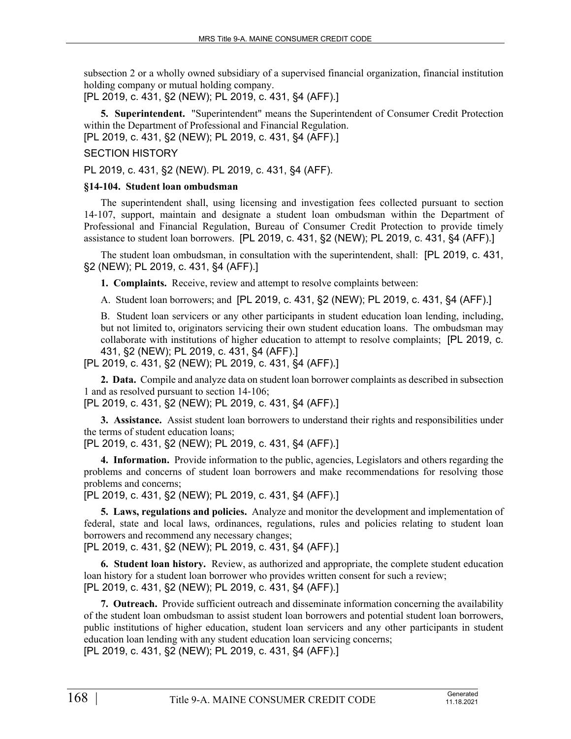subsection 2 or a wholly owned subsidiary of a supervised financial organization, financial institution holding company or mutual holding company.

[PL 2019, c. 431, §2 (NEW); PL 2019, c. 431, §4 (AFF).]

**5. Superintendent.** "Superintendent" means the Superintendent of Consumer Credit Protection within the Department of Professional and Financial Regulation.

[PL 2019, c. 431, §2 (NEW); PL 2019, c. 431, §4 (AFF).]

# SECTION HISTORY

PL 2019, c. 431, §2 (NEW). PL 2019, c. 431, §4 (AFF).

#### **§14-104. Student loan ombudsman**

The superintendent shall, using licensing and investigation fees collected pursuant to section 14‑107, support, maintain and designate a student loan ombudsman within the Department of Professional and Financial Regulation, Bureau of Consumer Credit Protection to provide timely assistance to student loan borrowers. [PL 2019, c. 431, §2 (NEW); PL 2019, c. 431, §4 (AFF).]

The student loan ombudsman, in consultation with the superintendent, shall: [PL 2019, c. 431, §2 (NEW); PL 2019, c. 431, §4 (AFF).]

**1. Complaints.** Receive, review and attempt to resolve complaints between:

A. Student loan borrowers; and [PL 2019, c. 431, §2 (NEW); PL 2019, c. 431, §4 (AFF).]

B. Student loan servicers or any other participants in student education loan lending, including, but not limited to, originators servicing their own student education loans. The ombudsman may collaborate with institutions of higher education to attempt to resolve complaints; [PL 2019, c. 431, §2 (NEW); PL 2019, c. 431, §4 (AFF).]

[PL 2019, c. 431, §2 (NEW); PL 2019, c. 431, §4 (AFF).]

**2. Data.** Compile and analyze data on student loan borrower complaints as described in subsection 1 and as resolved pursuant to section 14‑106;

[PL 2019, c. 431, §2 (NEW); PL 2019, c. 431, §4 (AFF).]

**3. Assistance.** Assist student loan borrowers to understand their rights and responsibilities under the terms of student education loans;

[PL 2019, c. 431, §2 (NEW); PL 2019, c. 431, §4 (AFF).]

**4. Information.** Provide information to the public, agencies, Legislators and others regarding the problems and concerns of student loan borrowers and make recommendations for resolving those problems and concerns;

[PL 2019, c. 431, §2 (NEW); PL 2019, c. 431, §4 (AFF).]

**5. Laws, regulations and policies.** Analyze and monitor the development and implementation of federal, state and local laws, ordinances, regulations, rules and policies relating to student loan borrowers and recommend any necessary changes;

[PL 2019, c. 431, §2 (NEW); PL 2019, c. 431, §4 (AFF).]

**6. Student loan history.** Review, as authorized and appropriate, the complete student education loan history for a student loan borrower who provides written consent for such a review; [PL 2019, c. 431, §2 (NEW); PL 2019, c. 431, §4 (AFF).]

**7. Outreach.** Provide sufficient outreach and disseminate information concerning the availability of the student loan ombudsman to assist student loan borrowers and potential student loan borrowers, public institutions of higher education, student loan servicers and any other participants in student education loan lending with any student education loan servicing concerns;

[PL 2019, c. 431, §2 (NEW); PL 2019, c. 431, §4 (AFF).]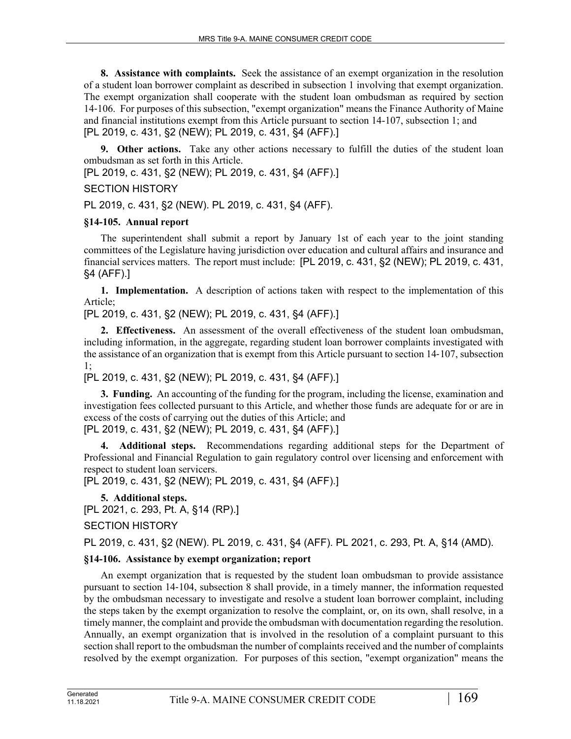**8. Assistance with complaints.** Seek the assistance of an exempt organization in the resolution of a student loan borrower complaint as described in subsection 1 involving that exempt organization. The exempt organization shall cooperate with the student loan ombudsman as required by section 14‑106. For purposes of this subsection, "exempt organization" means the Finance Authority of Maine and financial institutions exempt from this Article pursuant to section 14-107, subsection 1; and [PL 2019, c. 431, §2 (NEW); PL 2019, c. 431, §4 (AFF).]

**9. Other actions.** Take any other actions necessary to fulfill the duties of the student loan ombudsman as set forth in this Article.

[PL 2019, c. 431, §2 (NEW); PL 2019, c. 431, §4 (AFF).]

SECTION HISTORY

PL 2019, c. 431, §2 (NEW). PL 2019, c. 431, §4 (AFF).

# **§14-105. Annual report**

The superintendent shall submit a report by January 1st of each year to the joint standing committees of the Legislature having jurisdiction over education and cultural affairs and insurance and financial services matters. The report must include: [PL 2019, c. 431, §2 (NEW); PL 2019, c. 431, §4 (AFF).]

**1. Implementation.** A description of actions taken with respect to the implementation of this Article;

[PL 2019, c. 431, §2 (NEW); PL 2019, c. 431, §4 (AFF).]

**2. Effectiveness.** An assessment of the overall effectiveness of the student loan ombudsman, including information, in the aggregate, regarding student loan borrower complaints investigated with the assistance of an organization that is exempt from this Article pursuant to section 14‑107, subsection 1;

# [PL 2019, c. 431, §2 (NEW); PL 2019, c. 431, §4 (AFF).]

**3. Funding.** An accounting of the funding for the program, including the license, examination and investigation fees collected pursuant to this Article, and whether those funds are adequate for or are in excess of the costs of carrying out the duties of this Article; and [PL 2019, c. 431, §2 (NEW); PL 2019, c. 431, §4 (AFF).]

**4. Additional steps.** Recommendations regarding additional steps for the Department of Professional and Financial Regulation to gain regulatory control over licensing and enforcement with respect to student loan servicers.

[PL 2019, c. 431, §2 (NEW); PL 2019, c. 431, §4 (AFF).]

**5. Additional steps.** 

[PL 2021, c. 293, Pt. A, §14 (RP).]

# SECTION HISTORY

PL 2019, c. 431, §2 (NEW). PL 2019, c. 431, §4 (AFF). PL 2021, c. 293, Pt. A, §14 (AMD).

# **§14-106. Assistance by exempt organization; report**

An exempt organization that is requested by the student loan ombudsman to provide assistance pursuant to section 14‑104, subsection 8 shall provide, in a timely manner, the information requested by the ombudsman necessary to investigate and resolve a student loan borrower complaint, including the steps taken by the exempt organization to resolve the complaint, or, on its own, shall resolve, in a timely manner, the complaint and provide the ombudsman with documentation regarding the resolution. Annually, an exempt organization that is involved in the resolution of a complaint pursuant to this section shall report to the ombudsman the number of complaints received and the number of complaints resolved by the exempt organization. For purposes of this section, "exempt organization" means the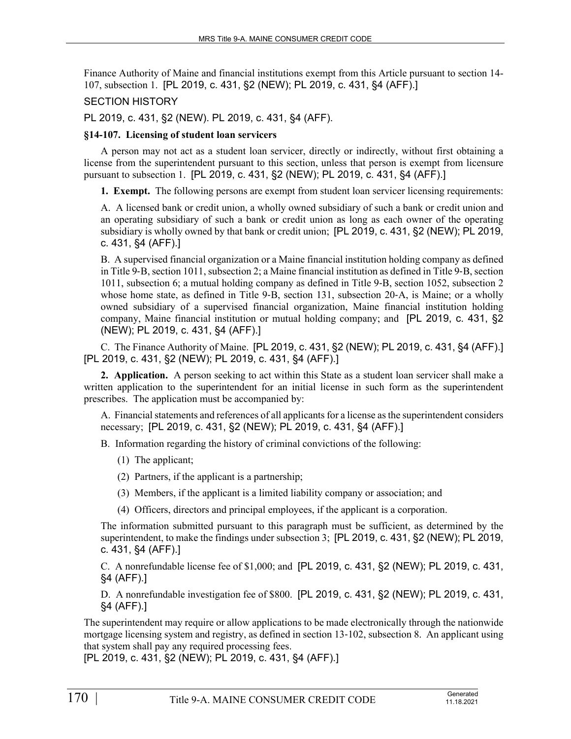Finance Authority of Maine and financial institutions exempt from this Article pursuant to section 14- 107, subsection 1. [PL 2019, c. 431, §2 (NEW); PL 2019, c. 431, §4 (AFF).]

### SECTION HISTORY

PL 2019, c. 431, §2 (NEW). PL 2019, c. 431, §4 (AFF).

### **§14-107. Licensing of student loan servicers**

A person may not act as a student loan servicer, directly or indirectly, without first obtaining a license from the superintendent pursuant to this section, unless that person is exempt from licensure pursuant to subsection 1. [PL 2019, c. 431, §2 (NEW); PL 2019, c. 431, §4 (AFF).]

**1. Exempt.** The following persons are exempt from student loan servicer licensing requirements:

A. A licensed bank or credit union, a wholly owned subsidiary of such a bank or credit union and an operating subsidiary of such a bank or credit union as long as each owner of the operating subsidiary is wholly owned by that bank or credit union; [PL 2019, c. 431, §2 (NEW); PL 2019, c. 431, §4 (AFF).]

B. A supervised financial organization or a Maine financial institution holding company as defined in Title 9‑B, section 1011, subsection 2; a Maine financial institution as defined in Title 9‑B, section 1011, subsection 6; a mutual holding company as defined in Title 9‑B, section 1052, subsection 2 whose home state, as defined in Title 9-B, section 131, subsection 20-A, is Maine; or a wholly owned subsidiary of a supervised financial organization, Maine financial institution holding company, Maine financial institution or mutual holding company; and [PL 2019, c. 431, §2 (NEW); PL 2019, c. 431, §4 (AFF).]

C. The Finance Authority of Maine. [PL 2019, c. 431, §2 (NEW); PL 2019, c. 431, §4 (AFF).] [PL 2019, c. 431, §2 (NEW); PL 2019, c. 431, §4 (AFF).]

**2. Application.** A person seeking to act within this State as a student loan servicer shall make a written application to the superintendent for an initial license in such form as the superintendent prescribes. The application must be accompanied by:

A. Financial statements and references of all applicants for a license as the superintendent considers necessary; [PL 2019, c. 431, §2 (NEW); PL 2019, c. 431, §4 (AFF).]

B. Information regarding the history of criminal convictions of the following:

- (1) The applicant;
- (2) Partners, if the applicant is a partnership;
- (3) Members, if the applicant is a limited liability company or association; and
- (4) Officers, directors and principal employees, if the applicant is a corporation.

The information submitted pursuant to this paragraph must be sufficient, as determined by the superintendent, to make the findings under subsection 3; [PL 2019, c. 431, §2 (NEW); PL 2019, c. 431, §4 (AFF).]

C. A nonrefundable license fee of \$1,000; and [PL 2019, c. 431, §2 (NEW); PL 2019, c. 431, §4 (AFF).]

D. A nonrefundable investigation fee of \$800. [PL 2019, c. 431, §2 (NEW); PL 2019, c. 431, §4 (AFF).]

The superintendent may require or allow applications to be made electronically through the nationwide mortgage licensing system and registry, as defined in section 13‑102, subsection 8. An applicant using that system shall pay any required processing fees.

[PL 2019, c. 431, §2 (NEW); PL 2019, c. 431, §4 (AFF).]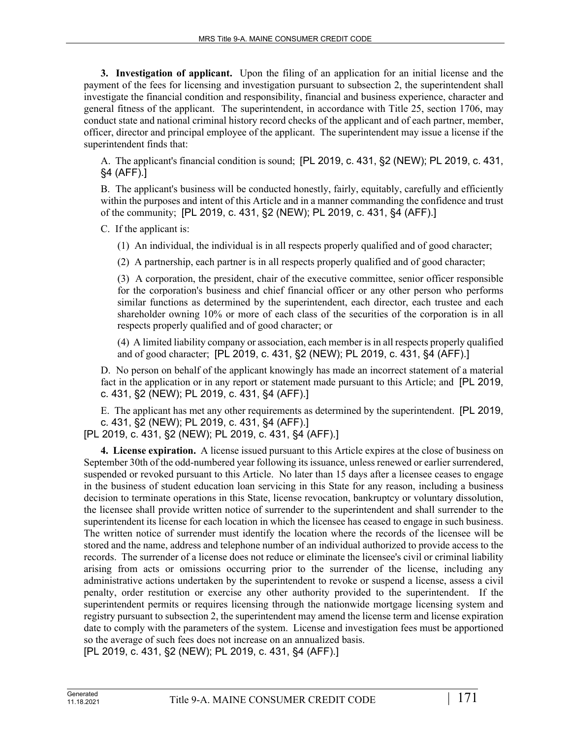**3. Investigation of applicant.** Upon the filing of an application for an initial license and the payment of the fees for licensing and investigation pursuant to subsection 2, the superintendent shall investigate the financial condition and responsibility, financial and business experience, character and general fitness of the applicant. The superintendent, in accordance with Title 25, section 1706, may conduct state and national criminal history record checks of the applicant and of each partner, member, officer, director and principal employee of the applicant. The superintendent may issue a license if the superintendent finds that:

A. The applicant's financial condition is sound; [PL 2019, c. 431, §2 (NEW); PL 2019, c. 431, §4 (AFF).]

B. The applicant's business will be conducted honestly, fairly, equitably, carefully and efficiently within the purposes and intent of this Article and in a manner commanding the confidence and trust of the community; [PL 2019, c. 431, §2 (NEW); PL 2019, c. 431, §4 (AFF).]

C. If the applicant is:

(1) An individual, the individual is in all respects properly qualified and of good character;

(2) A partnership, each partner is in all respects properly qualified and of good character;

(3) A corporation, the president, chair of the executive committee, senior officer responsible for the corporation's business and chief financial officer or any other person who performs similar functions as determined by the superintendent, each director, each trustee and each shareholder owning 10% or more of each class of the securities of the corporation is in all respects properly qualified and of good character; or

(4) A limited liability company or association, each member is in all respects properly qualified and of good character; [PL 2019, c. 431, §2 (NEW); PL 2019, c. 431, §4 (AFF).]

D. No person on behalf of the applicant knowingly has made an incorrect statement of a material fact in the application or in any report or statement made pursuant to this Article; and [PL 2019, c. 431, §2 (NEW); PL 2019, c. 431, §4 (AFF).]

E. The applicant has met any other requirements as determined by the superintendent. [PL 2019, c. 431, §2 (NEW); PL 2019, c. 431, §4 (AFF).]

[PL 2019, c. 431, §2 (NEW); PL 2019, c. 431, §4 (AFF).]

**4. License expiration.** A license issued pursuant to this Article expires at the close of business on September 30th of the odd-numbered year following its issuance, unless renewed or earlier surrendered, suspended or revoked pursuant to this Article. No later than 15 days after a licensee ceases to engage in the business of student education loan servicing in this State for any reason, including a business decision to terminate operations in this State, license revocation, bankruptcy or voluntary dissolution, the licensee shall provide written notice of surrender to the superintendent and shall surrender to the superintendent its license for each location in which the licensee has ceased to engage in such business. The written notice of surrender must identify the location where the records of the licensee will be stored and the name, address and telephone number of an individual authorized to provide access to the records. The surrender of a license does not reduce or eliminate the licensee's civil or criminal liability arising from acts or omissions occurring prior to the surrender of the license, including any administrative actions undertaken by the superintendent to revoke or suspend a license, assess a civil penalty, order restitution or exercise any other authority provided to the superintendent. If the superintendent permits or requires licensing through the nationwide mortgage licensing system and registry pursuant to subsection 2, the superintendent may amend the license term and license expiration date to comply with the parameters of the system. License and investigation fees must be apportioned so the average of such fees does not increase on an annualized basis.

[PL 2019, c. 431, §2 (NEW); PL 2019, c. 431, §4 (AFF).]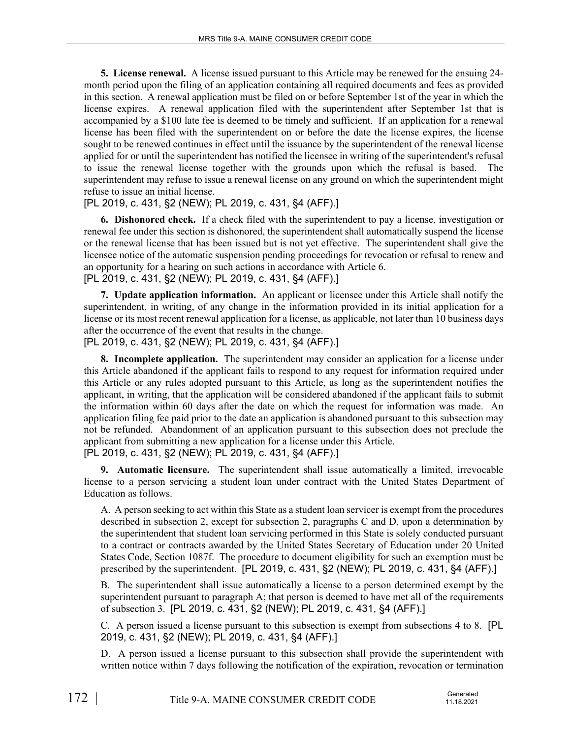**5. License renewal.** A license issued pursuant to this Article may be renewed for the ensuing 24 month period upon the filing of an application containing all required documents and fees as provided in this section. A renewal application must be filed on or before September 1st of the year in which the license expires. A renewal application filed with the superintendent after September 1st that is accompanied by a \$100 late fee is deemed to be timely and sufficient. If an application for a renewal license has been filed with the superintendent on or before the date the license expires, the license sought to be renewed continues in effect until the issuance by the superintendent of the renewal license applied for or until the superintendent has notified the licensee in writing of the superintendent's refusal to issue the renewal license together with the grounds upon which the refusal is based. The superintendent may refuse to issue a renewal license on any ground on which the superintendent might refuse to issue an initial license.

[PL 2019, c. 431, §2 (NEW); PL 2019, c. 431, §4 (AFF).]

**6. Dishonored check.** If a check filed with the superintendent to pay a license, investigation or renewal fee under this section is dishonored, the superintendent shall automatically suspend the license or the renewal license that has been issued but is not yet effective. The superintendent shall give the licensee notice of the automatic suspension pending proceedings for revocation or refusal to renew and an opportunity for a hearing on such actions in accordance with Article 6. [PL 2019, c. 431, §2 (NEW); PL 2019, c. 431, §4 (AFF).]

**7. Update application information.** An applicant or licensee under this Article shall notify the superintendent, in writing, of any change in the information provided in its initial application for a license or its most recent renewal application for a license, as applicable, not later than 10 business days after the occurrence of the event that results in the change.

[PL 2019, c. 431, §2 (NEW); PL 2019, c. 431, §4 (AFF).]

**8. Incomplete application.** The superintendent may consider an application for a license under this Article abandoned if the applicant fails to respond to any request for information required under this Article or any rules adopted pursuant to this Article, as long as the superintendent notifies the applicant, in writing, that the application will be considered abandoned if the applicant fails to submit the information within 60 days after the date on which the request for information was made. An application filing fee paid prior to the date an application is abandoned pursuant to this subsection may not be refunded. Abandonment of an application pursuant to this subsection does not preclude the applicant from submitting a new application for a license under this Article.

[PL 2019, c. 431, §2 (NEW); PL 2019, c. 431, §4 (AFF).]

**9. Automatic licensure.** The superintendent shall issue automatically a limited, irrevocable license to a person servicing a student loan under contract with the United States Department of Education as follows.

A. A person seeking to act within this State as a student loan servicer is exempt from the procedures described in subsection 2, except for subsection 2, paragraphs C and D, upon a determination by the superintendent that student loan servicing performed in this State is solely conducted pursuant to a contract or contracts awarded by the United States Secretary of Education under 20 United States Code, Section 1087f. The procedure to document eligibility for such an exemption must be prescribed by the superintendent. [PL 2019, c. 431, §2 (NEW); PL 2019, c. 431, §4 (AFF).]

B. The superintendent shall issue automatically a license to a person determined exempt by the superintendent pursuant to paragraph A; that person is deemed to have met all of the requirements of subsection 3. [PL 2019, c. 431, §2 (NEW); PL 2019, c. 431, §4 (AFF).]

C. A person issued a license pursuant to this subsection is exempt from subsections 4 to 8. [PL 2019, c. 431, §2 (NEW); PL 2019, c. 431, §4 (AFF).]

D. A person issued a license pursuant to this subsection shall provide the superintendent with written notice within 7 days following the notification of the expiration, revocation or termination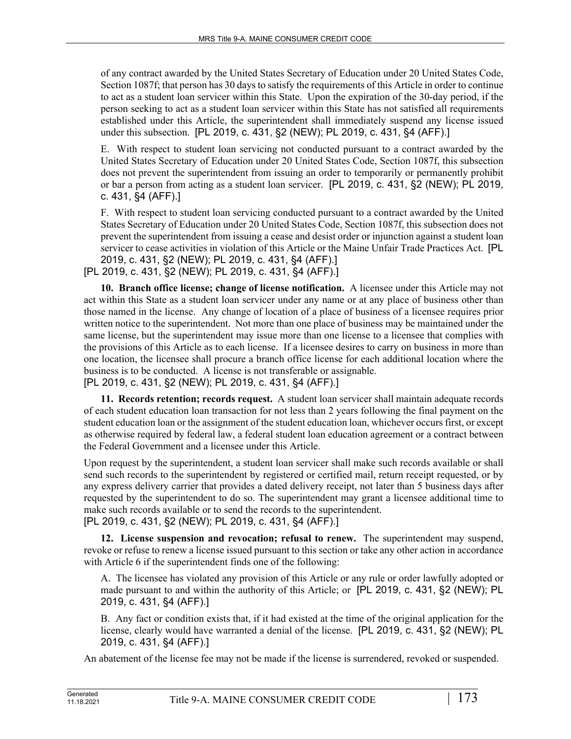of any contract awarded by the United States Secretary of Education under 20 United States Code, Section 1087f; that person has 30 days to satisfy the requirements of this Article in order to continue to act as a student loan servicer within this State. Upon the expiration of the 30-day period, if the person seeking to act as a student loan servicer within this State has not satisfied all requirements established under this Article, the superintendent shall immediately suspend any license issued under this subsection. [PL 2019, c. 431, §2 (NEW); PL 2019, c. 431, §4 (AFF).]

E. With respect to student loan servicing not conducted pursuant to a contract awarded by the United States Secretary of Education under 20 United States Code, Section 1087f, this subsection does not prevent the superintendent from issuing an order to temporarily or permanently prohibit or bar a person from acting as a student loan servicer. [PL 2019, c. 431, §2 (NEW); PL 2019, c. 431, §4 (AFF).]

F. With respect to student loan servicing conducted pursuant to a contract awarded by the United States Secretary of Education under 20 United States Code, Section 1087f, this subsection does not prevent the superintendent from issuing a cease and desist order or injunction against a student loan servicer to cease activities in violation of this Article or the Maine Unfair Trade Practices Act. [PL 2019, c. 431, §2 (NEW); PL 2019, c. 431, §4 (AFF).]

[PL 2019, c. 431, §2 (NEW); PL 2019, c. 431, §4 (AFF).]

**10. Branch office license; change of license notification.** A licensee under this Article may not act within this State as a student loan servicer under any name or at any place of business other than those named in the license. Any change of location of a place of business of a licensee requires prior written notice to the superintendent. Not more than one place of business may be maintained under the same license, but the superintendent may issue more than one license to a licensee that complies with the provisions of this Article as to each license. If a licensee desires to carry on business in more than one location, the licensee shall procure a branch office license for each additional location where the business is to be conducted. A license is not transferable or assignable. [PL 2019, c. 431, §2 (NEW); PL 2019, c. 431, §4 (AFF).]

**11. Records retention; records request.** A student loan servicer shall maintain adequate records

of each student education loan transaction for not less than 2 years following the final payment on the student education loan or the assignment of the student education loan, whichever occurs first, or except as otherwise required by federal law, a federal student loan education agreement or a contract between the Federal Government and a licensee under this Article.

Upon request by the superintendent, a student loan servicer shall make such records available or shall send such records to the superintendent by registered or certified mail, return receipt requested, or by any express delivery carrier that provides a dated delivery receipt, not later than 5 business days after requested by the superintendent to do so. The superintendent may grant a licensee additional time to make such records available or to send the records to the superintendent. [PL 2019, c. 431, §2 (NEW); PL 2019, c. 431, §4 (AFF).]

**12. License suspension and revocation; refusal to renew.** The superintendent may suspend, revoke or refuse to renew a license issued pursuant to this section or take any other action in accordance with Article 6 if the superintendent finds one of the following:

A. The licensee has violated any provision of this Article or any rule or order lawfully adopted or made pursuant to and within the authority of this Article; or [PL 2019, c. 431, §2 (NEW); PL 2019, c. 431, §4 (AFF).]

B. Any fact or condition exists that, if it had existed at the time of the original application for the license, clearly would have warranted a denial of the license. [PL 2019, c. 431, §2 (NEW); PL 2019, c. 431, §4 (AFF).]

An abatement of the license fee may not be made if the license is surrendered, revoked or suspended.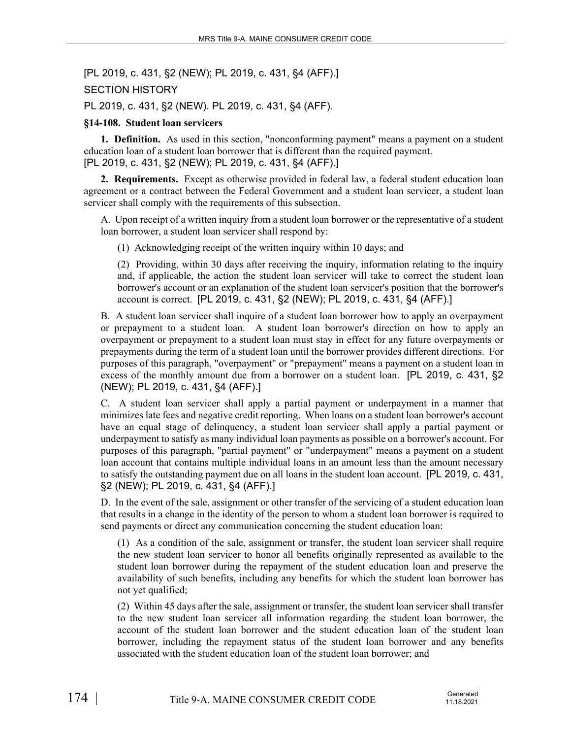[PL 2019, c. 431, §2 (NEW); PL 2019, c. 431, §4 (AFF).] SECTION HISTORY PL 2019, c. 431, §2 (NEW). PL 2019, c. 431, §4 (AFF).

#### **§14-108. Student loan servicers**

**1. Definition.** As used in this section, "nonconforming payment" means a payment on a student education loan of a student loan borrower that is different than the required payment. [PL 2019, c. 431, §2 (NEW); PL 2019, c. 431, §4 (AFF).]

**2. Requirements.** Except as otherwise provided in federal law, a federal student education loan agreement or a contract between the Federal Government and a student loan servicer, a student loan servicer shall comply with the requirements of this subsection.

A. Upon receipt of a written inquiry from a student loan borrower or the representative of a student loan borrower, a student loan servicer shall respond by:

(1) Acknowledging receipt of the written inquiry within 10 days; and

(2) Providing, within 30 days after receiving the inquiry, information relating to the inquiry and, if applicable, the action the student loan servicer will take to correct the student loan borrower's account or an explanation of the student loan servicer's position that the borrower's account is correct. [PL 2019, c. 431, §2 (NEW); PL 2019, c. 431, §4 (AFF).]

B. A student loan servicer shall inquire of a student loan borrower how to apply an overpayment or prepayment to a student loan. A student loan borrower's direction on how to apply an overpayment or prepayment to a student loan must stay in effect for any future overpayments or prepayments during the term of a student loan until the borrower provides different directions. For purposes of this paragraph, "overpayment" or "prepayment" means a payment on a student loan in excess of the monthly amount due from a borrower on a student loan. [PL 2019, c. 431, §2 (NEW); PL 2019, c. 431, §4 (AFF).]

C. A student loan servicer shall apply a partial payment or underpayment in a manner that minimizes late fees and negative credit reporting. When loans on a student loan borrower's account have an equal stage of delinquency, a student loan servicer shall apply a partial payment or underpayment to satisfy as many individual loan payments as possible on a borrower's account. For purposes of this paragraph, "partial payment" or "underpayment" means a payment on a student loan account that contains multiple individual loans in an amount less than the amount necessary to satisfy the outstanding payment due on all loans in the student loan account. [PL 2019, c. 431, §2 (NEW); PL 2019, c. 431, §4 (AFF).]

D. In the event of the sale, assignment or other transfer of the servicing of a student education loan that results in a change in the identity of the person to whom a student loan borrower is required to send payments or direct any communication concerning the student education loan:

(1) As a condition of the sale, assignment or transfer, the student loan servicer shall require the new student loan servicer to honor all benefits originally represented as available to the student loan borrower during the repayment of the student education loan and preserve the availability of such benefits, including any benefits for which the student loan borrower has not yet qualified;

(2) Within 45 days after the sale, assignment or transfer, the student loan servicer shall transfer to the new student loan servicer all information regarding the student loan borrower, the account of the student loan borrower and the student education loan of the student loan borrower, including the repayment status of the student loan borrower and any benefits associated with the student education loan of the student loan borrower; and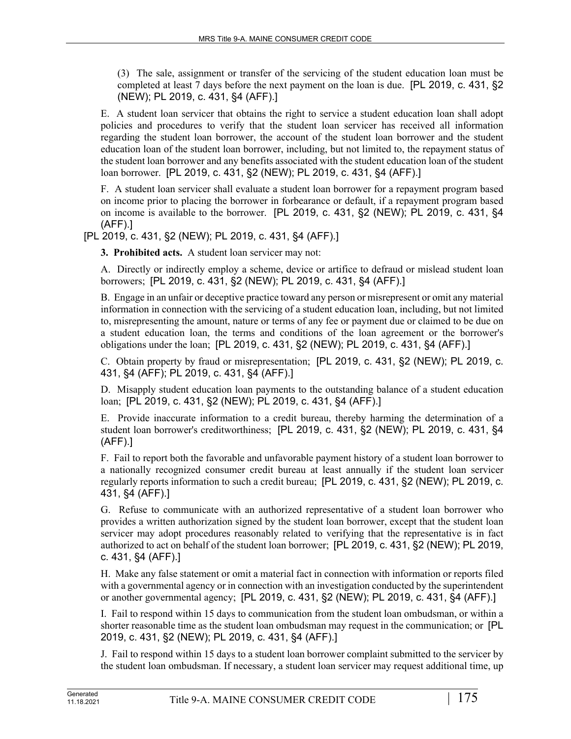(3) The sale, assignment or transfer of the servicing of the student education loan must be completed at least 7 days before the next payment on the loan is due. [PL 2019, c. 431, §2 (NEW); PL 2019, c. 431, §4 (AFF).]

E. A student loan servicer that obtains the right to service a student education loan shall adopt policies and procedures to verify that the student loan servicer has received all information regarding the student loan borrower, the account of the student loan borrower and the student education loan of the student loan borrower, including, but not limited to, the repayment status of the student loan borrower and any benefits associated with the student education loan of the student loan borrower. [PL 2019, c. 431, §2 (NEW); PL 2019, c. 431, §4 (AFF).]

F. A student loan servicer shall evaluate a student loan borrower for a repayment program based on income prior to placing the borrower in forbearance or default, if a repayment program based on income is available to the borrower. [PL 2019, c. 431, §2 (NEW); PL 2019, c. 431, §4 (AFF).]

[PL 2019, c. 431, §2 (NEW); PL 2019, c. 431, §4 (AFF).]

**3. Prohibited acts.** A student loan servicer may not:

A. Directly or indirectly employ a scheme, device or artifice to defraud or mislead student loan borrowers; [PL 2019, c. 431, §2 (NEW); PL 2019, c. 431, §4 (AFF).]

B. Engage in an unfair or deceptive practice toward any person or misrepresent or omit any material information in connection with the servicing of a student education loan, including, but not limited to, misrepresenting the amount, nature or terms of any fee or payment due or claimed to be due on a student education loan, the terms and conditions of the loan agreement or the borrower's obligations under the loan; [PL 2019, c. 431, §2 (NEW); PL 2019, c. 431, §4 (AFF).]

C. Obtain property by fraud or misrepresentation; [PL 2019, c. 431, §2 (NEW); PL 2019, c. 431, §4 (AFF); PL 2019, c. 431, §4 (AFF).]

D. Misapply student education loan payments to the outstanding balance of a student education loan; [PL 2019, c. 431, §2 (NEW); PL 2019, c. 431, §4 (AFF).]

E. Provide inaccurate information to a credit bureau, thereby harming the determination of a student loan borrower's creditworthiness; [PL 2019, c. 431, §2 (NEW); PL 2019, c. 431, §4 (AFF).]

F. Fail to report both the favorable and unfavorable payment history of a student loan borrower to a nationally recognized consumer credit bureau at least annually if the student loan servicer regularly reports information to such a credit bureau; [PL 2019, c. 431, §2 (NEW); PL 2019, c. 431, §4 (AFF).]

G. Refuse to communicate with an authorized representative of a student loan borrower who provides a written authorization signed by the student loan borrower, except that the student loan servicer may adopt procedures reasonably related to verifying that the representative is in fact authorized to act on behalf of the student loan borrower; [PL 2019, c. 431, §2 (NEW); PL 2019, c. 431, §4 (AFF).]

H. Make any false statement or omit a material fact in connection with information or reports filed with a governmental agency or in connection with an investigation conducted by the superintendent or another governmental agency; [PL 2019, c. 431, §2 (NEW); PL 2019, c. 431, §4 (AFF).]

I. Fail to respond within 15 days to communication from the student loan ombudsman, or within a shorter reasonable time as the student loan ombudsman may request in the communication; or [PL 2019, c. 431, §2 (NEW); PL 2019, c. 431, §4 (AFF).]

J. Fail to respond within 15 days to a student loan borrower complaint submitted to the servicer by the student loan ombudsman. If necessary, a student loan servicer may request additional time, up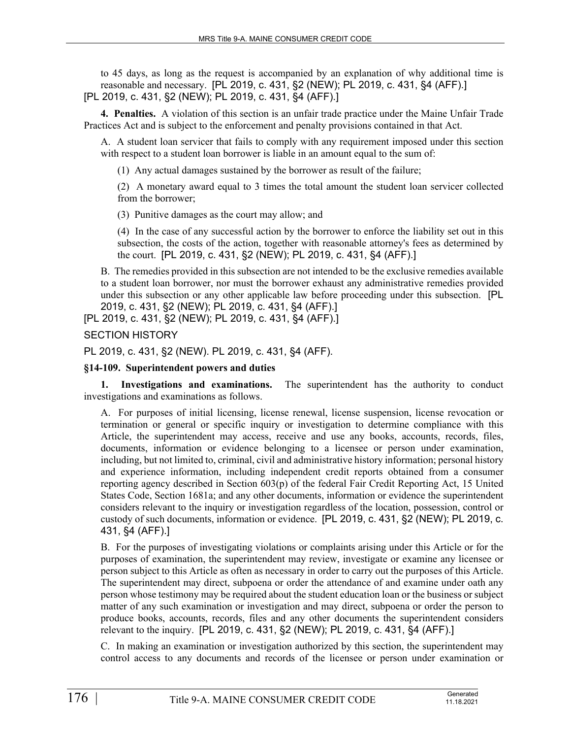to 45 days, as long as the request is accompanied by an explanation of why additional time is reasonable and necessary. [PL 2019, c. 431, §2 (NEW); PL 2019, c. 431, §4 (AFF).] [PL 2019, c. 431, §2 (NEW); PL 2019, c. 431, §4 (AFF).]

**4. Penalties.** A violation of this section is an unfair trade practice under the Maine Unfair Trade Practices Act and is subject to the enforcement and penalty provisions contained in that Act.

A. A student loan servicer that fails to comply with any requirement imposed under this section with respect to a student loan borrower is liable in an amount equal to the sum of:

(1) Any actual damages sustained by the borrower as result of the failure;

(2) A monetary award equal to 3 times the total amount the student loan servicer collected from the borrower;

(3) Punitive damages as the court may allow; and

(4) In the case of any successful action by the borrower to enforce the liability set out in this subsection, the costs of the action, together with reasonable attorney's fees as determined by the court. [PL 2019, c. 431, §2 (NEW); PL 2019, c. 431, §4 (AFF).]

B. The remedies provided in this subsection are not intended to be the exclusive remedies available to a student loan borrower, nor must the borrower exhaust any administrative remedies provided under this subsection or any other applicable law before proceeding under this subsection. [PL 2019, c. 431, §2 (NEW); PL 2019, c. 431, §4 (AFF).]

[PL 2019, c. 431, §2 (NEW); PL 2019, c. 431, §4 (AFF).]

SECTION HISTORY

PL 2019, c. 431, §2 (NEW). PL 2019, c. 431, §4 (AFF).

### **§14-109. Superintendent powers and duties**

**1. Investigations and examinations.** The superintendent has the authority to conduct investigations and examinations as follows.

A. For purposes of initial licensing, license renewal, license suspension, license revocation or termination or general or specific inquiry or investigation to determine compliance with this Article, the superintendent may access, receive and use any books, accounts, records, files, documents, information or evidence belonging to a licensee or person under examination, including, but not limited to, criminal, civil and administrative history information; personal history and experience information, including independent credit reports obtained from a consumer reporting agency described in Section 603(p) of the federal Fair Credit Reporting Act, 15 United States Code, Section 1681a; and any other documents, information or evidence the superintendent considers relevant to the inquiry or investigation regardless of the location, possession, control or custody of such documents, information or evidence. [PL 2019, c. 431, §2 (NEW); PL 2019, c. 431, §4 (AFF).]

B. For the purposes of investigating violations or complaints arising under this Article or for the purposes of examination, the superintendent may review, investigate or examine any licensee or person subject to this Article as often as necessary in order to carry out the purposes of this Article. The superintendent may direct, subpoena or order the attendance of and examine under oath any person whose testimony may be required about the student education loan or the business or subject matter of any such examination or investigation and may direct, subpoena or order the person to produce books, accounts, records, files and any other documents the superintendent considers relevant to the inquiry. [PL 2019, c. 431, §2 (NEW); PL 2019, c. 431, §4 (AFF).]

C. In making an examination or investigation authorized by this section, the superintendent may control access to any documents and records of the licensee or person under examination or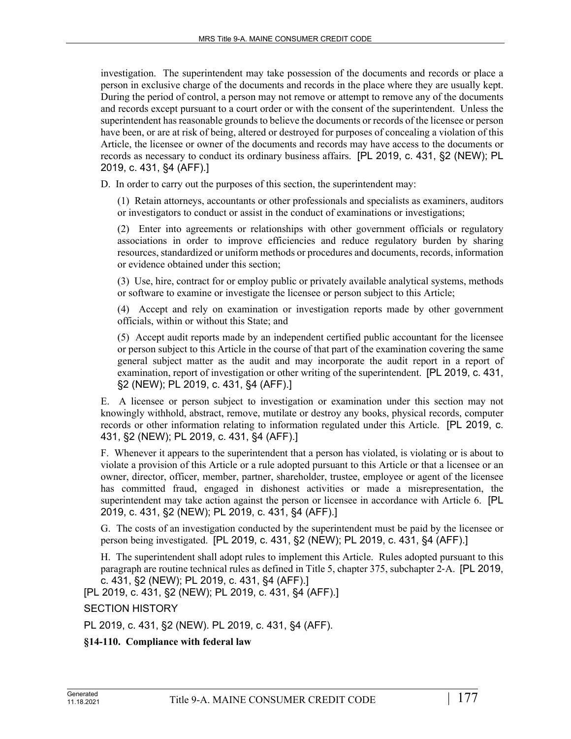investigation. The superintendent may take possession of the documents and records or place a person in exclusive charge of the documents and records in the place where they are usually kept. During the period of control, a person may not remove or attempt to remove any of the documents and records except pursuant to a court order or with the consent of the superintendent. Unless the superintendent has reasonable grounds to believe the documents or records of the licensee or person have been, or are at risk of being, altered or destroyed for purposes of concealing a violation of this Article, the licensee or owner of the documents and records may have access to the documents or records as necessary to conduct its ordinary business affairs. [PL 2019, c. 431, §2 (NEW); PL 2019, c. 431, §4 (AFF).]

D. In order to carry out the purposes of this section, the superintendent may:

(1) Retain attorneys, accountants or other professionals and specialists as examiners, auditors or investigators to conduct or assist in the conduct of examinations or investigations;

(2) Enter into agreements or relationships with other government officials or regulatory associations in order to improve efficiencies and reduce regulatory burden by sharing resources, standardized or uniform methods or procedures and documents, records, information or evidence obtained under this section;

(3) Use, hire, contract for or employ public or privately available analytical systems, methods or software to examine or investigate the licensee or person subject to this Article;

(4) Accept and rely on examination or investigation reports made by other government officials, within or without this State; and

(5) Accept audit reports made by an independent certified public accountant for the licensee or person subject to this Article in the course of that part of the examination covering the same general subject matter as the audit and may incorporate the audit report in a report of examination, report of investigation or other writing of the superintendent. [PL 2019, c. 431, §2 (NEW); PL 2019, c. 431, §4 (AFF).]

E. A licensee or person subject to investigation or examination under this section may not knowingly withhold, abstract, remove, mutilate or destroy any books, physical records, computer records or other information relating to information regulated under this Article. [PL 2019, c. 431, §2 (NEW); PL 2019, c. 431, §4 (AFF).]

F. Whenever it appears to the superintendent that a person has violated, is violating or is about to violate a provision of this Article or a rule adopted pursuant to this Article or that a licensee or an owner, director, officer, member, partner, shareholder, trustee, employee or agent of the licensee has committed fraud, engaged in dishonest activities or made a misrepresentation, the superintendent may take action against the person or licensee in accordance with Article 6. [PL 2019, c. 431, §2 (NEW); PL 2019, c. 431, §4 (AFF).]

G. The costs of an investigation conducted by the superintendent must be paid by the licensee or person being investigated. [PL 2019, c. 431, §2 (NEW); PL 2019, c. 431, §4 (AFF).]

H. The superintendent shall adopt rules to implement this Article. Rules adopted pursuant to this paragraph are routine technical rules as defined in Title 5, chapter 375, subchapter 2‑A. [PL 2019, c. 431, §2 (NEW); PL 2019, c. 431, §4 (AFF).]

[PL 2019, c. 431, §2 (NEW); PL 2019, c. 431, §4 (AFF).]

SECTION HISTORY

PL 2019, c. 431, §2 (NEW). PL 2019, c. 431, §4 (AFF).

# **§14-110. Compliance with federal law**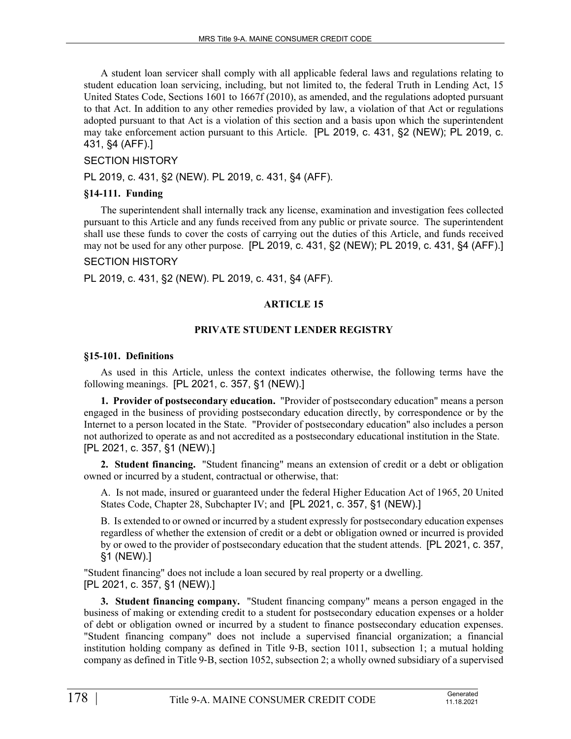A student loan servicer shall comply with all applicable federal laws and regulations relating to student education loan servicing, including, but not limited to, the federal Truth in Lending Act, 15 United States Code, Sections 1601 to 1667f (2010), as amended, and the regulations adopted pursuant to that Act. In addition to any other remedies provided by law, a violation of that Act or regulations adopted pursuant to that Act is a violation of this section and a basis upon which the superintendent may take enforcement action pursuant to this Article. [PL 2019, c. 431, §2 (NEW); PL 2019, c. 431, §4 (AFF).]

# SECTION HISTORY

PL 2019, c. 431, §2 (NEW). PL 2019, c. 431, §4 (AFF).

#### **§14-111. Funding**

The superintendent shall internally track any license, examination and investigation fees collected pursuant to this Article and any funds received from any public or private source. The superintendent shall use these funds to cover the costs of carrying out the duties of this Article, and funds received may not be used for any other purpose. [PL 2019, c. 431, §2 (NEW); PL 2019, c. 431, §4 (AFF).]

# SECTION HISTORY

PL 2019, c. 431, §2 (NEW). PL 2019, c. 431, §4 (AFF).

#### **ARTICLE 15**

#### **PRIVATE STUDENT LENDER REGISTRY**

#### **§15-101. Definitions**

As used in this Article, unless the context indicates otherwise, the following terms have the following meanings. [PL 2021, c. 357, §1 (NEW).]

**1. Provider of postsecondary education.** "Provider of postsecondary education" means a person engaged in the business of providing postsecondary education directly, by correspondence or by the Internet to a person located in the State. "Provider of postsecondary education" also includes a person not authorized to operate as and not accredited as a postsecondary educational institution in the State. [PL 2021, c. 357, §1 (NEW).]

**2. Student financing.** "Student financing" means an extension of credit or a debt or obligation owned or incurred by a student, contractual or otherwise, that:

A. Is not made, insured or guaranteed under the federal Higher Education Act of 1965, 20 United States Code, Chapter 28, Subchapter IV; and [PL 2021, c. 357, §1 (NEW).]

B. Is extended to or owned or incurred by a student expressly for postsecondary education expenses regardless of whether the extension of credit or a debt or obligation owned or incurred is provided by or owed to the provider of postsecondary education that the student attends. [PL 2021, c. 357, §1 (NEW).]

"Student financing" does not include a loan secured by real property or a dwelling. [PL 2021, c. 357, §1 (NEW).]

**3. Student financing company.** "Student financing company" means a person engaged in the business of making or extending credit to a student for postsecondary education expenses or a holder of debt or obligation owned or incurred by a student to finance postsecondary education expenses. "Student financing company" does not include a supervised financial organization; a financial institution holding company as defined in Title 9–B, section 1011, subsection 1; a mutual holding company as defined in Title 9‑B, section 1052, subsection 2; a wholly owned subsidiary of a supervised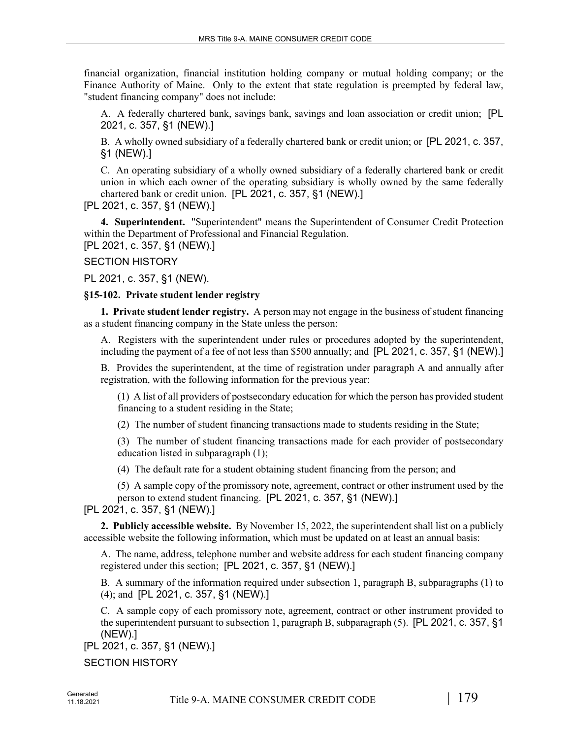financial organization, financial institution holding company or mutual holding company; or the Finance Authority of Maine. Only to the extent that state regulation is preempted by federal law, "student financing company" does not include:

A. A federally chartered bank, savings bank, savings and loan association or credit union; [PL 2021, c. 357, §1 (NEW).]

B. A wholly owned subsidiary of a federally chartered bank or credit union; or [PL 2021, c. 357, §1 (NEW).]

C. An operating subsidiary of a wholly owned subsidiary of a federally chartered bank or credit union in which each owner of the operating subsidiary is wholly owned by the same federally chartered bank or credit union. [PL 2021, c. 357, §1 (NEW).]

[PL 2021, c. 357, §1 (NEW).]

**4. Superintendent.** "Superintendent" means the Superintendent of Consumer Credit Protection within the Department of Professional and Financial Regulation.

[PL 2021, c. 357, §1 (NEW).]

SECTION HISTORY

PL 2021, c. 357, §1 (NEW).

#### **§15-102. Private student lender registry**

**1. Private student lender registry.** A person may not engage in the business of student financing as a student financing company in the State unless the person:

A. Registers with the superintendent under rules or procedures adopted by the superintendent, including the payment of a fee of not less than \$500 annually; and [PL 2021, c. 357, §1 (NEW).]

B. Provides the superintendent, at the time of registration under paragraph A and annually after registration, with the following information for the previous year:

(1) A list of all providers of postsecondary education for which the person has provided student financing to a student residing in the State;

(2) The number of student financing transactions made to students residing in the State;

(3) The number of student financing transactions made for each provider of postsecondary education listed in subparagraph (1);

(4) The default rate for a student obtaining student financing from the person; and

(5) A sample copy of the promissory note, agreement, contract or other instrument used by the person to extend student financing. [PL 2021, c. 357, §1 (NEW).]

[PL 2021, c. 357, §1 (NEW).]

**2. Publicly accessible website.** By November 15, 2022, the superintendent shall list on a publicly accessible website the following information, which must be updated on at least an annual basis:

A. The name, address, telephone number and website address for each student financing company registered under this section; [PL 2021, c. 357, §1 (NEW).]

B. A summary of the information required under subsection 1, paragraph B, subparagraphs (1) to (4); and [PL 2021, c. 357, §1 (NEW).]

C. A sample copy of each promissory note, agreement, contract or other instrument provided to the superintendent pursuant to subsection 1, paragraph B, subparagraph (5). [PL 2021, c. 357, §1 (NEW).]

[PL 2021, c. 357, §1 (NEW).]

SECTION HISTORY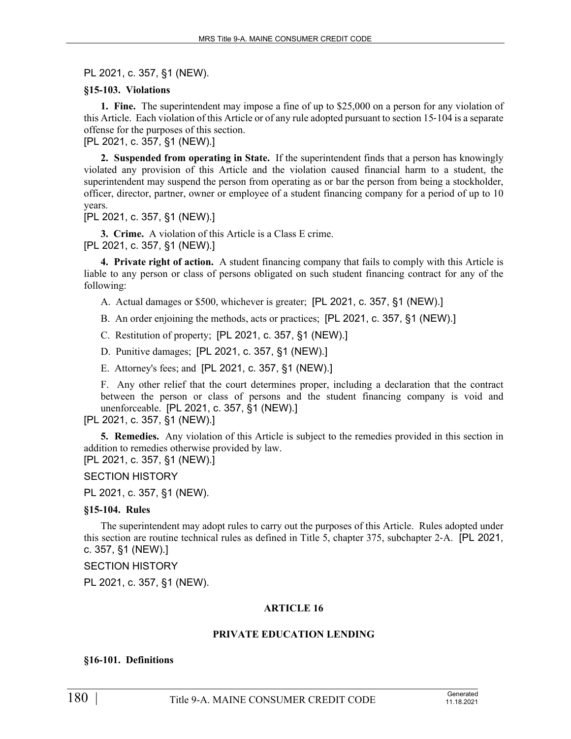PL 2021, c. 357, §1 (NEW).

### **§15-103. Violations**

**1. Fine.** The superintendent may impose a fine of up to \$25,000 on a person for any violation of this Article. Each violation of this Article or of any rule adopted pursuant to section 15‑104 is a separate offense for the purposes of this section.

[PL 2021, c. 357, §1 (NEW).]

**2. Suspended from operating in State.** If the superintendent finds that a person has knowingly violated any provision of this Article and the violation caused financial harm to a student, the superintendent may suspend the person from operating as or bar the person from being a stockholder, officer, director, partner, owner or employee of a student financing company for a period of up to 10 years.

[PL 2021, c. 357, §1 (NEW).]

**3. Crime.** A violation of this Article is a Class E crime. [PL 2021, c. 357, §1 (NEW).]

**4. Private right of action.** A student financing company that fails to comply with this Article is liable to any person or class of persons obligated on such student financing contract for any of the following:

- A. Actual damages or \$500, whichever is greater; [PL 2021, c. 357, §1 (NEW).]
- B. An order enjoining the methods, acts or practices; [PL 2021, c. 357, §1 (NEW).]
- C. Restitution of property; [PL 2021, c. 357, §1 (NEW).]
- D. Punitive damages; [PL 2021, c. 357, §1 (NEW).]
- E. Attorney's fees; and [PL 2021, c. 357, §1 (NEW).]

F. Any other relief that the court determines proper, including a declaration that the contract between the person or class of persons and the student financing company is void and unenforceable. [PL 2021, c. 357, §1 (NEW).]

[PL 2021, c. 357, §1 (NEW).]

**5. Remedies.** Any violation of this Article is subject to the remedies provided in this section in addition to remedies otherwise provided by law.

[PL 2021, c. 357, §1 (NEW).]

SECTION HISTORY

PL 2021, c. 357, §1 (NEW).

#### **§15-104. Rules**

The superintendent may adopt rules to carry out the purposes of this Article. Rules adopted under this section are routine technical rules as defined in Title 5, chapter 375, subchapter 2‑A. [PL 2021, c. 357, §1 (NEW).]

SECTION HISTORY

PL 2021, c. 357, §1 (NEW).

# **ARTICLE 16**

# **PRIVATE EDUCATION LENDING**

#### **§16-101. Definitions**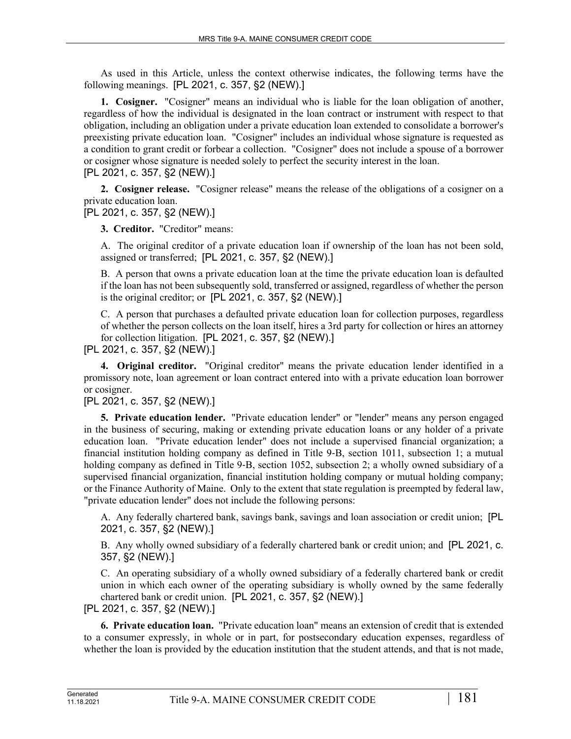As used in this Article, unless the context otherwise indicates, the following terms have the following meanings. [PL 2021, c. 357, §2 (NEW).]

**1. Cosigner.** "Cosigner" means an individual who is liable for the loan obligation of another, regardless of how the individual is designated in the loan contract or instrument with respect to that obligation, including an obligation under a private education loan extended to consolidate a borrower's preexisting private education loan. "Cosigner" includes an individual whose signature is requested as a condition to grant credit or forbear a collection. "Cosigner" does not include a spouse of a borrower or cosigner whose signature is needed solely to perfect the security interest in the loan. [PL 2021, c. 357, §2 (NEW).]

**2. Cosigner release.** "Cosigner release" means the release of the obligations of a cosigner on a private education loan.

[PL 2021, c. 357, §2 (NEW).]

**3. Creditor.** "Creditor" means:

A. The original creditor of a private education loan if ownership of the loan has not been sold, assigned or transferred; [PL 2021, c. 357, §2 (NEW).]

B. A person that owns a private education loan at the time the private education loan is defaulted if the loan has not been subsequently sold, transferred or assigned, regardless of whether the person is the original creditor; or [PL 2021, c. 357, §2 (NEW).]

C. A person that purchases a defaulted private education loan for collection purposes, regardless of whether the person collects on the loan itself, hires a 3rd party for collection or hires an attorney for collection litigation. [PL 2021, c. 357, §2 (NEW).]

[PL 2021, c. 357, §2 (NEW).]

**4. Original creditor.** "Original creditor" means the private education lender identified in a promissory note, loan agreement or loan contract entered into with a private education loan borrower or cosigner.

[PL 2021, c. 357, §2 (NEW).]

**5. Private education lender.** "Private education lender" or "lender" means any person engaged in the business of securing, making or extending private education loans or any holder of a private education loan. "Private education lender" does not include a supervised financial organization; a financial institution holding company as defined in Title 9-B, section 1011, subsection 1; a mutual holding company as defined in Title 9-B, section 1052, subsection 2; a wholly owned subsidiary of a supervised financial organization, financial institution holding company or mutual holding company; or the Finance Authority of Maine. Only to the extent that state regulation is preempted by federal law, "private education lender" does not include the following persons:

A. Any federally chartered bank, savings bank, savings and loan association or credit union; [PL 2021, c. 357, §2 (NEW).]

B. Any wholly owned subsidiary of a federally chartered bank or credit union; and [PL 2021, c. 357, §2 (NEW).]

C. An operating subsidiary of a wholly owned subsidiary of a federally chartered bank or credit union in which each owner of the operating subsidiary is wholly owned by the same federally chartered bank or credit union. [PL 2021, c. 357, §2 (NEW).]

[PL 2021, c. 357, §2 (NEW).]

**6. Private education loan.** "Private education loan" means an extension of credit that is extended to a consumer expressly, in whole or in part, for postsecondary education expenses, regardless of whether the loan is provided by the education institution that the student attends, and that is not made,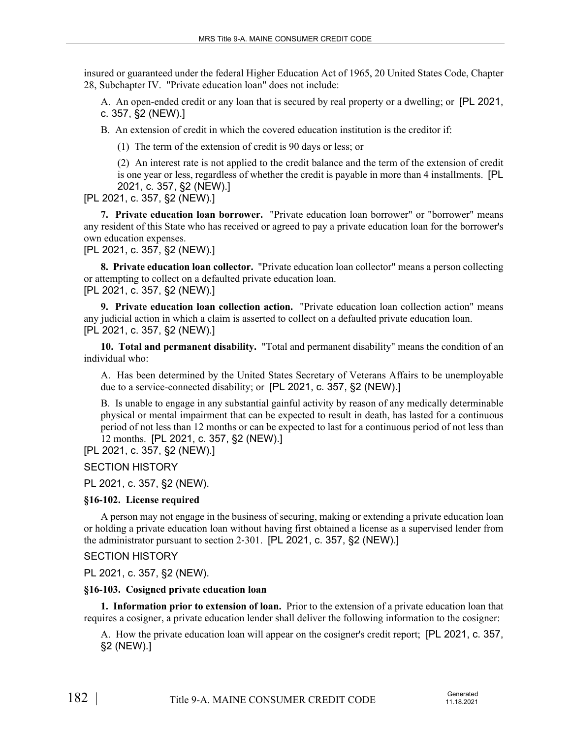insured or guaranteed under the federal Higher Education Act of 1965, 20 United States Code, Chapter 28, Subchapter IV. "Private education loan" does not include:

A. An open-ended credit or any loan that is secured by real property or a dwelling; or [PL 2021, c. 357, §2 (NEW).]

B. An extension of credit in which the covered education institution is the creditor if:

(1) The term of the extension of credit is 90 days or less; or

(2) An interest rate is not applied to the credit balance and the term of the extension of credit is one year or less, regardless of whether the credit is payable in more than 4 installments. [PL 2021, c. 357, §2 (NEW).]

[PL 2021, c. 357, §2 (NEW).]

**7. Private education loan borrower.** "Private education loan borrower" or "borrower" means any resident of this State who has received or agreed to pay a private education loan for the borrower's own education expenses.

[PL 2021, c. 357, §2 (NEW).]

**8. Private education loan collector.** "Private education loan collector" means a person collecting or attempting to collect on a defaulted private education loan. [PL 2021, c. 357, §2 (NEW).]

**9. Private education loan collection action.** "Private education loan collection action" means any judicial action in which a claim is asserted to collect on a defaulted private education loan. [PL 2021, c. 357, §2 (NEW).]

**10. Total and permanent disability.** "Total and permanent disability" means the condition of an individual who:

A. Has been determined by the United States Secretary of Veterans Affairs to be unemployable due to a service-connected disability; or [PL 2021, c. 357, §2 (NEW).]

B. Is unable to engage in any substantial gainful activity by reason of any medically determinable physical or mental impairment that can be expected to result in death, has lasted for a continuous period of not less than 12 months or can be expected to last for a continuous period of not less than 12 months. [PL 2021, c. 357, §2 (NEW).]

[PL 2021, c. 357, §2 (NEW).]

SECTION HISTORY

PL 2021, c. 357, §2 (NEW).

#### **§16-102. License required**

A person may not engage in the business of securing, making or extending a private education loan or holding a private education loan without having first obtained a license as a supervised lender from the administrator pursuant to section 2‑301. [PL 2021, c. 357, §2 (NEW).]

SECTION HISTORY

PL 2021, c. 357, §2 (NEW).

## **§16-103. Cosigned private education loan**

**1. Information prior to extension of loan.** Prior to the extension of a private education loan that requires a cosigner, a private education lender shall deliver the following information to the cosigner:

A. How the private education loan will appear on the cosigner's credit report; [PL 2021, c. 357, §2 (NEW).]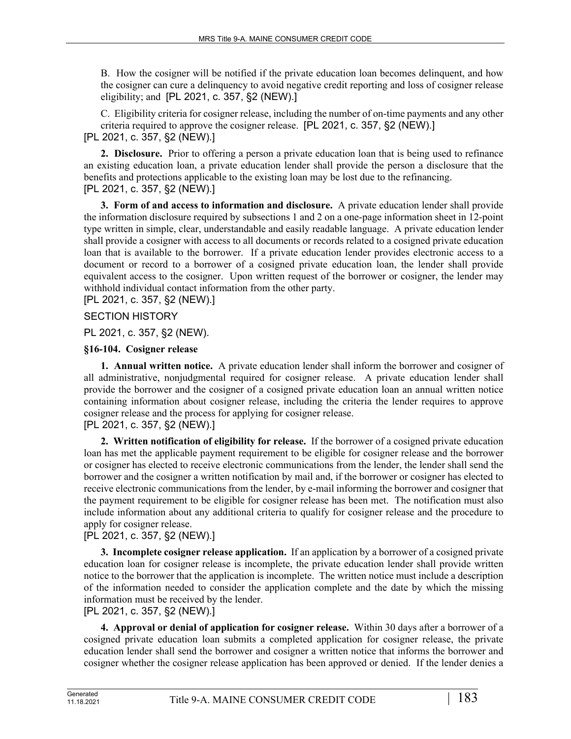B. How the cosigner will be notified if the private education loan becomes delinquent, and how the cosigner can cure a delinquency to avoid negative credit reporting and loss of cosigner release eligibility; and [PL 2021, c. 357, §2 (NEW).]

C. Eligibility criteria for cosigner release, including the number of on-time payments and any other criteria required to approve the cosigner release. [PL 2021, c. 357, §2 (NEW).]

[PL 2021, c. 357, §2 (NEW).]

**2. Disclosure.** Prior to offering a person a private education loan that is being used to refinance an existing education loan, a private education lender shall provide the person a disclosure that the benefits and protections applicable to the existing loan may be lost due to the refinancing. [PL 2021, c. 357, §2 (NEW).]

**3. Form of and access to information and disclosure.** A private education lender shall provide the information disclosure required by subsections 1 and 2 on a one-page information sheet in 12-point type written in simple, clear, understandable and easily readable language. A private education lender shall provide a cosigner with access to all documents or records related to a cosigned private education loan that is available to the borrower. If a private education lender provides electronic access to a document or record to a borrower of a cosigned private education loan, the lender shall provide equivalent access to the cosigner. Upon written request of the borrower or cosigner, the lender may withhold individual contact information from the other party.

[PL 2021, c. 357, §2 (NEW).]

# SECTION HISTORY

PL 2021, c. 357, §2 (NEW).

## **§16-104. Cosigner release**

**1. Annual written notice.** A private education lender shall inform the borrower and cosigner of all administrative, nonjudgmental required for cosigner release. A private education lender shall provide the borrower and the cosigner of a cosigned private education loan an annual written notice containing information about cosigner release, including the criteria the lender requires to approve cosigner release and the process for applying for cosigner release.

[PL 2021, c. 357, §2 (NEW).]

**2. Written notification of eligibility for release.** If the borrower of a cosigned private education loan has met the applicable payment requirement to be eligible for cosigner release and the borrower or cosigner has elected to receive electronic communications from the lender, the lender shall send the borrower and the cosigner a written notification by mail and, if the borrower or cosigner has elected to receive electronic communications from the lender, by e-mail informing the borrower and cosigner that the payment requirement to be eligible for cosigner release has been met. The notification must also include information about any additional criteria to qualify for cosigner release and the procedure to apply for cosigner release.

# [PL 2021, c. 357, §2 (NEW).]

**3. Incomplete cosigner release application.** If an application by a borrower of a cosigned private education loan for cosigner release is incomplete, the private education lender shall provide written notice to the borrower that the application is incomplete. The written notice must include a description of the information needed to consider the application complete and the date by which the missing information must be received by the lender.

## [PL 2021, c. 357, §2 (NEW).]

**4. Approval or denial of application for cosigner release.** Within 30 days after a borrower of a cosigned private education loan submits a completed application for cosigner release, the private education lender shall send the borrower and cosigner a written notice that informs the borrower and cosigner whether the cosigner release application has been approved or denied. If the lender denies a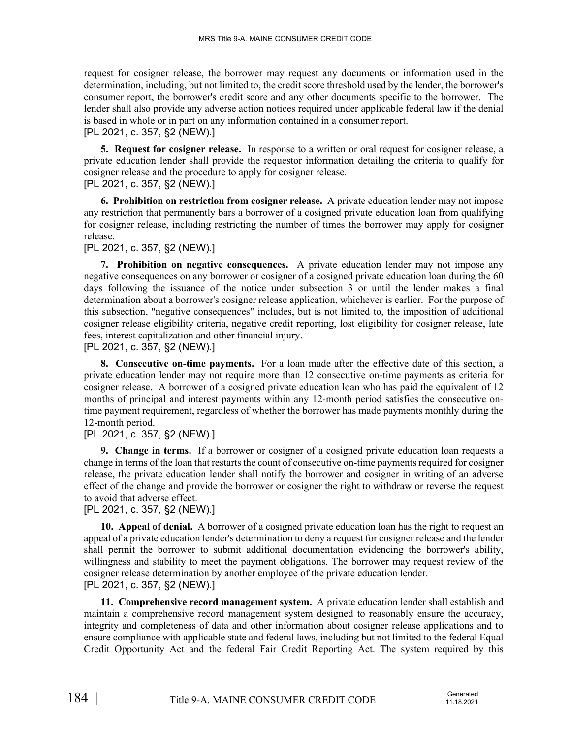request for cosigner release, the borrower may request any documents or information used in the determination, including, but not limited to, the credit score threshold used by the lender, the borrower's consumer report, the borrower's credit score and any other documents specific to the borrower. The lender shall also provide any adverse action notices required under applicable federal law if the denial is based in whole or in part on any information contained in a consumer report. [PL 2021, c. 357, §2 (NEW).]

**5. Request for cosigner release.** In response to a written or oral request for cosigner release, a private education lender shall provide the requestor information detailing the criteria to qualify for cosigner release and the procedure to apply for cosigner release.

[PL 2021, c. 357, §2 (NEW).]

**6. Prohibition on restriction from cosigner release.** A private education lender may not impose any restriction that permanently bars a borrower of a cosigned private education loan from qualifying for cosigner release, including restricting the number of times the borrower may apply for cosigner release.

[PL 2021, c. 357, §2 (NEW).]

**7. Prohibition on negative consequences.** A private education lender may not impose any negative consequences on any borrower or cosigner of a cosigned private education loan during the 60 days following the issuance of the notice under subsection 3 or until the lender makes a final determination about a borrower's cosigner release application, whichever is earlier. For the purpose of this subsection, "negative consequences" includes, but is not limited to, the imposition of additional cosigner release eligibility criteria, negative credit reporting, lost eligibility for cosigner release, late fees, interest capitalization and other financial injury.

[PL 2021, c. 357, §2 (NEW).]

**8. Consecutive on-time payments.** For a loan made after the effective date of this section, a private education lender may not require more than 12 consecutive on-time payments as criteria for cosigner release. A borrower of a cosigned private education loan who has paid the equivalent of 12 months of principal and interest payments within any 12-month period satisfies the consecutive ontime payment requirement, regardless of whether the borrower has made payments monthly during the 12-month period.

[PL 2021, c. 357, §2 (NEW).]

**9. Change in terms.** If a borrower or cosigner of a cosigned private education loan requests a change in terms of the loan that restarts the count of consecutive on-time payments required for cosigner release, the private education lender shall notify the borrower and cosigner in writing of an adverse effect of the change and provide the borrower or cosigner the right to withdraw or reverse the request to avoid that adverse effect.

[PL 2021, c. 357, §2 (NEW).]

**10. Appeal of denial.** A borrower of a cosigned private education loan has the right to request an appeal of a private education lender's determination to deny a request for cosigner release and the lender shall permit the borrower to submit additional documentation evidencing the borrower's ability, willingness and stability to meet the payment obligations. The borrower may request review of the cosigner release determination by another employee of the private education lender. [PL 2021, c. 357, §2 (NEW).]

**11. Comprehensive record management system.** A private education lender shall establish and maintain a comprehensive record management system designed to reasonably ensure the accuracy, integrity and completeness of data and other information about cosigner release applications and to ensure compliance with applicable state and federal laws, including but not limited to the federal Equal Credit Opportunity Act and the federal Fair Credit Reporting Act. The system required by this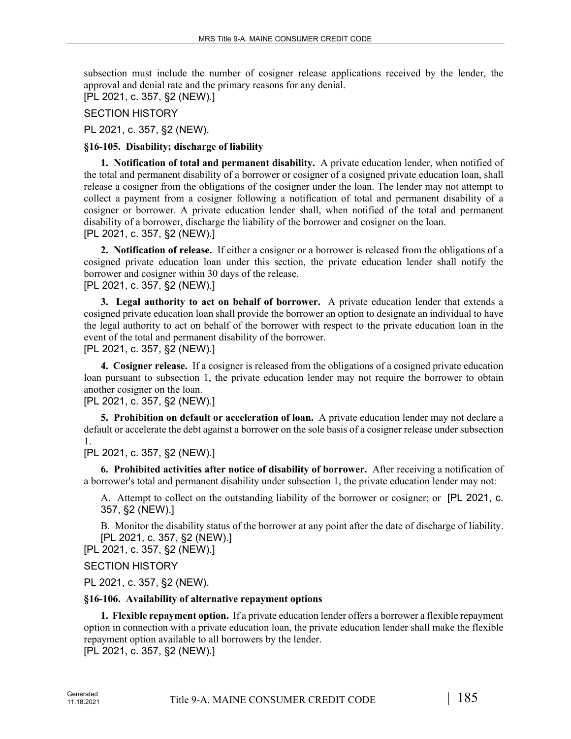subsection must include the number of cosigner release applications received by the lender, the approval and denial rate and the primary reasons for any denial.

[PL 2021, c. 357, §2 (NEW).]

SECTION HISTORY

PL 2021, c. 357, §2 (NEW).

### **§16-105. Disability; discharge of liability**

**1. Notification of total and permanent disability.** A private education lender, when notified of the total and permanent disability of a borrower or cosigner of a cosigned private education loan, shall release a cosigner from the obligations of the cosigner under the loan. The lender may not attempt to collect a payment from a cosigner following a notification of total and permanent disability of a cosigner or borrower. A private education lender shall, when notified of the total and permanent disability of a borrower, discharge the liability of the borrower and cosigner on the loan. [PL 2021, c. 357, §2 (NEW).]

**2. Notification of release.** If either a cosigner or a borrower is released from the obligations of a cosigned private education loan under this section, the private education lender shall notify the borrower and cosigner within 30 days of the release. [PL 2021, c. 357, §2 (NEW).]

**3. Legal authority to act on behalf of borrower.** A private education lender that extends a cosigned private education loan shall provide the borrower an option to designate an individual to have the legal authority to act on behalf of the borrower with respect to the private education loan in the event of the total and permanent disability of the borrower.

[PL 2021, c. 357, §2 (NEW).]

**4. Cosigner release.** If a cosigner is released from the obligations of a cosigned private education loan pursuant to subsection 1, the private education lender may not require the borrower to obtain another cosigner on the loan.

[PL 2021, c. 357, §2 (NEW).]

**5. Prohibition on default or acceleration of loan.** A private education lender may not declare a default or accelerate the debt against a borrower on the sole basis of a cosigner release under subsection 1.

[PL 2021, c. 357, §2 (NEW).]

**6. Prohibited activities after notice of disability of borrower.** After receiving a notification of a borrower's total and permanent disability under subsection 1, the private education lender may not:

A. Attempt to collect on the outstanding liability of the borrower or cosigner; or [PL 2021, c. 357, §2 (NEW).]

B. Monitor the disability status of the borrower at any point after the date of discharge of liability. [PL 2021, c. 357, §2 (NEW).]

[PL 2021, c. 357, §2 (NEW).]

SECTION HISTORY

PL 2021, c. 357, §2 (NEW).

#### **§16-106. Availability of alternative repayment options**

**1. Flexible repayment option.** If a private education lender offers a borrower a flexible repayment option in connection with a private education loan, the private education lender shall make the flexible repayment option available to all borrowers by the lender.

[PL 2021, c. 357, §2 (NEW).]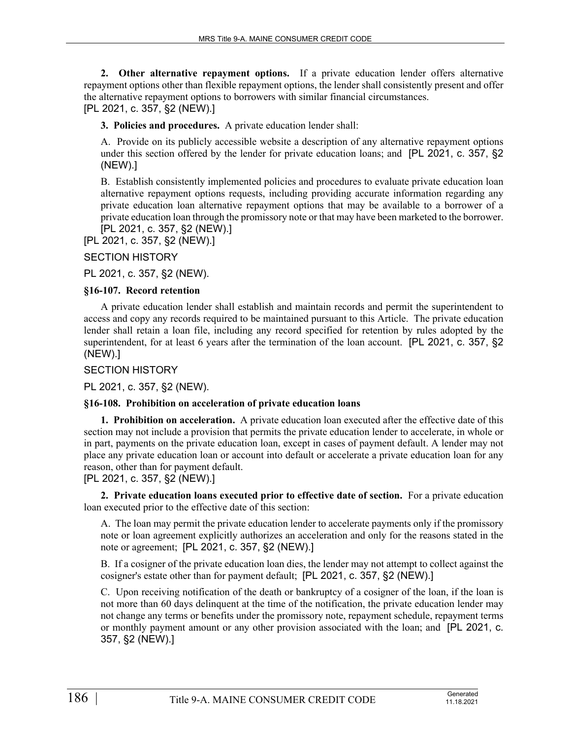**2. Other alternative repayment options.** If a private education lender offers alternative repayment options other than flexible repayment options, the lender shall consistently present and offer the alternative repayment options to borrowers with similar financial circumstances. [PL 2021, c. 357, §2 (NEW).]

**3. Policies and procedures.** A private education lender shall:

A. Provide on its publicly accessible website a description of any alternative repayment options under this section offered by the lender for private education loans; and [PL 2021, c. 357, §2 (NEW).]

B. Establish consistently implemented policies and procedures to evaluate private education loan alternative repayment options requests, including providing accurate information regarding any private education loan alternative repayment options that may be available to a borrower of a private education loan through the promissory note or that may have been marketed to the borrower. [PL 2021, c. 357, §2 (NEW).]

[PL 2021, c. 357, §2 (NEW).]

# SECTION HISTORY

PL 2021, c. 357, §2 (NEW).

## **§16-107. Record retention**

A private education lender shall establish and maintain records and permit the superintendent to access and copy any records required to be maintained pursuant to this Article. The private education lender shall retain a loan file, including any record specified for retention by rules adopted by the superintendent, for at least 6 years after the termination of the loan account. [PL 2021, c. 357, §2 (NEW).]

SECTION HISTORY

PL 2021, c. 357, §2 (NEW).

# **§16-108. Prohibition on acceleration of private education loans**

**1. Prohibition on acceleration.** A private education loan executed after the effective date of this section may not include a provision that permits the private education lender to accelerate, in whole or in part, payments on the private education loan, except in cases of payment default. A lender may not place any private education loan or account into default or accelerate a private education loan for any reason, other than for payment default.

[PL 2021, c. 357, §2 (NEW).]

**2. Private education loans executed prior to effective date of section.** For a private education loan executed prior to the effective date of this section:

A. The loan may permit the private education lender to accelerate payments only if the promissory note or loan agreement explicitly authorizes an acceleration and only for the reasons stated in the note or agreement; [PL 2021, c. 357, §2 (NEW).]

B. If a cosigner of the private education loan dies, the lender may not attempt to collect against the cosigner's estate other than for payment default; [PL 2021, c. 357, §2 (NEW).]

C. Upon receiving notification of the death or bankruptcy of a cosigner of the loan, if the loan is not more than 60 days delinquent at the time of the notification, the private education lender may not change any terms or benefits under the promissory note, repayment schedule, repayment terms or monthly payment amount or any other provision associated with the loan; and [PL 2021, c. 357, §2 (NEW).]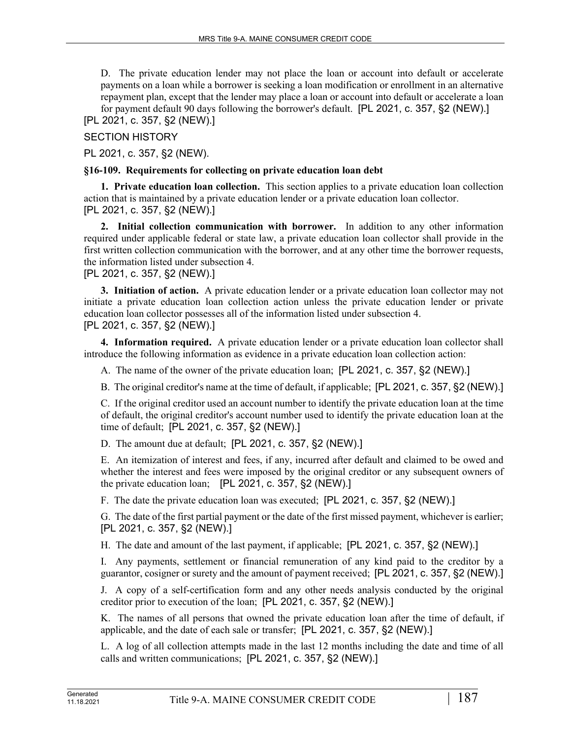D. The private education lender may not place the loan or account into default or accelerate payments on a loan while a borrower is seeking a loan modification or enrollment in an alternative repayment plan, except that the lender may place a loan or account into default or accelerate a loan for payment default 90 days following the borrower's default. [PL 2021, c. 357, §2 (NEW).]

[PL 2021, c. 357, §2 (NEW).]

SECTION HISTORY

PL 2021, c. 357, §2 (NEW).

#### **§16-109. Requirements for collecting on private education loan debt**

**1. Private education loan collection.** This section applies to a private education loan collection action that is maintained by a private education lender or a private education loan collector. [PL 2021, c. 357, §2 (NEW).]

**2. Initial collection communication with borrower.** In addition to any other information required under applicable federal or state law, a private education loan collector shall provide in the first written collection communication with the borrower, and at any other time the borrower requests, the information listed under subsection 4.

#### [PL 2021, c. 357, §2 (NEW).]

**3. Initiation of action.** A private education lender or a private education loan collector may not initiate a private education loan collection action unless the private education lender or private education loan collector possesses all of the information listed under subsection 4. [PL 2021, c. 357, §2 (NEW).]

**4. Information required.** A private education lender or a private education loan collector shall introduce the following information as evidence in a private education loan collection action:

A. The name of the owner of the private education loan; [PL 2021, c. 357, §2 (NEW).]

B. The original creditor's name at the time of default, if applicable; [PL 2021, c. 357, §2 (NEW).]

C. If the original creditor used an account number to identify the private education loan at the time of default, the original creditor's account number used to identify the private education loan at the time of default; [PL 2021, c. 357, §2 (NEW).]

D. The amount due at default; [PL 2021, c. 357, §2 (NEW).]

E. An itemization of interest and fees, if any, incurred after default and claimed to be owed and whether the interest and fees were imposed by the original creditor or any subsequent owners of the private education loan; [PL 2021, c. 357, §2 (NEW).]

F. The date the private education loan was executed; [PL 2021, c. 357, §2 (NEW).]

G. The date of the first partial payment or the date of the first missed payment, whichever is earlier; [PL 2021, c. 357, §2 (NEW).]

H. The date and amount of the last payment, if applicable; [PL 2021, c. 357, §2 (NEW).]

I. Any payments, settlement or financial remuneration of any kind paid to the creditor by a guarantor, cosigner or surety and the amount of payment received; [PL 2021, c. 357, §2 (NEW).]

J. A copy of a self-certification form and any other needs analysis conducted by the original creditor prior to execution of the loan; [PL 2021, c. 357, §2 (NEW).]

K. The names of all persons that owned the private education loan after the time of default, if applicable, and the date of each sale or transfer; [PL 2021, c. 357, §2 (NEW).]

L. A log of all collection attempts made in the last 12 months including the date and time of all calls and written communications; [PL 2021, c. 357, §2 (NEW).]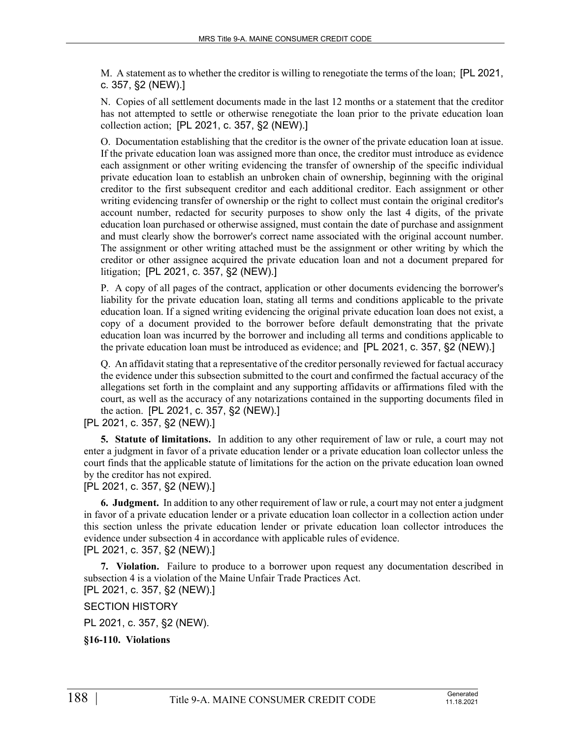M. A statement as to whether the creditor is willing to renegotiate the terms of the loan; [PL 2021, c. 357, §2 (NEW).]

N. Copies of all settlement documents made in the last 12 months or a statement that the creditor has not attempted to settle or otherwise renegotiate the loan prior to the private education loan collection action; [PL 2021, c. 357, §2 (NEW).]

O. Documentation establishing that the creditor is the owner of the private education loan at issue. If the private education loan was assigned more than once, the creditor must introduce as evidence each assignment or other writing evidencing the transfer of ownership of the specific individual private education loan to establish an unbroken chain of ownership, beginning with the original creditor to the first subsequent creditor and each additional creditor. Each assignment or other writing evidencing transfer of ownership or the right to collect must contain the original creditor's account number, redacted for security purposes to show only the last 4 digits, of the private education loan purchased or otherwise assigned, must contain the date of purchase and assignment and must clearly show the borrower's correct name associated with the original account number. The assignment or other writing attached must be the assignment or other writing by which the creditor or other assignee acquired the private education loan and not a document prepared for litigation; [PL 2021, c. 357, §2 (NEW).]

P. A copy of all pages of the contract, application or other documents evidencing the borrower's liability for the private education loan, stating all terms and conditions applicable to the private education loan. If a signed writing evidencing the original private education loan does not exist, a copy of a document provided to the borrower before default demonstrating that the private education loan was incurred by the borrower and including all terms and conditions applicable to the private education loan must be introduced as evidence; and [PL 2021, c. 357, §2 (NEW).]

Q. An affidavit stating that a representative of the creditor personally reviewed for factual accuracy the evidence under this subsection submitted to the court and confirmed the factual accuracy of the allegations set forth in the complaint and any supporting affidavits or affirmations filed with the court, as well as the accuracy of any notarizations contained in the supporting documents filed in the action. [PL 2021, c. 357, §2 (NEW).]

[PL 2021, c. 357, §2 (NEW).]

**5. Statute of limitations.** In addition to any other requirement of law or rule, a court may not enter a judgment in favor of a private education lender or a private education loan collector unless the court finds that the applicable statute of limitations for the action on the private education loan owned by the creditor has not expired.

## [PL 2021, c. 357, §2 (NEW).]

**6. Judgment.** In addition to any other requirement of law or rule, a court may not enter a judgment in favor of a private education lender or a private education loan collector in a collection action under this section unless the private education lender or private education loan collector introduces the evidence under subsection 4 in accordance with applicable rules of evidence. [PL 2021, c. 357, §2 (NEW).]

**7. Violation.** Failure to produce to a borrower upon request any documentation described in subsection 4 is a violation of the Maine Unfair Trade Practices Act.

[PL 2021, c. 357, §2 (NEW).]

SECTION HISTORY

PL 2021, c. 357, §2 (NEW).

**§16-110. Violations**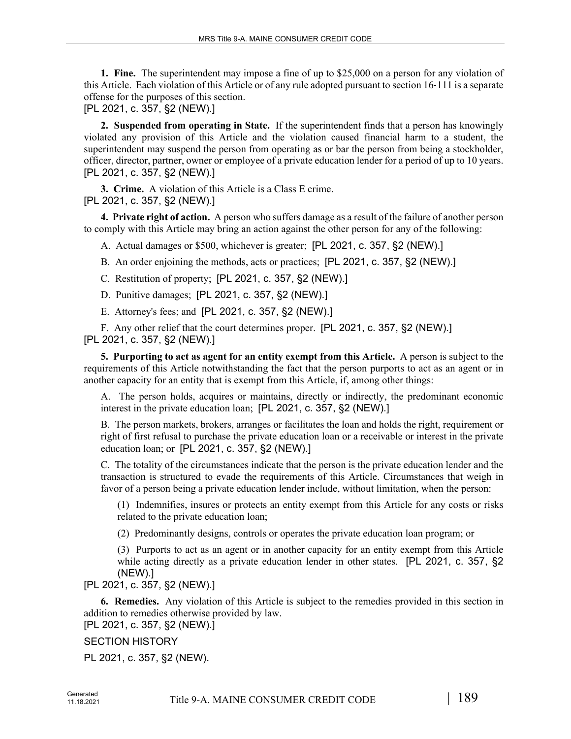**1. Fine.** The superintendent may impose a fine of up to \$25,000 on a person for any violation of this Article. Each violation of this Article or of any rule adopted pursuant to section 16‑111 is a separate offense for the purposes of this section.

[PL 2021, c. 357, §2 (NEW).]

**2. Suspended from operating in State.** If the superintendent finds that a person has knowingly violated any provision of this Article and the violation caused financial harm to a student, the superintendent may suspend the person from operating as or bar the person from being a stockholder, officer, director, partner, owner or employee of a private education lender for a period of up to 10 years. [PL 2021, c. 357, §2 (NEW).]

**3. Crime.** A violation of this Article is a Class E crime. [PL 2021, c. 357, §2 (NEW).]

**4. Private right of action.** A person who suffers damage as a result of the failure of another person to comply with this Article may bring an action against the other person for any of the following:

A. Actual damages or \$500, whichever is greater; [PL 2021, c. 357, §2 (NEW).]

B. An order enjoining the methods, acts or practices; [PL 2021, c. 357, §2 (NEW).]

- C. Restitution of property; [PL 2021, c. 357, §2 (NEW).]
- D. Punitive damages; [PL 2021, c. 357, §2 (NEW).]
- E. Attorney's fees; and [PL 2021, c. 357, §2 (NEW).]

F. Any other relief that the court determines proper. [PL 2021, c. 357, §2 (NEW).] [PL 2021, c. 357, §2 (NEW).]

**5. Purporting to act as agent for an entity exempt from this Article.** A person is subject to the requirements of this Article notwithstanding the fact that the person purports to act as an agent or in another capacity for an entity that is exempt from this Article, if, among other things:

A. The person holds, acquires or maintains, directly or indirectly, the predominant economic interest in the private education loan; [PL 2021, c. 357, §2 (NEW).]

B. The person markets, brokers, arranges or facilitates the loan and holds the right, requirement or right of first refusal to purchase the private education loan or a receivable or interest in the private education loan; or [PL 2021, c. 357, §2 (NEW).]

C. The totality of the circumstances indicate that the person is the private education lender and the transaction is structured to evade the requirements of this Article. Circumstances that weigh in favor of a person being a private education lender include, without limitation, when the person:

(1) Indemnifies, insures or protects an entity exempt from this Article for any costs or risks related to the private education loan;

(2) Predominantly designs, controls or operates the private education loan program; or

(3) Purports to act as an agent or in another capacity for an entity exempt from this Article while acting directly as a private education lender in other states. [PL 2021, c. 357, §2] (NEW).]

## [PL 2021, c. 357, §2 (NEW).]

**6. Remedies.** Any violation of this Article is subject to the remedies provided in this section in addition to remedies otherwise provided by law. [PL 2021, c. 357, §2 (NEW).]

SECTION HISTORY

PL 2021, c. 357, §2 (NEW).